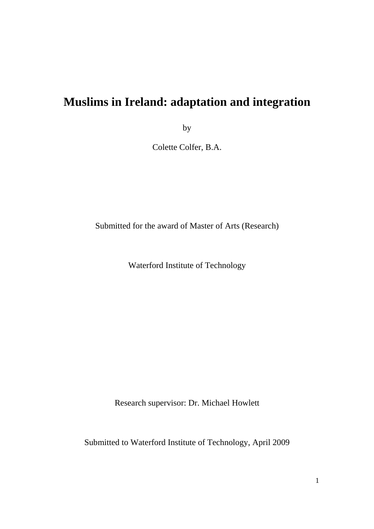# **Muslims in Ireland: adaptation and integration**

by

Colette Colfer, B.A.

Submitted for the award of Master of Arts (Research)

Waterford Institute of Technology

Research supervisor: Dr. Michael Howlett

Submitted to Waterford Institute of Technology, April 2009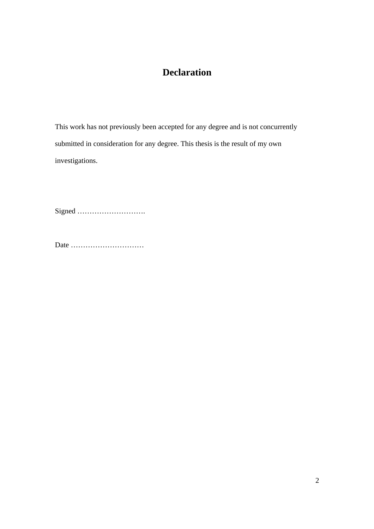## **Declaration**

This work has not previously been accepted for any degree and is not concurrently submitted in consideration for any degree. This thesis is the result of my own investigations.

Signed ……………………….

Date …………………………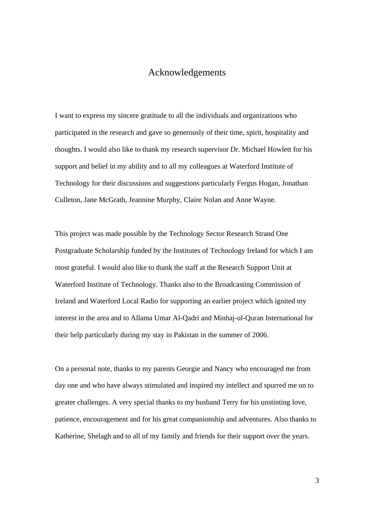#### Acknowledgements

I want to express my sincere gratitude to all the individuals and organizations who participated in the research and gave so generously of their time, spirit, hospitality and thoughts. I would also like to thank my research supervisor Dr. Michael Howlett for his support and belief in my ability and to all my colleagues at Waterford Institute of Technology for their discussions and suggestions particularly Fergus Hogan, Jonathan Culleton, Jane McGrath, Jeannine Murphy, Claire Nolan and Anne Wayne.

This project was made possible by the Technology Sector Research Strand One Postgraduate Scholarship funded by the Institutes of Technology Ireland for which I am most grateful. I would also like to thank the staff at the Research Support Unit at Waterford Institute of Technology. Thanks also to the Broadcasting Commission of Ireland and Waterford Local Radio for supporting an earlier project which ignited my interest in the area and to Allama Umar Al-Qadri and Minhaj-ul-Quran International for their help particularly during my stay in Pakistan in the summer of 2006.

On a personal note, thanks to my parents Georgie and Nancy who encouraged me from day one and who have always stimulated and inspired my intellect and spurred me on to greater challenges. A very special thanks to my husband Terry for his unstinting love, patience, encouragement and for his great companionship and adventures. Also thanks to Katherine, Shelagh and to all of my family and friends for their support over the years.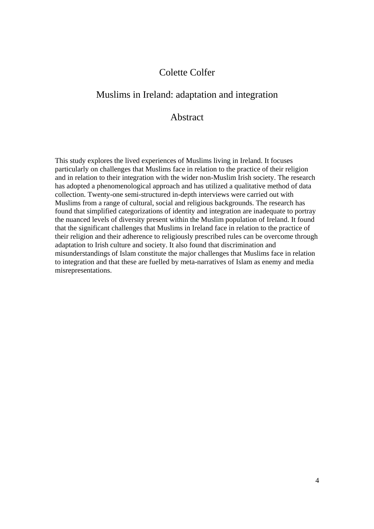## Colette Colfer

## Muslims in Ireland: adaptation and integration

#### Abstract

This study explores the lived experiences of Muslims living in Ireland. It focuses particularly on challenges that Muslims face in relation to the practice of their religion and in relation to their integration with the wider non-Muslim Irish society. The research has adopted a phenomenological approach and has utilized a qualitative method of data collection. Twenty-one semi-structured in-depth interviews were carried out with Muslims from a range of cultural, social and religious backgrounds. The research has found that simplified categorizations of identity and integration are inadequate to portray the nuanced levels of diversity present within the Muslim population of Ireland. It found that the significant challenges that Muslims in Ireland face in relation to the practice of their religion and their adherence to religiously prescribed rules can be overcome through adaptation to Irish culture and society. It also found that discrimination and misunderstandings of Islam constitute the major challenges that Muslims face in relation to integration and that these are fuelled by meta-narratives of Islam as enemy and media misrepresentations.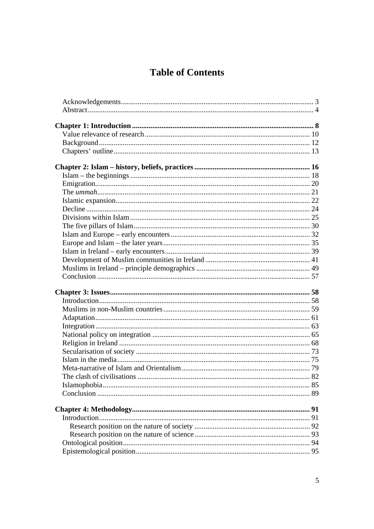## **Table of Contents**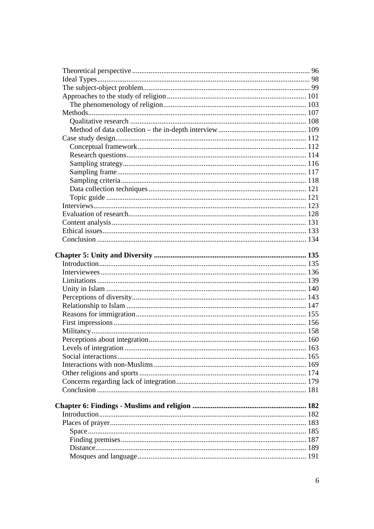| Levels of integration.<br> |  |
|----------------------------|--|
|                            |  |
|                            |  |
|                            |  |
|                            |  |
|                            |  |
|                            |  |
|                            |  |
|                            |  |
|                            |  |
|                            |  |
|                            |  |
|                            |  |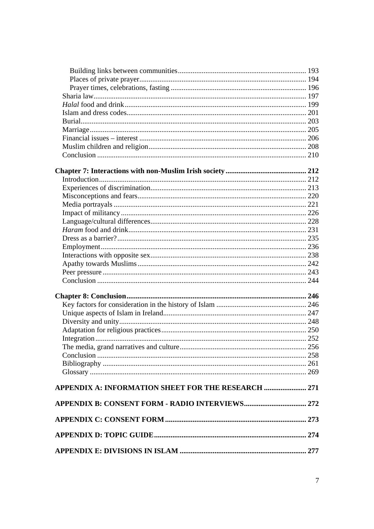| APPENDIX A: INFORMATION SHEET FOR THE RESEARCH  271 |  |
|-----------------------------------------------------|--|
|                                                     |  |
|                                                     |  |
|                                                     |  |
|                                                     |  |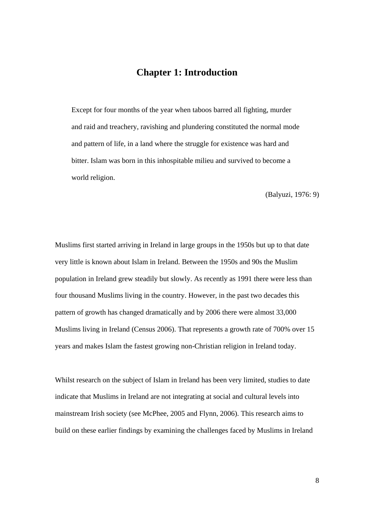## **Chapter 1: Introduction**

Except for four months of the year when taboos barred all fighting, murder and raid and treachery, ravishing and plundering constituted the normal mode and pattern of life, in a land where the struggle for existence was hard and bitter. Islam was born in this inhospitable milieu and survived to become a world religion.

(Balyuzi, 1976: 9)

Muslims first started arriving in Ireland in large groups in the 1950s but up to that date very little is known about Islam in Ireland. Between the 1950s and 90s the Muslim population in Ireland grew steadily but slowly. As recently as 1991 there were less than four thousand Muslims living in the country. However, in the past two decades this pattern of growth has changed dramatically and by 2006 there were almost 33,000 Muslims living in Ireland (Census 2006). That represents a growth rate of 700% over 15 years and makes Islam the fastest growing non-Christian religion in Ireland today.

Whilst research on the subject of Islam in Ireland has been very limited, studies to date indicate that Muslims in Ireland are not integrating at social and cultural levels into mainstream Irish society (see McPhee, 2005 and Flynn, 2006). This research aims to build on these earlier findings by examining the challenges faced by Muslims in Ireland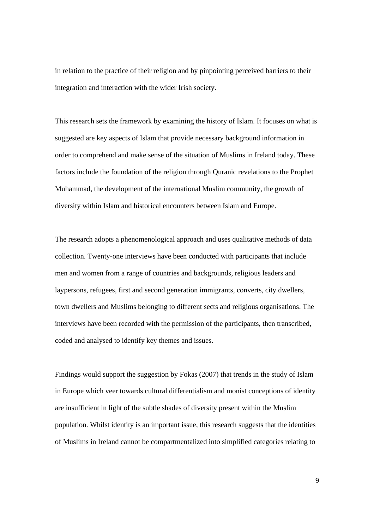in relation to the practice of their religion and by pinpointing perceived barriers to their integration and interaction with the wider Irish society.

This research sets the framework by examining the history of Islam. It focuses on what is suggested are key aspects of Islam that provide necessary background information in order to comprehend and make sense of the situation of Muslims in Ireland today. These factors include the foundation of the religion through Quranic revelations to the Prophet Muhammad, the development of the international Muslim community, the growth of diversity within Islam and historical encounters between Islam and Europe.

The research adopts a phenomenological approach and uses qualitative methods of data collection. Twenty-one interviews have been conducted with participants that include men and women from a range of countries and backgrounds, religious leaders and laypersons, refugees, first and second generation immigrants, converts, city dwellers, town dwellers and Muslims belonging to different sects and religious organisations. The interviews have been recorded with the permission of the participants, then transcribed, coded and analysed to identify key themes and issues.

Findings would support the suggestion by Fokas (2007) that trends in the study of Islam in Europe which veer towards cultural differentialism and monist conceptions of identity are insufficient in light of the subtle shades of diversity present within the Muslim population. Whilst identity is an important issue, this research suggests that the identities of Muslims in Ireland cannot be compartmentalized into simplified categories relating to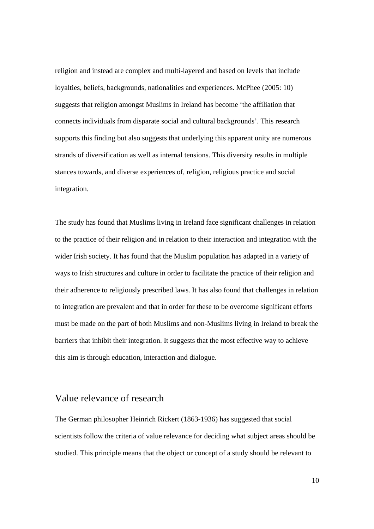religion and instead are complex and multi-layered and based on levels that include loyalties, beliefs, backgrounds, nationalities and experiences. McPhee (2005: 10) suggests that religion amongst Muslims in Ireland has become 'the affiliation that connects individuals from disparate social and cultural backgrounds'. This research supports this finding but also suggests that underlying this apparent unity are numerous strands of diversification as well as internal tensions. This diversity results in multiple stances towards, and diverse experiences of, religion, religious practice and social integration.

The study has found that Muslims living in Ireland face significant challenges in relation to the practice of their religion and in relation to their interaction and integration with the wider Irish society. It has found that the Muslim population has adapted in a variety of ways to Irish structures and culture in order to facilitate the practice of their religion and their adherence to religiously prescribed laws. It has also found that challenges in relation to integration are prevalent and that in order for these to be overcome significant efforts must be made on the part of both Muslims and non-Muslims living in Ireland to break the barriers that inhibit their integration. It suggests that the most effective way to achieve this aim is through education, interaction and dialogue.

#### Value relevance of research

The German philosopher Heinrich Rickert (1863-1936) has suggested that social scientists follow the criteria of value relevance for deciding what subject areas should be studied. This principle means that the object or concept of a study should be relevant to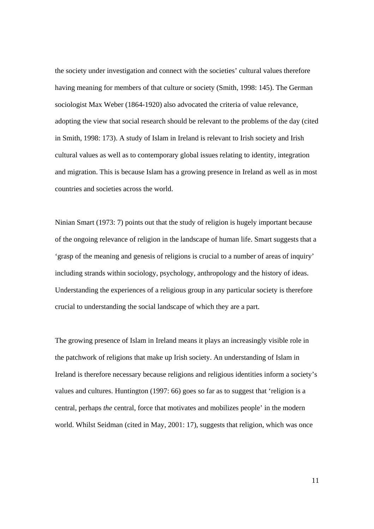the society under investigation and connect with the societies' cultural values therefore having meaning for members of that culture or society (Smith, 1998: 145). The German sociologist Max Weber (1864-1920) also advocated the criteria of value relevance, adopting the view that social research should be relevant to the problems of the day (cited in Smith, 1998: 173). A study of Islam in Ireland is relevant to Irish society and Irish cultural values as well as to contemporary global issues relating to identity, integration and migration. This is because Islam has a growing presence in Ireland as well as in most countries and societies across the world.

Ninian Smart (1973: 7) points out that the study of religion is hugely important because of the ongoing relevance of religion in the landscape of human life. Smart suggests that a 'grasp of the meaning and genesis of religions is crucial to a number of areas of inquiry' including strands within sociology, psychology, anthropology and the history of ideas. Understanding the experiences of a religious group in any particular society is therefore crucial to understanding the social landscape of which they are a part.

The growing presence of Islam in Ireland means it plays an increasingly visible role in the patchwork of religions that make up Irish society. An understanding of Islam in Ireland is therefore necessary because religions and religious identities inform a society's values and cultures. Huntington (1997: 66) goes so far as to suggest that 'religion is a central, perhaps *the* central, force that motivates and mobilizes people' in the modern world. Whilst Seidman (cited in May, 2001: 17), suggests that religion, which was once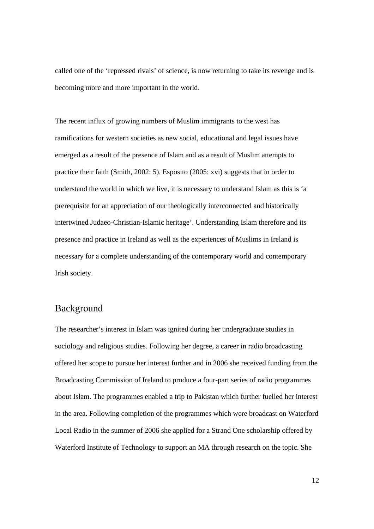called one of the 'repressed rivals' of science, is now returning to take its revenge and is becoming more and more important in the world.

The recent influx of growing numbers of Muslim immigrants to the west has ramifications for western societies as new social, educational and legal issues have emerged as a result of the presence of Islam and as a result of Muslim attempts to practice their faith (Smith, 2002: 5). Esposito (2005: xvi) suggests that in order to understand the world in which we live, it is necessary to understand Islam as this is 'a prerequisite for an appreciation of our theologically interconnected and historically intertwined Judaeo-Christian-Islamic heritage'. Understanding Islam therefore and its presence and practice in Ireland as well as the experiences of Muslims in Ireland is necessary for a complete understanding of the contemporary world and contemporary Irish society.

#### Background

The researcher's interest in Islam was ignited during her undergraduate studies in sociology and religious studies. Following her degree, a career in radio broadcasting offered her scope to pursue her interest further and in 2006 she received funding from the Broadcasting Commission of Ireland to produce a four-part series of radio programmes about Islam. The programmes enabled a trip to Pakistan which further fuelled her interest in the area. Following completion of the programmes which were broadcast on Waterford Local Radio in the summer of 2006 she applied for a Strand One scholarship offered by Waterford Institute of Technology to support an MA through research on the topic. She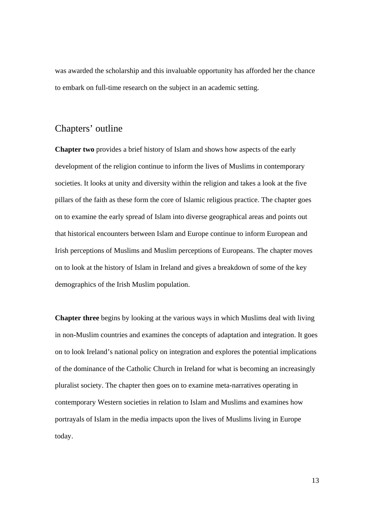was awarded the scholarship and this invaluable opportunity has afforded her the chance to embark on full-time research on the subject in an academic setting.

#### Chapters' outline

**Chapter two** provides a brief history of Islam and shows how aspects of the early development of the religion continue to inform the lives of Muslims in contemporary societies. It looks at unity and diversity within the religion and takes a look at the five pillars of the faith as these form the core of Islamic religious practice. The chapter goes on to examine the early spread of Islam into diverse geographical areas and points out that historical encounters between Islam and Europe continue to inform European and Irish perceptions of Muslims and Muslim perceptions of Europeans. The chapter moves on to look at the history of Islam in Ireland and gives a breakdown of some of the key demographics of the Irish Muslim population.

**Chapter three** begins by looking at the various ways in which Muslims deal with living in non-Muslim countries and examines the concepts of adaptation and integration. It goes on to look Ireland's national policy on integration and explores the potential implications of the dominance of the Catholic Church in Ireland for what is becoming an increasingly pluralist society. The chapter then goes on to examine meta-narratives operating in contemporary Western societies in relation to Islam and Muslims and examines how portrayals of Islam in the media impacts upon the lives of Muslims living in Europe today.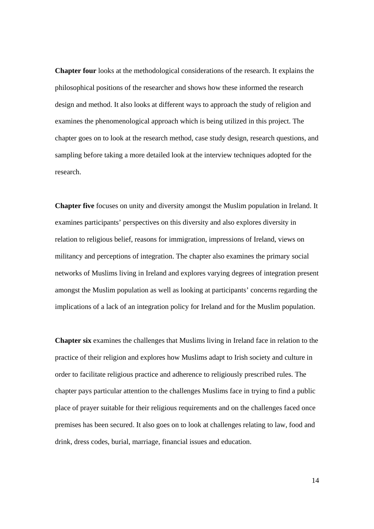**Chapter four** looks at the methodological considerations of the research. It explains the philosophical positions of the researcher and shows how these informed the research design and method. It also looks at different ways to approach the study of religion and examines the phenomenological approach which is being utilized in this project. The chapter goes on to look at the research method, case study design, research questions, and sampling before taking a more detailed look at the interview techniques adopted for the research.

**Chapter five** focuses on unity and diversity amongst the Muslim population in Ireland. It examines participants' perspectives on this diversity and also explores diversity in relation to religious belief, reasons for immigration, impressions of Ireland, views on militancy and perceptions of integration. The chapter also examines the primary social networks of Muslims living in Ireland and explores varying degrees of integration present amongst the Muslim population as well as looking at participants' concerns regarding the implications of a lack of an integration policy for Ireland and for the Muslim population.

**Chapter six** examines the challenges that Muslims living in Ireland face in relation to the practice of their religion and explores how Muslims adapt to Irish society and culture in order to facilitate religious practice and adherence to religiously prescribed rules. The chapter pays particular attention to the challenges Muslims face in trying to find a public place of prayer suitable for their religious requirements and on the challenges faced once premises has been secured. It also goes on to look at challenges relating to law, food and drink, dress codes, burial, marriage, financial issues and education.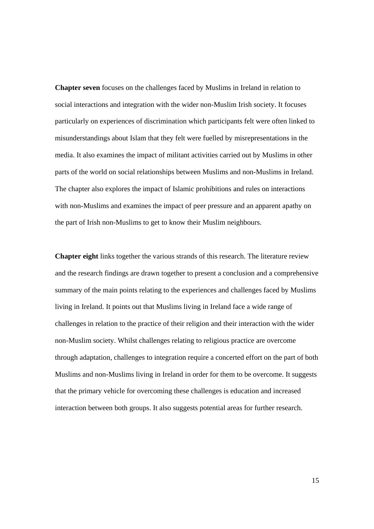**Chapter seven** focuses on the challenges faced by Muslims in Ireland in relation to social interactions and integration with the wider non-Muslim Irish society. It focuses particularly on experiences of discrimination which participants felt were often linked to misunderstandings about Islam that they felt were fuelled by misrepresentations in the media. It also examines the impact of militant activities carried out by Muslims in other parts of the world on social relationships between Muslims and non-Muslims in Ireland. The chapter also explores the impact of Islamic prohibitions and rules on interactions with non-Muslims and examines the impact of peer pressure and an apparent apathy on the part of Irish non-Muslims to get to know their Muslim neighbours.

**Chapter eight** links together the various strands of this research. The literature review and the research findings are drawn together to present a conclusion and a comprehensive summary of the main points relating to the experiences and challenges faced by Muslims living in Ireland. It points out that Muslims living in Ireland face a wide range of challenges in relation to the practice of their religion and their interaction with the wider non-Muslim society. Whilst challenges relating to religious practice are overcome through adaptation, challenges to integration require a concerted effort on the part of both Muslims and non-Muslims living in Ireland in order for them to be overcome. It suggests that the primary vehicle for overcoming these challenges is education and increased interaction between both groups. It also suggests potential areas for further research.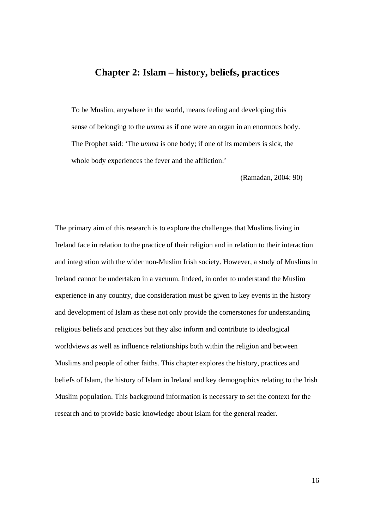### **Chapter 2: Islam – history, beliefs, practices**

To be Muslim, anywhere in the world, means feeling and developing this sense of belonging to the *umma* as if one were an organ in an enormous body. The Prophet said: 'The *umma* is one body; if one of its members is sick, the whole body experiences the fever and the affliction.'

(Ramadan, 2004: 90)

The primary aim of this research is to explore the challenges that Muslims living in Ireland face in relation to the practice of their religion and in relation to their interaction and integration with the wider non-Muslim Irish society. However, a study of Muslims in Ireland cannot be undertaken in a vacuum. Indeed, in order to understand the Muslim experience in any country, due consideration must be given to key events in the history and development of Islam as these not only provide the cornerstones for understanding religious beliefs and practices but they also inform and contribute to ideological worldviews as well as influence relationships both within the religion and between Muslims and people of other faiths. This chapter explores the history, practices and beliefs of Islam, the history of Islam in Ireland and key demographics relating to the Irish Muslim population. This background information is necessary to set the context for the research and to provide basic knowledge about Islam for the general reader.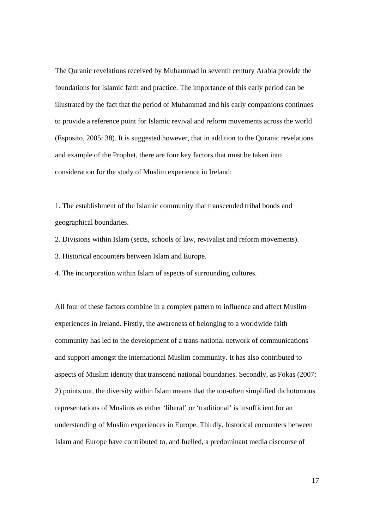The Quranic revelations received by Muhammad in seventh century Arabia provide the foundations for Islamic faith and practice. The importance of this early period can be illustrated by the fact that the period of Muhammad and his early companions continues to provide a reference point for Islamic revival and reform movements across the world (Esposito, 2005: 38). It is suggested however, that in addition to the Quranic revelations and example of the Prophet, there are four key factors that must be taken into consideration for the study of Muslim experience in Ireland:

1. The establishment of the Islamic community that transcended tribal bonds and geographical boundaries.

2. Divisions within Islam (sects, schools of law, revivalist and reform movements).

3. Historical encounters between Islam and Europe.

4. The incorporation within Islam of aspects of surrounding cultures.

All four of these factors combine in a complex pattern to influence and affect Muslim experiences in Ireland. Firstly, the awareness of belonging to a worldwide faith community has led to the development of a trans-national network of communications and support amongst the international Muslim community. It has also contributed to aspects of Muslim identity that transcend national boundaries. Secondly, as Fokas (2007: 2) points out, the diversity within Islam means that the too-often simplified dichotomous representations of Muslims as either 'liberal' or 'traditional' is insufficient for an understanding of Muslim experiences in Europe. Thirdly, historical encounters between Islam and Europe have contributed to, and fuelled, a predominant media discourse of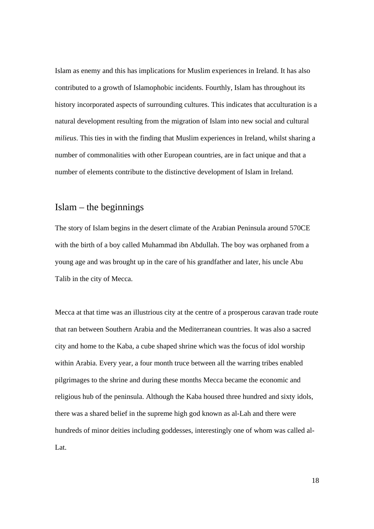Islam as enemy and this has implications for Muslim experiences in Ireland. It has also contributed to a growth of Islamophobic incidents. Fourthly, Islam has throughout its history incorporated aspects of surrounding cultures. This indicates that acculturation is a natural development resulting from the migration of Islam into new social and cultural *milieus*. This ties in with the finding that Muslim experiences in Ireland, whilst sharing a number of commonalities with other European countries, are in fact unique and that a number of elements contribute to the distinctive development of Islam in Ireland.

## Islam – the beginnings

The story of Islam begins in the desert climate of the Arabian Peninsula around 570CE with the birth of a boy called Muhammad ibn Abdullah. The boy was orphaned from a young age and was brought up in the care of his grandfather and later, his uncle Abu Talib in the city of Mecca.

Mecca at that time was an illustrious city at the centre of a prosperous caravan trade route that ran between Southern Arabia and the Mediterranean countries. It was also a sacred city and home to the Kaba, a cube shaped shrine which was the focus of idol worship within Arabia. Every year, a four month truce between all the warring tribes enabled pilgrimages to the shrine and during these months Mecca became the economic and religious hub of the peninsula. Although the Kaba housed three hundred and sixty idols, there was a shared belief in the supreme high god known as al-Lah and there were hundreds of minor deities including goddesses, interestingly one of whom was called al-Lat.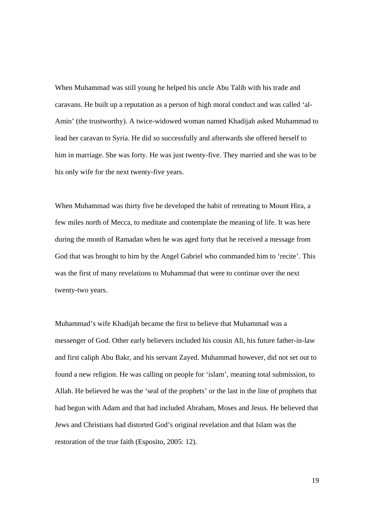When Muhammad was still young he helped his uncle Abu Talib with his trade and caravans. He built up a reputation as a person of high moral conduct and was called 'al-Amin' (the trustworthy). A twice-widowed woman named Khadijah asked Muhammad to lead her caravan to Syria. He did so successfully and afterwards she offered herself to him in marriage. She was forty. He was just twenty-five. They married and she was to be his only wife for the next twenty-five years.

When Muhammad was thirty five he developed the habit of retreating to Mount Hira, a few miles north of Mecca, to meditate and contemplate the meaning of life. It was here during the month of Ramadan when he was aged forty that he received a message from God that was brought to him by the Angel Gabriel who commanded him to 'recite'. This was the first of many revelations to Muhammad that were to continue over the next twenty-two years.

Muhammad's wife Khadijah became the first to believe that Muhammad was a messenger of God. Other early believers included his cousin Ali, his future father-in-law and first caliph Abu Bakr, and his servant Zayed. Muhammad however, did not set out to found a new religion. He was calling on people for 'islam', meaning total submission, to Allah. He believed he was the 'seal of the prophets' or the last in the line of prophets that had begun with Adam and that had included Abraham, Moses and Jesus. He believed that Jews and Christians had distorted God's original revelation and that Islam was the restoration of the true faith (Esposito, 2005: 12).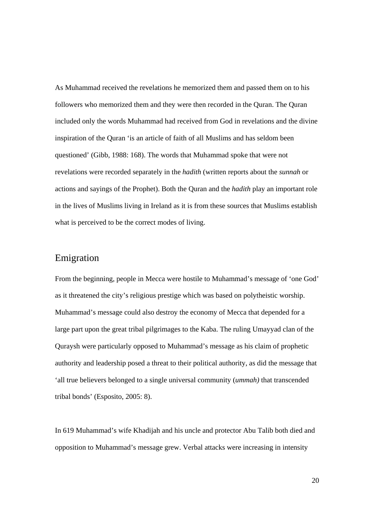As Muhammad received the revelations he memorized them and passed them on to his followers who memorized them and they were then recorded in the Quran. The Quran included only the words Muhammad had received from God in revelations and the divine inspiration of the Quran 'is an article of faith of all Muslims and has seldom been questioned' (Gibb, 1988: 168). The words that Muhammad spoke that were not revelations were recorded separately in the *hadith* (written reports about the *sunnah* or actions and sayings of the Prophet). Both the Quran and the *hadith* play an important role in the lives of Muslims living in Ireland as it is from these sources that Muslims establish what is perceived to be the correct modes of living.

### Emigration

From the beginning, people in Mecca were hostile to Muhammad's message of 'one God' as it threatened the city's religious prestige which was based on polytheistic worship. Muhammad's message could also destroy the economy of Mecca that depended for a large part upon the great tribal pilgrimages to the Kaba. The ruling Umayyad clan of the Quraysh were particularly opposed to Muhammad's message as his claim of prophetic authority and leadership posed a threat to their political authority, as did the message that 'all true believers belonged to a single universal community (*ummah)* that transcended tribal bonds' (Esposito, 2005: 8).

In 619 Muhammad's wife Khadijah and his uncle and protector Abu Talib both died and opposition to Muhammad's message grew. Verbal attacks were increasing in intensity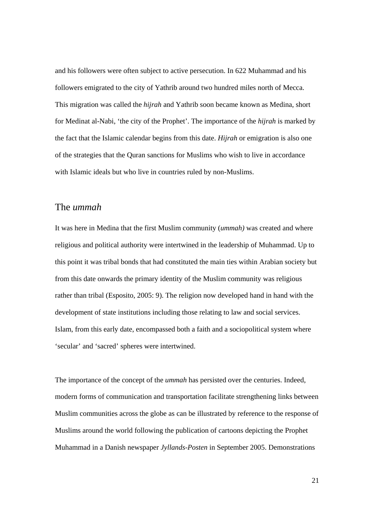and his followers were often subject to active persecution. In 622 Muhammad and his followers emigrated to the city of Yathrib around two hundred miles north of Mecca. This migration was called the *hijrah* and Yathrib soon became known as Medina, short for Medinat al-Nabi, 'the city of the Prophet'. The importance of the *hijrah* is marked by the fact that the Islamic calendar begins from this date. *Hijrah* or emigration is also one of the strategies that the Quran sanctions for Muslims who wish to live in accordance with Islamic ideals but who live in countries ruled by non-Muslims.

#### The *ummah*

It was here in Medina that the first Muslim community (*ummah)* was created and where religious and political authority were intertwined in the leadership of Muhammad. Up to this point it was tribal bonds that had constituted the main ties within Arabian society but from this date onwards the primary identity of the Muslim community was religious rather than tribal (Esposito, 2005: 9). The religion now developed hand in hand with the development of state institutions including those relating to law and social services. Islam, from this early date, encompassed both a faith and a sociopolitical system where 'secular' and 'sacred' spheres were intertwined.

The importance of the concept of the *ummah* has persisted over the centuries. Indeed, modern forms of communication and transportation facilitate strengthening links between Muslim communities across the globe as can be illustrated by reference to the response of Muslims around the world following the publication of cartoons depicting the Prophet Muhammad in a Danish newspaper *Jyllands-Posten* in September 2005. Demonstrations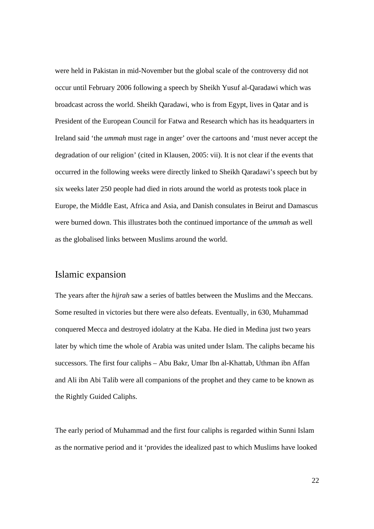were held in Pakistan in mid-November but the global scale of the controversy did not occur until February 2006 following a speech by Sheikh Yusuf al-Qaradawi which was broadcast across the world. Sheikh Qaradawi, who is from Egypt, lives in Qatar and is President of the European Council for Fatwa and Research which has its headquarters in Ireland said 'the *ummah* must rage in anger' over the cartoons and 'must never accept the degradation of our religion' (cited in Klausen, 2005: vii). It is not clear if the events that occurred in the following weeks were directly linked to Sheikh Qaradawi's speech but by six weeks later 250 people had died in riots around the world as protests took place in Europe, the Middle East, Africa and Asia, and Danish consulates in Beirut and Damascus were burned down. This illustrates both the continued importance of the *ummah* as well as the globalised links between Muslims around the world.

## Islamic expansion

The years after the *hijrah* saw a series of battles between the Muslims and the Meccans. Some resulted in victories but there were also defeats. Eventually, in 630, Muhammad conquered Mecca and destroyed idolatry at the Kaba. He died in Medina just two years later by which time the whole of Arabia was united under Islam. The caliphs became his successors. The first four caliphs – Abu Bakr, Umar Ibn al-Khattab, Uthman ibn Affan and Ali ibn Abi Talib were all companions of the prophet and they came to be known as the Rightly Guided Caliphs.

The early period of Muhammad and the first four caliphs is regarded within Sunni Islam as the normative period and it 'provides the idealized past to which Muslims have looked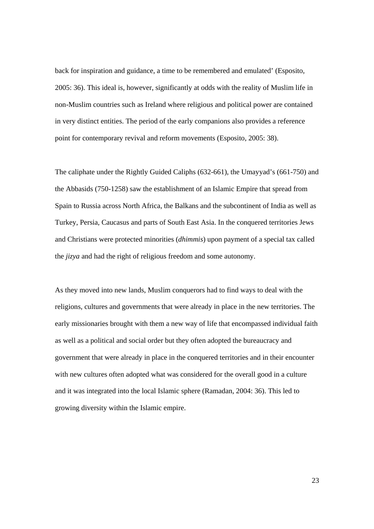back for inspiration and guidance, a time to be remembered and emulated' (Esposito, 2005: 36). This ideal is, however, significantly at odds with the reality of Muslim life in non-Muslim countries such as Ireland where religious and political power are contained in very distinct entities. The period of the early companions also provides a reference point for contemporary revival and reform movements (Esposito, 2005: 38).

The caliphate under the Rightly Guided Caliphs (632-661), the Umayyad's (661-750) and the Abbasids (750-1258) saw the establishment of an Islamic Empire that spread from Spain to Russia across North Africa, the Balkans and the subcontinent of India as well as Turkey, Persia, Caucasus and parts of South East Asia. In the conquered territories Jews and Christians were protected minorities (*dhimmis*) upon payment of a special tax called the *jizya* and had the right of religious freedom and some autonomy.

As they moved into new lands, Muslim conquerors had to find ways to deal with the religions, cultures and governments that were already in place in the new territories. The early missionaries brought with them a new way of life that encompassed individual faith as well as a political and social order but they often adopted the bureaucracy and government that were already in place in the conquered territories and in their encounter with new cultures often adopted what was considered for the overall good in a culture and it was integrated into the local Islamic sphere (Ramadan, 2004: 36). This led to growing diversity within the Islamic empire.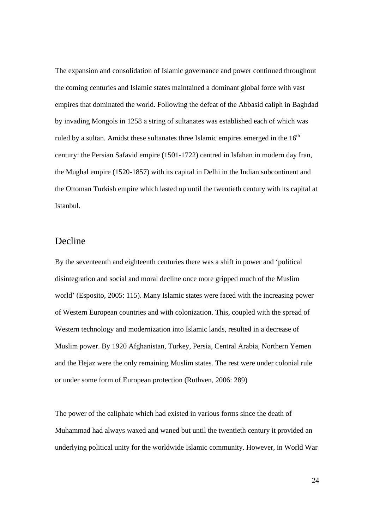The expansion and consolidation of Islamic governance and power continued throughout the coming centuries and Islamic states maintained a dominant global force with vast empires that dominated the world. Following the defeat of the Abbasid caliph in Baghdad by invading Mongols in 1258 a string of sultanates was established each of which was ruled by a sultan. Amidst these sultanates three Islamic empires emerged in the  $16<sup>th</sup>$ century: the Persian Safavid empire (1501-1722) centred in Isfahan in modern day Iran, the Mughal empire (1520-1857) with its capital in Delhi in the Indian subcontinent and the Ottoman Turkish empire which lasted up until the twentieth century with its capital at Istanbul.

#### Decline

By the seventeenth and eighteenth centuries there was a shift in power and 'political disintegration and social and moral decline once more gripped much of the Muslim world' (Esposito, 2005: 115). Many Islamic states were faced with the increasing power of Western European countries and with colonization. This, coupled with the spread of Western technology and modernization into Islamic lands, resulted in a decrease of Muslim power. By 1920 Afghanistan, Turkey, Persia, Central Arabia, Northern Yemen and the Hejaz were the only remaining Muslim states. The rest were under colonial rule or under some form of European protection (Ruthven, 2006: 289)

The power of the caliphate which had existed in various forms since the death of Muhammad had always waxed and waned but until the twentieth century it provided an underlying political unity for the worldwide Islamic community. However, in World War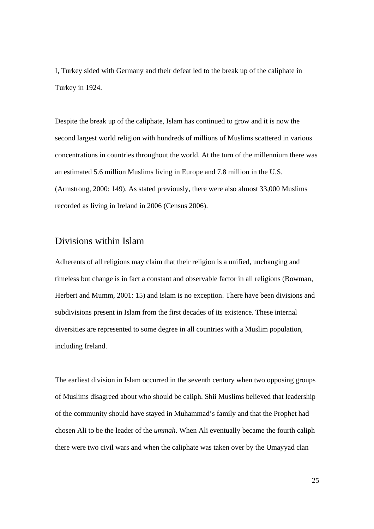I, Turkey sided with Germany and their defeat led to the break up of the caliphate in Turkey in 1924.

Despite the break up of the caliphate, Islam has continued to grow and it is now the second largest world religion with hundreds of millions of Muslims scattered in various concentrations in countries throughout the world. At the turn of the millennium there was an estimated 5.6 million Muslims living in Europe and 7.8 million in the U.S. (Armstrong, 2000: 149). As stated previously, there were also almost 33,000 Muslims recorded as living in Ireland in 2006 (Census 2006).

#### Divisions within Islam

Adherents of all religions may claim that their religion is a unified, unchanging and timeless but change is in fact a constant and observable factor in all religions (Bowman, Herbert and Mumm, 2001: 15) and Islam is no exception. There have been divisions and subdivisions present in Islam from the first decades of its existence. These internal diversities are represented to some degree in all countries with a Muslim population, including Ireland.

The earliest division in Islam occurred in the seventh century when two opposing groups of Muslims disagreed about who should be caliph. Shii Muslims believed that leadership of the community should have stayed in Muhammad's family and that the Prophet had chosen Ali to be the leader of the *ummah*. When Ali eventually became the fourth caliph there were two civil wars and when the caliphate was taken over by the Umayyad clan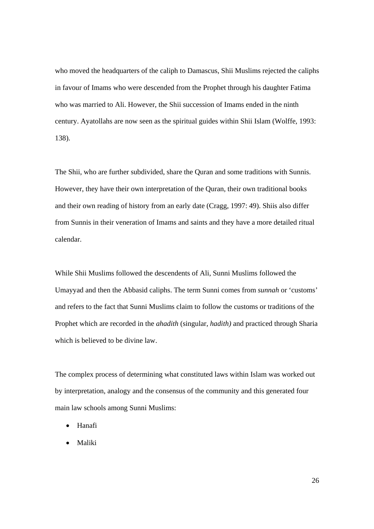who moved the headquarters of the caliph to Damascus, Shii Muslims rejected the caliphs in favour of Imams who were descended from the Prophet through his daughter Fatima who was married to Ali. However, the Shii succession of Imams ended in the ninth century. Ayatollahs are now seen as the spiritual guides within Shii Islam (Wolffe, 1993: 138).

The Shii, who are further subdivided, share the Quran and some traditions with Sunnis. However, they have their own interpretation of the Quran, their own traditional books and their own reading of history from an early date (Cragg, 1997: 49). Shiis also differ from Sunnis in their veneration of Imams and saints and they have a more detailed ritual calendar.

While Shii Muslims followed the descendents of Ali, Sunni Muslims followed the Umayyad and then the Abbasid caliphs. The term Sunni comes from *sunnah* or 'customs' and refers to the fact that Sunni Muslims claim to follow the customs or traditions of the Prophet which are recorded in the *ahadith* (singular, *hadith)* and practiced through Sharia which is believed to be divine law.

The complex process of determining what constituted laws within Islam was worked out by interpretation, analogy and the consensus of the community and this generated four main law schools among Sunni Muslims:

- Hanafi
- Maliki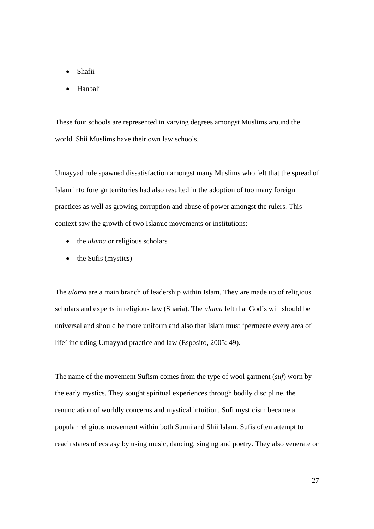- Shafii
- Hanbali

These four schools are represented in varying degrees amongst Muslims around the world. Shii Muslims have their own law schools.

Umayyad rule spawned dissatisfaction amongst many Muslims who felt that the spread of Islam into foreign territories had also resulted in the adoption of too many foreign practices as well as growing corruption and abuse of power amongst the rulers. This context saw the growth of two Islamic movements or institutions:

- the *ulama* or religious scholars
- the Sufis (mystics)

The *ulama* are a main branch of leadership within Islam. They are made up of religious scholars and experts in religious law (Sharia). The *ulama* felt that God's will should be universal and should be more uniform and also that Islam must 'permeate every area of life' including Umayyad practice and law (Esposito, 2005: 49).

The name of the movement Sufism comes from the type of wool garment (*suf*) worn by the early mystics. They sought spiritual experiences through bodily discipline, the renunciation of worldly concerns and mystical intuition. Sufi mysticism became a popular religious movement within both Sunni and Shii Islam. Sufis often attempt to reach states of ecstasy by using music, dancing, singing and poetry. They also venerate or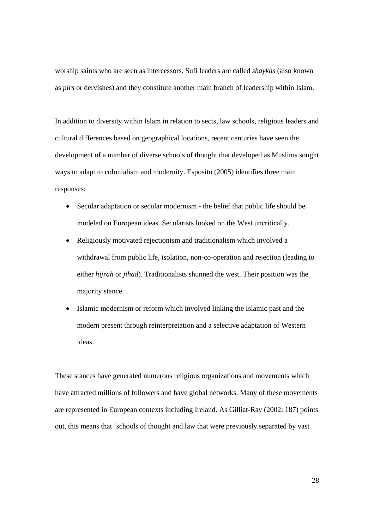worship saints who are seen as intercessors. Sufi leaders are called *shaykhs* (also known as *pirs* or dervishes) and they constitute another main branch of leadership within Islam.

In addition to diversity within Islam in relation to sects, law schools, religious leaders and cultural differences based on geographical locations, recent centuries have seen the development of a number of diverse schools of thought that developed as Muslims sought ways to adapt to colonialism and modernity. Esposito (2005) identifies three main responses:

- Secular adaptation or secular modernism the belief that public life should be modeled on European ideas. Secularists looked on the West uncritically.
- Religiously motivated rejectionism and traditionalism which involved a withdrawal from public life, isolation, non-co-operation and rejection (leading to either *hijrah* or *jihad*). Traditionalists shunned the west. Their position was the majority stance.
- Islamic modernism or reform which involved linking the Islamic past and the modern present through reinterpretation and a selective adaptation of Western ideas.

These stances have generated numerous religious organizations and movements which have attracted millions of followers and have global networks. Many of these movements are represented in European contexts including Ireland. As Gilliat-Ray (2002: 187) points out, this means that 'schools of thought and law that were previously separated by vast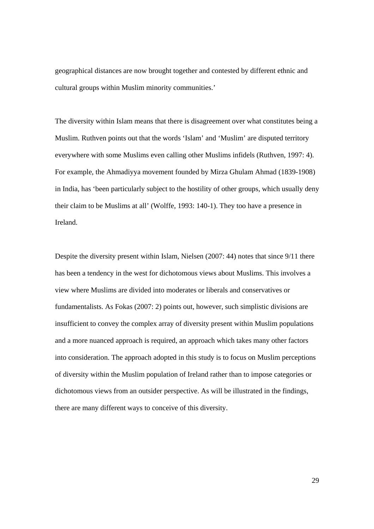geographical distances are now brought together and contested by different ethnic and cultural groups within Muslim minority communities.'

The diversity within Islam means that there is disagreement over what constitutes being a Muslim. Ruthven points out that the words 'Islam' and 'Muslim' are disputed territory everywhere with some Muslims even calling other Muslims infidels (Ruthven, 1997: 4). For example, the Ahmadiyya movement founded by Mirza Ghulam Ahmad (1839-1908) in India, has 'been particularly subject to the hostility of other groups, which usually deny their claim to be Muslims at all' (Wolffe, 1993: 140-1). They too have a presence in Ireland.

Despite the diversity present within Islam, Nielsen (2007: 44) notes that since 9/11 there has been a tendency in the west for dichotomous views about Muslims. This involves a view where Muslims are divided into moderates or liberals and conservatives or fundamentalists. As Fokas (2007: 2) points out, however, such simplistic divisions are insufficient to convey the complex array of diversity present within Muslim populations and a more nuanced approach is required, an approach which takes many other factors into consideration. The approach adopted in this study is to focus on Muslim perceptions of diversity within the Muslim population of Ireland rather than to impose categories or dichotomous views from an outsider perspective. As will be illustrated in the findings, there are many different ways to conceive of this diversity.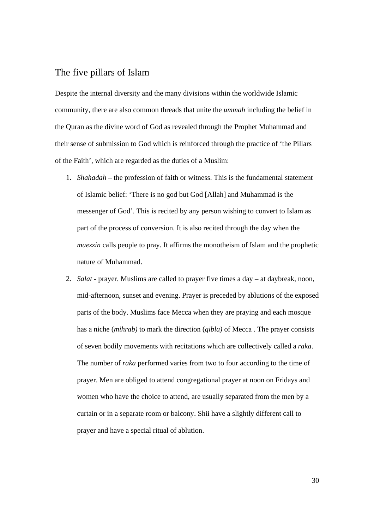#### The five pillars of Islam

Despite the internal diversity and the many divisions within the worldwide Islamic community, there are also common threads that unite the *ummah* including the belief in the Quran as the divine word of God as revealed through the Prophet Muhammad and their sense of submission to God which is reinforced through the practice of 'the Pillars of the Faith', which are regarded as the duties of a Muslim:

- 1. *Shahadah* the profession of faith or witness. This is the fundamental statement of Islamic belief: 'There is no god but God [Allah] and Muhammad is the messenger of God'. This is recited by any person wishing to convert to Islam as part of the process of conversion. It is also recited through the day when the *muezzin* calls people to pray. It affirms the monotheism of Islam and the prophetic nature of Muhammad.
- 2. *Salat* prayer. Muslims are called to prayer five times a day at daybreak, noon, mid-afternoon, sunset and evening. Prayer is preceded by ablutions of the exposed parts of the body. Muslims face Mecca when they are praying and each mosque has a niche (*mihrab)* to mark the direction (*qibla)* of Mecca . The prayer consists of seven bodily movements with recitations which are collectively called a *raka*. The number of *raka* performed varies from two to four according to the time of prayer. Men are obliged to attend congregational prayer at noon on Fridays and women who have the choice to attend, are usually separated from the men by a curtain or in a separate room or balcony. Shii have a slightly different call to prayer and have a special ritual of ablution.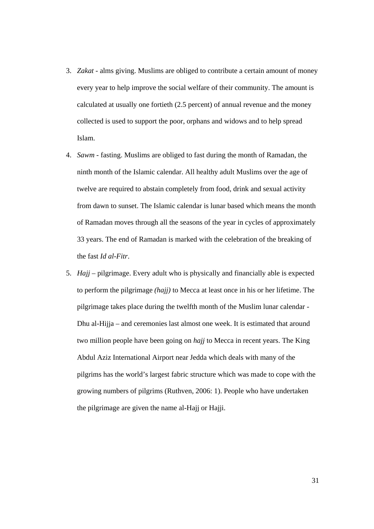- 3. *Zakat* alms giving. Muslims are obliged to contribute a certain amount of money every year to help improve the social welfare of their community. The amount is calculated at usually one fortieth (2.5 percent) of annual revenue and the money collected is used to support the poor, orphans and widows and to help spread Islam.
- 4. *Sawm* fasting. Muslims are obliged to fast during the month of Ramadan, the ninth month of the Islamic calendar. All healthy adult Muslims over the age of twelve are required to abstain completely from food, drink and sexual activity from dawn to sunset. The Islamic calendar is lunar based which means the month of Ramadan moves through all the seasons of the year in cycles of approximately 33 years. The end of Ramadan is marked with the celebration of the breaking of the fast *Id al-Fitr*.
- 5. *Hajj* pilgrimage. Every adult who is physically and financially able is expected to perform the pilgrimage *(hajj)* to Mecca at least once in his or her lifetime. The pilgrimage takes place during the twelfth month of the Muslim lunar calendar - Dhu al-Hijja – and ceremonies last almost one week. It is estimated that around two million people have been going on *hajj* to Mecca in recent years. The King Abdul Aziz International Airport near Jedda which deals with many of the pilgrims has the world's largest fabric structure which was made to cope with the growing numbers of pilgrims (Ruthven, 2006: 1). People who have undertaken the pilgrimage are given the name al-Hajj or Hajji.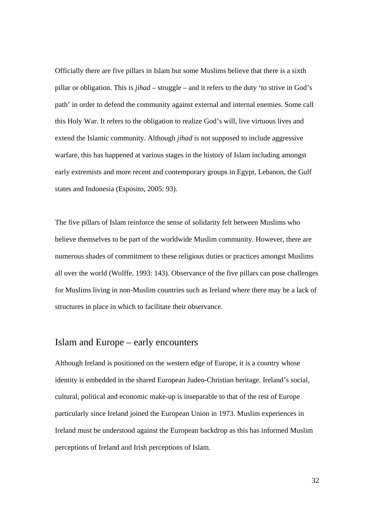Officially there are five pillars in Islam but some Muslims believe that there is a sixth pillar or obligation. This is *jihad* – struggle – and it refers to the duty 'to strive in God's path' in order to defend the community against external and internal enemies. Some call this Holy War. It refers to the obligation to realize God's will, live virtuous lives and extend the Islamic community. Although *jihad* is not supposed to include aggressive warfare, this has happened at various stages in the history of Islam including amongst early extremists and more recent and contemporary groups in Egypt, Lebanon, the Gulf states and Indonesia (Esposito, 2005: 93).

The five pillars of Islam reinforce the sense of solidarity felt between Muslims who believe themselves to be part of the worldwide Muslim community. However, there are numerous shades of commitment to these religious duties or practices amongst Muslims all over the world (Wolffe, 1993: 143). Observance of the five pillars can pose challenges for Muslims living in non-Muslim countries such as Ireland where there may be a lack of structures in place in which to facilitate their observance.

#### Islam and Europe – early encounters

Although Ireland is positioned on the western edge of Europe, it is a country whose identity is embedded in the shared European Judeo-Christian heritage. Ireland's social, cultural, political and economic make-up is inseparable to that of the rest of Europe particularly since Ireland joined the European Union in 1973. Muslim experiences in Ireland must be understood against the European backdrop as this has informed Muslim perceptions of Ireland and Irish perceptions of Islam.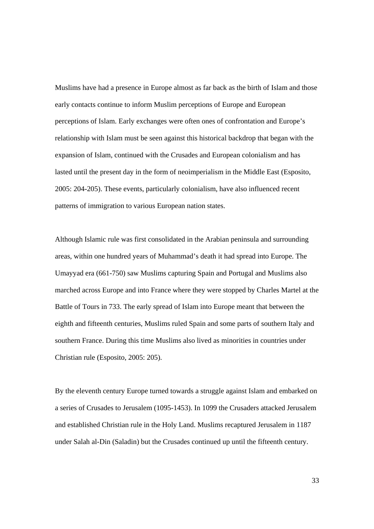Muslims have had a presence in Europe almost as far back as the birth of Islam and those early contacts continue to inform Muslim perceptions of Europe and European perceptions of Islam. Early exchanges were often ones of confrontation and Europe's relationship with Islam must be seen against this historical backdrop that began with the expansion of Islam, continued with the Crusades and European colonialism and has lasted until the present day in the form of neoimperialism in the Middle East (Esposito, 2005: 204-205). These events, particularly colonialism, have also influenced recent patterns of immigration to various European nation states.

Although Islamic rule was first consolidated in the Arabian peninsula and surrounding areas, within one hundred years of Muhammad's death it had spread into Europe. The Umayyad era (661-750) saw Muslims capturing Spain and Portugal and Muslims also marched across Europe and into France where they were stopped by Charles Martel at the Battle of Tours in 733. The early spread of Islam into Europe meant that between the eighth and fifteenth centuries, Muslims ruled Spain and some parts of southern Italy and southern France. During this time Muslims also lived as minorities in countries under Christian rule (Esposito, 2005: 205).

By the eleventh century Europe turned towards a struggle against Islam and embarked on a series of Crusades to Jerusalem (1095-1453). In 1099 the Crusaders attacked Jerusalem and established Christian rule in the Holy Land. Muslims recaptured Jerusalem in 1187 under Salah al-Din (Saladin) but the Crusades continued up until the fifteenth century.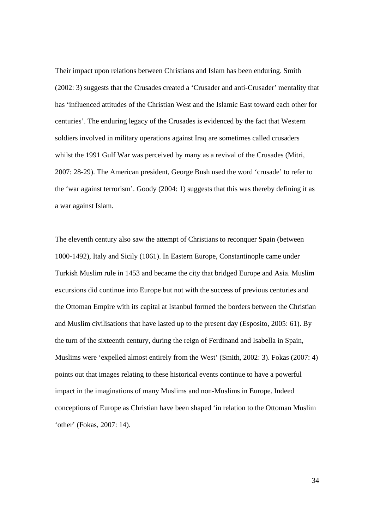Their impact upon relations between Christians and Islam has been enduring. Smith (2002: 3) suggests that the Crusades created a 'Crusader and anti-Crusader' mentality that has 'influenced attitudes of the Christian West and the Islamic East toward each other for centuries'. The enduring legacy of the Crusades is evidenced by the fact that Western soldiers involved in military operations against Iraq are sometimes called crusaders whilst the 1991 Gulf War was perceived by many as a revival of the Crusades (Mitri, 2007: 28-29). The American president, George Bush used the word 'crusade' to refer to the 'war against terrorism'. Goody (2004: 1) suggests that this was thereby defining it as a war against Islam.

The eleventh century also saw the attempt of Christians to reconquer Spain (between 1000-1492), Italy and Sicily (1061). In Eastern Europe, Constantinople came under Turkish Muslim rule in 1453 and became the city that bridged Europe and Asia. Muslim excursions did continue into Europe but not with the success of previous centuries and the Ottoman Empire with its capital at Istanbul formed the borders between the Christian and Muslim civilisations that have lasted up to the present day (Esposito, 2005: 61). By the turn of the sixteenth century, during the reign of Ferdinand and Isabella in Spain, Muslims were 'expelled almost entirely from the West' (Smith, 2002: 3). Fokas (2007: 4) points out that images relating to these historical events continue to have a powerful impact in the imaginations of many Muslims and non-Muslims in Europe. Indeed conceptions of Europe as Christian have been shaped 'in relation to the Ottoman Muslim 'other' (Fokas, 2007: 14).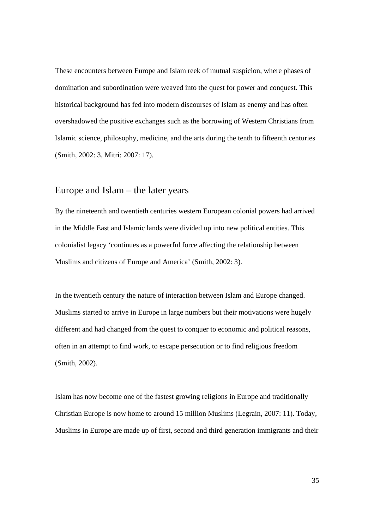These encounters between Europe and Islam reek of mutual suspicion, where phases of domination and subordination were weaved into the quest for power and conquest. This historical background has fed into modern discourses of Islam as enemy and has often overshadowed the positive exchanges such as the borrowing of Western Christians from Islamic science, philosophy, medicine, and the arts during the tenth to fifteenth centuries (Smith, 2002: 3, Mitri: 2007: 17).

#### Europe and Islam – the later years

By the nineteenth and twentieth centuries western European colonial powers had arrived in the Middle East and Islamic lands were divided up into new political entities. This colonialist legacy 'continues as a powerful force affecting the relationship between Muslims and citizens of Europe and America' (Smith, 2002: 3).

In the twentieth century the nature of interaction between Islam and Europe changed. Muslims started to arrive in Europe in large numbers but their motivations were hugely different and had changed from the quest to conquer to economic and political reasons, often in an attempt to find work, to escape persecution or to find religious freedom (Smith, 2002).

Islam has now become one of the fastest growing religions in Europe and traditionally Christian Europe is now home to around 15 million Muslims (Legrain, 2007: 11). Today, Muslims in Europe are made up of first, second and third generation immigrants and their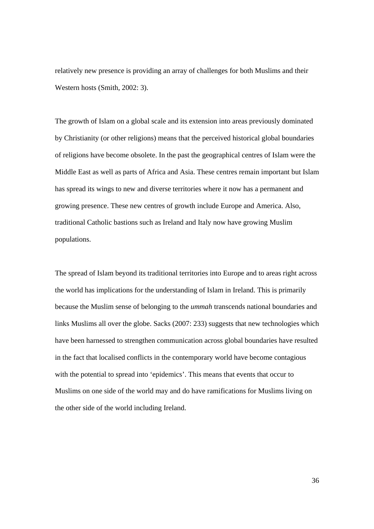relatively new presence is providing an array of challenges for both Muslims and their Western hosts (Smith, 2002: 3).

The growth of Islam on a global scale and its extension into areas previously dominated by Christianity (or other religions) means that the perceived historical global boundaries of religions have become obsolete. In the past the geographical centres of Islam were the Middle East as well as parts of Africa and Asia. These centres remain important but Islam has spread its wings to new and diverse territories where it now has a permanent and growing presence. These new centres of growth include Europe and America. Also, traditional Catholic bastions such as Ireland and Italy now have growing Muslim populations.

The spread of Islam beyond its traditional territories into Europe and to areas right across the world has implications for the understanding of Islam in Ireland. This is primarily because the Muslim sense of belonging to the *ummah* transcends national boundaries and links Muslims all over the globe. Sacks (2007: 233) suggests that new technologies which have been harnessed to strengthen communication across global boundaries have resulted in the fact that localised conflicts in the contemporary world have become contagious with the potential to spread into 'epidemics'. This means that events that occur to Muslims on one side of the world may and do have ramifications for Muslims living on the other side of the world including Ireland.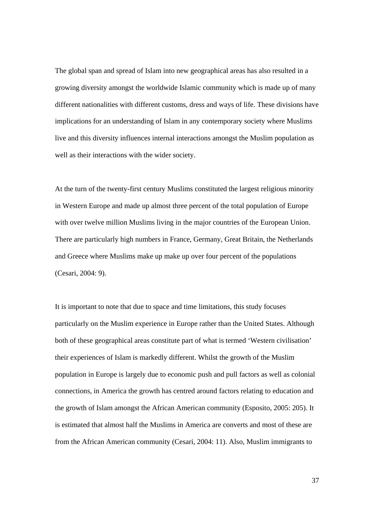The global span and spread of Islam into new geographical areas has also resulted in a growing diversity amongst the worldwide Islamic community which is made up of many different nationalities with different customs, dress and ways of life. These divisions have implications for an understanding of Islam in any contemporary society where Muslims live and this diversity influences internal interactions amongst the Muslim population as well as their interactions with the wider society.

At the turn of the twenty-first century Muslims constituted the largest religious minority in Western Europe and made up almost three percent of the total population of Europe with over twelve million Muslims living in the major countries of the European Union. There are particularly high numbers in France, Germany, Great Britain, the Netherlands and Greece where Muslims make up make up over four percent of the populations (Cesari, 2004: 9).

It is important to note that due to space and time limitations, this study focuses particularly on the Muslim experience in Europe rather than the United States. Although both of these geographical areas constitute part of what is termed 'Western civilisation' their experiences of Islam is markedly different. Whilst the growth of the Muslim population in Europe is largely due to economic push and pull factors as well as colonial connections, in America the growth has centred around factors relating to education and the growth of Islam amongst the African American community (Esposito, 2005: 205). It is estimated that almost half the Muslims in America are converts and most of these are from the African American community (Cesari, 2004: 11). Also, Muslim immigrants to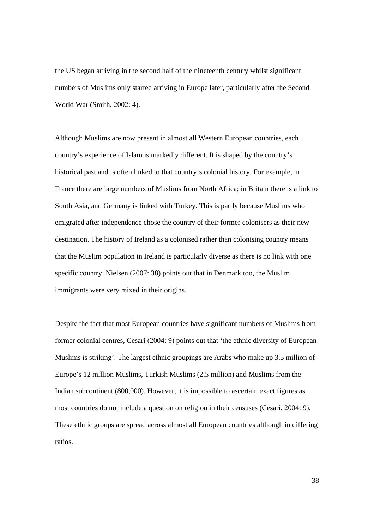the US began arriving in the second half of the nineteenth century whilst significant numbers of Muslims only started arriving in Europe later, particularly after the Second World War (Smith, 2002: 4).

Although Muslims are now present in almost all Western European countries, each country's experience of Islam is markedly different. It is shaped by the country's historical past and is often linked to that country's colonial history. For example, in France there are large numbers of Muslims from North Africa; in Britain there is a link to South Asia, and Germany is linked with Turkey. This is partly because Muslims who emigrated after independence chose the country of their former colonisers as their new destination. The history of Ireland as a colonised rather than colonising country means that the Muslim population in Ireland is particularly diverse as there is no link with one specific country. Nielsen (2007: 38) points out that in Denmark too, the Muslim immigrants were very mixed in their origins.

Despite the fact that most European countries have significant numbers of Muslims from former colonial centres, Cesari (2004: 9) points out that 'the ethnic diversity of European Muslims is striking'. The largest ethnic groupings are Arabs who make up 3.5 million of Europe's 12 million Muslims, Turkish Muslims (2.5 million) and Muslims from the Indian subcontinent (800,000). However, it is impossible to ascertain exact figures as most countries do not include a question on religion in their censuses (Cesari, 2004: 9). These ethnic groups are spread across almost all European countries although in differing ratios.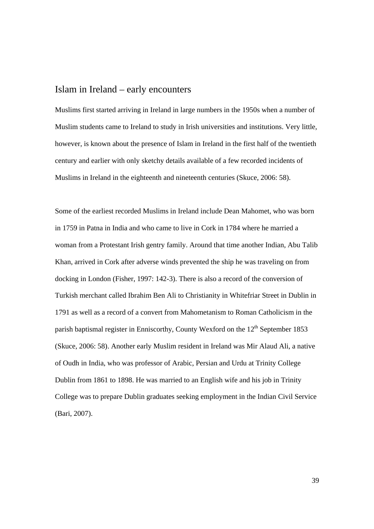## Islam in Ireland – early encounters

Muslims first started arriving in Ireland in large numbers in the 1950s when a number of Muslim students came to Ireland to study in Irish universities and institutions. Very little, however, is known about the presence of Islam in Ireland in the first half of the twentieth century and earlier with only sketchy details available of a few recorded incidents of Muslims in Ireland in the eighteenth and nineteenth centuries (Skuce, 2006: 58).

Some of the earliest recorded Muslims in Ireland include Dean Mahomet, who was born in 1759 in Patna in India and who came to live in Cork in 1784 where he married a woman from a Protestant Irish gentry family. Around that time another Indian, Abu Talib Khan, arrived in Cork after adverse winds prevented the ship he was traveling on from docking in London (Fisher, 1997: 142-3). There is also a record of the conversion of Turkish merchant called Ibrahim Ben Ali to Christianity in Whitefriar Street in Dublin in 1791 as well as a record of a convert from Mahometanism to Roman Catholicism in the parish baptismal register in Enniscorthy, County Wexford on the  $12<sup>th</sup>$  September 1853 (Skuce, 2006: 58). Another early Muslim resident in Ireland was Mir Alaud Ali, a native of Oudh in India, who was professor of Arabic, Persian and Urdu at Trinity College Dublin from 1861 to 1898. He was married to an English wife and his job in Trinity College was to prepare Dublin graduates seeking employment in the Indian Civil Service (Bari, 2007).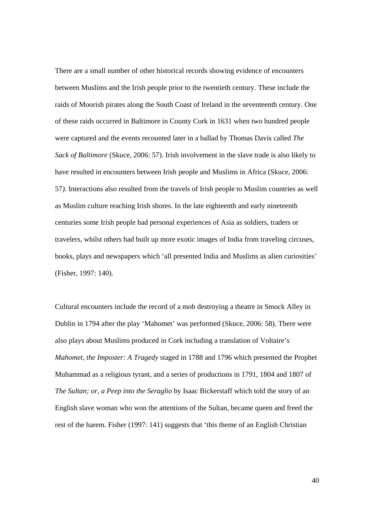There are a small number of other historical records showing evidence of encounters between Muslims and the Irish people prior to the twentieth century. These include the raids of Moorish pirates along the South Coast of Ireland in the seventeenth century. One of these raids occurred in Baltimore in County Cork in 1631 when two hundred people were captured and the events recounted later in a ballad by Thomas Davis called *The Sack of Baltimore* (Skuce, 2006: 57). Irish involvement in the slave trade is also likely to have resulted in encounters between Irish people and Muslims in Africa (Skuce, 2006: 57*).* Interactions also resulted from the travels of Irish people to Muslim countries as well as Muslim culture reaching Irish shores. In the late eighteenth and early nineteenth centuries some Irish people had personal experiences of Asia as soldiers, traders or travelers, whilst others had built up more exotic images of India from traveling circuses, books, plays and newspapers which 'all presented India and Muslims as alien curiosities' (Fisher, 1997: 140).

Cultural encounters include the record of a mob destroying a theatre in Smock Alley in Dublin in 1794 after the play 'Mahomet' was performed (Skuce, 2006: 58). There were also plays about Muslims produced in Cork including a translation of Voltaire's *Mahomet, the Imposter: A Tragedy* staged in 1788 and 1796 which presented the Prophet Muhammad as a religious tyrant, and a series of productions in 1791, 1804 and 1807 of *The Sultan; or, a Peep into the Seraglio* by Isaac Bickerstaff which told the story of an English slave woman who won the attentions of the Sultan, became queen and freed the rest of the harem. Fisher (1997: 141) suggests that 'this theme of an English Christian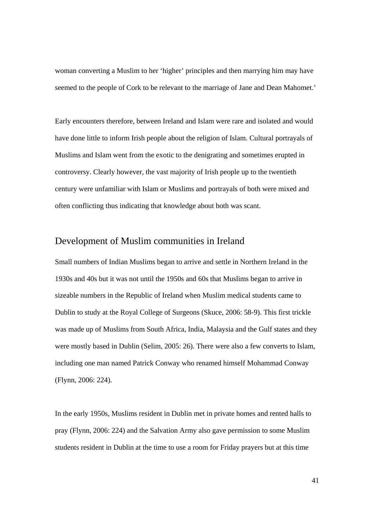woman converting a Muslim to her 'higher' principles and then marrying him may have seemed to the people of Cork to be relevant to the marriage of Jane and Dean Mahomet.'

Early encounters therefore, between Ireland and Islam were rare and isolated and would have done little to inform Irish people about the religion of Islam. Cultural portrayals of Muslims and Islam went from the exotic to the denigrating and sometimes erupted in controversy. Clearly however, the vast majority of Irish people up to the twentieth century were unfamiliar with Islam or Muslims and portrayals of both were mixed and often conflicting thus indicating that knowledge about both was scant.

#### Development of Muslim communities in Ireland

Small numbers of Indian Muslims began to arrive and settle in Northern Ireland in the 1930s and 40s but it was not until the 1950s and 60s that Muslims began to arrive in sizeable numbers in the Republic of Ireland when Muslim medical students came to Dublin to study at the Royal College of Surgeons (Skuce, 2006: 58-9). This first trickle was made up of Muslims from South Africa, India, Malaysia and the Gulf states and they were mostly based in Dublin (Selim, 2005: 26). There were also a few converts to Islam, including one man named Patrick Conway who renamed himself Mohammad Conway (Flynn, 2006: 224).

In the early 1950s, Muslims resident in Dublin met in private homes and rented halls to pray (Flynn, 2006: 224) and the Salvation Army also gave permission to some Muslim students resident in Dublin at the time to use a room for Friday prayers but at this time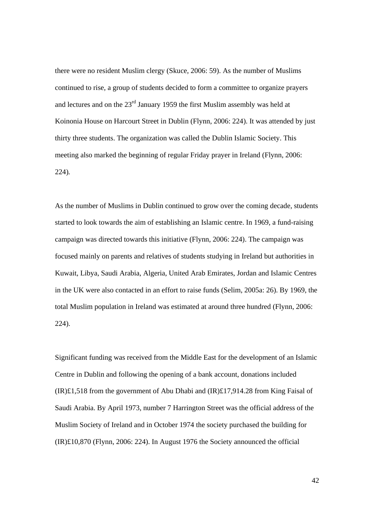there were no resident Muslim clergy (Skuce, 2006: 59). As the number of Muslims continued to rise, a group of students decided to form a committee to organize prayers and lectures and on the 23<sup>rd</sup> January 1959 the first Muslim assembly was held at Koinonia House on Harcourt Street in Dublin (Flynn, 2006: 224). It was attended by just thirty three students. The organization was called the Dublin Islamic Society. This meeting also marked the beginning of regular Friday prayer in Ireland (Flynn, 2006: 224)*.*

As the number of Muslims in Dublin continued to grow over the coming decade, students started to look towards the aim of establishing an Islamic centre. In 1969, a fund-raising campaign was directed towards this initiative (Flynn, 2006: 224). The campaign was focused mainly on parents and relatives of students studying in Ireland but authorities in Kuwait, Libya, Saudi Arabia, Algeria, United Arab Emirates, Jordan and Islamic Centres in the UK were also contacted in an effort to raise funds (Selim, 2005a: 26). By 1969, the total Muslim population in Ireland was estimated at around three hundred (Flynn, 2006: 224).

Significant funding was received from the Middle East for the development of an Islamic Centre in Dublin and following the opening of a bank account, donations included  $(IR)£1,518$  from the government of Abu Dhabi and  $(IR)£17,914.28$  from King Faisal of Saudi Arabia. By April 1973, number 7 Harrington Street was the official address of the Muslim Society of Ireland and in October 1974 the society purchased the building for (IR)£10,870 (Flynn, 2006: 224). In August 1976 the Society announced the official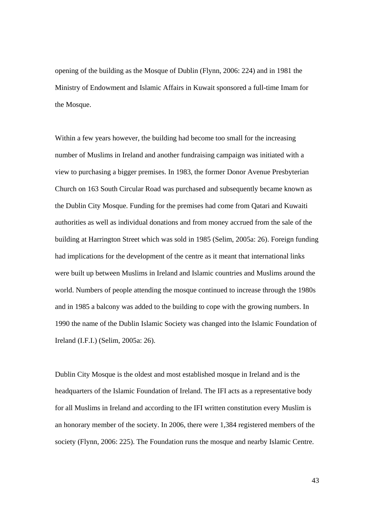opening of the building as the Mosque of Dublin (Flynn, 2006: 224) and in 1981 the Ministry of Endowment and Islamic Affairs in Kuwait sponsored a full-time Imam for the Mosque.

Within a few years however, the building had become too small for the increasing number of Muslims in Ireland and another fundraising campaign was initiated with a view to purchasing a bigger premises. In 1983, the former Donor Avenue Presbyterian Church on 163 South Circular Road was purchased and subsequently became known as the Dublin City Mosque. Funding for the premises had come from Qatari and Kuwaiti authorities as well as individual donations and from money accrued from the sale of the building at Harrington Street which was sold in 1985 (Selim, 2005a: 26). Foreign funding had implications for the development of the centre as it meant that international links were built up between Muslims in Ireland and Islamic countries and Muslims around the world. Numbers of people attending the mosque continued to increase through the 1980s and in 1985 a balcony was added to the building to cope with the growing numbers. In 1990 the name of the Dublin Islamic Society was changed into the Islamic Foundation of Ireland (I.F.I.) (Selim, 2005a: 26).

Dublin City Mosque is the oldest and most established mosque in Ireland and is the headquarters of the Islamic Foundation of Ireland. The IFI acts as a representative body for all Muslims in Ireland and according to the IFI written constitution every Muslim is an honorary member of the society. In 2006, there were 1,384 registered members of the society (Flynn, 2006: 225). The Foundation runs the mosque and nearby Islamic Centre.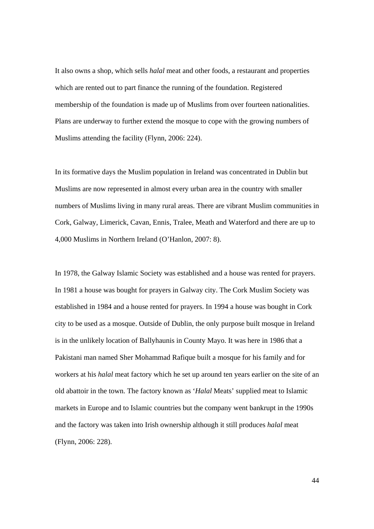It also owns a shop, which sells *halal* meat and other foods, a restaurant and properties which are rented out to part finance the running of the foundation. Registered membership of the foundation is made up of Muslims from over fourteen nationalities. Plans are underway to further extend the mosque to cope with the growing numbers of Muslims attending the facility (Flynn, 2006: 224).

In its formative days the Muslim population in Ireland was concentrated in Dublin but Muslims are now represented in almost every urban area in the country with smaller numbers of Muslims living in many rural areas. There are vibrant Muslim communities in Cork, Galway, Limerick, Cavan, Ennis, Tralee, Meath and Waterford and there are up to 4,000 Muslims in Northern Ireland (O'Hanlon, 2007: 8).

In 1978, the Galway Islamic Society was established and a house was rented for prayers. In 1981 a house was bought for prayers in Galway city. The Cork Muslim Society was established in 1984 and a house rented for prayers. In 1994 a house was bought in Cork city to be used as a mosque. Outside of Dublin, the only purpose built mosque in Ireland is in the unlikely location of Ballyhaunis in County Mayo. It was here in 1986 that a Pakistani man named Sher Mohammad Rafique built a mosque for his family and for workers at his *halal* meat factory which he set up around ten years earlier on the site of an old abattoir in the town. The factory known as '*Halal* Meats' supplied meat to Islamic markets in Europe and to Islamic countries but the company went bankrupt in the 1990s and the factory was taken into Irish ownership although it still produces *halal* meat (Flynn, 2006: 228).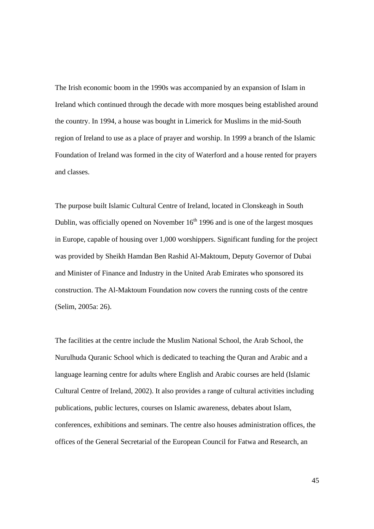The Irish economic boom in the 1990s was accompanied by an expansion of Islam in Ireland which continued through the decade with more mosques being established around the country. In 1994, a house was bought in Limerick for Muslims in the mid-South region of Ireland to use as a place of prayer and worship. In 1999 a branch of the Islamic Foundation of Ireland was formed in the city of Waterford and a house rented for prayers and classes.

The purpose built Islamic Cultural Centre of Ireland, located in Clonskeagh in South Dublin, was officially opened on November  $16<sup>th</sup> 1996$  and is one of the largest mosques in Europe, capable of housing over 1,000 worshippers. Significant funding for the project was provided by Sheikh Hamdan Ben Rashid Al-Maktoum, Deputy Governor of Dubai and Minister of Finance and Industry in the United Arab Emirates who sponsored its construction. The Al-Maktoum Foundation now covers the running costs of the centre (Selim, 2005a: 26).

The facilities at the centre include the Muslim National School, the Arab School, the Nurulhuda Quranic School which is dedicated to teaching the Quran and Arabic and a language learning centre for adults where English and Arabic courses are held (Islamic Cultural Centre of Ireland, 2002). It also provides a range of cultural activities including publications, public lectures, courses on Islamic awareness, debates about Islam, conferences, exhibitions and seminars. The centre also houses administration offices, the offices of the General Secretarial of the European Council for Fatwa and Research, an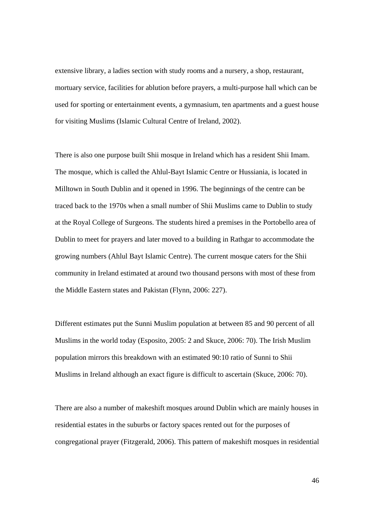extensive library, a ladies section with study rooms and a nursery, a shop, restaurant, mortuary service, facilities for ablution before prayers, a multi-purpose hall which can be used for sporting or entertainment events, a gymnasium, ten apartments and a guest house for visiting Muslims (Islamic Cultural Centre of Ireland, 2002).

There is also one purpose built Shii mosque in Ireland which has a resident Shii Imam. The mosque, which is called the Ahlul-Bayt Islamic Centre or Hussiania, is located in Milltown in South Dublin and it opened in 1996. The beginnings of the centre can be traced back to the 1970s when a small number of Shii Muslims came to Dublin to study at the Royal College of Surgeons. The students hired a premises in the Portobello area of Dublin to meet for prayers and later moved to a building in Rathgar to accommodate the growing numbers (Ahlul Bayt Islamic Centre). The current mosque caters for the Shii community in Ireland estimated at around two thousand persons with most of these from the Middle Eastern states and Pakistan (Flynn, 2006: 227).

Different estimates put the Sunni Muslim population at between 85 and 90 percent of all Muslims in the world today (Esposito, 2005: 2 and Skuce, 2006: 70). The Irish Muslim population mirrors this breakdown with an estimated 90:10 ratio of Sunni to Shii Muslims in Ireland although an exact figure is difficult to ascertain (Skuce, 2006: 70).

There are also a number of makeshift mosques around Dublin which are mainly houses in residential estates in the suburbs or factory spaces rented out for the purposes of congregational prayer (Fitzgerald, 2006). This pattern of makeshift mosques in residential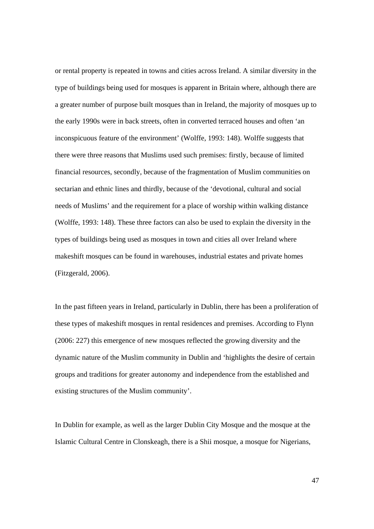or rental property is repeated in towns and cities across Ireland. A similar diversity in the type of buildings being used for mosques is apparent in Britain where, although there are a greater number of purpose built mosques than in Ireland, the majority of mosques up to the early 1990s were in back streets, often in converted terraced houses and often 'an inconspicuous feature of the environment' (Wolffe, 1993: 148). Wolffe suggests that there were three reasons that Muslims used such premises: firstly, because of limited financial resources, secondly, because of the fragmentation of Muslim communities on sectarian and ethnic lines and thirdly, because of the 'devotional, cultural and social needs of Muslims' and the requirement for a place of worship within walking distance (Wolffe, 1993: 148). These three factors can also be used to explain the diversity in the types of buildings being used as mosques in town and cities all over Ireland where makeshift mosques can be found in warehouses, industrial estates and private homes (Fitzgerald, 2006).

In the past fifteen years in Ireland, particularly in Dublin, there has been a proliferation of these types of makeshift mosques in rental residences and premises. According to Flynn (2006: 227) this emergence of new mosques reflected the growing diversity and the dynamic nature of the Muslim community in Dublin and 'highlights the desire of certain groups and traditions for greater autonomy and independence from the established and existing structures of the Muslim community'.

In Dublin for example, as well as the larger Dublin City Mosque and the mosque at the Islamic Cultural Centre in Clonskeagh, there is a Shii mosque, a mosque for Nigerians,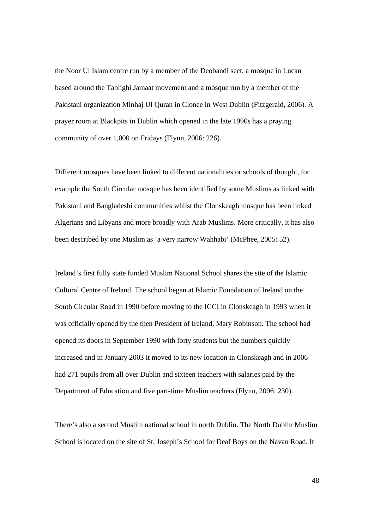the Noor Ul Islam centre run by a member of the Deobandi sect, a mosque in Lucan based around the Tablighi Jamaat movement and a mosque run by a member of the Pakistani organization Minhaj Ul Quran in Clonee in West Dublin (Fitzgerald, 2006). A prayer room at Blackpits in Dublin which opened in the late 1990s has a praying community of over 1,000 on Fridays (Flynn, 2006: 226).

Different mosques have been linked to different nationalities or schools of thought, for example the South Circular mosque has been identified by some Muslims as linked with Pakistani and Bangladeshi communities whilst the Clonskeagh mosque has been linked Algerians and Libyans and more broadly with Arab Muslims. More critically, it has also been described by one Muslim as 'a very narrow Wahhabi' (McPhee, 2005: 52).

Ireland's first fully state funded Muslim National School shares the site of the Islamic Cultural Centre of Ireland. The school began at Islamic Foundation of Ireland on the South Circular Road in 1990 before moving to the ICCI in Clonskeagh in 1993 when it was officially opened by the then President of Ireland, Mary Robinson. The school had opened its doors in September 1990 with forty students but the numbers quickly increased and in January 2003 it moved to its new location in Clonskeagh and in 2006 had 271 pupils from all over Dublin and sixteen teachers with salaries paid by the Department of Education and five part-time Muslim teachers (Flynn, 2006: 230).

There's also a second Muslim national school in north Dublin. The North Dublin Muslim School is located on the site of St. Joseph's School for Deaf Boys on the Navan Road. It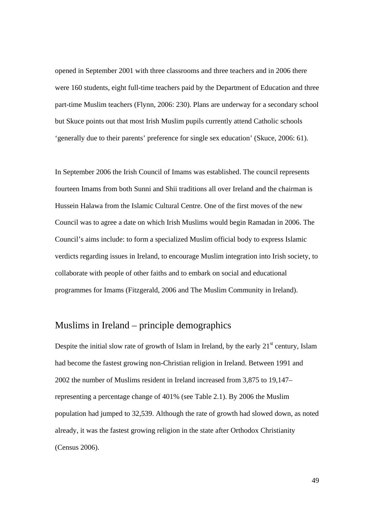opened in September 2001 with three classrooms and three teachers and in 2006 there were 160 students, eight full-time teachers paid by the Department of Education and three part-time Muslim teachers (Flynn, 2006: 230). Plans are underway for a secondary school but Skuce points out that most Irish Muslim pupils currently attend Catholic schools 'generally due to their parents' preference for single sex education' (Skuce, 2006: 61).

In September 2006 the Irish Council of Imams was established. The council represents fourteen Imams from both Sunni and Shii traditions all over Ireland and the chairman is Hussein Halawa from the Islamic Cultural Centre. One of the first moves of the new Council was to agree a date on which Irish Muslims would begin Ramadan in 2006. The Council's aims include: to form a specialized Muslim official body to express Islamic verdicts regarding issues in Ireland, to encourage Muslim integration into Irish society, to collaborate with people of other faiths and to embark on social and educational programmes for Imams (Fitzgerald, 2006 and The Muslim Community in Ireland).

## Muslims in Ireland – principle demographics

Despite the initial slow rate of growth of Islam in Ireland, by the early  $21<sup>st</sup>$  century, Islam had become the fastest growing non-Christian religion in Ireland. Between 1991 and 2002 the number of Muslims resident in Ireland increased from 3,875 to 19,147– representing a percentage change of 401% (see Table 2.1). By 2006 the Muslim population had jumped to 32,539. Although the rate of growth had slowed down, as noted already, it was the fastest growing religion in the state after Orthodox Christianity (Census 2006).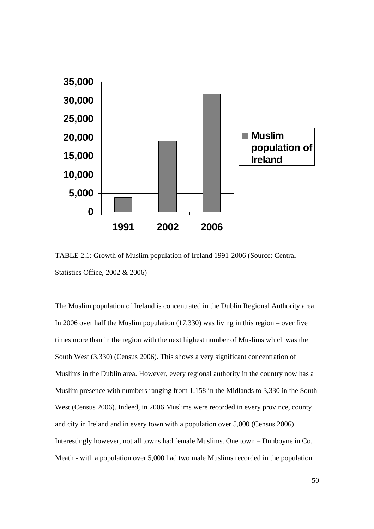

TABLE 2.1: Growth of Muslim population of Ireland 1991-2006 (Source: Central Statistics Office, 2002 & 2006)

The Muslim population of Ireland is concentrated in the Dublin Regional Authority area. In 2006 over half the Muslim population  $(17,330)$  was living in this region – over five times more than in the region with the next highest number of Muslims which was the South West (3,330) (Census 2006). This shows a very significant concentration of Muslims in the Dublin area. However, every regional authority in the country now has a Muslim presence with numbers ranging from 1,158 in the Midlands to 3,330 in the South West (Census 2006). Indeed, in 2006 Muslims were recorded in every province, county and city in Ireland and in every town with a population over 5,000 (Census 2006). Interestingly however, not all towns had female Muslims. One town – Dunboyne in Co. Meath - with a population over 5,000 had two male Muslims recorded in the population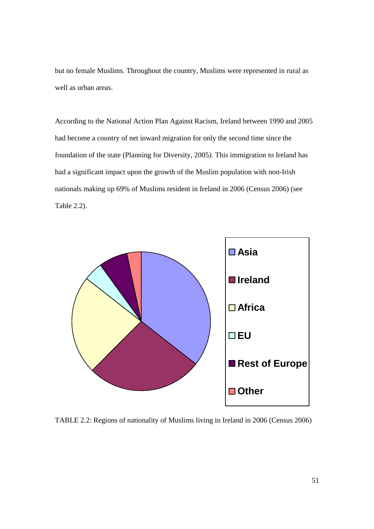but no female Muslims. Throughout the country, Muslims were represented in rural as well as urban areas.

According to the National Action Plan Against Racism, Ireland between 1990 and 2005 had become a country of net inward migration for only the second time since the foundation of the state (Planning for Diversity*,* 2005*).* This immigration to Ireland has had a significant impact upon the growth of the Muslim population with non-Irish nationals making up 69% of Muslims resident in Ireland in 2006 (Census 2006) (see Table 2.2).



TABLE 2.2: Regions of nationality of Muslims living in Ireland in 2006 (Census 2006)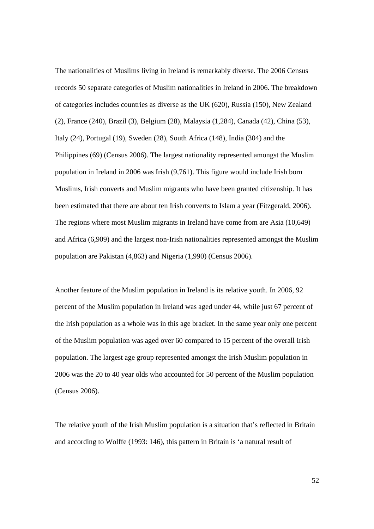The nationalities of Muslims living in Ireland is remarkably diverse. The 2006 Census records 50 separate categories of Muslim nationalities in Ireland in 2006. The breakdown of categories includes countries as diverse as the UK (620), Russia (150), New Zealand (2), France (240), Brazil (3), Belgium (28), Malaysia (1,284), Canada (42), China (53), Italy (24), Portugal (19), Sweden (28), South Africa (148), India (304) and the Philippines (69) (Census 2006). The largest nationality represented amongst the Muslim population in Ireland in 2006 was Irish (9,761). This figure would include Irish born Muslims, Irish converts and Muslim migrants who have been granted citizenship. It has been estimated that there are about ten Irish converts to Islam a year (Fitzgerald, 2006). The regions where most Muslim migrants in Ireland have come from are Asia (10,649) and Africa (6,909) and the largest non-Irish nationalities represented amongst the Muslim population are Pakistan (4,863) and Nigeria (1,990) (Census 2006).

Another feature of the Muslim population in Ireland is its relative youth. In 2006, 92 percent of the Muslim population in Ireland was aged under 44, while just 67 percent of the Irish population as a whole was in this age bracket. In the same year only one percent of the Muslim population was aged over 60 compared to 15 percent of the overall Irish population. The largest age group represented amongst the Irish Muslim population in 2006 was the 20 to 40 year olds who accounted for 50 percent of the Muslim population (Census 2006).

The relative youth of the Irish Muslim population is a situation that's reflected in Britain and according to Wolffe (1993: 146), this pattern in Britain is 'a natural result of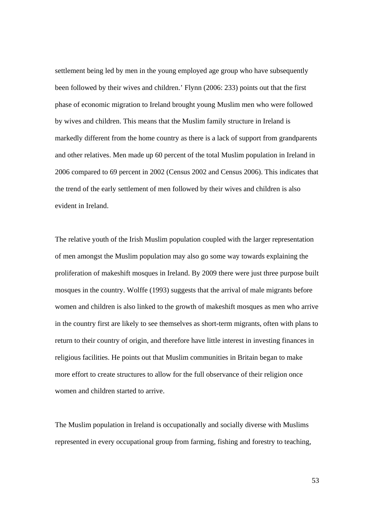settlement being led by men in the young employed age group who have subsequently been followed by their wives and children.' Flynn (2006: 233) points out that the first phase of economic migration to Ireland brought young Muslim men who were followed by wives and children. This means that the Muslim family structure in Ireland is markedly different from the home country as there is a lack of support from grandparents and other relatives. Men made up 60 percent of the total Muslim population in Ireland in 2006 compared to 69 percent in 2002 (Census 2002 and Census 2006). This indicates that the trend of the early settlement of men followed by their wives and children is also evident in Ireland.

The relative youth of the Irish Muslim population coupled with the larger representation of men amongst the Muslim population may also go some way towards explaining the proliferation of makeshift mosques in Ireland. By 2009 there were just three purpose built mosques in the country. Wolffe (1993) suggests that the arrival of male migrants before women and children is also linked to the growth of makeshift mosques as men who arrive in the country first are likely to see themselves as short-term migrants, often with plans to return to their country of origin, and therefore have little interest in investing finances in religious facilities. He points out that Muslim communities in Britain began to make more effort to create structures to allow for the full observance of their religion once women and children started to arrive.

The Muslim population in Ireland is occupationally and socially diverse with Muslims represented in every occupational group from farming, fishing and forestry to teaching,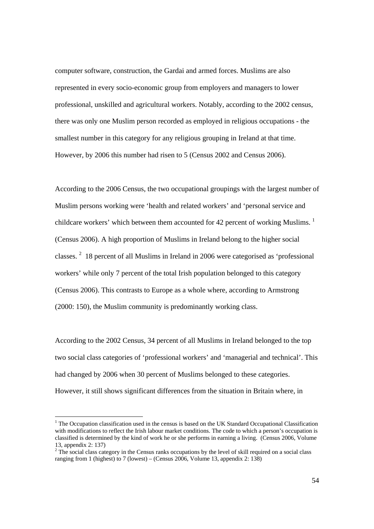computer software, construction, the Gardai and armed forces. Muslims are also represented in every socio-economic group from employers and managers to lower professional, unskilled and agricultural workers. Notably, according to the 2002 census, there was only one Muslim person recorded as employed in religious occupations - the smallest number in this category for any religious grouping in Ireland at that time. However, by 2006 this number had risen to 5 (Census 2002 and Census 2006).

According to the 2006 Census, the two occupational groupings with the largest number of Muslim persons working were 'health and related workers' and 'personal service and childcare workers' which between them accounted for 42 percent of working Muslims.<sup>1</sup> (Census 2006). A high proportion of Muslims in Ireland belong to the higher social classes.<sup>2</sup> 18 percent of all Muslims in Ireland in 2006 were categorised as 'professional workers' while only 7 percent of the total Irish population belonged to this category (Census 2006). This contrasts to Europe as a whole where, according to Armstrong (2000: 150), the Muslim community is predominantly working class.

According to the 2002 Census, 34 percent of all Muslims in Ireland belonged to the top two social class categories of 'professional workers' and 'managerial and technical'. This had changed by 2006 when 30 percent of Muslims belonged to these categories. However, it still shows significant differences from the situation in Britain where, in

 $1$  The Occupation classification used in the census is based on the UK Standard Occupational Classification with modifications to reflect the Irish labour market conditions. The code to which a person's occupation is classified is determined by the kind of work he or she performs in earning a living. (Census 2006, Volume 13, appendix 2: 137)

 $2^2$  The social class category in the Census ranks occupations by the level of skill required on a social class ranging from 1 (highest) to 7 (lowest) – (Census  $2006$ , Volume 13, appendix 2: 138)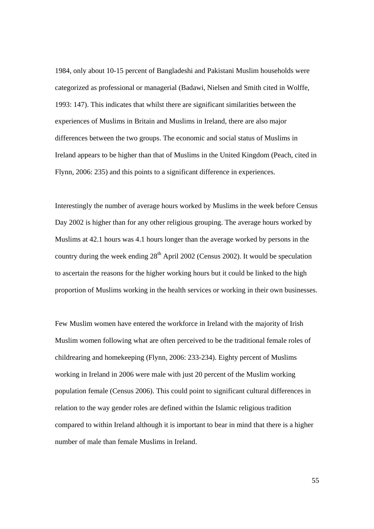1984, only about 10-15 percent of Bangladeshi and Pakistani Muslim households were categorized as professional or managerial (Badawi, Nielsen and Smith cited in Wolffe, 1993: 147). This indicates that whilst there are significant similarities between the experiences of Muslims in Britain and Muslims in Ireland, there are also major differences between the two groups. The economic and social status of Muslims in Ireland appears to be higher than that of Muslims in the United Kingdom (Peach, cited in Flynn, 2006: 235) and this points to a significant difference in experiences.

Interestingly the number of average hours worked by Muslims in the week before Census Day 2002 is higher than for any other religious grouping. The average hours worked by Muslims at 42.1 hours was 4.1 hours longer than the average worked by persons in the country during the week ending  $28<sup>th</sup>$  April 2002 (Census 2002). It would be speculation to ascertain the reasons for the higher working hours but it could be linked to the high proportion of Muslims working in the health services or working in their own businesses.

Few Muslim women have entered the workforce in Ireland with the majority of Irish Muslim women following what are often perceived to be the traditional female roles of childrearing and homekeeping (Flynn, 2006: 233-234). Eighty percent of Muslims working in Ireland in 2006 were male with just 20 percent of the Muslim working population female (Census 2006). This could point to significant cultural differences in relation to the way gender roles are defined within the Islamic religious tradition compared to within Ireland although it is important to bear in mind that there is a higher number of male than female Muslims in Ireland.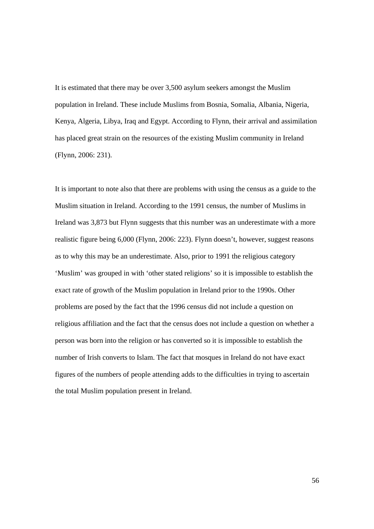It is estimated that there may be over 3,500 asylum seekers amongst the Muslim population in Ireland. These include Muslims from Bosnia, Somalia, Albania, Nigeria, Kenya, Algeria, Libya, Iraq and Egypt. According to Flynn, their arrival and assimilation has placed great strain on the resources of the existing Muslim community in Ireland (Flynn, 2006: 231).

It is important to note also that there are problems with using the census as a guide to the Muslim situation in Ireland. According to the 1991 census, the number of Muslims in Ireland was 3,873 but Flynn suggests that this number was an underestimate with a more realistic figure being 6,000 (Flynn, 2006: 223). Flynn doesn't, however, suggest reasons as to why this may be an underestimate. Also, prior to 1991 the religious category 'Muslim' was grouped in with 'other stated religions' so it is impossible to establish the exact rate of growth of the Muslim population in Ireland prior to the 1990s. Other problems are posed by the fact that the 1996 census did not include a question on religious affiliation and the fact that the census does not include a question on whether a person was born into the religion or has converted so it is impossible to establish the number of Irish converts to Islam. The fact that mosques in Ireland do not have exact figures of the numbers of people attending adds to the difficulties in trying to ascertain the total Muslim population present in Ireland.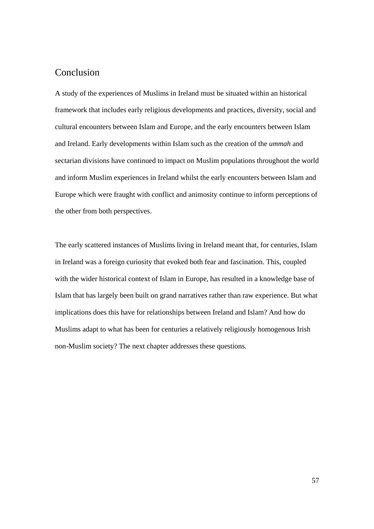### Conclusion

A study of the experiences of Muslims in Ireland must be situated within an historical framework that includes early religious developments and practices, diversity, social and cultural encounters between Islam and Europe, and the early encounters between Islam and Ireland. Early developments within Islam such as the creation of the *ummah* and sectarian divisions have continued to impact on Muslim populations throughout the world and inform Muslim experiences in Ireland whilst the early encounters between Islam and Europe which were fraught with conflict and animosity continue to inform perceptions of the other from both perspectives.

The early scattered instances of Muslims living in Ireland meant that, for centuries, Islam in Ireland was a foreign curiosity that evoked both fear and fascination. This, coupled with the wider historical context of Islam in Europe, has resulted in a knowledge base of Islam that has largely been built on grand narratives rather than raw experience. But what implications does this have for relationships between Ireland and Islam? And how do Muslims adapt to what has been for centuries a relatively religiously homogenous Irish non-Muslim society? The next chapter addresses these questions.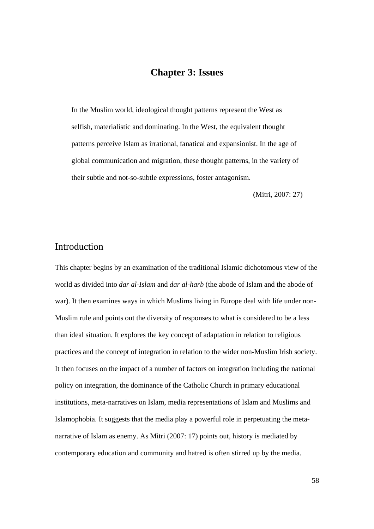## **Chapter 3: Issues**

In the Muslim world, ideological thought patterns represent the West as selfish, materialistic and dominating. In the West, the equivalent thought patterns perceive Islam as irrational, fanatical and expansionist. In the age of global communication and migration, these thought patterns, in the variety of their subtle and not-so-subtle expressions, foster antagonism.

(Mitri, 2007: 27)

### Introduction

This chapter begins by an examination of the traditional Islamic dichotomous view of the world as divided into *dar al-Islam* and *dar al-harb* (the abode of Islam and the abode of war). It then examines ways in which Muslims living in Europe deal with life under non-Muslim rule and points out the diversity of responses to what is considered to be a less than ideal situation. It explores the key concept of adaptation in relation to religious practices and the concept of integration in relation to the wider non-Muslim Irish society. It then focuses on the impact of a number of factors on integration including the national policy on integration, the dominance of the Catholic Church in primary educational institutions, meta-narratives on Islam, media representations of Islam and Muslims and Islamophobia. It suggests that the media play a powerful role in perpetuating the metanarrative of Islam as enemy. As Mitri (2007: 17) points out, history is mediated by contemporary education and community and hatred is often stirred up by the media.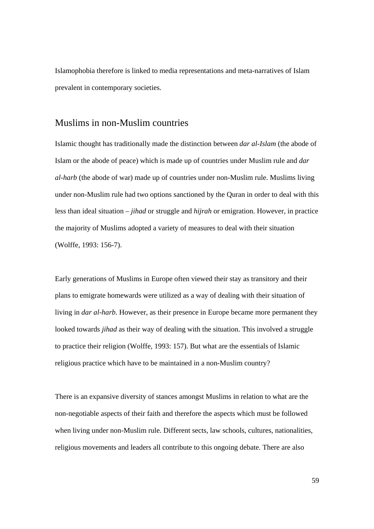Islamophobia therefore is linked to media representations and meta-narratives of Islam prevalent in contemporary societies.

#### Muslims in non-Muslim countries

Islamic thought has traditionally made the distinction between *dar al-Islam* (the abode of Islam or the abode of peace) which is made up of countries under Muslim rule and *dar al-harb* (the abode of war) made up of countries under non-Muslim rule. Muslims living under non-Muslim rule had two options sanctioned by the Quran in order to deal with this less than ideal situation – *jihad* or struggle and *hijrah* or emigration. However, in practice the majority of Muslims adopted a variety of measures to deal with their situation (Wolffe, 1993: 156-7).

Early generations of Muslims in Europe often viewed their stay as transitory and their plans to emigrate homewards were utilized as a way of dealing with their situation of living in *dar al-harb*. However, as their presence in Europe became more permanent they looked towards *jihad* as their way of dealing with the situation. This involved a struggle to practice their religion (Wolffe, 1993: 157). But what are the essentials of Islamic religious practice which have to be maintained in a non-Muslim country?

There is an expansive diversity of stances amongst Muslims in relation to what are the non-negotiable aspects of their faith and therefore the aspects which must be followed when living under non-Muslim rule. Different sects, law schools, cultures, nationalities, religious movements and leaders all contribute to this ongoing debate. There are also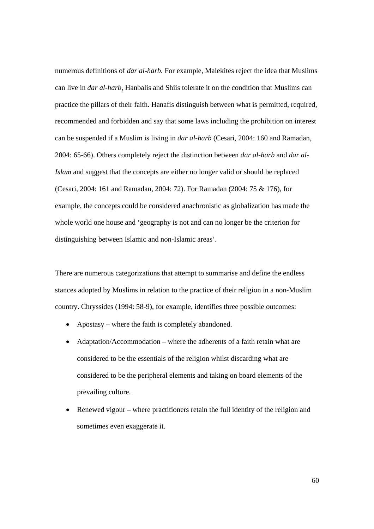numerous definitions of *dar al-harb.* For example, Malekites reject the idea that Muslims can live in *dar al-harb,* Hanbalis and Shiis tolerate it on the condition that Muslims can practice the pillars of their faith. Hanafis distinguish between what is permitted, required, recommended and forbidden and say that some laws including the prohibition on interest can be suspended if a Muslim is living in *dar al-harb* (Cesari, 2004: 160 and Ramadan, 2004: 65-66). Others completely reject the distinction between *dar al-harb* and *dar al-Islam* and suggest that the concepts are either no longer valid or should be replaced (Cesari, 2004: 161 and Ramadan, 2004: 72). For Ramadan (2004: 75 & 176), for example, the concepts could be considered anachronistic as globalization has made the whole world one house and 'geography is not and can no longer be the criterion for distinguishing between Islamic and non-Islamic areas'.

There are numerous categorizations that attempt to summarise and define the endless stances adopted by Muslims in relation to the practice of their religion in a non-Muslim country. Chryssides (1994: 58-9), for example, identifies three possible outcomes:

- Apostasy where the faith is completely abandoned.
- Adaptation/Accommodation where the adherents of a faith retain what are considered to be the essentials of the religion whilst discarding what are considered to be the peripheral elements and taking on board elements of the prevailing culture.
- Renewed vigour where practitioners retain the full identity of the religion and sometimes even exaggerate it.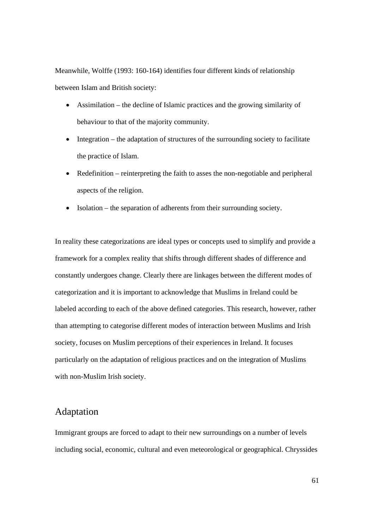Meanwhile, Wolffe (1993: 160-164) identifies four different kinds of relationship between Islam and British society:

- Assimilation the decline of Islamic practices and the growing similarity of behaviour to that of the majority community.
- Integration the adaptation of structures of the surrounding society to facilitate the practice of Islam.
- Redefinition reinterpreting the faith to asses the non-negotiable and peripheral aspects of the religion.
- Isolation the separation of adherents from their surrounding society.

In reality these categorizations are ideal types or concepts used to simplify and provide a framework for a complex reality that shifts through different shades of difference and constantly undergoes change. Clearly there are linkages between the different modes of categorization and it is important to acknowledge that Muslims in Ireland could be labeled according to each of the above defined categories. This research, however, rather than attempting to categorise different modes of interaction between Muslims and Irish society, focuses on Muslim perceptions of their experiences in Ireland. It focuses particularly on the adaptation of religious practices and on the integration of Muslims with non-Muslim Irish society.

#### Adaptation

Immigrant groups are forced to adapt to their new surroundings on a number of levels including social, economic, cultural and even meteorological or geographical. Chryssides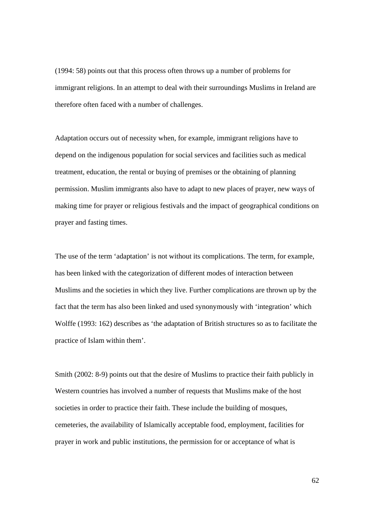(1994: 58) points out that this process often throws up a number of problems for immigrant religions. In an attempt to deal with their surroundings Muslims in Ireland are therefore often faced with a number of challenges.

Adaptation occurs out of necessity when, for example, immigrant religions have to depend on the indigenous population for social services and facilities such as medical treatment, education, the rental or buying of premises or the obtaining of planning permission. Muslim immigrants also have to adapt to new places of prayer, new ways of making time for prayer or religious festivals and the impact of geographical conditions on prayer and fasting times.

The use of the term 'adaptation' is not without its complications. The term, for example, has been linked with the categorization of different modes of interaction between Muslims and the societies in which they live. Further complications are thrown up by the fact that the term has also been linked and used synonymously with 'integration' which Wolffe (1993: 162) describes as 'the adaptation of British structures so as to facilitate the practice of Islam within them'.

Smith (2002: 8-9) points out that the desire of Muslims to practice their faith publicly in Western countries has involved a number of requests that Muslims make of the host societies in order to practice their faith. These include the building of mosques, cemeteries, the availability of Islamically acceptable food, employment, facilities for prayer in work and public institutions, the permission for or acceptance of what is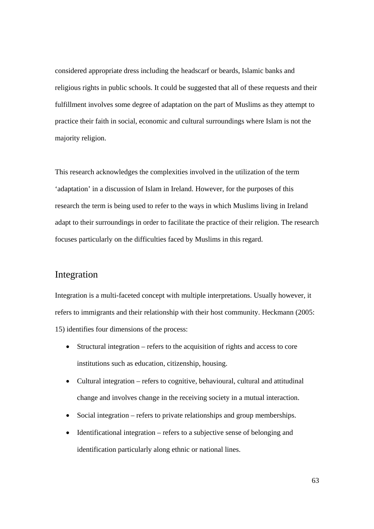considered appropriate dress including the headscarf or beards, Islamic banks and religious rights in public schools. It could be suggested that all of these requests and their fulfillment involves some degree of adaptation on the part of Muslims as they attempt to practice their faith in social, economic and cultural surroundings where Islam is not the majority religion.

This research acknowledges the complexities involved in the utilization of the term 'adaptation' in a discussion of Islam in Ireland. However, for the purposes of this research the term is being used to refer to the ways in which Muslims living in Ireland adapt to their surroundings in order to facilitate the practice of their religion. The research focuses particularly on the difficulties faced by Muslims in this regard.

## Integration

Integration is a multi-faceted concept with multiple interpretations. Usually however, it refers to immigrants and their relationship with their host community. Heckmann (2005: 15) identifies four dimensions of the process:

- Structural integration refers to the acquisition of rights and access to core institutions such as education, citizenship, housing.
- Cultural integration refers to cognitive, behavioural, cultural and attitudinal change and involves change in the receiving society in a mutual interaction.
- Social integration refers to private relationships and group memberships.
- Identificational integration refers to a subjective sense of belonging and identification particularly along ethnic or national lines.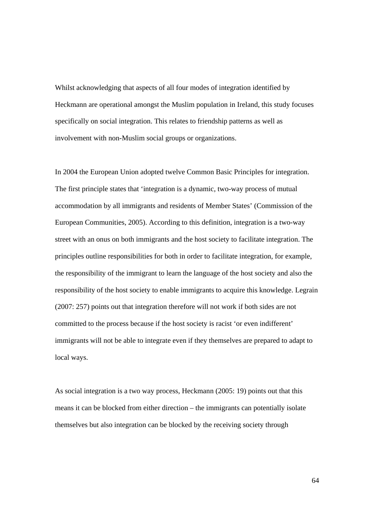Whilst acknowledging that aspects of all four modes of integration identified by Heckmann are operational amongst the Muslim population in Ireland, this study focuses specifically on social integration. This relates to friendship patterns as well as involvement with non-Muslim social groups or organizations.

In 2004 the European Union adopted twelve Common Basic Principles for integration. The first principle states that 'integration is a dynamic, two-way process of mutual accommodation by all immigrants and residents of Member States' (Commission of the European Communities, 2005). According to this definition, integration is a two-way street with an onus on both immigrants and the host society to facilitate integration. The principles outline responsibilities for both in order to facilitate integration, for example, the responsibility of the immigrant to learn the language of the host society and also the responsibility of the host society to enable immigrants to acquire this knowledge. Legrain (2007: 257) points out that integration therefore will not work if both sides are not committed to the process because if the host society is racist 'or even indifferent' immigrants will not be able to integrate even if they themselves are prepared to adapt to local ways.

As social integration is a two way process, Heckmann (2005: 19) points out that this means it can be blocked from either direction – the immigrants can potentially isolate themselves but also integration can be blocked by the receiving society through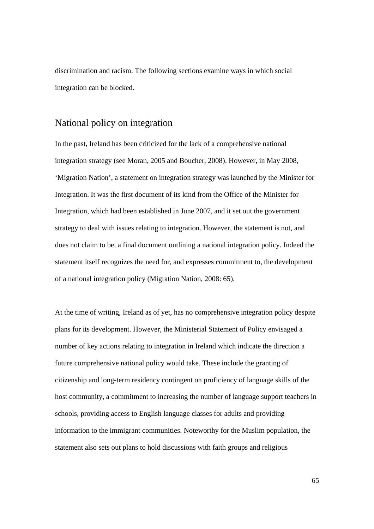discrimination and racism. The following sections examine ways in which social integration can be blocked.

# National policy on integration

In the past, Ireland has been criticized for the lack of a comprehensive national integration strategy (see Moran, 2005 and Boucher, 2008). However, in May 2008, 'Migration Nation', a statement on integration strategy was launched by the Minister for Integration. It was the first document of its kind from the Office of the Minister for Integration, which had been established in June 2007, and it set out the government strategy to deal with issues relating to integration. However, the statement is not, and does not claim to be, a final document outlining a national integration policy. Indeed the statement itself recognizes the need for, and expresses commitment to, the development of a national integration policy (Migration Nation, 2008: 65).

At the time of writing, Ireland as of yet, has no comprehensive integration policy despite plans for its development. However, the Ministerial Statement of Policy envisaged a number of key actions relating to integration in Ireland which indicate the direction a future comprehensive national policy would take. These include the granting of citizenship and long-term residency contingent on proficiency of language skills of the host community, a commitment to increasing the number of language support teachers in schools, providing access to English language classes for adults and providing information to the immigrant communities. Noteworthy for the Muslim population, the statement also sets out plans to hold discussions with faith groups and religious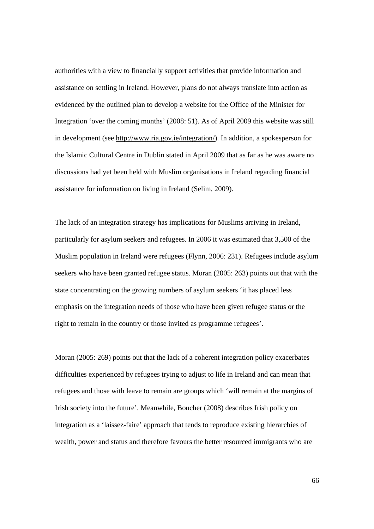authorities with a view to financially support activities that provide information and assistance on settling in Ireland. However, plans do not always translate into action as evidenced by the outlined plan to develop a website for the Office of the Minister for Integration 'over the coming months' (2008: 51). As of April 2009 this website was still in development (see http://www.ria.gov.ie/integration/). In addition, a spokesperson for the Islamic Cultural Centre in Dublin stated in April 2009 that as far as he was aware no discussions had yet been held with Muslim organisations in Ireland regarding financial assistance for information on living in Ireland (Selim, 2009).

The lack of an integration strategy has implications for Muslims arriving in Ireland, particularly for asylum seekers and refugees. In 2006 it was estimated that 3,500 of the Muslim population in Ireland were refugees (Flynn, 2006: 231). Refugees include asylum seekers who have been granted refugee status. Moran (2005: 263) points out that with the state concentrating on the growing numbers of asylum seekers 'it has placed less emphasis on the integration needs of those who have been given refugee status or the right to remain in the country or those invited as programme refugees'.

Moran (2005: 269) points out that the lack of a coherent integration policy exacerbates difficulties experienced by refugees trying to adjust to life in Ireland and can mean that refugees and those with leave to remain are groups which 'will remain at the margins of Irish society into the future'. Meanwhile, Boucher (2008) describes Irish policy on integration as a 'laissez-faire' approach that tends to reproduce existing hierarchies of wealth, power and status and therefore favours the better resourced immigrants who are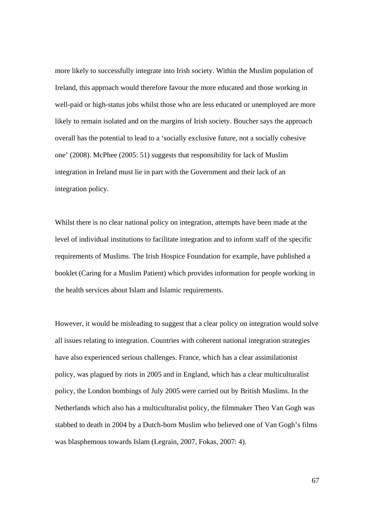more likely to successfully integrate into Irish society. Within the Muslim population of Ireland, this approach would therefore favour the more educated and those working in well-paid or high-status jobs whilst those who are less educated or unemployed are more likely to remain isolated and on the margins of Irish society. Boucher says the approach overall has the potential to lead to a 'socially exclusive future, not a socially cohesive one' (2008). McPhee (2005: 51) suggests that responsibility for lack of Muslim integration in Ireland must lie in part with the Government and their lack of an integration policy.

Whilst there is no clear national policy on integration, attempts have been made at the level of individual institutions to facilitate integration and to inform staff of the specific requirements of Muslims. The Irish Hospice Foundation for example, have published a booklet (Caring for a Muslim Patient) which provides information for people working in the health services about Islam and Islamic requirements.

However, it would be misleading to suggest that a clear policy on integration would solve all issues relating to integration. Countries with coherent national integration strategies have also experienced serious challenges. France, which has a clear assimilationist policy, was plagued by riots in 2005 and in England, which has a clear multiculturalist policy, the London bombings of July 2005 were carried out by British Muslims. In the Netherlands which also has a multiculturalist policy, the filmmaker Theo Van Gogh was stabbed to death in 2004 by a Dutch-born Muslim who believed one of Van Gogh's films was blasphemous towards Islam (Legrain, 2007, Fokas, 2007: 4).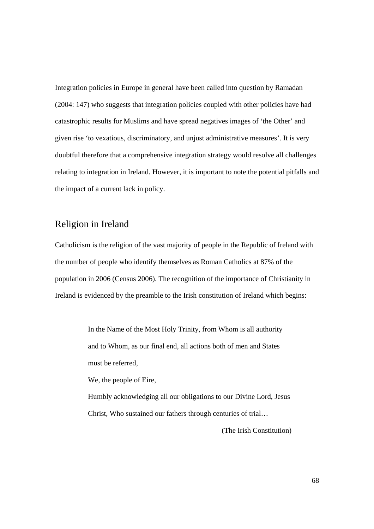Integration policies in Europe in general have been called into question by Ramadan (2004: 147) who suggests that integration policies coupled with other policies have had catastrophic results for Muslims and have spread negatives images of 'the Other' and given rise 'to vexatious, discriminatory, and unjust administrative measures'. It is very doubtful therefore that a comprehensive integration strategy would resolve all challenges relating to integration in Ireland. However, it is important to note the potential pitfalls and the impact of a current lack in policy.

# Religion in Ireland

Catholicism is the religion of the vast majority of people in the Republic of Ireland with the number of people who identify themselves as Roman Catholics at 87% of the population in 2006 (Census 2006). The recognition of the importance of Christianity in Ireland is evidenced by the preamble to the Irish constitution of Ireland which begins:

> In the Name of the Most Holy Trinity, from Whom is all authority and to Whom, as our final end, all actions both of men and States must be referred, We, the people of Eire,

Humbly acknowledging all our obligations to our Divine Lord, Jesus Christ, Who sustained our fathers through centuries of trial…

(The Irish Constitution)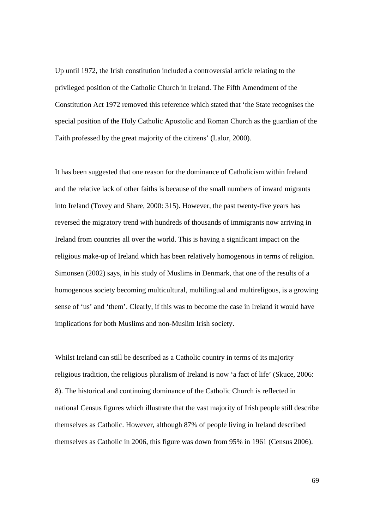Up until 1972, the Irish constitution included a controversial article relating to the privileged position of the Catholic Church in Ireland. The Fifth Amendment of the Constitution Act 1972 removed this reference which stated that 'the State recognises the special position of the Holy Catholic Apostolic and Roman Church as the guardian of the Faith professed by the great majority of the citizens' (Lalor, 2000).

It has been suggested that one reason for the dominance of Catholicism within Ireland and the relative lack of other faiths is because of the small numbers of inward migrants into Ireland (Tovey and Share, 2000: 315). However, the past twenty-five years has reversed the migratory trend with hundreds of thousands of immigrants now arriving in Ireland from countries all over the world. This is having a significant impact on the religious make-up of Ireland which has been relatively homogenous in terms of religion. Simonsen (2002) says, in his study of Muslims in Denmark, that one of the results of a homogenous society becoming multicultural, multilingual and multireligous, is a growing sense of 'us' and 'them'. Clearly, if this was to become the case in Ireland it would have implications for both Muslims and non-Muslim Irish society.

Whilst Ireland can still be described as a Catholic country in terms of its majority religious tradition, the religious pluralism of Ireland is now 'a fact of life' (Skuce, 2006: 8). The historical and continuing dominance of the Catholic Church is reflected in national Census figures which illustrate that the vast majority of Irish people still describe themselves as Catholic. However, although 87% of people living in Ireland described themselves as Catholic in 2006, this figure was down from 95% in 1961 (Census 2006).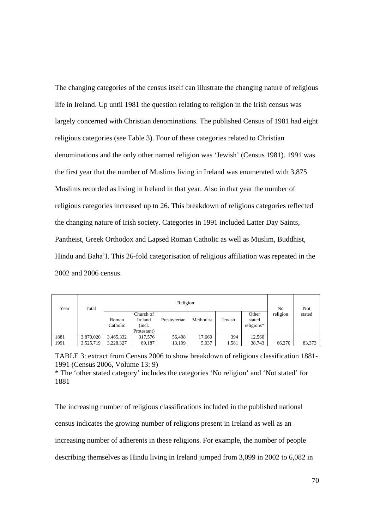The changing categories of the census itself can illustrate the changing nature of religious life in Ireland. Up until 1981 the question relating to religion in the Irish census was largely concerned with Christian denominations. The published Census of 1981 had eight religious categories (see Table 3). Four of these categories related to Christian denominations and the only other named religion was 'Jewish' (Census 1981). 1991 was the first year that the number of Muslims living in Ireland was enumerated with 3,875 Muslims recorded as living in Ireland in that year. Also in that year the number of religious categories increased up to 26. This breakdown of religious categories reflected the changing nature of Irish society. Categories in 1991 included Latter Day Saints, Pantheist, Greek Orthodox and Lapsed Roman Catholic as well as Muslim, Buddhist, Hindu and Baha'I. This 26-fold categorisation of religious affiliation was repeated in the 2002 and 2006 census.

| Year | Total     | Religion          |                                               |              |           |        |                               | No       | Not    |
|------|-----------|-------------------|-----------------------------------------------|--------------|-----------|--------|-------------------------------|----------|--------|
|      |           | Roman<br>Catholic | Church of<br>Ireland<br>(incl.<br>Protestant) | Presbyterian | Methodist | Jewish | Other<br>stated<br>religions* | religion | stated |
| 1881 | 3.870.020 | 3,465,332         | 317,576                                       | 56,498       | 17.660    | 394    | 12.560                        |          |        |
| 1991 | 3,525,719 | 3,228,327         | 89,187                                        | 13,199       | 5,037     | 1,581  | 38,743                        | 66.270   | 83,373 |

TABLE 3: extract from Census 2006 to show breakdown of religious classification 1881- 1991 (Census 2006, Volume 13: 9)

\* The 'other stated category' includes the categories 'No religion' and 'Not stated' for 1881

The increasing number of religious classifications included in the published national census indicates the growing number of religions present in Ireland as well as an increasing number of adherents in these religions. For example, the number of people describing themselves as Hindu living in Ireland jumped from 3,099 in 2002 to 6,082 in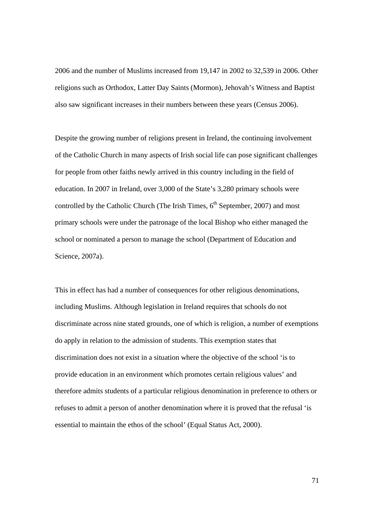2006 and the number of Muslims increased from 19,147 in 2002 to 32,539 in 2006. Other religions such as Orthodox, Latter Day Saints (Mormon), Jehovah's Witness and Baptist also saw significant increases in their numbers between these years (Census 2006).

Despite the growing number of religions present in Ireland, the continuing involvement of the Catholic Church in many aspects of Irish social life can pose significant challenges for people from other faiths newly arrived in this country including in the field of education. In 2007 in Ireland, over 3,000 of the State's 3,280 primary schools were controlled by the Catholic Church (The Irish Times,  $6<sup>th</sup>$  September, 2007) and most primary schools were under the patronage of the local Bishop who either managed the school or nominated a person to manage the school (Department of Education and Science, 2007a).

This in effect has had a number of consequences for other religious denominations, including Muslims. Although legislation in Ireland requires that schools do not discriminate across nine stated grounds, one of which is religion, a number of exemptions do apply in relation to the admission of students. This exemption states that discrimination does not exist in a situation where the objective of the school 'is to provide education in an environment which promotes certain religious values' and therefore admits students of a particular religious denomination in preference to others or refuses to admit a person of another denomination where it is proved that the refusal 'is essential to maintain the ethos of the school' (Equal Status Act, 2000).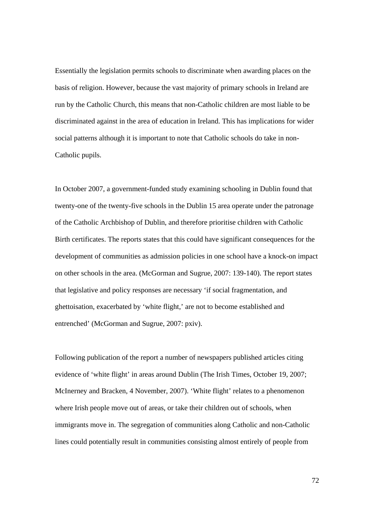Essentially the legislation permits schools to discriminate when awarding places on the basis of religion. However, because the vast majority of primary schools in Ireland are run by the Catholic Church, this means that non-Catholic children are most liable to be discriminated against in the area of education in Ireland. This has implications for wider social patterns although it is important to note that Catholic schools do take in non-Catholic pupils.

In October 2007, a government-funded study examining schooling in Dublin found that twenty-one of the twenty-five schools in the Dublin 15 area operate under the patronage of the Catholic Archbishop of Dublin, and therefore prioritise children with Catholic Birth certificates. The reports states that this could have significant consequences for the development of communities as admission policies in one school have a knock-on impact on other schools in the area. (McGorman and Sugrue, 2007: 139-140). The report states that legislative and policy responses are necessary 'if social fragmentation, and ghettoisation, exacerbated by 'white flight,' are not to become established and entrenched' (McGorman and Sugrue, 2007: pxiv).

Following publication of the report a number of newspapers published articles citing evidence of 'white flight' in areas around Dublin (The Irish Times, October 19, 2007; McInerney and Bracken, 4 November, 2007). 'White flight' relates to a phenomenon where Irish people move out of areas, or take their children out of schools, when immigrants move in. The segregation of communities along Catholic and non-Catholic lines could potentially result in communities consisting almost entirely of people from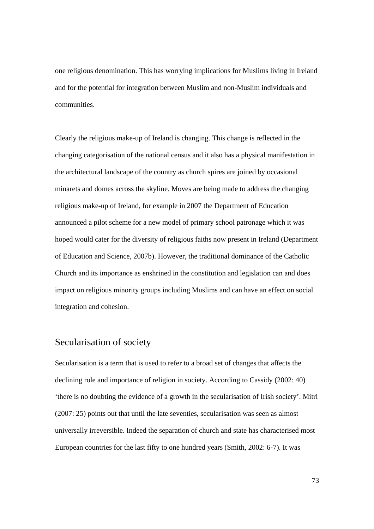one religious denomination. This has worrying implications for Muslims living in Ireland and for the potential for integration between Muslim and non-Muslim individuals and communities.

Clearly the religious make-up of Ireland is changing. This change is reflected in the changing categorisation of the national census and it also has a physical manifestation in the architectural landscape of the country as church spires are joined by occasional minarets and domes across the skyline. Moves are being made to address the changing religious make-up of Ireland, for example in 2007 the Department of Education announced a pilot scheme for a new model of primary school patronage which it was hoped would cater for the diversity of religious faiths now present in Ireland (Department of Education and Science, 2007b). However, the traditional dominance of the Catholic Church and its importance as enshrined in the constitution and legislation can and does impact on religious minority groups including Muslims and can have an effect on social integration and cohesion.

#### Secularisation of society

Secularisation is a term that is used to refer to a broad set of changes that affects the declining role and importance of religion in society. According to Cassidy (2002: 40) 'there is no doubting the evidence of a growth in the secularisation of Irish society'. Mitri (2007: 25) points out that until the late seventies, secularisation was seen as almost universally irreversible. Indeed the separation of church and state has characterised most European countries for the last fifty to one hundred years (Smith, 2002: 6-7). It was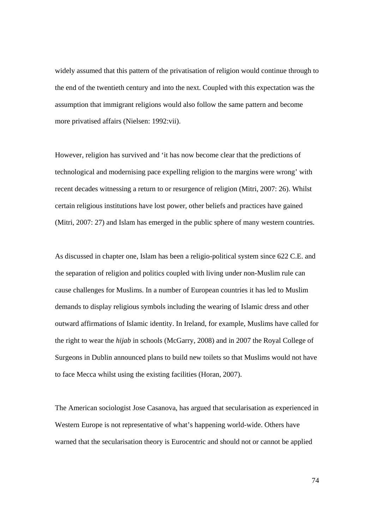widely assumed that this pattern of the privatisation of religion would continue through to the end of the twentieth century and into the next. Coupled with this expectation was the assumption that immigrant religions would also follow the same pattern and become more privatised affairs (Nielsen: 1992:vii).

However, religion has survived and 'it has now become clear that the predictions of technological and modernising pace expelling religion to the margins were wrong' with recent decades witnessing a return to or resurgence of religion (Mitri, 2007: 26). Whilst certain religious institutions have lost power, other beliefs and practices have gained (Mitri, 2007: 27) and Islam has emerged in the public sphere of many western countries.

As discussed in chapter one, Islam has been a religio-political system since 622 C.E. and the separation of religion and politics coupled with living under non-Muslim rule can cause challenges for Muslims. In a number of European countries it has led to Muslim demands to display religious symbols including the wearing of Islamic dress and other outward affirmations of Islamic identity. In Ireland, for example, Muslims have called for the right to wear the *hijab* in schools (McGarry, 2008) and in 2007 the Royal College of Surgeons in Dublin announced plans to build new toilets so that Muslims would not have to face Mecca whilst using the existing facilities (Horan, 2007).

The American sociologist Jose Casanova, has argued that secularisation as experienced in Western Europe is not representative of what's happening world-wide. Others have warned that the secularisation theory is Eurocentric and should not or cannot be applied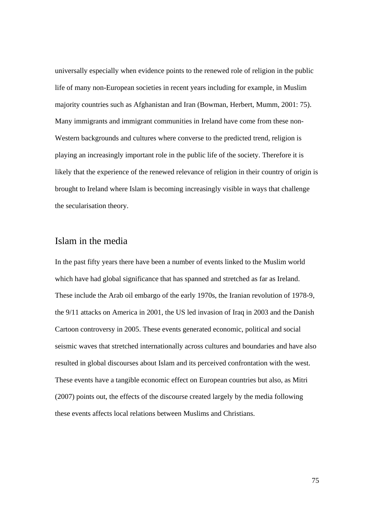universally especially when evidence points to the renewed role of religion in the public life of many non-European societies in recent years including for example, in Muslim majority countries such as Afghanistan and Iran (Bowman, Herbert, Mumm, 2001: 75). Many immigrants and immigrant communities in Ireland have come from these non-Western backgrounds and cultures where converse to the predicted trend, religion is playing an increasingly important role in the public life of the society. Therefore it is likely that the experience of the renewed relevance of religion in their country of origin is brought to Ireland where Islam is becoming increasingly visible in ways that challenge the secularisation theory.

### Islam in the media

In the past fifty years there have been a number of events linked to the Muslim world which have had global significance that has spanned and stretched as far as Ireland. These include the Arab oil embargo of the early 1970s, the Iranian revolution of 1978-9, the 9/11 attacks on America in 2001, the US led invasion of Iraq in 2003 and the Danish Cartoon controversy in 2005. These events generated economic, political and social seismic waves that stretched internationally across cultures and boundaries and have also resulted in global discourses about Islam and its perceived confrontation with the west. These events have a tangible economic effect on European countries but also, as Mitri (2007) points out, the effects of the discourse created largely by the media following these events affects local relations between Muslims and Christians.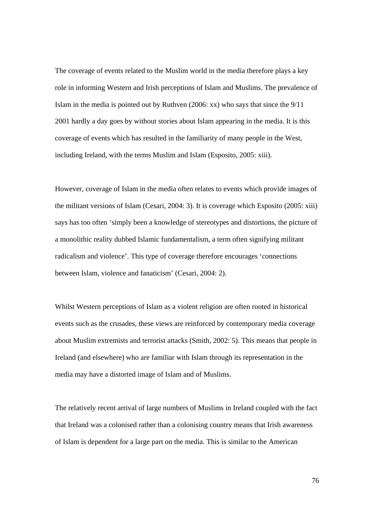The coverage of events related to the Muslim world in the media therefore plays a key role in informing Western and Irish perceptions of Islam and Muslims. The prevalence of Islam in the media is pointed out by Ruthven (2006: xx) who says that since the 9/11 2001 hardly a day goes by without stories about Islam appearing in the media. It is this coverage of events which has resulted in the familiarity of many people in the West, including Ireland, with the terms Muslim and Islam (Esposito, 2005: xiii).

However, coverage of Islam in the media often relates to events which provide images of the militant versions of Islam (Cesari, 2004: 3). It is coverage which Esposito (2005: xiii) says has too often 'simply been a knowledge of stereotypes and distortions, the picture of a monolithic reality dubbed Islamic fundamentalism, a term often signifying militant radicalism and violence'. This type of coverage therefore encourages 'connections between Islam, violence and fanaticism' (Cesari, 2004: 2).

Whilst Western perceptions of Islam as a violent religion are often rooted in historical events such as the crusades, these views are reinforced by contemporary media coverage about Muslim extremists and terrorist attacks (Smith, 2002: 5). This means that people in Ireland (and elsewhere) who are familiar with Islam through its representation in the media may have a distorted image of Islam and of Muslims.

The relatively recent arrival of large numbers of Muslims in Ireland coupled with the fact that Ireland was a colonised rather than a colonising country means that Irish awareness of Islam is dependent for a large part on the media. This is similar to the American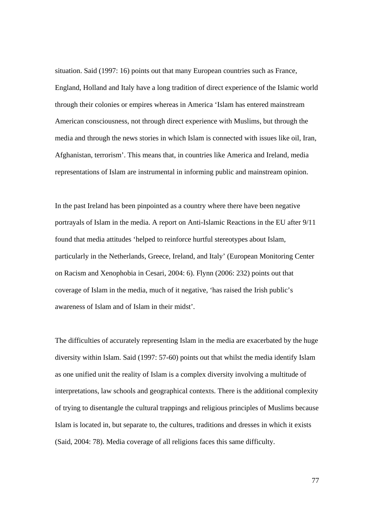situation. Said (1997: 16) points out that many European countries such as France, England, Holland and Italy have a long tradition of direct experience of the Islamic world through their colonies or empires whereas in America 'Islam has entered mainstream American consciousness, not through direct experience with Muslims, but through the media and through the news stories in which Islam is connected with issues like oil, Iran, Afghanistan, terrorism'. This means that, in countries like America and Ireland, media representations of Islam are instrumental in informing public and mainstream opinion.

In the past Ireland has been pinpointed as a country where there have been negative portrayals of Islam in the media. A report on Anti-Islamic Reactions in the EU after 9/11 found that media attitudes 'helped to reinforce hurtful stereotypes about Islam, particularly in the Netherlands, Greece, Ireland, and Italy' (European Monitoring Center on Racism and Xenophobia in Cesari, 2004: 6). Flynn (2006: 232) points out that coverage of Islam in the media, much of it negative, 'has raised the Irish public's awareness of Islam and of Islam in their midst'.

The difficulties of accurately representing Islam in the media are exacerbated by the huge diversity within Islam. Said (1997: 57-60) points out that whilst the media identify Islam as one unified unit the reality of Islam is a complex diversity involving a multitude of interpretations, law schools and geographical contexts. There is the additional complexity of trying to disentangle the cultural trappings and religious principles of Muslims because Islam is located in, but separate to, the cultures, traditions and dresses in which it exists (Said, 2004: 78). Media coverage of all religions faces this same difficulty.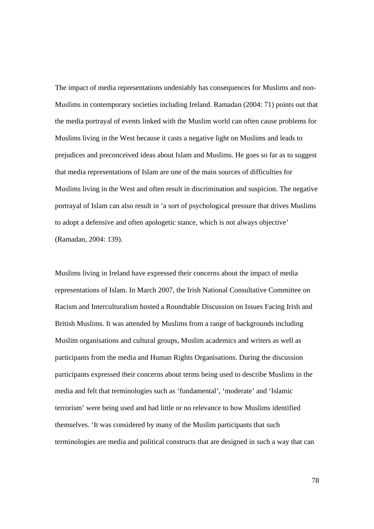The impact of media representations undeniably has consequences for Muslims and non-Muslims in contemporary societies including Ireland. Ramadan (2004: 71) points out that the media portrayal of events linked with the Muslim world can often cause problems for Muslims living in the West because it casts a negative light on Muslims and leads to prejudices and preconceived ideas about Islam and Muslims. He goes so far as to suggest that media representations of Islam are one of the main sources of difficulties for Muslims living in the West and often result in discrimination and suspicion. The negative portrayal of Islam can also result in 'a sort of psychological pressure that drives Muslims to adopt a defensive and often apologetic stance, which is not always objective' (Ramadan, 2004: 139).

Muslims living in Ireland have expressed their concerns about the impact of media representations of Islam. In March 2007, the Irish National Consultative Committee on Racism and Interculturalism hosted a Roundtable Discussion on Issues Facing Irish and British Muslims. It was attended by Muslims from a range of backgrounds including Muslim organisations and cultural groups, Muslim academics and writers as well as participants from the media and Human Rights Organisations. During the discussion participants expressed their concerns about terms being used to describe Muslims in the media and felt that terminologies such as 'fundamental', 'moderate' and 'Islamic terrorism' were being used and had little or no relevance to how Muslims identified themselves. 'It was considered by many of the Muslim participants that such terminologies are media and political constructs that are designed in such a way that can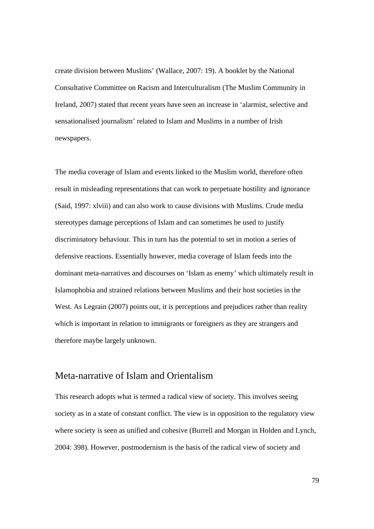create division between Muslims' (Wallace, 2007: 19). A booklet by the National Consultative Committee on Racism and Interculturalism (The Muslim Community in Ireland, 2007) stated that recent years have seen an increase in 'alarmist, selective and sensationalised journalism' related to Islam and Muslims in a number of Irish newspapers.

The media coverage of Islam and events linked to the Muslim world, therefore often result in misleading representations that can work to perpetuate hostility and ignorance (Said, 1997: xlviii) and can also work to cause divisions with Muslims. Crude media stereotypes damage perceptions of Islam and can sometimes be used to justify discriminatory behaviour. This in turn has the potential to set in motion a series of defensive reactions. Essentially however, media coverage of Islam feeds into the dominant meta-narratives and discourses on 'Islam as enemy' which ultimately result in Islamophobia and strained relations between Muslims and their host societies in the West. As Legrain (2007) points out, it is perceptions and prejudices rather than reality which is important in relation to immigrants or foreigners as they are strangers and therefore maybe largely unknown.

### Meta-narrative of Islam and Orientalism

This research adopts what is termed a radical view of society. This involves seeing society as in a state of constant conflict. The view is in opposition to the regulatory view where society is seen as unified and cohesive (Burrell and Morgan in Holden and Lynch, 2004: 398). However, postmodernism is the basis of the radical view of society and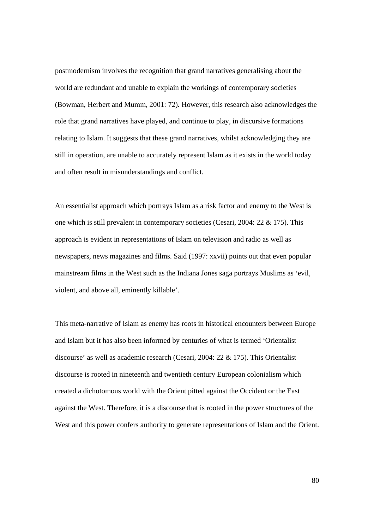postmodernism involves the recognition that grand narratives generalising about the world are redundant and unable to explain the workings of contemporary societies (Bowman, Herbert and Mumm, 2001: 72)*.* However, this research also acknowledges the role that grand narratives have played, and continue to play, in discursive formations relating to Islam. It suggests that these grand narratives, whilst acknowledging they are still in operation, are unable to accurately represent Islam as it exists in the world today and often result in misunderstandings and conflict.

An essentialist approach which portrays Islam as a risk factor and enemy to the West is one which is still prevalent in contemporary societies (Cesari, 2004: 22 & 175). This approach is evident in representations of Islam on television and radio as well as newspapers, news magazines and films. Said (1997: xxvii) points out that even popular mainstream films in the West such as the Indiana Jones saga portrays Muslims as 'evil, violent, and above all, eminently killable'.

This meta-narrative of Islam as enemy has roots in historical encounters between Europe and Islam but it has also been informed by centuries of what is termed 'Orientalist discourse' as well as academic research (Cesari, 2004: 22 & 175). This Orientalist discourse is rooted in nineteenth and twentieth century European colonialism which created a dichotomous world with the Orient pitted against the Occident or the East against the West. Therefore, it is a discourse that is rooted in the power structures of the West and this power confers authority to generate representations of Islam and the Orient.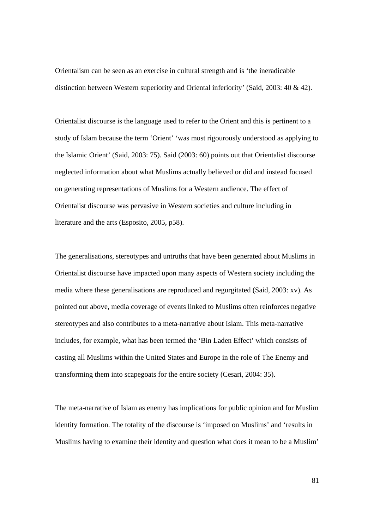Orientalism can be seen as an exercise in cultural strength and is 'the ineradicable distinction between Western superiority and Oriental inferiority' (Said, 2003: 40 & 42).

Orientalist discourse is the language used to refer to the Orient and this is pertinent to a study of Islam because the term 'Orient' 'was most rigourously understood as applying to the Islamic Orient' (Said, 2003: 75). Said (2003: 60) points out that Orientalist discourse neglected information about what Muslims actually believed or did and instead focused on generating representations of Muslims for a Western audience. The effect of Orientalist discourse was pervasive in Western societies and culture including in literature and the arts (Esposito, 2005, p58).

The generalisations, stereotypes and untruths that have been generated about Muslims in Orientalist discourse have impacted upon many aspects of Western society including the media where these generalisations are reproduced and regurgitated (Said, 2003: xv). As pointed out above, media coverage of events linked to Muslims often reinforces negative stereotypes and also contributes to a meta-narrative about Islam. This meta-narrative includes, for example, what has been termed the 'Bin Laden Effect' which consists of casting all Muslims within the United States and Europe in the role of The Enemy and transforming them into scapegoats for the entire society (Cesari, 2004: 35).

The meta-narrative of Islam as enemy has implications for public opinion and for Muslim identity formation. The totality of the discourse is 'imposed on Muslims' and 'results in Muslims having to examine their identity and question what does it mean to be a Muslim'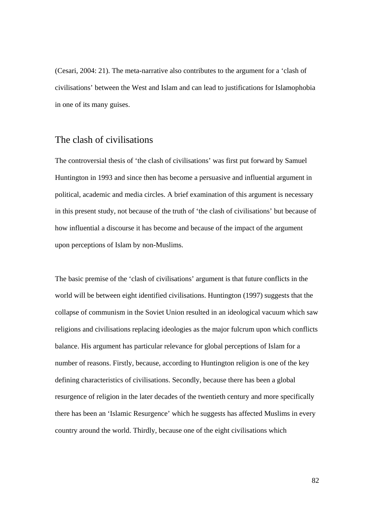(Cesari, 2004: 21). The meta-narrative also contributes to the argument for a 'clash of civilisations' between the West and Islam and can lead to justifications for Islamophobia in one of its many guises.

#### The clash of civilisations

The controversial thesis of 'the clash of civilisations' was first put forward by Samuel Huntington in 1993 and since then has become a persuasive and influential argument in political, academic and media circles. A brief examination of this argument is necessary in this present study, not because of the truth of 'the clash of civilisations' but because of how influential a discourse it has become and because of the impact of the argument upon perceptions of Islam by non-Muslims.

The basic premise of the 'clash of civilisations' argument is that future conflicts in the world will be between eight identified civilisations. Huntington (1997) suggests that the collapse of communism in the Soviet Union resulted in an ideological vacuum which saw religions and civilisations replacing ideologies as the major fulcrum upon which conflicts balance. His argument has particular relevance for global perceptions of Islam for a number of reasons. Firstly, because, according to Huntington religion is one of the key defining characteristics of civilisations. Secondly, because there has been a global resurgence of religion in the later decades of the twentieth century and more specifically there has been an 'Islamic Resurgence' which he suggests has affected Muslims in every country around the world. Thirdly, because one of the eight civilisations which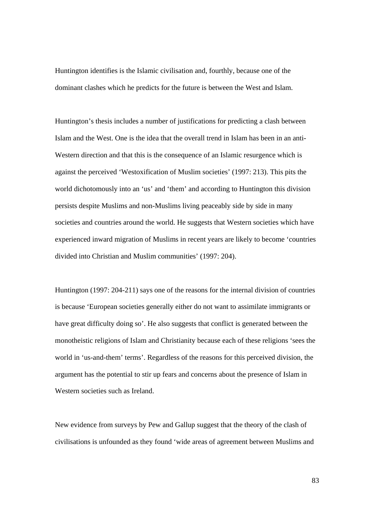Huntington identifies is the Islamic civilisation and, fourthly, because one of the dominant clashes which he predicts for the future is between the West and Islam.

Huntington's thesis includes a number of justifications for predicting a clash between Islam and the West. One is the idea that the overall trend in Islam has been in an anti-Western direction and that this is the consequence of an Islamic resurgence which is against the perceived 'Westoxification of Muslim societies' (1997: 213). This pits the world dichotomously into an 'us' and 'them' and according to Huntington this division persists despite Muslims and non-Muslims living peaceably side by side in many societies and countries around the world. He suggests that Western societies which have experienced inward migration of Muslims in recent years are likely to become 'countries divided into Christian and Muslim communities' (1997: 204).

Huntington (1997: 204-211) says one of the reasons for the internal division of countries is because 'European societies generally either do not want to assimilate immigrants or have great difficulty doing so'. He also suggests that conflict is generated between the monotheistic religions of Islam and Christianity because each of these religions 'sees the world in 'us-and-them' terms'. Regardless of the reasons for this perceived division, the argument has the potential to stir up fears and concerns about the presence of Islam in Western societies such as Ireland.

New evidence from surveys by Pew and Gallup suggest that the theory of the clash of civilisations is unfounded as they found 'wide areas of agreement between Muslims and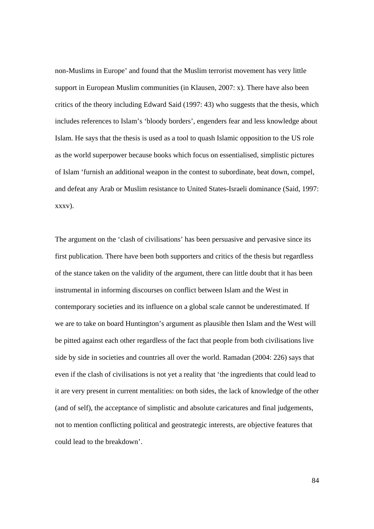non-Muslims in Europe' and found that the Muslim terrorist movement has very little support in European Muslim communities (in Klausen, 2007: x). There have also been critics of the theory including Edward Said (1997: 43) who suggests that the thesis, which includes references to Islam's 'bloody borders', engenders fear and less knowledge about Islam. He says that the thesis is used as a tool to quash Islamic opposition to the US role as the world superpower because books which focus on essentialised, simplistic pictures of Islam 'furnish an additional weapon in the contest to subordinate, beat down, compel, and defeat any Arab or Muslim resistance to United States-Israeli dominance (Said, 1997: xxxv).

The argument on the 'clash of civilisations' has been persuasive and pervasive since its first publication. There have been both supporters and critics of the thesis but regardless of the stance taken on the validity of the argument, there can little doubt that it has been instrumental in informing discourses on conflict between Islam and the West in contemporary societies and its influence on a global scale cannot be underestimated. If we are to take on board Huntington's argument as plausible then Islam and the West will be pitted against each other regardless of the fact that people from both civilisations live side by side in societies and countries all over the world. Ramadan (2004: 226) says that even if the clash of civilisations is not yet a reality that 'the ingredients that could lead to it are very present in current mentalities: on both sides, the lack of knowledge of the other (and of self), the acceptance of simplistic and absolute caricatures and final judgements, not to mention conflicting political and geostrategic interests, are objective features that could lead to the breakdown'.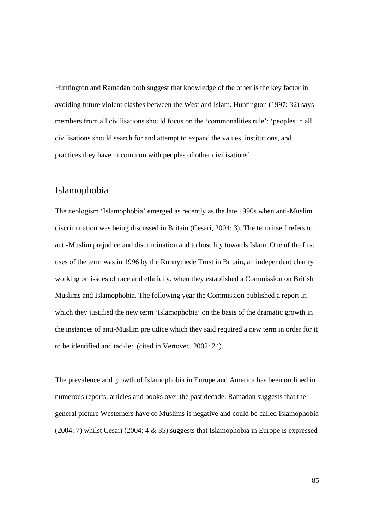Huntington and Ramadan both suggest that knowledge of the other is the key factor in avoiding future violent clashes between the West and Islam. Huntington (1997: 32) says members from all civilisations should focus on the 'commonalities rule': 'peoples in all civilisations should search for and attempt to expand the values, institutions, and practices they have in common with peoples of other civilisations'.

#### Islamophobia

The neologism 'Islamophobia' emerged as recently as the late 1990s when anti-Muslim discrimination was being discussed in Britain (Cesari, 2004: 3). The term itself refers to anti-Muslim prejudice and discrimination and to hostility towards Islam. One of the first uses of the term was in 1996 by the Runnymede Trust in Britain, an independent charity working on issues of race and ethnicity, when they established a Commission on British Muslims and Islamophobia. The following year the Commission published a report in which they justified the new term 'Islamophobia' on the basis of the dramatic growth in the instances of anti-Muslim prejudice which they said required a new term in order for it to be identified and tackled (cited in Vertovec, 2002: 24).

The prevalence and growth of Islamophobia in Europe and America has been outlined in numerous reports, articles and books over the past decade. Ramadan suggests that the general picture Westerners have of Muslims is negative and could be called Islamophobia  $(2004: 7)$  whilst Cesari  $(2004: 4 \& 35)$  suggests that Islamophobia in Europe is expressed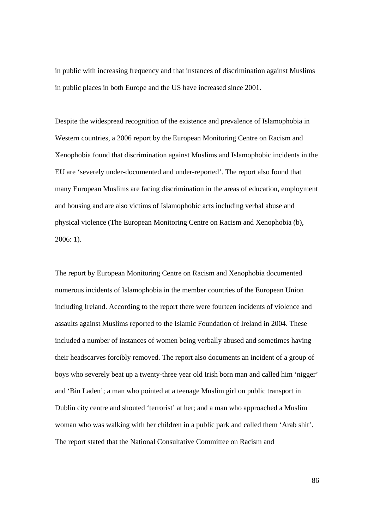in public with increasing frequency and that instances of discrimination against Muslims in public places in both Europe and the US have increased since 2001.

Despite the widespread recognition of the existence and prevalence of Islamophobia in Western countries, a 2006 report by the European Monitoring Centre on Racism and Xenophobia found that discrimination against Muslims and Islamophobic incidents in the EU are 'severely under-documented and under-reported'. The report also found that many European Muslims are facing discrimination in the areas of education, employment and housing and are also victims of Islamophobic acts including verbal abuse and physical violence (The European Monitoring Centre on Racism and Xenophobia (b), 2006: 1).

The report by European Monitoring Centre on Racism and Xenophobia documented numerous incidents of Islamophobia in the member countries of the European Union including Ireland. According to the report there were fourteen incidents of violence and assaults against Muslims reported to the Islamic Foundation of Ireland in 2004. These included a number of instances of women being verbally abused and sometimes having their headscarves forcibly removed. The report also documents an incident of a group of boys who severely beat up a twenty-three year old Irish born man and called him 'nigger' and 'Bin Laden'; a man who pointed at a teenage Muslim girl on public transport in Dublin city centre and shouted 'terrorist' at her; and a man who approached a Muslim woman who was walking with her children in a public park and called them 'Arab shit'. The report stated that the National Consultative Committee on Racism and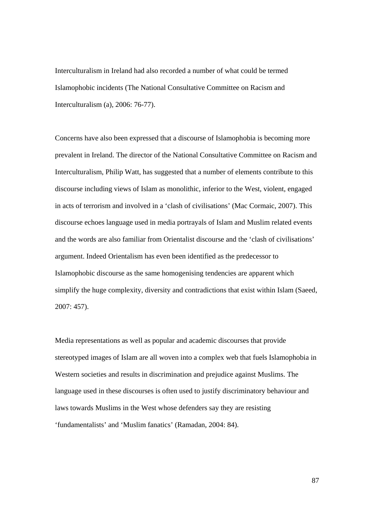Interculturalism in Ireland had also recorded a number of what could be termed Islamophobic incidents (The National Consultative Committee on Racism and Interculturalism (a), 2006: 76-77).

Concerns have also been expressed that a discourse of Islamophobia is becoming more prevalent in Ireland. The director of the National Consultative Committee on Racism and Interculturalism, Philip Watt, has suggested that a number of elements contribute to this discourse including views of Islam as monolithic, inferior to the West, violent, engaged in acts of terrorism and involved in a 'clash of civilisations' (Mac Cormaic, 2007). This discourse echoes language used in media portrayals of Islam and Muslim related events and the words are also familiar from Orientalist discourse and the 'clash of civilisations' argument. Indeed Orientalism has even been identified as the predecessor to Islamophobic discourse as the same homogenising tendencies are apparent which simplify the huge complexity, diversity and contradictions that exist within Islam (Saeed, 2007: 457).

Media representations as well as popular and academic discourses that provide stereotyped images of Islam are all woven into a complex web that fuels Islamophobia in Western societies and results in discrimination and prejudice against Muslims. The language used in these discourses is often used to justify discriminatory behaviour and laws towards Muslims in the West whose defenders say they are resisting 'fundamentalists' and 'Muslim fanatics' (Ramadan, 2004: 84).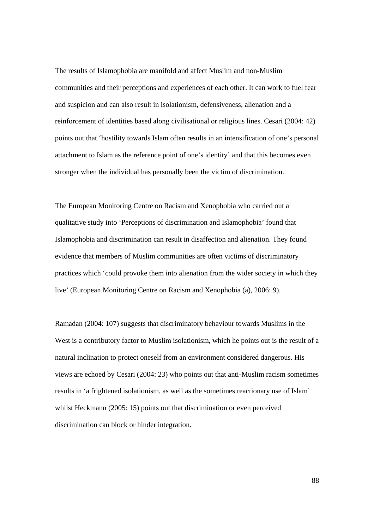The results of Islamophobia are manifold and affect Muslim and non-Muslim communities and their perceptions and experiences of each other. It can work to fuel fear and suspicion and can also result in isolationism, defensiveness, alienation and a reinforcement of identities based along civilisational or religious lines. Cesari (2004: 42) points out that 'hostility towards Islam often results in an intensification of one's personal attachment to Islam as the reference point of one's identity' and that this becomes even stronger when the individual has personally been the victim of discrimination.

The European Monitoring Centre on Racism and Xenophobia who carried out a qualitative study into 'Perceptions of discrimination and Islamophobia' found that Islamophobia and discrimination can result in disaffection and alienation. They found evidence that members of Muslim communities are often victims of discriminatory practices which 'could provoke them into alienation from the wider society in which they live' (European Monitoring Centre on Racism and Xenophobia (a), 2006: 9).

Ramadan (2004: 107) suggests that discriminatory behaviour towards Muslims in the West is a contributory factor to Muslim isolationism, which he points out is the result of a natural inclination to protect oneself from an environment considered dangerous. His views are echoed by Cesari (2004: 23) who points out that anti-Muslim racism sometimes results in 'a frightened isolationism, as well as the sometimes reactionary use of Islam' whilst Heckmann (2005: 15) points out that discrimination or even perceived discrimination can block or hinder integration.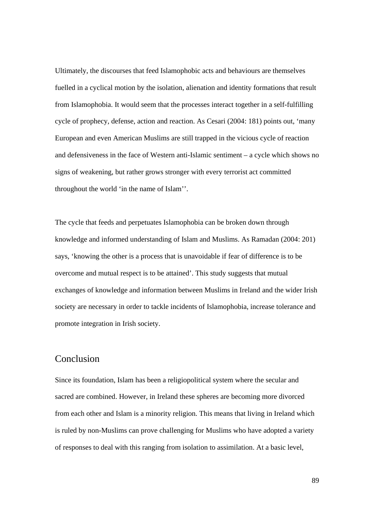Ultimately, the discourses that feed Islamophobic acts and behaviours are themselves fuelled in a cyclical motion by the isolation, alienation and identity formations that result from Islamophobia. It would seem that the processes interact together in a self-fulfilling cycle of prophecy, defense, action and reaction. As Cesari (2004: 181) points out, 'many European and even American Muslims are still trapped in the vicious cycle of reaction and defensiveness in the face of Western anti-Islamic sentiment – a cycle which shows no signs of weakening, but rather grows stronger with every terrorist act committed throughout the world 'in the name of Islam''.

The cycle that feeds and perpetuates Islamophobia can be broken down through knowledge and informed understanding of Islam and Muslims. As Ramadan (2004: 201) says, 'knowing the other is a process that is unavoidable if fear of difference is to be overcome and mutual respect is to be attained'. This study suggests that mutual exchanges of knowledge and information between Muslims in Ireland and the wider Irish society are necessary in order to tackle incidents of Islamophobia, increase tolerance and promote integration in Irish society.

#### Conclusion

Since its foundation, Islam has been a religiopolitical system where the secular and sacred are combined. However, in Ireland these spheres are becoming more divorced from each other and Islam is a minority religion. This means that living in Ireland which is ruled by non-Muslims can prove challenging for Muslims who have adopted a variety of responses to deal with this ranging from isolation to assimilation. At a basic level,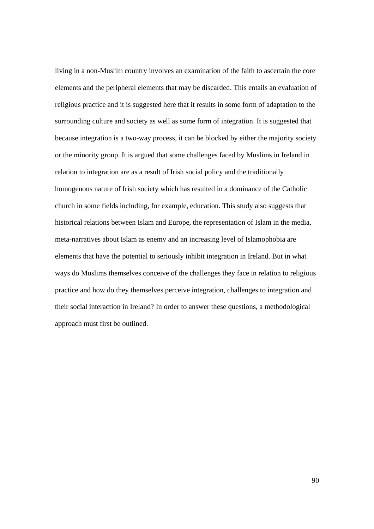living in a non-Muslim country involves an examination of the faith to ascertain the core elements and the peripheral elements that may be discarded. This entails an evaluation of religious practice and it is suggested here that it results in some form of adaptation to the surrounding culture and society as well as some form of integration. It is suggested that because integration is a two-way process, it can be blocked by either the majority society or the minority group. It is argued that some challenges faced by Muslims in Ireland in relation to integration are as a result of Irish social policy and the traditionally homogenous nature of Irish society which has resulted in a dominance of the Catholic church in some fields including, for example, education. This study also suggests that historical relations between Islam and Europe, the representation of Islam in the media, meta-narratives about Islam as enemy and an increasing level of Islamophobia are elements that have the potential to seriously inhibit integration in Ireland. But in what ways do Muslims themselves conceive of the challenges they face in relation to religious practice and how do they themselves perceive integration, challenges to integration and their social interaction in Ireland? In order to answer these questions, a methodological approach must first be outlined.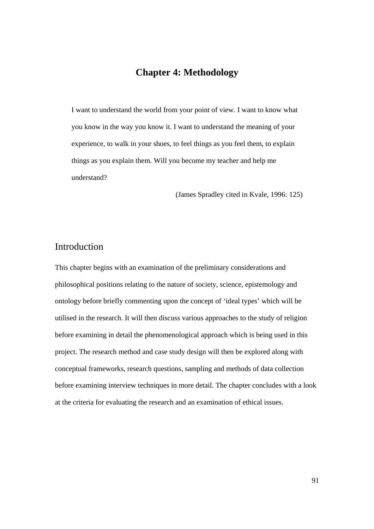### **Chapter 4: Methodology**

I want to understand the world from your point of view. I want to know what you know in the way you know it. I want to understand the meaning of your experience, to walk in your shoes, to feel things as you feel them, to explain things as you explain them. Will you become my teacher and help me understand?

(James Spradley cited in Kvale, 1996: 125)

# Introduction

This chapter begins with an examination of the preliminary considerations and philosophical positions relating to the nature of society, science, epistemology and ontology before briefly commenting upon the concept of 'ideal types' which will be utilised in the research. It will then discuss various approaches to the study of religion before examining in detail the phenomenological approach which is being used in this project. The research method and case study design will then be explored along with conceptual frameworks, research questions, sampling and methods of data collection before examining interview techniques in more detail. The chapter concludes with a look at the criteria for evaluating the research and an examination of ethical issues.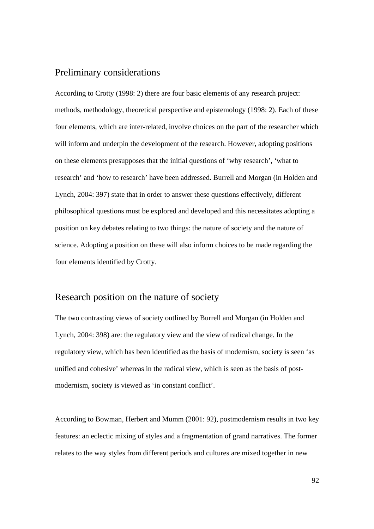### Preliminary considerations

According to Crotty (1998: 2) there are four basic elements of any research project: methods, methodology, theoretical perspective and epistemology (1998: 2). Each of these four elements, which are inter-related, involve choices on the part of the researcher which will inform and underpin the development of the research. However, adopting positions on these elements presupposes that the initial questions of 'why research', 'what to research' and 'how to research' have been addressed. Burrell and Morgan (in Holden and Lynch, 2004: 397) state that in order to answer these questions effectively, different philosophical questions must be explored and developed and this necessitates adopting a position on key debates relating to two things: the nature of society and the nature of science. Adopting a position on these will also inform choices to be made regarding the four elements identified by Crotty.

#### Research position on the nature of society

The two contrasting views of society outlined by Burrell and Morgan (in Holden and Lynch, 2004: 398) are: the regulatory view and the view of radical change. In the regulatory view, which has been identified as the basis of modernism, society is seen 'as unified and cohesive' whereas in the radical view, which is seen as the basis of postmodernism, society is viewed as 'in constant conflict'.

According to Bowman, Herbert and Mumm (2001: 92), postmodernism results in two key features: an eclectic mixing of styles and a fragmentation of grand narratives. The former relates to the way styles from different periods and cultures are mixed together in new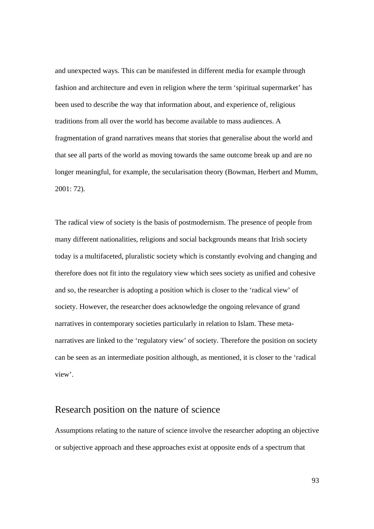and unexpected ways. This can be manifested in different media for example through fashion and architecture and even in religion where the term 'spiritual supermarket' has been used to describe the way that information about, and experience of, religious traditions from all over the world has become available to mass audiences. A fragmentation of grand narratives means that stories that generalise about the world and that see all parts of the world as moving towards the same outcome break up and are no longer meaningful, for example, the secularisation theory (Bowman, Herbert and Mumm, 2001: 72)*.* 

The radical view of society is the basis of postmodernism. The presence of people from many different nationalities, religions and social backgrounds means that Irish society today is a multifaceted, pluralistic society which is constantly evolving and changing and therefore does not fit into the regulatory view which sees society as unified and cohesive and so, the researcher is adopting a position which is closer to the 'radical view' of society. However, the researcher does acknowledge the ongoing relevance of grand narratives in contemporary societies particularly in relation to Islam. These metanarratives are linked to the 'regulatory view' of society. Therefore the position on society can be seen as an intermediate position although, as mentioned, it is closer to the 'radical view'.

### Research position on the nature of science

Assumptions relating to the nature of science involve the researcher adopting an objective or subjective approach and these approaches exist at opposite ends of a spectrum that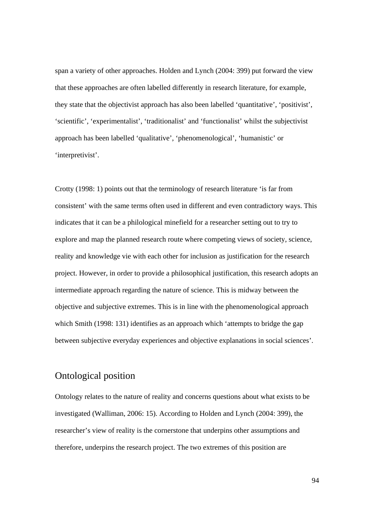span a variety of other approaches. Holden and Lynch (2004: 399) put forward the view that these approaches are often labelled differently in research literature, for example, they state that the objectivist approach has also been labelled 'quantitative', 'positivist', 'scientific', 'experimentalist', 'traditionalist' and 'functionalist' whilst the subjectivist approach has been labelled 'qualitative', 'phenomenological', 'humanistic' or 'interpretivist'.

Crotty (1998: 1) points out that the terminology of research literature 'is far from consistent' with the same terms often used in different and even contradictory ways. This indicates that it can be a philological minefield for a researcher setting out to try to explore and map the planned research route where competing views of society, science, reality and knowledge vie with each other for inclusion as justification for the research project. However, in order to provide a philosophical justification, this research adopts an intermediate approach regarding the nature of science. This is midway between the objective and subjective extremes. This is in line with the phenomenological approach which Smith (1998: 131) identifies as an approach which 'attempts to bridge the gap between subjective everyday experiences and objective explanations in social sciences'.

# Ontological position

Ontology relates to the nature of reality and concerns questions about what exists to be investigated (Walliman, 2006: 15). According to Holden and Lynch (2004: 399), the researcher's view of reality is the cornerstone that underpins other assumptions and therefore, underpins the research project. The two extremes of this position are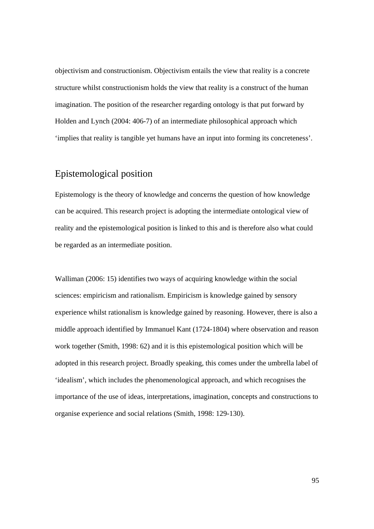objectivism and constructionism. Objectivism entails the view that reality is a concrete structure whilst constructionism holds the view that reality is a construct of the human imagination. The position of the researcher regarding ontology is that put forward by Holden and Lynch (2004: 406-7) of an intermediate philosophical approach which 'implies that reality is tangible yet humans have an input into forming its concreteness'.

# Epistemological position

Epistemology is the theory of knowledge and concerns the question of how knowledge can be acquired. This research project is adopting the intermediate ontological view of reality and the epistemological position is linked to this and is therefore also what could be regarded as an intermediate position.

Walliman (2006: 15) identifies two ways of acquiring knowledge within the social sciences: empiricism and rationalism. Empiricism is knowledge gained by sensory experience whilst rationalism is knowledge gained by reasoning. However, there is also a middle approach identified by Immanuel Kant (1724-1804) where observation and reason work together (Smith, 1998: 62) and it is this epistemological position which will be adopted in this research project. Broadly speaking, this comes under the umbrella label of 'idealism', which includes the phenomenological approach, and which recognises the importance of the use of ideas, interpretations, imagination, concepts and constructions to organise experience and social relations (Smith, 1998: 129-130).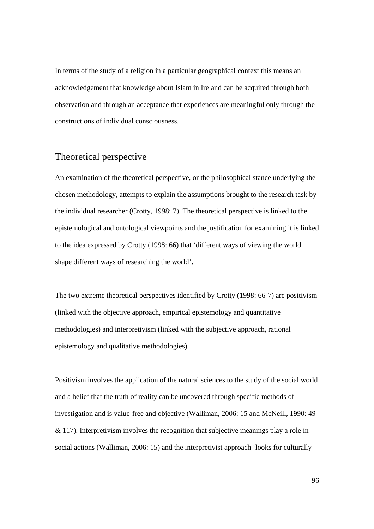In terms of the study of a religion in a particular geographical context this means an acknowledgement that knowledge about Islam in Ireland can be acquired through both observation and through an acceptance that experiences are meaningful only through the constructions of individual consciousness.

## Theoretical perspective

An examination of the theoretical perspective, or the philosophical stance underlying the chosen methodology, attempts to explain the assumptions brought to the research task by the individual researcher (Crotty, 1998: 7). The theoretical perspective is linked to the epistemological and ontological viewpoints and the justification for examining it is linked to the idea expressed by Crotty (1998: 66) that 'different ways of viewing the world shape different ways of researching the world'.

The two extreme theoretical perspectives identified by Crotty (1998: 66-7) are positivism (linked with the objective approach, empirical epistemology and quantitative methodologies) and interpretivism (linked with the subjective approach, rational epistemology and qualitative methodologies).

Positivism involves the application of the natural sciences to the study of the social world and a belief that the truth of reality can be uncovered through specific methods of investigation and is value-free and objective (Walliman, 2006: 15 and McNeill, 1990: 49 & 117). Interpretivism involves the recognition that subjective meanings play a role in social actions (Walliman, 2006: 15) and the interpretivist approach 'looks for culturally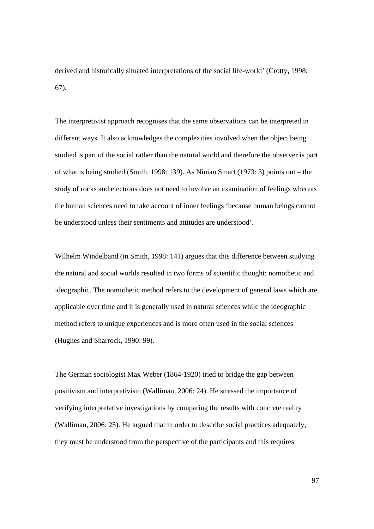derived and historically situated interpretations of the social life-world' (Crotty, 1998: 67).

The interpretivist approach recognises that the same observations can be interpreted in different ways. It also acknowledges the complexities involved when the object being studied is part of the social rather than the natural world and therefore the observer is part of what is being studied (Smith, 1998: 139). As Ninian Smart (1973: 3) points out – the study of rocks and electrons does not need to involve an examination of feelings whereas the human sciences need to take account of inner feelings 'because human beings cannot be understood unless their sentiments and attitudes are understood'.

Wilhelm Windelband (in Smith, 1998: 141) argues that this difference between studying the natural and social worlds resulted in two forms of scientific thought: nomothetic and ideographic. The nomothetic method refers to the development of general laws which are applicable over time and it is generally used in natural sciences while the ideographic method refers to unique experiences and is more often used in the social sciences (Hughes and Sharrock, 1990: 99).

The German sociologist Max Weber (1864-1920) tried to bridge the gap between positivism and interpretivism (Walliman, 2006: 24). He stressed the importance of verifying interpretative investigations by comparing the results with concrete reality (Walliman, 2006: 25). He argued that in order to describe social practices adequately, they must be understood from the perspective of the participants and this requires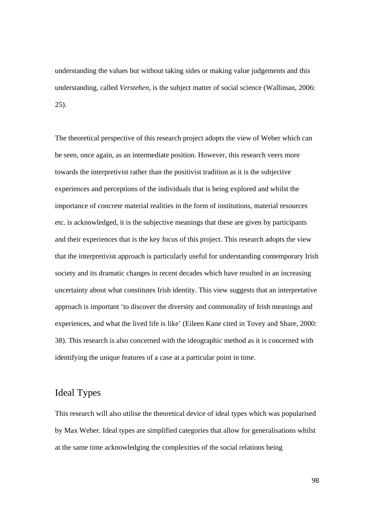understanding the values but without taking sides or making value judgements and this understanding, called *Verstehen,* is the subject matter of social science (Walliman, 2006: 25).

The theoretical perspective of this research project adopts the view of Weber which can be seen, once again, as an intermediate position. However, this research veers more towards the interpretivist rather than the positivist tradition as it is the subjective experiences and perceptions of the individuals that is being explored and whilst the importance of concrete material realities in the form of institutions, material resources etc. is acknowledged, it is the subjective meanings that these are given by participants and their experiences that is the key focus of this project. This research adopts the view that the interpretivist approach is particularly useful for understanding contemporary Irish society and its dramatic changes in recent decades which have resulted in an increasing uncertainty about what constitutes Irish identity. This view suggests that an interpretative approach is important 'to discover the diversity and commonality of Irish meanings and experiences, and what the lived life is like' (Eileen Kane cited in Tovey and Share, 2000: 38). This research is also concerned with the ideographic method as it is concerned with identifying the unique features of a case at a particular point in time.

### Ideal Types

This research will also utilise the theoretical device of ideal types which was popularised by Max Weber. Ideal types are simplified categories that allow for generalisations whilst at the same time acknowledging the complexities of the social relations being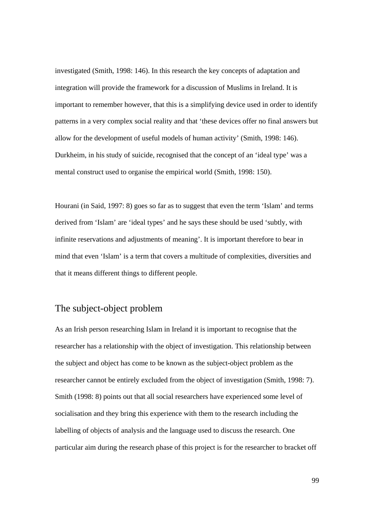investigated (Smith, 1998: 146). In this research the key concepts of adaptation and integration will provide the framework for a discussion of Muslims in Ireland. It is important to remember however, that this is a simplifying device used in order to identify patterns in a very complex social reality and that 'these devices offer no final answers but allow for the development of useful models of human activity' (Smith, 1998: 146). Durkheim, in his study of suicide, recognised that the concept of an 'ideal type' was a mental construct used to organise the empirical world (Smith, 1998: 150).

Hourani (in Said, 1997: 8) goes so far as to suggest that even the term 'Islam' and terms derived from 'Islam' are 'ideal types' and he says these should be used 'subtly, with infinite reservations and adjustments of meaning'. It is important therefore to bear in mind that even 'Islam' is a term that covers a multitude of complexities, diversities and that it means different things to different people.

# The subject-object problem

As an Irish person researching Islam in Ireland it is important to recognise that the researcher has a relationship with the object of investigation. This relationship between the subject and object has come to be known as the subject-object problem as the researcher cannot be entirely excluded from the object of investigation (Smith, 1998: 7). Smith (1998: 8) points out that all social researchers have experienced some level of socialisation and they bring this experience with them to the research including the labelling of objects of analysis and the language used to discuss the research. One particular aim during the research phase of this project is for the researcher to bracket off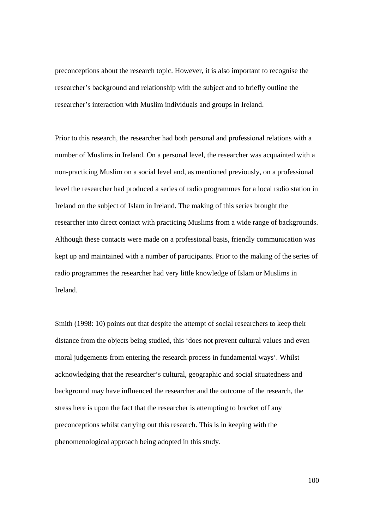preconceptions about the research topic. However, it is also important to recognise the researcher's background and relationship with the subject and to briefly outline the researcher's interaction with Muslim individuals and groups in Ireland.

Prior to this research, the researcher had both personal and professional relations with a number of Muslims in Ireland. On a personal level, the researcher was acquainted with a non-practicing Muslim on a social level and, as mentioned previously, on a professional level the researcher had produced a series of radio programmes for a local radio station in Ireland on the subject of Islam in Ireland. The making of this series brought the researcher into direct contact with practicing Muslims from a wide range of backgrounds. Although these contacts were made on a professional basis, friendly communication was kept up and maintained with a number of participants. Prior to the making of the series of radio programmes the researcher had very little knowledge of Islam or Muslims in Ireland.

Smith (1998: 10) points out that despite the attempt of social researchers to keep their distance from the objects being studied, this 'does not prevent cultural values and even moral judgements from entering the research process in fundamental ways'. Whilst acknowledging that the researcher's cultural, geographic and social situatedness and background may have influenced the researcher and the outcome of the research, the stress here is upon the fact that the researcher is attempting to bracket off any preconceptions whilst carrying out this research. This is in keeping with the phenomenological approach being adopted in this study.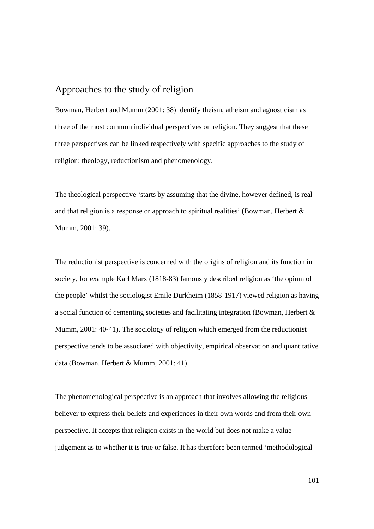#### Approaches to the study of religion

Bowman, Herbert and Mumm (2001: 38) identify theism, atheism and agnosticism as three of the most common individual perspectives on religion. They suggest that these three perspectives can be linked respectively with specific approaches to the study of religion: theology, reductionism and phenomenology.

The theological perspective 'starts by assuming that the divine, however defined, is real and that religion is a response or approach to spiritual realities' (Bowman, Herbert & Mumm, 2001: 39).

The reductionist perspective is concerned with the origins of religion and its function in society, for example Karl Marx (1818-83) famously described religion as 'the opium of the people' whilst the sociologist Emile Durkheim (1858-1917) viewed religion as having a social function of cementing societies and facilitating integration (Bowman, Herbert & Mumm, 2001: 40-41). The sociology of religion which emerged from the reductionist perspective tends to be associated with objectivity, empirical observation and quantitative data (Bowman, Herbert & Mumm, 2001: 41).

The phenomenological perspective is an approach that involves allowing the religious believer to express their beliefs and experiences in their own words and from their own perspective. It accepts that religion exists in the world but does not make a value judgement as to whether it is true or false. It has therefore been termed 'methodological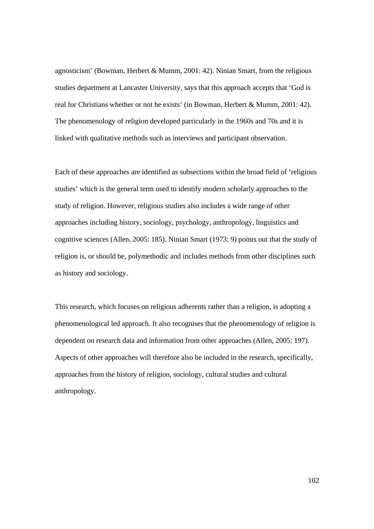agnosticism' (Bowman, Herbert & Mumm, 2001: 42). Ninian Smart, from the religious studies department at Lancaster University, says that this approach accepts that 'God is real for Christians whether or not he exists' (in Bowman, Herbert & Mumm, 2001: 42). The phenomenology of religion developed particularly in the 1960s and 70s and it is linked with qualitative methods such as interviews and participant observation.

Each of these approaches are identified as subsections within the broad field of 'religious studies' which is the general term used to identify modern scholarly approaches to the study of religion. However, religious studies also includes a wide range of other approaches including history, sociology, psychology, anthropology, linguistics and cognitive sciences (Allen, 2005: 185). Ninian Smart (1973: 9) points out that the study of religion is, or should be, polymethodic and includes methods from other disciplines such as history and sociology.

This research, which focuses on religious adherents rather than a religion, is adopting a phenomenological led approach. It also recognises that the phenomenology of religion is dependent on research data and information from other approaches (Allen, 2005: 197). Aspects of other approaches will therefore also be included in the research, specifically, approaches from the history of religion, sociology, cultural studies and cultural anthropology.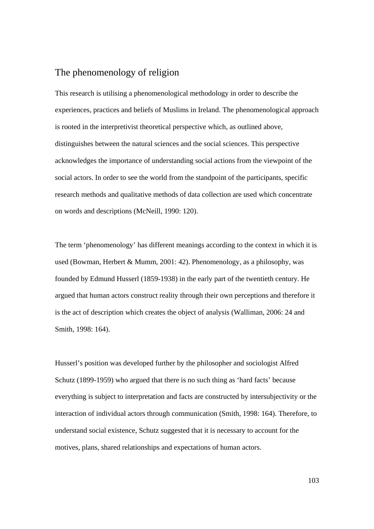### The phenomenology of religion

This research is utilising a phenomenological methodology in order to describe the experiences, practices and beliefs of Muslims in Ireland. The phenomenological approach is rooted in the interpretivist theoretical perspective which, as outlined above, distinguishes between the natural sciences and the social sciences. This perspective acknowledges the importance of understanding social actions from the viewpoint of the social actors. In order to see the world from the standpoint of the participants, specific research methods and qualitative methods of data collection are used which concentrate on words and descriptions (McNeill, 1990: 120).

The term 'phenomenology' has different meanings according to the context in which it is used (Bowman, Herbert & Mumm, 2001: 42). Phenomenology, as a philosophy, was founded by Edmund Husserl (1859-1938) in the early part of the twentieth century. He argued that human actors construct reality through their own perceptions and therefore it is the act of description which creates the object of analysis (Walliman, 2006: 24 and Smith, 1998: 164).

Husserl's position was developed further by the philosopher and sociologist Alfred Schutz (1899-1959) who argued that there is no such thing as 'hard facts' because everything is subject to interpretation and facts are constructed by intersubjectivity or the interaction of individual actors through communication (Smith, 1998: 164). Therefore, to understand social existence, Schutz suggested that it is necessary to account for the motives, plans, shared relationships and expectations of human actors.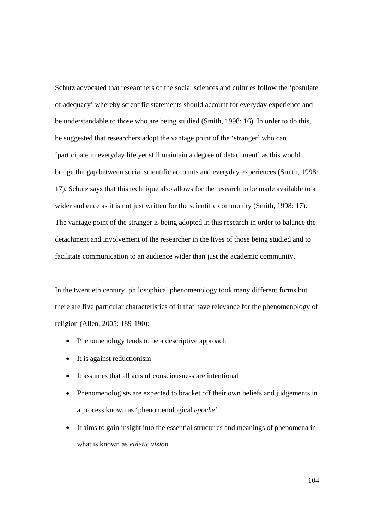Schutz advocated that researchers of the social sciences and cultures follow the 'postulate of adequacy' whereby scientific statements should account for everyday experience and be understandable to those who are being studied (Smith, 1998: 16). In order to do this, he suggested that researchers adopt the vantage point of the 'stranger' who can 'participate in everyday life yet still maintain a degree of detachment' as this would bridge the gap between social scientific accounts and everyday experiences (Smith, 1998: 17). Schutz says that this technique also allows for the research to be made available to a wider audience as it is not just written for the scientific community (Smith, 1998: 17). The vantage point of the stranger is being adopted in this research in order to balance the detachment and involvement of the researcher in the lives of those being studied and to facilitate communication to an audience wider than just the academic community.

In the twentieth century, philosophical phenomenology took many different forms but there are five particular characteristics of it that have relevance for the phenomenology of religion (Allen, 2005: 189-190):

- Phenomenology tends to be a descriptive approach
- It is against reductionism
- It assumes that all acts of consciousness are intentional
- Phenomenologists are expected to bracket off their own beliefs and judgements in a process known as 'phenomenological *epoche'*
- It aims to gain insight into the essential structures and meanings of phenomena in what is known as *eidetic vision*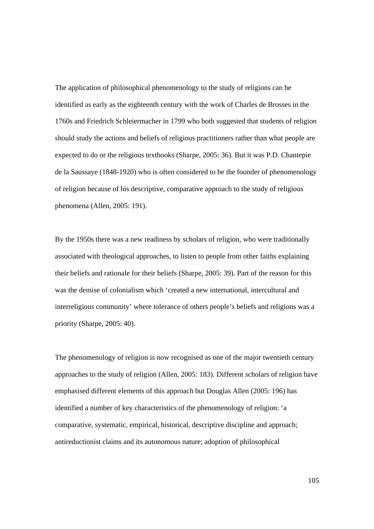The application of philosophical phenomenology to the study of religions can be identified as early as the eighteenth century with the work of Charles de Brosses in the 1760s and Friedrich Schleiermacher in 1799 who both suggested that students of religion should study the actions and beliefs of religious practitioners rather than what people are expected to do or the religious textbooks (Sharpe, 2005: 36). But it was P.D. Chantepie de la Saussaye (1848-1920) who is often considered to be the founder of phenomenology of religion because of his descriptive, comparative approach to the study of religious phenomena (Allen, 2005: 191).

By the 1950s there was a new readiness by scholars of religion, who were traditionally associated with theological approaches, to listen to people from other faiths explaining their beliefs and rationale for their beliefs (Sharpe, 2005: 39). Part of the reason for this was the demise of colonialism which 'created a new international, intercultural and interreligious community' where tolerance of others people's beliefs and religions was a priority (Sharpe, 2005: 40).

The phenomenology of religion is now recognised as one of the major twentieth century approaches to the study of religion (Allen, 2005: 183). Different scholars of religion have emphasised different elements of this approach but Douglas Allen (2005: 196) has identified a number of key characteristics of the phenomenology of religion: 'a comparative, systematic, empirical, historical, descriptive discipline and approach; antireductionist claims and its autonomous nature; adoption of philosophical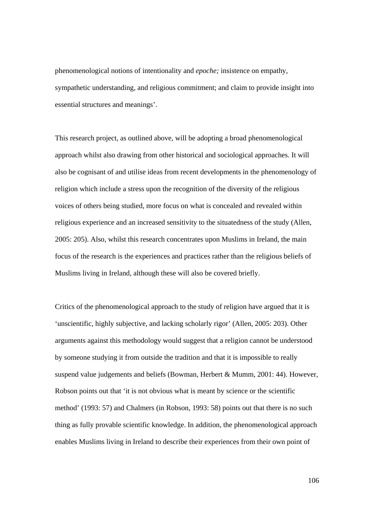phenomenological notions of intentionality and *epoche;* insistence on empathy, sympathetic understanding, and religious commitment; and claim to provide insight into essential structures and meanings'.

This research project, as outlined above, will be adopting a broad phenomenological approach whilst also drawing from other historical and sociological approaches. It will also be cognisant of and utilise ideas from recent developments in the phenomenology of religion which include a stress upon the recognition of the diversity of the religious voices of others being studied, more focus on what is concealed and revealed within religious experience and an increased sensitivity to the situatedness of the study (Allen, 2005: 205). Also, whilst this research concentrates upon Muslims in Ireland, the main focus of the research is the experiences and practices rather than the religious beliefs of Muslims living in Ireland, although these will also be covered briefly.

Critics of the phenomenological approach to the study of religion have argued that it is 'unscientific, highly subjective, and lacking scholarly rigor' (Allen, 2005: 203). Other arguments against this methodology would suggest that a religion cannot be understood by someone studying it from outside the tradition and that it is impossible to really suspend value judgements and beliefs (Bowman, Herbert & Mumm, 2001: 44). However, Robson points out that 'it is not obvious what is meant by science or the scientific method' (1993: 57) and Chalmers (in Robson, 1993: 58) points out that there is no such thing as fully provable scientific knowledge. In addition, the phenomenological approach enables Muslims living in Ireland to describe their experiences from their own point of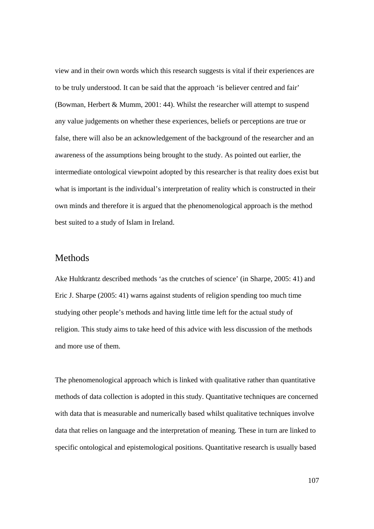view and in their own words which this research suggests is vital if their experiences are to be truly understood. It can be said that the approach 'is believer centred and fair' (Bowman, Herbert & Mumm, 2001: 44). Whilst the researcher will attempt to suspend any value judgements on whether these experiences, beliefs or perceptions are true or false, there will also be an acknowledgement of the background of the researcher and an awareness of the assumptions being brought to the study. As pointed out earlier, the intermediate ontological viewpoint adopted by this researcher is that reality does exist but what is important is the individual's interpretation of reality which is constructed in their own minds and therefore it is argued that the phenomenological approach is the method best suited to a study of Islam in Ireland.

### Methods

Ake Hultkrantz described methods 'as the crutches of science' (in Sharpe, 2005: 41) and Eric J. Sharpe (2005: 41) warns against students of religion spending too much time studying other people's methods and having little time left for the actual study of religion. This study aims to take heed of this advice with less discussion of the methods and more use of them.

The phenomenological approach which is linked with qualitative rather than quantitative methods of data collection is adopted in this study. Quantitative techniques are concerned with data that is measurable and numerically based whilst qualitative techniques involve data that relies on language and the interpretation of meaning*.* These in turn are linked to specific ontological and epistemological positions. Quantitative research is usually based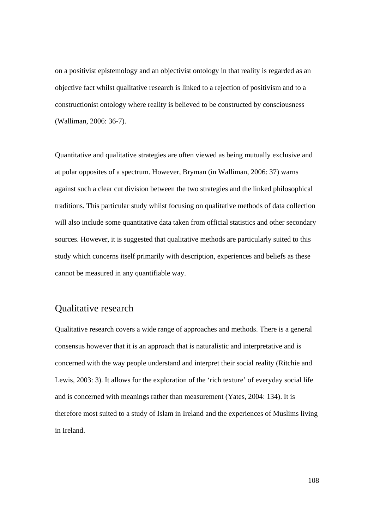on a positivist epistemology and an objectivist ontology in that reality is regarded as an objective fact whilst qualitative research is linked to a rejection of positivism and to a constructionist ontology where reality is believed to be constructed by consciousness (Walliman, 2006: 36-7).

Quantitative and qualitative strategies are often viewed as being mutually exclusive and at polar opposites of a spectrum. However, Bryman (in Walliman, 2006: 37) warns against such a clear cut division between the two strategies and the linked philosophical traditions. This particular study whilst focusing on qualitative methods of data collection will also include some quantitative data taken from official statistics and other secondary sources. However, it is suggested that qualitative methods are particularly suited to this study which concerns itself primarily with description, experiences and beliefs as these cannot be measured in any quantifiable way.

# Qualitative research

Qualitative research covers a wide range of approaches and methods. There is a general consensus however that it is an approach that is naturalistic and interpretative and is concerned with the way people understand and interpret their social reality (Ritchie and Lewis, 2003: 3). It allows for the exploration of the 'rich texture' of everyday social life and is concerned with meanings rather than measurement (Yates, 2004: 134). It is therefore most suited to a study of Islam in Ireland and the experiences of Muslims living in Ireland.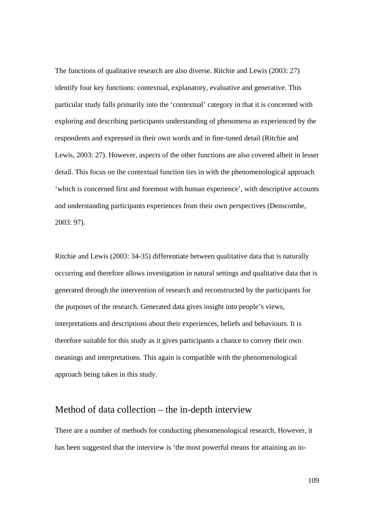The functions of qualitative research are also diverse. Ritchie and Lewis (2003: 27) identify four key functions: contextual, explanatory, evaluative and generative. This particular study falls primarily into the 'contextual' category in that it is concerned with exploring and describing participants understanding of phenomena as experienced by the respondents and expressed in their own words and in fine-tuned detail (Ritchie and Lewis, 2003: 27). However, aspects of the other functions are also covered albeit in lesser detail. This focus on the contextual function ties in with the phenomenological approach 'which is concerned first and foremost with human experience', with descriptive accounts and understanding participants experiences from their own perspectives (Denscombe, 2003: 97).

Ritchie and Lewis (2003: 34-35) differentiate between qualitative data that is naturally occurring and therefore allows investigation in natural settings and qualitative data that is generated through the intervention of research and reconstructed by the participants for the purposes of the research. Generated data gives insight into people's views, interpretations and descriptions about their experiences, beliefs and behaviours. It is therefore suitable for this study as it gives participants a chance to convey their own meanings and interpretations. This again is compatible with the phenomenological approach being taken in this study.

## Method of data collection – the in-depth interview

There are a number of methods for conducting phenomenological research, However, it has been suggested that the interview is 'the most powerful means for attaining an in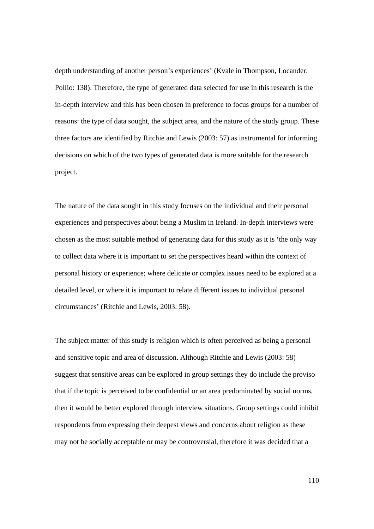depth understanding of another person's experiences' (Kvale in Thompson, Locander, Pollio: 138). Therefore, the type of generated data selected for use in this research is the in-depth interview and this has been chosen in preference to focus groups for a number of reasons: the type of data sought, the subject area, and the nature of the study group. These three factors are identified by Ritchie and Lewis (2003: 57) as instrumental for informing decisions on which of the two types of generated data is more suitable for the research project.

The nature of the data sought in this study focuses on the individual and their personal experiences and perspectives about being a Muslim in Ireland. In-depth interviews were chosen as the most suitable method of generating data for this study as it is 'the only way to collect data where it is important to set the perspectives heard within the context of personal history or experience; where delicate or complex issues need to be explored at a detailed level, or where it is important to relate different issues to individual personal circumstances' (Ritchie and Lewis, 2003: 58).

The subject matter of this study is religion which is often perceived as being a personal and sensitive topic and area of discussion. Although Ritchie and Lewis (2003: 58) suggest that sensitive areas can be explored in group settings they do include the proviso that if the topic is perceived to be confidential or an area predominated by social norms, then it would be better explored through interview situations. Group settings could inhibit respondents from expressing their deepest views and concerns about religion as these may not be socially acceptable or may be controversial, therefore it was decided that a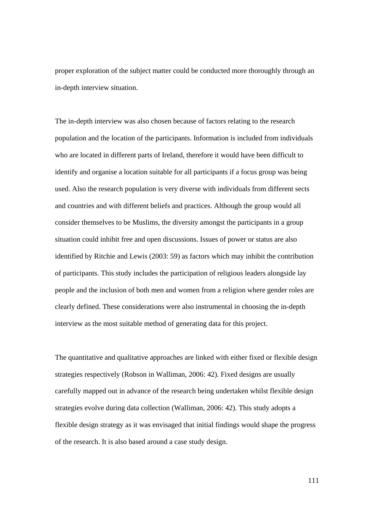proper exploration of the subject matter could be conducted more thoroughly through an in-depth interview situation.

The in-depth interview was also chosen because of factors relating to the research population and the location of the participants. Information is included from individuals who are located in different parts of Ireland, therefore it would have been difficult to identify and organise a location suitable for all participants if a focus group was being used. Also the research population is very diverse with individuals from different sects and countries and with different beliefs and practices. Although the group would all consider themselves to be Muslims, the diversity amongst the participants in a group situation could inhibit free and open discussions. Issues of power or status are also identified by Ritchie and Lewis (2003: 59) as factors which may inhibit the contribution of participants. This study includes the participation of religious leaders alongside lay people and the inclusion of both men and women from a religion where gender roles are clearly defined. These considerations were also instrumental in choosing the in-depth interview as the most suitable method of generating data for this project.

The quantitative and qualitative approaches are linked with either fixed or flexible design strategies respectively (Robson in Walliman, 2006: 42). Fixed designs are usually carefully mapped out in advance of the research being undertaken whilst flexible design strategies evolve during data collection (Walliman, 2006: 42). This study adopts a flexible design strategy as it was envisaged that initial findings would shape the progress of the research. It is also based around a case study design.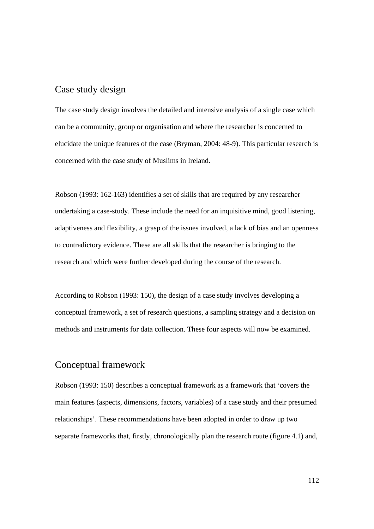## Case study design

The case study design involves the detailed and intensive analysis of a single case which can be a community, group or organisation and where the researcher is concerned to elucidate the unique features of the case (Bryman, 2004: 48-9). This particular research is concerned with the case study of Muslims in Ireland.

Robson (1993: 162-163) identifies a set of skills that are required by any researcher undertaking a case-study. These include the need for an inquisitive mind, good listening, adaptiveness and flexibility, a grasp of the issues involved, a lack of bias and an openness to contradictory evidence. These are all skills that the researcher is bringing to the research and which were further developed during the course of the research.

According to Robson (1993: 150), the design of a case study involves developing a conceptual framework, a set of research questions, a sampling strategy and a decision on methods and instruments for data collection. These four aspects will now be examined.

#### Conceptual framework

Robson (1993: 150) describes a conceptual framework as a framework that 'covers the main features (aspects, dimensions, factors, variables) of a case study and their presumed relationships'. These recommendations have been adopted in order to draw up two separate frameworks that, firstly, chronologically plan the research route (figure 4.1) and,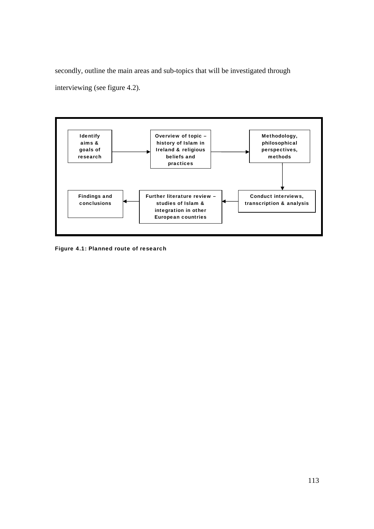secondly, outline the main areas and sub-topics that will be investigated through interviewing (see figure 4.2).



Figure 4.1: Planned route of research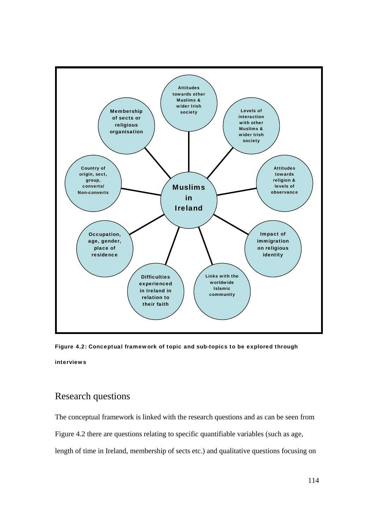

Figure 4.2: Conceptual framework of topic and sub-topics to be explored through interviews

## Research questions

The conceptual framework is linked with the research questions and as can be seen from Figure 4.2 there are questions relating to specific quantifiable variables (such as age, length of time in Ireland, membership of sects etc.) and qualitative questions focusing on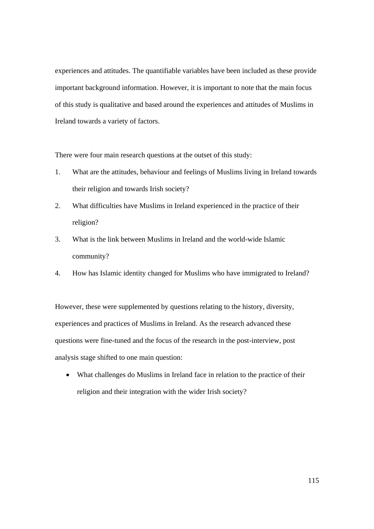experiences and attitudes. The quantifiable variables have been included as these provide important background information. However, it is important to note that the main focus of this study is qualitative and based around the experiences and attitudes of Muslims in Ireland towards a variety of factors.

There were four main research questions at the outset of this study:

- 1. What are the attitudes, behaviour and feelings of Muslims living in Ireland towards their religion and towards Irish society?
- 2. What difficulties have Muslims in Ireland experienced in the practice of their religion?
- 3. What is the link between Muslims in Ireland and the world-wide Islamic community?
- 4. How has Islamic identity changed for Muslims who have immigrated to Ireland?

However, these were supplemented by questions relating to the history, diversity, experiences and practices of Muslims in Ireland. As the research advanced these questions were fine-tuned and the focus of the research in the post-interview, post analysis stage shifted to one main question:

• What challenges do Muslims in Ireland face in relation to the practice of their religion and their integration with the wider Irish society?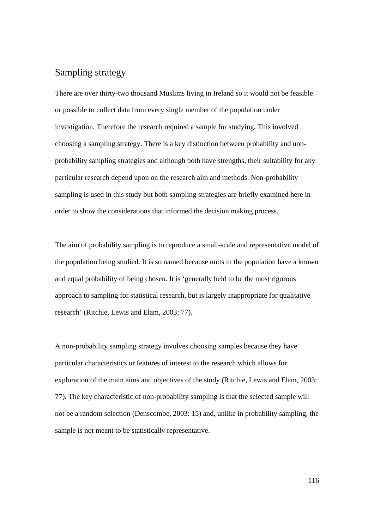## Sampling strategy

There are over thirty-two thousand Muslims living in Ireland so it would not be feasible or possible to collect data from every single member of the population under investigation. Therefore the research required a sample for studying. This involved choosing a sampling strategy. There is a key distinction between probability and nonprobability sampling strategies and although both have strengths, their suitability for any particular research depend upon on the research aim and methods. Non-probability sampling is used in this study but both sampling strategies are briefly examined here in order to show the considerations that informed the decision making process.

The aim of probability sampling is to reproduce a small-scale and representative model of the population being studied. It is so named because units in the population have a known and equal probability of being chosen. It is 'generally held to be the most rigorous approach to sampling for statistical research, but is largely inappropriate for qualitative research' (Ritchie, Lewis and Elam, 2003: 77).

A non-probability sampling strategy involves choosing samples because they have particular characteristics or features of interest to the research which allows for exploration of the main aims and objectives of the study (Ritchie, Lewis and Elam, 2003: 77). The key characteristic of non-probability sampling is that the selected sample will not be a random selection (Denscombe, 2003: 15) and, unlike in probability sampling, the sample is not meant to be statistically representative.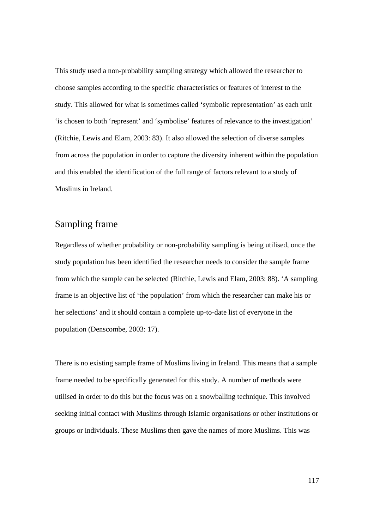This study used a non-probability sampling strategy which allowed the researcher to choose samples according to the specific characteristics or features of interest to the study. This allowed for what is sometimes called 'symbolic representation' as each unit 'is chosen to both 'represent' and 'symbolise' features of relevance to the investigation' (Ritchie, Lewis and Elam, 2003: 83). It also allowed the selection of diverse samples from across the population in order to capture the diversity inherent within the population and this enabled the identification of the full range of factors relevant to a study of Muslims in Ireland.

## Sampling frame

Regardless of whether probability or non-probability sampling is being utilised, once the study population has been identified the researcher needs to consider the sample frame from which the sample can be selected (Ritchie, Lewis and Elam, 2003: 88). 'A sampling frame is an objective list of 'the population' from which the researcher can make his or her selections' and it should contain a complete up-to-date list of everyone in the population (Denscombe, 2003: 17).

There is no existing sample frame of Muslims living in Ireland. This means that a sample frame needed to be specifically generated for this study. A number of methods were utilised in order to do this but the focus was on a snowballing technique. This involved seeking initial contact with Muslims through Islamic organisations or other institutions or groups or individuals. These Muslims then gave the names of more Muslims. This was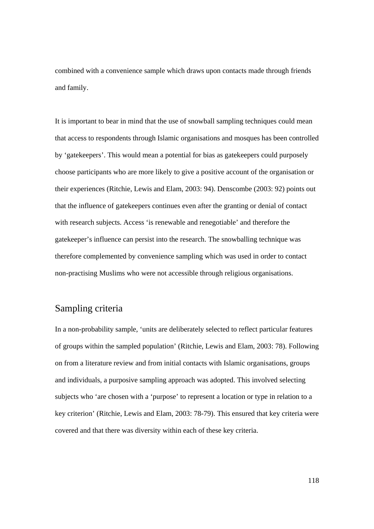combined with a convenience sample which draws upon contacts made through friends and family.

It is important to bear in mind that the use of snowball sampling techniques could mean that access to respondents through Islamic organisations and mosques has been controlled by 'gatekeepers'. This would mean a potential for bias as gatekeepers could purposely choose participants who are more likely to give a positive account of the organisation or their experiences (Ritchie, Lewis and Elam, 2003: 94). Denscombe (2003: 92) points out that the influence of gatekeepers continues even after the granting or denial of contact with research subjects. Access 'is renewable and renegotiable' and therefore the gatekeeper's influence can persist into the research. The snowballing technique was therefore complemented by convenience sampling which was used in order to contact non-practising Muslims who were not accessible through religious organisations.

## Sampling criteria

In a non-probability sample, 'units are deliberately selected to reflect particular features of groups within the sampled population' (Ritchie, Lewis and Elam, 2003: 78). Following on from a literature review and from initial contacts with Islamic organisations, groups and individuals, a purposive sampling approach was adopted. This involved selecting subjects who 'are chosen with a 'purpose' to represent a location or type in relation to a key criterion' (Ritchie, Lewis and Elam, 2003: 78-79). This ensured that key criteria were covered and that there was diversity within each of these key criteria.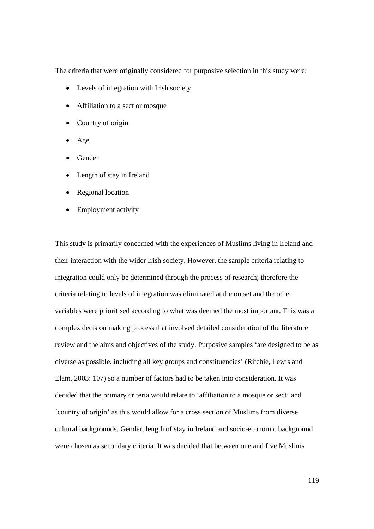The criteria that were originally considered for purposive selection in this study were:

- Levels of integration with Irish society
- Affiliation to a sect or mosque
- Country of origin
- Age
- Gender
- Length of stay in Ireland
- Regional location
- Employment activity

This study is primarily concerned with the experiences of Muslims living in Ireland and their interaction with the wider Irish society. However, the sample criteria relating to integration could only be determined through the process of research; therefore the criteria relating to levels of integration was eliminated at the outset and the other variables were prioritised according to what was deemed the most important. This was a complex decision making process that involved detailed consideration of the literature review and the aims and objectives of the study. Purposive samples 'are designed to be as diverse as possible, including all key groups and constituencies' (Ritchie, Lewis and Elam, 2003: 107) so a number of factors had to be taken into consideration. It was decided that the primary criteria would relate to 'affiliation to a mosque or sect' and 'country of origin' as this would allow for a cross section of Muslims from diverse cultural backgrounds. Gender, length of stay in Ireland and socio-economic background were chosen as secondary criteria. It was decided that between one and five Muslims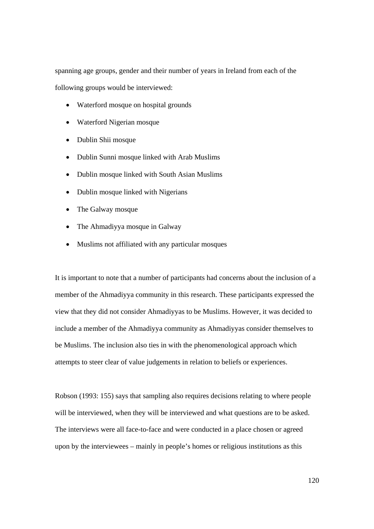spanning age groups, gender and their number of years in Ireland from each of the following groups would be interviewed:

- Waterford mosque on hospital grounds
- Waterford Nigerian mosque
- Dublin Shii mosque
- Dublin Sunni mosque linked with Arab Muslims
- Dublin mosque linked with South Asian Muslims
- Dublin mosque linked with Nigerians
- The Galway mosque
- The Ahmadiyya mosque in Galway
- Muslims not affiliated with any particular mosques

It is important to note that a number of participants had concerns about the inclusion of a member of the Ahmadiyya community in this research. These participants expressed the view that they did not consider Ahmadiyyas to be Muslims. However, it was decided to include a member of the Ahmadiyya community as Ahmadiyyas consider themselves to be Muslims. The inclusion also ties in with the phenomenological approach which attempts to steer clear of value judgements in relation to beliefs or experiences.

Robson (1993: 155) says that sampling also requires decisions relating to where people will be interviewed, when they will be interviewed and what questions are to be asked. The interviews were all face-to-face and were conducted in a place chosen or agreed upon by the interviewees – mainly in people's homes or religious institutions as this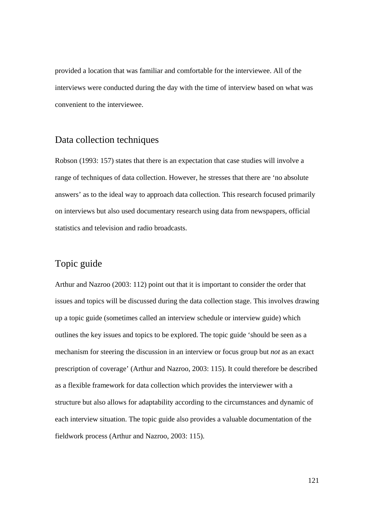provided a location that was familiar and comfortable for the interviewee. All of the interviews were conducted during the day with the time of interview based on what was convenient to the interviewee.

#### Data collection techniques

Robson (1993: 157) states that there is an expectation that case studies will involve a range of techniques of data collection. However, he stresses that there are 'no absolute answers' as to the ideal way to approach data collection*.* This research focused primarily on interviews but also used documentary research using data from newspapers, official statistics and television and radio broadcasts.

### Topic guide

Arthur and Nazroo (2003: 112) point out that it is important to consider the order that issues and topics will be discussed during the data collection stage. This involves drawing up a topic guide (sometimes called an interview schedule or interview guide) which outlines the key issues and topics to be explored. The topic guide 'should be seen as a mechanism for steering the discussion in an interview or focus group but *not* as an exact prescription of coverage' (Arthur and Nazroo, 2003: 115). It could therefore be described as a flexible framework for data collection which provides the interviewer with a structure but also allows for adaptability according to the circumstances and dynamic of each interview situation. The topic guide also provides a valuable documentation of the fieldwork process (Arthur and Nazroo, 2003: 115).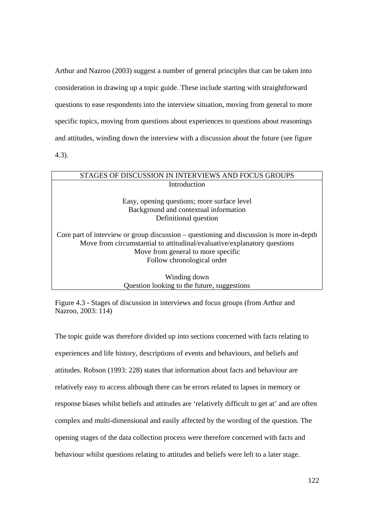Arthur and Nazroo (2003) suggest a number of general principles that can be taken into consideration in drawing up a topic guide. These include starting with straightforward questions to ease respondents into the interview situation, moving from general to more specific topics, moving from questions about experiences to questions about reasonings and attitudes, winding down the interview with a discussion about the future (see figure 4.3).

# STAGES OF DISCUSSION IN INTERVIEWS AND FOCUS GROUPS Introduction Easy, opening questions; more surface level Background and contextual information Definitional question Core part of interview or group discussion – questioning and discussion is more in-depth Move from circumstantial to attitudinal/evaluative/explanatory questions Move from general to more specific Follow chronological order Winding down

Question looking to the future, suggestions

Figure 4.3 - Stages of discussion in interviews and focus groups (from Arthur and Nazroo, 2003: 114)

The topic guide was therefore divided up into sections concerned with facts relating to experiences and life history, descriptions of events and behaviours, and beliefs and attitudes. Robson (1993: 228) states that information about facts and behaviour are relatively easy to access although there can be errors related to lapses in memory or response biases whilst beliefs and attitudes are 'relatively difficult to get at' and are often complex and multi-dimensional and easily affected by the wording of the question*.* The opening stages of the data collection process were therefore concerned with facts and behaviour whilst questions relating to attitudes and beliefs were left to a later stage.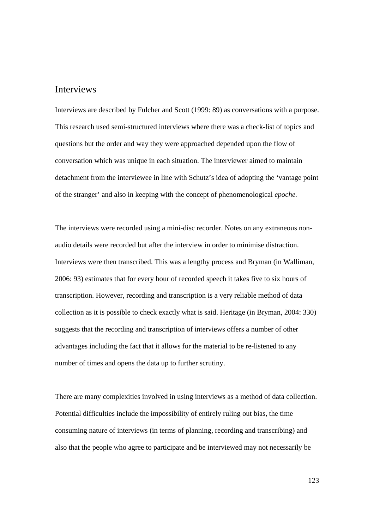#### Interviews

Interviews are described by Fulcher and Scott (1999: 89) as conversations with a purpose. This research used semi-structured interviews where there was a check-list of topics and questions but the order and way they were approached depended upon the flow of conversation which was unique in each situation. The interviewer aimed to maintain detachment from the interviewee in line with Schutz's idea of adopting the 'vantage point of the stranger' and also in keeping with the concept of phenomenological *epoche.* 

The interviews were recorded using a mini-disc recorder. Notes on any extraneous nonaudio details were recorded but after the interview in order to minimise distraction. Interviews were then transcribed. This was a lengthy process and Bryman (in Walliman, 2006: 93) estimates that for every hour of recorded speech it takes five to six hours of transcription. However, recording and transcription is a very reliable method of data collection as it is possible to check exactly what is said. Heritage (in Bryman, 2004: 330) suggests that the recording and transcription of interviews offers a number of other advantages including the fact that it allows for the material to be re-listened to any number of times and opens the data up to further scrutiny.

There are many complexities involved in using interviews as a method of data collection. Potential difficulties include the impossibility of entirely ruling out bias, the time consuming nature of interviews (in terms of planning, recording and transcribing) and also that the people who agree to participate and be interviewed may not necessarily be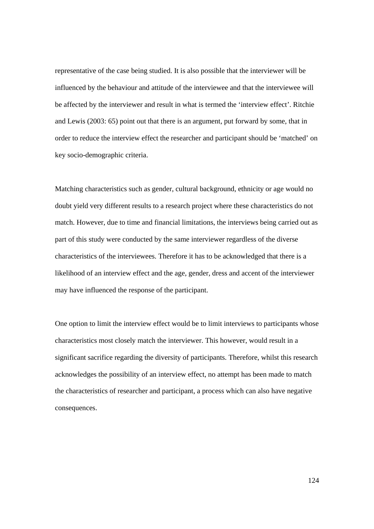representative of the case being studied. It is also possible that the interviewer will be influenced by the behaviour and attitude of the interviewee and that the interviewee will be affected by the interviewer and result in what is termed the 'interview effect'. Ritchie and Lewis (2003: 65) point out that there is an argument, put forward by some, that in order to reduce the interview effect the researcher and participant should be 'matched' on key socio-demographic criteria.

Matching characteristics such as gender, cultural background, ethnicity or age would no doubt yield very different results to a research project where these characteristics do not match. However, due to time and financial limitations, the interviews being carried out as part of this study were conducted by the same interviewer regardless of the diverse characteristics of the interviewees. Therefore it has to be acknowledged that there is a likelihood of an interview effect and the age, gender, dress and accent of the interviewer may have influenced the response of the participant.

One option to limit the interview effect would be to limit interviews to participants whose characteristics most closely match the interviewer. This however, would result in a significant sacrifice regarding the diversity of participants. Therefore, whilst this research acknowledges the possibility of an interview effect, no attempt has been made to match the characteristics of researcher and participant, a process which can also have negative consequences.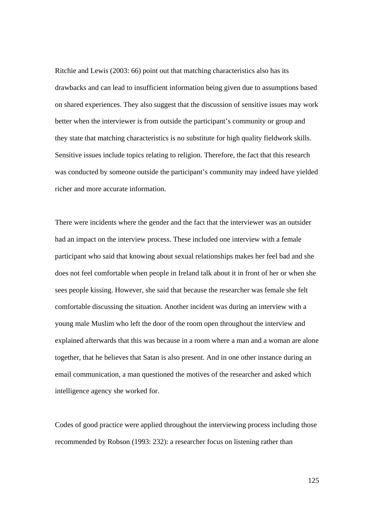Ritchie and Lewis (2003: 66) point out that matching characteristics also has its drawbacks and can lead to insufficient information being given due to assumptions based on shared experiences. They also suggest that the discussion of sensitive issues may work better when the interviewer is from outside the participant's community or group and they state that matching characteristics is no substitute for high quality fieldwork skills. Sensitive issues include topics relating to religion. Therefore, the fact that this research was conducted by someone outside the participant's community may indeed have yielded richer and more accurate information.

There were incidents where the gender and the fact that the interviewer was an outsider had an impact on the interview process. These included one interview with a female participant who said that knowing about sexual relationships makes her feel bad and she does not feel comfortable when people in Ireland talk about it in front of her or when she sees people kissing. However, she said that because the researcher was female she felt comfortable discussing the situation. Another incident was during an interview with a young male Muslim who left the door of the room open throughout the interview and explained afterwards that this was because in a room where a man and a woman are alone together, that he believes that Satan is also present. And in one other instance during an email communication, a man questioned the motives of the researcher and asked which intelligence agency she worked for.

Codes of good practice were applied throughout the interviewing process including those recommended by Robson (1993: 232): a researcher focus on listening rather than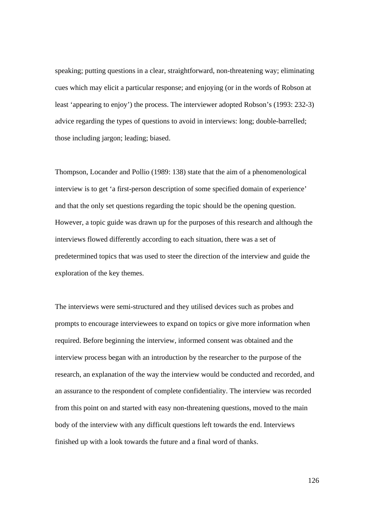speaking; putting questions in a clear, straightforward, non-threatening way; eliminating cues which may elicit a particular response; and enjoying (or in the words of Robson at least 'appearing to enjoy') the process. The interviewer adopted Robson's (1993: 232-3) advice regarding the types of questions to avoid in interviews: long; double-barrelled; those including jargon; leading; biased.

Thompson, Locander and Pollio (1989: 138) state that the aim of a phenomenological interview is to get 'a first-person description of some specified domain of experience' and that the only set questions regarding the topic should be the opening question. However, a topic guide was drawn up for the purposes of this research and although the interviews flowed differently according to each situation, there was a set of predetermined topics that was used to steer the direction of the interview and guide the exploration of the key themes.

The interviews were semi-structured and they utilised devices such as probes and prompts to encourage interviewees to expand on topics or give more information when required. Before beginning the interview, informed consent was obtained and the interview process began with an introduction by the researcher to the purpose of the research, an explanation of the way the interview would be conducted and recorded, and an assurance to the respondent of complete confidentiality. The interview was recorded from this point on and started with easy non-threatening questions, moved to the main body of the interview with any difficult questions left towards the end. Interviews finished up with a look towards the future and a final word of thanks.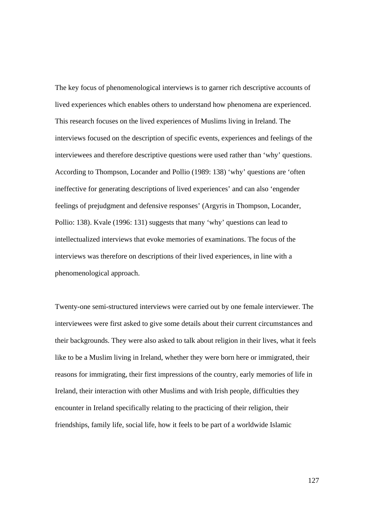The key focus of phenomenological interviews is to garner rich descriptive accounts of lived experiences which enables others to understand how phenomena are experienced. This research focuses on the lived experiences of Muslims living in Ireland. The interviews focused on the description of specific events, experiences and feelings of the interviewees and therefore descriptive questions were used rather than 'why' questions. According to Thompson, Locander and Pollio (1989: 138) 'why' questions are 'often ineffective for generating descriptions of lived experiences' and can also 'engender feelings of prejudgment and defensive responses' (Argyris in Thompson, Locander, Pollio: 138). Kvale (1996: 131) suggests that many 'why' questions can lead to intellectualized interviews that evoke memories of examinations. The focus of the interviews was therefore on descriptions of their lived experiences, in line with a phenomenological approach.

Twenty-one semi-structured interviews were carried out by one female interviewer. The interviewees were first asked to give some details about their current circumstances and their backgrounds. They were also asked to talk about religion in their lives, what it feels like to be a Muslim living in Ireland, whether they were born here or immigrated, their reasons for immigrating, their first impressions of the country, early memories of life in Ireland, their interaction with other Muslims and with Irish people, difficulties they encounter in Ireland specifically relating to the practicing of their religion, their friendships, family life, social life, how it feels to be part of a worldwide Islamic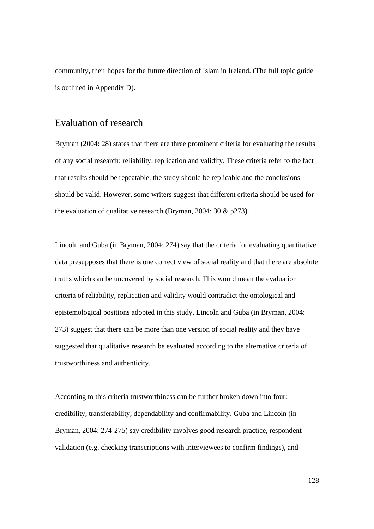community, their hopes for the future direction of Islam in Ireland. (The full topic guide is outlined in Appendix D).

#### Evaluation of research

Bryman (2004: 28) states that there are three prominent criteria for evaluating the results of any social research: reliability, replication and validity. These criteria refer to the fact that results should be repeatable, the study should be replicable and the conclusions should be valid. However, some writers suggest that different criteria should be used for the evaluation of qualitative research (Bryman, 2004: 30 & p273).

Lincoln and Guba (in Bryman, 2004: 274) say that the criteria for evaluating quantitative data presupposes that there is one correct view of social reality and that there are absolute truths which can be uncovered by social research. This would mean the evaluation criteria of reliability, replication and validity would contradict the ontological and epistemological positions adopted in this study. Lincoln and Guba (in Bryman, 2004: 273) suggest that there can be more than one version of social reality and they have suggested that qualitative research be evaluated according to the alternative criteria of trustworthiness and authenticity.

According to this criteria trustworthiness can be further broken down into four: credibility, transferability, dependability and confirmability. Guba and Lincoln (in Bryman, 2004: 274-275) say credibility involves good research practice, respondent validation (e.g. checking transcriptions with interviewees to confirm findings), and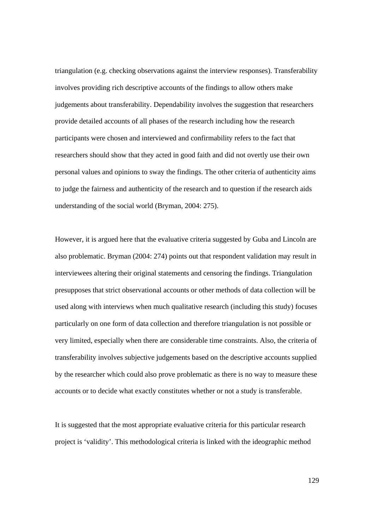triangulation (e.g. checking observations against the interview responses). Transferability involves providing rich descriptive accounts of the findings to allow others make judgements about transferability. Dependability involves the suggestion that researchers provide detailed accounts of all phases of the research including how the research participants were chosen and interviewed and confirmability refers to the fact that researchers should show that they acted in good faith and did not overtly use their own personal values and opinions to sway the findings. The other criteria of authenticity aims to judge the fairness and authenticity of the research and to question if the research aids understanding of the social world (Bryman, 2004: 275).

However, it is argued here that the evaluative criteria suggested by Guba and Lincoln are also problematic. Bryman (2004: 274) points out that respondent validation may result in interviewees altering their original statements and censoring the findings. Triangulation presupposes that strict observational accounts or other methods of data collection will be used along with interviews when much qualitative research (including this study) focuses particularly on one form of data collection and therefore triangulation is not possible or very limited, especially when there are considerable time constraints. Also, the criteria of transferability involves subjective judgements based on the descriptive accounts supplied by the researcher which could also prove problematic as there is no way to measure these accounts or to decide what exactly constitutes whether or not a study is transferable.

It is suggested that the most appropriate evaluative criteria for this particular research project is 'validity'. This methodological criteria is linked with the ideographic method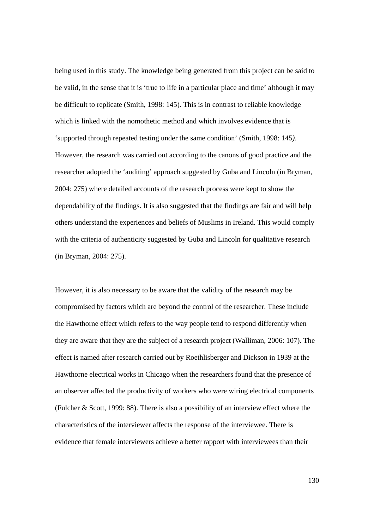being used in this study. The knowledge being generated from this project can be said to be valid, in the sense that it is 'true to life in a particular place and time' although it may be difficult to replicate (Smith, 1998: 145). This is in contrast to reliable knowledge which is linked with the nomothetic method and which involves evidence that is 'supported through repeated testing under the same condition' (Smith, 1998: 145*)*. However, the research was carried out according to the canons of good practice and the researcher adopted the 'auditing' approach suggested by Guba and Lincoln (in Bryman, 2004: 275) where detailed accounts of the research process were kept to show the dependability of the findings. It is also suggested that the findings are fair and will help others understand the experiences and beliefs of Muslims in Ireland. This would comply with the criteria of authenticity suggested by Guba and Lincoln for qualitative research (in Bryman, 2004: 275).

However, it is also necessary to be aware that the validity of the research may be compromised by factors which are beyond the control of the researcher. These include the Hawthorne effect which refers to the way people tend to respond differently when they are aware that they are the subject of a research project (Walliman, 2006: 107). The effect is named after research carried out by Roethlisberger and Dickson in 1939 at the Hawthorne electrical works in Chicago when the researchers found that the presence of an observer affected the productivity of workers who were wiring electrical components (Fulcher & Scott, 1999: 88). There is also a possibility of an interview effect where the characteristics of the interviewer affects the response of the interviewee. There is evidence that female interviewers achieve a better rapport with interviewees than their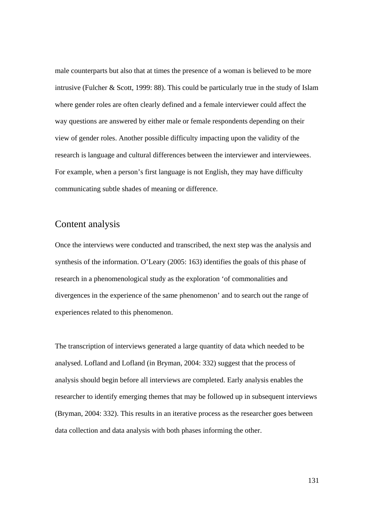male counterparts but also that at times the presence of a woman is believed to be more intrusive (Fulcher & Scott, 1999: 88). This could be particularly true in the study of Islam where gender roles are often clearly defined and a female interviewer could affect the way questions are answered by either male or female respondents depending on their view of gender roles. Another possible difficulty impacting upon the validity of the research is language and cultural differences between the interviewer and interviewees. For example, when a person's first language is not English, they may have difficulty communicating subtle shades of meaning or difference.

#### Content analysis

Once the interviews were conducted and transcribed, the next step was the analysis and synthesis of the information. O'Leary (2005: 163) identifies the goals of this phase of research in a phenomenological study as the exploration 'of commonalities and divergences in the experience of the same phenomenon' and to search out the range of experiences related to this phenomenon.

The transcription of interviews generated a large quantity of data which needed to be analysed. Lofland and Lofland (in Bryman, 2004: 332) suggest that the process of analysis should begin before all interviews are completed. Early analysis enables the researcher to identify emerging themes that may be followed up in subsequent interviews (Bryman, 2004: 332). This results in an iterative process as the researcher goes between data collection and data analysis with both phases informing the other.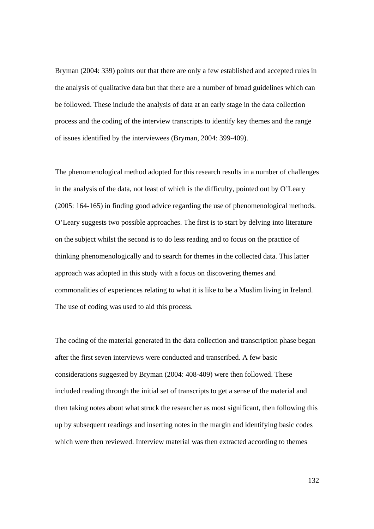Bryman (2004: 339) points out that there are only a few established and accepted rules in the analysis of qualitative data but that there are a number of broad guidelines which can be followed. These include the analysis of data at an early stage in the data collection process and the coding of the interview transcripts to identify key themes and the range of issues identified by the interviewees (Bryman, 2004: 399-409).

The phenomenological method adopted for this research results in a number of challenges in the analysis of the data, not least of which is the difficulty, pointed out by O'Leary (2005: 164-165) in finding good advice regarding the use of phenomenological methods. O'Leary suggests two possible approaches. The first is to start by delving into literature on the subject whilst the second is to do less reading and to focus on the practice of thinking phenomenologically and to search for themes in the collected data. This latter approach was adopted in this study with a focus on discovering themes and commonalities of experiences relating to what it is like to be a Muslim living in Ireland. The use of coding was used to aid this process.

The coding of the material generated in the data collection and transcription phase began after the first seven interviews were conducted and transcribed. A few basic considerations suggested by Bryman (2004: 408-409) were then followed. These included reading through the initial set of transcripts to get a sense of the material and then taking notes about what struck the researcher as most significant, then following this up by subsequent readings and inserting notes in the margin and identifying basic codes which were then reviewed. Interview material was then extracted according to themes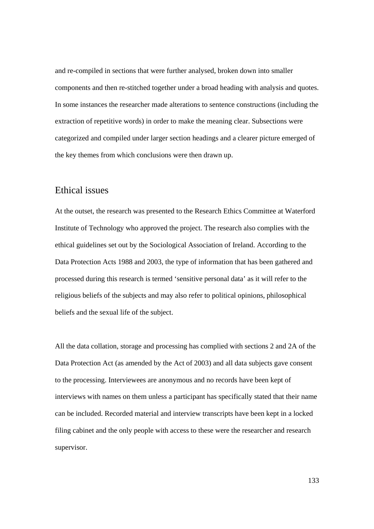and re-compiled in sections that were further analysed, broken down into smaller components and then re-stitched together under a broad heading with analysis and quotes. In some instances the researcher made alterations to sentence constructions (including the extraction of repetitive words) in order to make the meaning clear. Subsections were categorized and compiled under larger section headings and a clearer picture emerged of the key themes from which conclusions were then drawn up.

### Ethical issues

At the outset, the research was presented to the Research Ethics Committee at Waterford Institute of Technology who approved the project. The research also complies with the ethical guidelines set out by the Sociological Association of Ireland. According to the Data Protection Acts 1988 and 2003, the type of information that has been gathered and processed during this research is termed 'sensitive personal data' as it will refer to the religious beliefs of the subjects and may also refer to political opinions, philosophical beliefs and the sexual life of the subject.

All the data collation, storage and processing has complied with sections 2 and 2A of the Data Protection Act (as amended by the Act of 2003) and all data subjects gave consent to the processing. Interviewees are anonymous and no records have been kept of interviews with names on them unless a participant has specifically stated that their name can be included. Recorded material and interview transcripts have been kept in a locked filing cabinet and the only people with access to these were the researcher and research supervisor.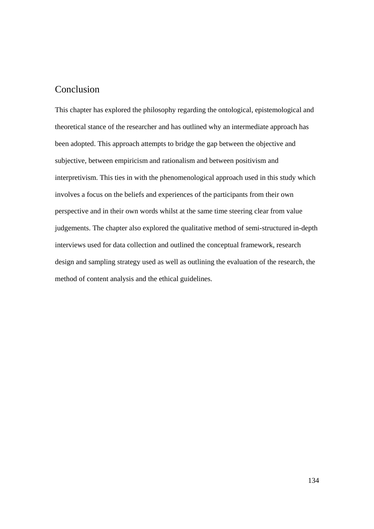## Conclusion

This chapter has explored the philosophy regarding the ontological, epistemological and theoretical stance of the researcher and has outlined why an intermediate approach has been adopted. This approach attempts to bridge the gap between the objective and subjective, between empiricism and rationalism and between positivism and interpretivism. This ties in with the phenomenological approach used in this study which involves a focus on the beliefs and experiences of the participants from their own perspective and in their own words whilst at the same time steering clear from value judgements. The chapter also explored the qualitative method of semi-structured in-depth interviews used for data collection and outlined the conceptual framework, research design and sampling strategy used as well as outlining the evaluation of the research, the method of content analysis and the ethical guidelines.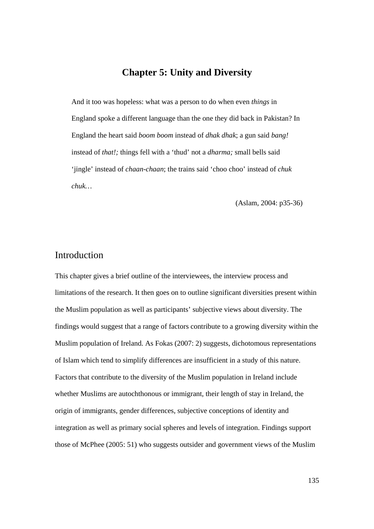## **Chapter 5: Unity and Diversity**

And it too was hopeless: what was a person to do when even *things* in England spoke a different language than the one they did back in Pakistan? In England the heart said *boom boom* instead of *dhak dhak*; a gun said *bang!*  instead of *that!;* things fell with a 'thud' not a *dharma;* small bells said 'jingle' instead of *chaan-chaan*; the trains said 'choo choo' instead of *chuk chuk…* 

(Aslam, 2004: p35-36)

### Introduction

This chapter gives a brief outline of the interviewees, the interview process and limitations of the research. It then goes on to outline significant diversities present within the Muslim population as well as participants' subjective views about diversity. The findings would suggest that a range of factors contribute to a growing diversity within the Muslim population of Ireland. As Fokas (2007: 2) suggests, dichotomous representations of Islam which tend to simplify differences are insufficient in a study of this nature. Factors that contribute to the diversity of the Muslim population in Ireland include whether Muslims are autochthonous or immigrant, their length of stay in Ireland, the origin of immigrants, gender differences, subjective conceptions of identity and integration as well as primary social spheres and levels of integration. Findings support those of McPhee (2005: 51) who suggests outsider and government views of the Muslim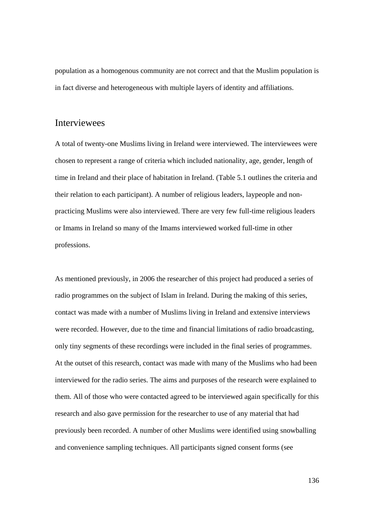population as a homogenous community are not correct and that the Muslim population is in fact diverse and heterogeneous with multiple layers of identity and affiliations.

#### Interviewees

A total of twenty-one Muslims living in Ireland were interviewed. The interviewees were chosen to represent a range of criteria which included nationality, age, gender, length of time in Ireland and their place of habitation in Ireland. (Table 5.1 outlines the criteria and their relation to each participant). A number of religious leaders, laypeople and nonpracticing Muslims were also interviewed. There are very few full-time religious leaders or Imams in Ireland so many of the Imams interviewed worked full-time in other professions.

As mentioned previously, in 2006 the researcher of this project had produced a series of radio programmes on the subject of Islam in Ireland. During the making of this series, contact was made with a number of Muslims living in Ireland and extensive interviews were recorded. However, due to the time and financial limitations of radio broadcasting, only tiny segments of these recordings were included in the final series of programmes. At the outset of this research, contact was made with many of the Muslims who had been interviewed for the radio series. The aims and purposes of the research were explained to them. All of those who were contacted agreed to be interviewed again specifically for this research and also gave permission for the researcher to use of any material that had previously been recorded. A number of other Muslims were identified using snowballing and convenience sampling techniques. All participants signed consent forms (see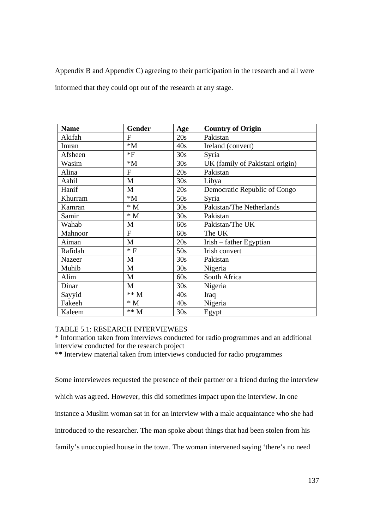Appendix B and Appendix C) agreeing to their participation in the research and all were informed that they could opt out of the research at any stage.

| <b>Name</b> | Gender          | Age | <b>Country of Origin</b>        |
|-------------|-----------------|-----|---------------------------------|
| Akifah      | F               | 20s | Pakistan                        |
| Imran       | $*M$            | 40s | Ireland (convert)               |
| Afsheen     | $*F$            | 30s | Syria                           |
| Wasim       | $*M$            | 30s | UK (family of Pakistani origin) |
| Alina       | F               | 20s | Pakistan                        |
| Aahil       | M               | 30s | Libya                           |
| Hanif       | M               | 20s | Democratic Republic of Congo    |
| Khurram     | $*M$            | 50s | Syria                           |
| Kamran      | $* M$           | 30s | Pakistan/The Netherlands        |
| Samir       | $\,^*$ M        | 30s | Pakistan                        |
| Wahab       | $\mathbf{M}$    | 60s | Pakistan/The UK                 |
| Mahnoor     | $\mathbf{F}$    | 60s | The UK                          |
| Aiman       | M               | 20s | Irish – father Egyptian         |
| Rafidah     | $*F$            | 50s | Irish convert                   |
| Nazeer      | M               | 30s | Pakistan                        |
| Muhib       | M               | 30s | Nigeria                         |
| Alim        | M               | 60s | South Africa                    |
| Dinar       | M               | 30s | Nigeria                         |
| Sayyid      | $^{\ast\ast}$ M | 40s | Iraq                            |
| Fakeeh      | $^\ast$ M       | 40s | Nigeria                         |
| Kaleem      | $** M$          | 30s | Egypt                           |

#### TABLE 5.1: RESEARCH INTERVIEWEES

\* Information taken from interviews conducted for radio programmes and an additional interview conducted for the research project

\*\* Interview material taken from interviews conducted for radio programmes

Some interviewees requested the presence of their partner or a friend during the interview which was agreed. However, this did sometimes impact upon the interview. In one instance a Muslim woman sat in for an interview with a male acquaintance who she had introduced to the researcher. The man spoke about things that had been stolen from his family's unoccupied house in the town. The woman intervened saying 'there's no need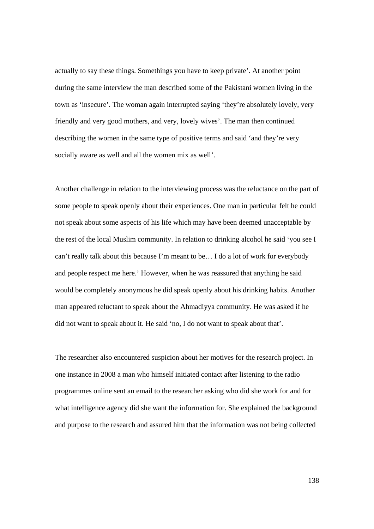actually to say these things. Somethings you have to keep private'. At another point during the same interview the man described some of the Pakistani women living in the town as 'insecure'. The woman again interrupted saying 'they're absolutely lovely, very friendly and very good mothers, and very, lovely wives'. The man then continued describing the women in the same type of positive terms and said 'and they're very socially aware as well and all the women mix as well'.

Another challenge in relation to the interviewing process was the reluctance on the part of some people to speak openly about their experiences. One man in particular felt he could not speak about some aspects of his life which may have been deemed unacceptable by the rest of the local Muslim community. In relation to drinking alcohol he said 'you see I can't really talk about this because I'm meant to be… I do a lot of work for everybody and people respect me here.' However, when he was reassured that anything he said would be completely anonymous he did speak openly about his drinking habits. Another man appeared reluctant to speak about the Ahmadiyya community. He was asked if he did not want to speak about it. He said 'no, I do not want to speak about that'.

The researcher also encountered suspicion about her motives for the research project. In one instance in 2008 a man who himself initiated contact after listening to the radio programmes online sent an email to the researcher asking who did she work for and for what intelligence agency did she want the information for. She explained the background and purpose to the research and assured him that the information was not being collected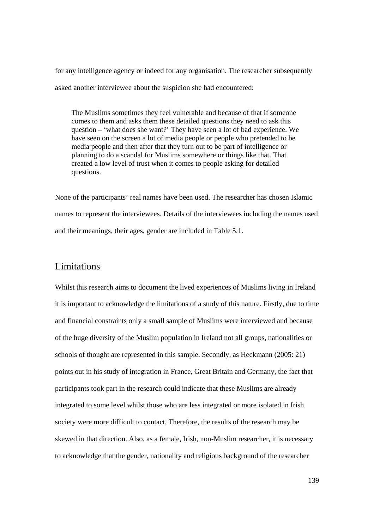for any intelligence agency or indeed for any organisation. The researcher subsequently asked another interviewee about the suspicion she had encountered:

The Muslims sometimes they feel vulnerable and because of that if someone comes to them and asks them these detailed questions they need to ask this question – 'what does she want?' They have seen a lot of bad experience. We have seen on the screen a lot of media people or people who pretended to be media people and then after that they turn out to be part of intelligence or planning to do a scandal for Muslims somewhere or things like that. That created a low level of trust when it comes to people asking for detailed questions.

None of the participants' real names have been used. The researcher has chosen Islamic names to represent the interviewees. Details of the interviewees including the names used and their meanings, their ages, gender are included in Table 5.1.

#### Limitations

Whilst this research aims to document the lived experiences of Muslims living in Ireland it is important to acknowledge the limitations of a study of this nature. Firstly, due to time and financial constraints only a small sample of Muslims were interviewed and because of the huge diversity of the Muslim population in Ireland not all groups, nationalities or schools of thought are represented in this sample. Secondly, as Heckmann (2005: 21) points out in his study of integration in France, Great Britain and Germany, the fact that participants took part in the research could indicate that these Muslims are already integrated to some level whilst those who are less integrated or more isolated in Irish society were more difficult to contact. Therefore, the results of the research may be skewed in that direction. Also, as a female, Irish, non-Muslim researcher, it is necessary to acknowledge that the gender, nationality and religious background of the researcher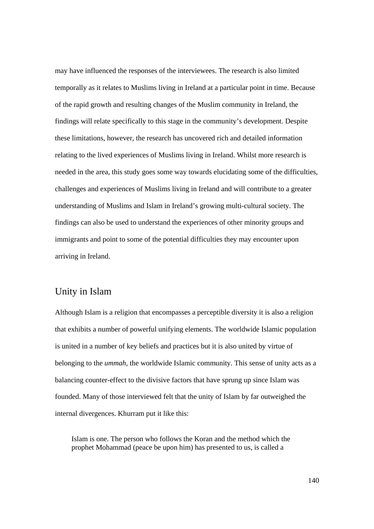may have influenced the responses of the interviewees. The research is also limited temporally as it relates to Muslims living in Ireland at a particular point in time. Because of the rapid growth and resulting changes of the Muslim community in Ireland, the findings will relate specifically to this stage in the community's development. Despite these limitations, however, the research has uncovered rich and detailed information relating to the lived experiences of Muslims living in Ireland. Whilst more research is needed in the area, this study goes some way towards elucidating some of the difficulties, challenges and experiences of Muslims living in Ireland and will contribute to a greater understanding of Muslims and Islam in Ireland's growing multi-cultural society. The findings can also be used to understand the experiences of other minority groups and immigrants and point to some of the potential difficulties they may encounter upon arriving in Ireland.

#### Unity in Islam

Although Islam is a religion that encompasses a perceptible diversity it is also a religion that exhibits a number of powerful unifying elements. The worldwide Islamic population is united in a number of key beliefs and practices but it is also united by virtue of belonging to the *ummah*, the worldwide Islamic community. This sense of unity acts as a balancing counter-effect to the divisive factors that have sprung up since Islam was founded. Many of those interviewed felt that the unity of Islam by far outweighed the internal divergences. Khurram put it like this:

Islam is one. The person who follows the Koran and the method which the prophet Mohammad (peace be upon him) has presented to us, is called a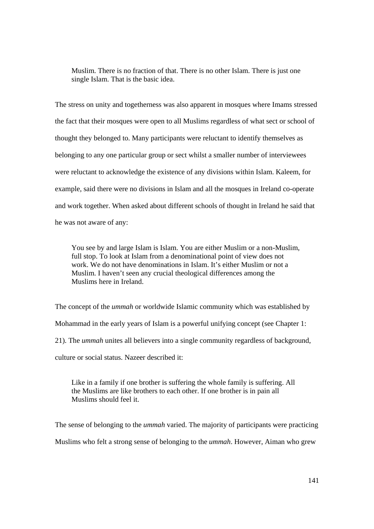Muslim. There is no fraction of that. There is no other Islam. There is just one single Islam. That is the basic idea.

The stress on unity and togetherness was also apparent in mosques where Imams stressed the fact that their mosques were open to all Muslims regardless of what sect or school of thought they belonged to. Many participants were reluctant to identify themselves as belonging to any one particular group or sect whilst a smaller number of interviewees were reluctant to acknowledge the existence of any divisions within Islam. Kaleem, for example, said there were no divisions in Islam and all the mosques in Ireland co-operate and work together. When asked about different schools of thought in Ireland he said that he was not aware of any:

You see by and large Islam is Islam. You are either Muslim or a non-Muslim, full stop. To look at Islam from a denominational point of view does not work. We do not have denominations in Islam. It's either Muslim or not a Muslim. I haven't seen any crucial theological differences among the Muslims here in Ireland.

The concept of the *ummah* or worldwide Islamic community which was established by Mohammad in the early years of Islam is a powerful unifying concept (see Chapter 1: 21). The *ummah* unites all believers into a single community regardless of background, culture or social status. Nazeer described it:

Like in a family if one brother is suffering the whole family is suffering. All the Muslims are like brothers to each other. If one brother is in pain all Muslims should feel it.

The sense of belonging to the *ummah* varied. The majority of participants were practicing Muslims who felt a strong sense of belonging to the *ummah*. However, Aiman who grew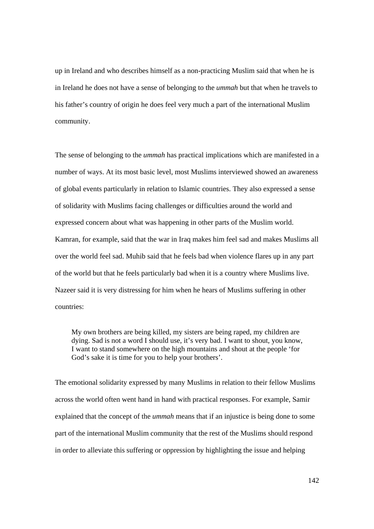up in Ireland and who describes himself as a non-practicing Muslim said that when he is in Ireland he does not have a sense of belonging to the *ummah* but that when he travels to his father's country of origin he does feel very much a part of the international Muslim community.

The sense of belonging to the *ummah* has practical implications which are manifested in a number of ways. At its most basic level, most Muslims interviewed showed an awareness of global events particularly in relation to Islamic countries. They also expressed a sense of solidarity with Muslims facing challenges or difficulties around the world and expressed concern about what was happening in other parts of the Muslim world. Kamran, for example, said that the war in Iraq makes him feel sad and makes Muslims all over the world feel sad. Muhib said that he feels bad when violence flares up in any part of the world but that he feels particularly bad when it is a country where Muslims live. Nazeer said it is very distressing for him when he hears of Muslims suffering in other countries:

My own brothers are being killed, my sisters are being raped, my children are dying. Sad is not a word I should use, it's very bad. I want to shout, you know, I want to stand somewhere on the high mountains and shout at the people 'for God's sake it is time for you to help your brothers'.

The emotional solidarity expressed by many Muslims in relation to their fellow Muslims across the world often went hand in hand with practical responses. For example, Samir explained that the concept of the *ummah* means that if an injustice is being done to some part of the international Muslim community that the rest of the Muslims should respond in order to alleviate this suffering or oppression by highlighting the issue and helping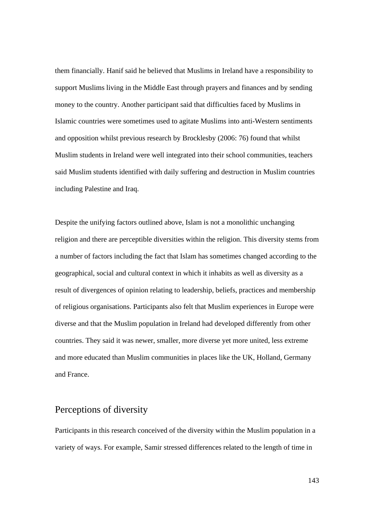them financially. Hanif said he believed that Muslims in Ireland have a responsibility to support Muslims living in the Middle East through prayers and finances and by sending money to the country. Another participant said that difficulties faced by Muslims in Islamic countries were sometimes used to agitate Muslims into anti-Western sentiments and opposition whilst previous research by Brocklesby (2006: 76) found that whilst Muslim students in Ireland were well integrated into their school communities, teachers said Muslim students identified with daily suffering and destruction in Muslim countries including Palestine and Iraq.

Despite the unifying factors outlined above, Islam is not a monolithic unchanging religion and there are perceptible diversities within the religion. This diversity stems from a number of factors including the fact that Islam has sometimes changed according to the geographical, social and cultural context in which it inhabits as well as diversity as a result of divergences of opinion relating to leadership, beliefs, practices and membership of religious organisations. Participants also felt that Muslim experiences in Europe were diverse and that the Muslim population in Ireland had developed differently from other countries. They said it was newer, smaller, more diverse yet more united, less extreme and more educated than Muslim communities in places like the UK, Holland, Germany and France.

## Perceptions of diversity

Participants in this research conceived of the diversity within the Muslim population in a variety of ways. For example, Samir stressed differences related to the length of time in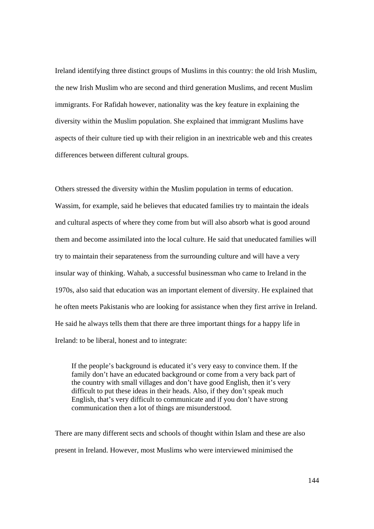Ireland identifying three distinct groups of Muslims in this country: the old Irish Muslim, the new Irish Muslim who are second and third generation Muslims, and recent Muslim immigrants. For Rafidah however, nationality was the key feature in explaining the diversity within the Muslim population. She explained that immigrant Muslims have aspects of their culture tied up with their religion in an inextricable web and this creates differences between different cultural groups.

Others stressed the diversity within the Muslim population in terms of education. Wassim, for example, said he believes that educated families try to maintain the ideals and cultural aspects of where they come from but will also absorb what is good around them and become assimilated into the local culture. He said that uneducated families will try to maintain their separateness from the surrounding culture and will have a very insular way of thinking. Wahab, a successful businessman who came to Ireland in the 1970s, also said that education was an important element of diversity. He explained that he often meets Pakistanis who are looking for assistance when they first arrive in Ireland. He said he always tells them that there are three important things for a happy life in Ireland: to be liberal, honest and to integrate:

If the people's background is educated it's very easy to convince them. If the family don't have an educated background or come from a very back part of the country with small villages and don't have good English, then it's very difficult to put these ideas in their heads. Also, if they don't speak much English, that's very difficult to communicate and if you don't have strong communication then a lot of things are misunderstood.

There are many different sects and schools of thought within Islam and these are also present in Ireland. However, most Muslims who were interviewed minimised the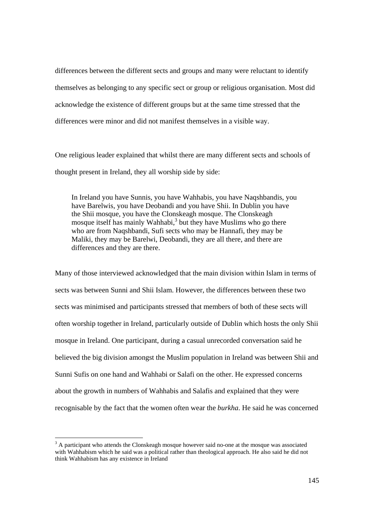differences between the different sects and groups and many were reluctant to identify themselves as belonging to any specific sect or group or religious organisation. Most did acknowledge the existence of different groups but at the same time stressed that the differences were minor and did not manifest themselves in a visible way.

One religious leader explained that whilst there are many different sects and schools of thought present in Ireland, they all worship side by side:

In Ireland you have Sunnis, you have Wahhabis, you have Naqshbandis, you have Barelwis, you have Deobandi and you have Shii. In Dublin you have the Shii mosque, you have the Clonskeagh mosque. The Clonskeagh mosque itself has mainly Wahhabi,<sup>3</sup> but they have Muslims who go there who are from Naqshbandi, Sufi sects who may be Hannafi, they may be Maliki, they may be Barelwi, Deobandi, they are all there, and there are differences and they are there.

Many of those interviewed acknowledged that the main division within Islam in terms of sects was between Sunni and Shii Islam. However, the differences between these two sects was minimised and participants stressed that members of both of these sects will often worship together in Ireland, particularly outside of Dublin which hosts the only Shii mosque in Ireland. One participant, during a casual unrecorded conversation said he believed the big division amongst the Muslim population in Ireland was between Shii and Sunni Sufis on one hand and Wahhabi or Salafi on the other. He expressed concerns about the growth in numbers of Wahhabis and Salafis and explained that they were recognisable by the fact that the women often wear the *burkha*. He said he was concerned

 $3$  A participant who attends the Clonskeagh mosque however said no-one at the mosque was associated with Wahhabism which he said was a political rather than theological approach. He also said he did not think Wahhabism has any existence in Ireland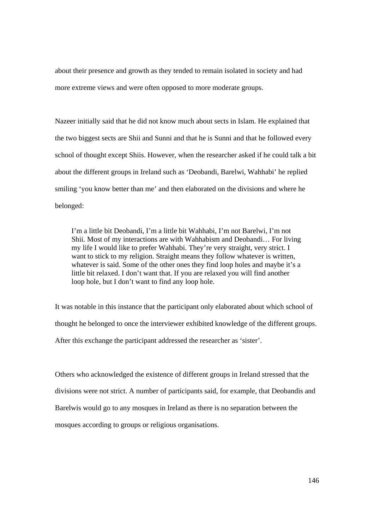about their presence and growth as they tended to remain isolated in society and had more extreme views and were often opposed to more moderate groups.

Nazeer initially said that he did not know much about sects in Islam. He explained that the two biggest sects are Shii and Sunni and that he is Sunni and that he followed every school of thought except Shiis. However, when the researcher asked if he could talk a bit about the different groups in Ireland such as 'Deobandi, Barelwi, Wahhabi' he replied smiling 'you know better than me' and then elaborated on the divisions and where he belonged:

I'm a little bit Deobandi, I'm a little bit Wahhabi, I'm not Barelwi, I'm not Shii. Most of my interactions are with Wahhabism and Deobandi… For living my life I would like to prefer Wahhabi. They're very straight, very strict. I want to stick to my religion. Straight means they follow whatever is written, whatever is said. Some of the other ones they find loop holes and maybe it's a little bit relaxed. I don't want that. If you are relaxed you will find another loop hole, but I don't want to find any loop hole.

It was notable in this instance that the participant only elaborated about which school of thought he belonged to once the interviewer exhibited knowledge of the different groups. After this exchange the participant addressed the researcher as 'sister'.

Others who acknowledged the existence of different groups in Ireland stressed that the divisions were not strict. A number of participants said, for example, that Deobandis and Barelwis would go to any mosques in Ireland as there is no separation between the mosques according to groups or religious organisations.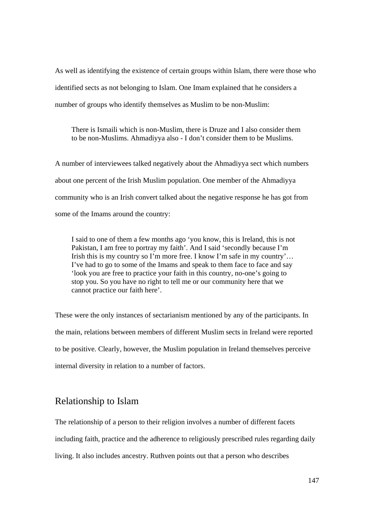As well as identifying the existence of certain groups within Islam, there were those who identified sects as not belonging to Islam. One Imam explained that he considers a number of groups who identify themselves as Muslim to be non-Muslim:

There is Ismaili which is non-Muslim, there is Druze and I also consider them to be non-Muslims. Ahmadiyya also - I don't consider them to be Muslims.

A number of interviewees talked negatively about the Ahmadiyya sect which numbers about one percent of the Irish Muslim population. One member of the Ahmadiyya community who is an Irish convert talked about the negative response he has got from some of the Imams around the country:

I said to one of them a few months ago 'you know, this is Ireland, this is not Pakistan, I am free to portray my faith'. And I said 'secondly because I'm Irish this is my country so I'm more free. I know I'm safe in my country'... I've had to go to some of the Imams and speak to them face to face and say 'look you are free to practice your faith in this country, no-one's going to stop you. So you have no right to tell me or our community here that we cannot practice our faith here'.

These were the only instances of sectarianism mentioned by any of the participants. In the main, relations between members of different Muslim sects in Ireland were reported to be positive. Clearly, however, the Muslim population in Ireland themselves perceive internal diversity in relation to a number of factors.

# Relationship to Islam

The relationship of a person to their religion involves a number of different facets including faith, practice and the adherence to religiously prescribed rules regarding daily living. It also includes ancestry. Ruthven points out that a person who describes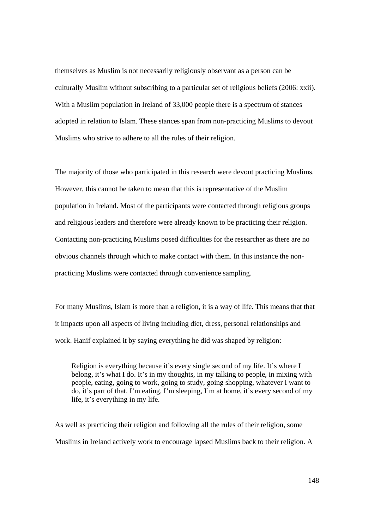themselves as Muslim is not necessarily religiously observant as a person can be culturally Muslim without subscribing to a particular set of religious beliefs (2006: xxii). With a Muslim population in Ireland of 33,000 people there is a spectrum of stances adopted in relation to Islam. These stances span from non-practicing Muslims to devout Muslims who strive to adhere to all the rules of their religion.

The majority of those who participated in this research were devout practicing Muslims. However, this cannot be taken to mean that this is representative of the Muslim population in Ireland. Most of the participants were contacted through religious groups and religious leaders and therefore were already known to be practicing their religion. Contacting non-practicing Muslims posed difficulties for the researcher as there are no obvious channels through which to make contact with them. In this instance the nonpracticing Muslims were contacted through convenience sampling.

For many Muslims, Islam is more than a religion, it is a way of life. This means that that it impacts upon all aspects of living including diet, dress, personal relationships and work. Hanif explained it by saying everything he did was shaped by religion:

Religion is everything because it's every single second of my life. It's where I belong, it's what I do. It's in my thoughts, in my talking to people, in mixing with people, eating, going to work, going to study, going shopping, whatever I want to do, it's part of that. I'm eating, I'm sleeping, I'm at home, it's every second of my life, it's everything in my life.

As well as practicing their religion and following all the rules of their religion, some Muslims in Ireland actively work to encourage lapsed Muslims back to their religion. A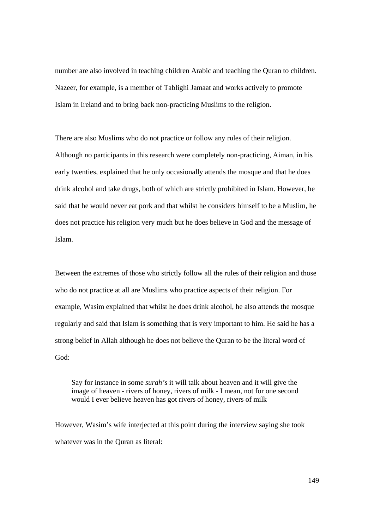number are also involved in teaching children Arabic and teaching the Quran to children. Nazeer, for example, is a member of Tablighi Jamaat and works actively to promote Islam in Ireland and to bring back non-practicing Muslims to the religion.

There are also Muslims who do not practice or follow any rules of their religion. Although no participants in this research were completely non-practicing, Aiman, in his early twenties, explained that he only occasionally attends the mosque and that he does drink alcohol and take drugs, both of which are strictly prohibited in Islam. However, he said that he would never eat pork and that whilst he considers himself to be a Muslim, he does not practice his religion very much but he does believe in God and the message of Islam.

Between the extremes of those who strictly follow all the rules of their religion and those who do not practice at all are Muslims who practice aspects of their religion. For example, Wasim explained that whilst he does drink alcohol, he also attends the mosque regularly and said that Islam is something that is very important to him. He said he has a strong belief in Allah although he does not believe the Quran to be the literal word of God:

Say for instance in some *surah's* it will talk about heaven and it will give the image of heaven - rivers of honey, rivers of milk - I mean, not for one second would I ever believe heaven has got rivers of honey, rivers of milk

However, Wasim's wife interjected at this point during the interview saying she took whatever was in the Quran as literal: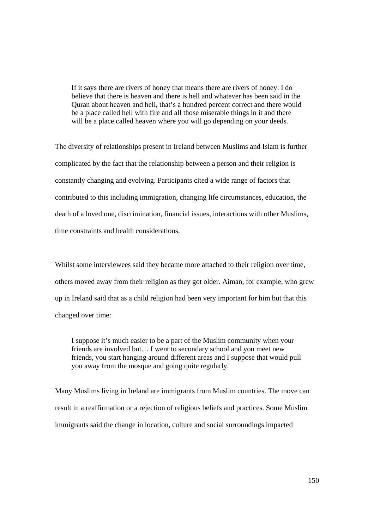If it says there are rivers of honey that means there are rivers of honey. I do believe that there is heaven and there is hell and whatever has been said in the Quran about heaven and hell, that's a hundred percent correct and there would be a place called hell with fire and all those miserable things in it and there will be a place called heaven where you will go depending on your deeds.

The diversity of relationships present in Ireland between Muslims and Islam is further complicated by the fact that the relationship between a person and their religion is constantly changing and evolving. Participants cited a wide range of factors that contributed to this including immigration, changing life circumstances, education, the death of a loved one, discrimination, financial issues, interactions with other Muslims, time constraints and health considerations.

Whilst some interviewees said they became more attached to their religion over time, others moved away from their religion as they got older. Aiman, for example, who grew up in Ireland said that as a child religion had been very important for him but that this changed over time:

I suppose it's much easier to be a part of the Muslim community when your friends are involved but… I went to secondary school and you meet new friends, you start hanging around different areas and I suppose that would pull you away from the mosque and going quite regularly.

Many Muslims living in Ireland are immigrants from Muslim countries. The move can result in a reaffirmation or a rejection of religious beliefs and practices. Some Muslim immigrants said the change in location, culture and social surroundings impacted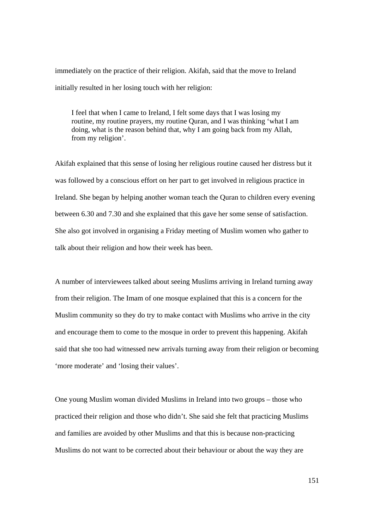immediately on the practice of their religion. Akifah, said that the move to Ireland initially resulted in her losing touch with her religion:

I feel that when I came to Ireland, I felt some days that I was losing my routine, my routine prayers, my routine Quran, and I was thinking 'what I am doing, what is the reason behind that, why I am going back from my Allah, from my religion'.

Akifah explained that this sense of losing her religious routine caused her distress but it was followed by a conscious effort on her part to get involved in religious practice in Ireland. She began by helping another woman teach the Quran to children every evening between 6.30 and 7.30 and she explained that this gave her some sense of satisfaction. She also got involved in organising a Friday meeting of Muslim women who gather to talk about their religion and how their week has been.

A number of interviewees talked about seeing Muslims arriving in Ireland turning away from their religion. The Imam of one mosque explained that this is a concern for the Muslim community so they do try to make contact with Muslims who arrive in the city and encourage them to come to the mosque in order to prevent this happening. Akifah said that she too had witnessed new arrivals turning away from their religion or becoming 'more moderate' and 'losing their values'.

One young Muslim woman divided Muslims in Ireland into two groups – those who practiced their religion and those who didn't. She said she felt that practicing Muslims and families are avoided by other Muslims and that this is because non-practicing Muslims do not want to be corrected about their behaviour or about the way they are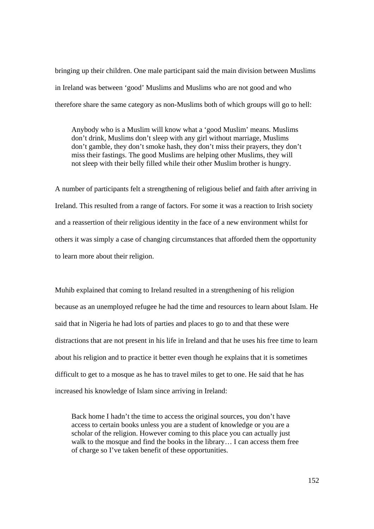bringing up their children. One male participant said the main division between Muslims in Ireland was between 'good' Muslims and Muslims who are not good and who therefore share the same category as non-Muslims both of which groups will go to hell:

Anybody who is a Muslim will know what a 'good Muslim' means. Muslims don't drink, Muslims don't sleep with any girl without marriage, Muslims don't gamble, they don't smoke hash, they don't miss their prayers, they don't miss their fastings. The good Muslims are helping other Muslims, they will not sleep with their belly filled while their other Muslim brother is hungry.

A number of participants felt a strengthening of religious belief and faith after arriving in Ireland. This resulted from a range of factors. For some it was a reaction to Irish society and a reassertion of their religious identity in the face of a new environment whilst for others it was simply a case of changing circumstances that afforded them the opportunity to learn more about their religion.

Muhib explained that coming to Ireland resulted in a strengthening of his religion because as an unemployed refugee he had the time and resources to learn about Islam. He said that in Nigeria he had lots of parties and places to go to and that these were distractions that are not present in his life in Ireland and that he uses his free time to learn about his religion and to practice it better even though he explains that it is sometimes difficult to get to a mosque as he has to travel miles to get to one. He said that he has increased his knowledge of Islam since arriving in Ireland:

Back home I hadn't the time to access the original sources, you don't have access to certain books unless you are a student of knowledge or you are a scholar of the religion. However coming to this place you can actually just walk to the mosque and find the books in the library... I can access them free of charge so I've taken benefit of these opportunities.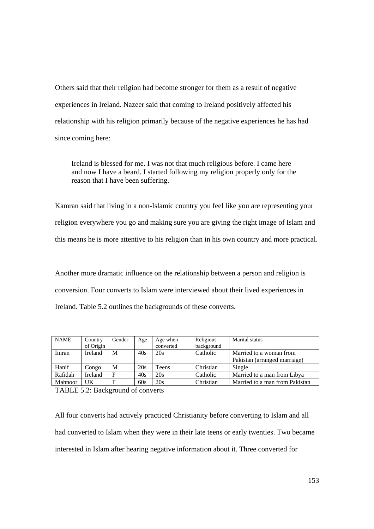Others said that their religion had become stronger for them as a result of negative experiences in Ireland. Nazeer said that coming to Ireland positively affected his relationship with his religion primarily because of the negative experiences he has had since coming here:

Ireland is blessed for me. I was not that much religious before. I came here and now I have a beard. I started following my religion properly only for the reason that I have been suffering.

Kamran said that living in a non-Islamic country you feel like you are representing your religion everywhere you go and making sure you are giving the right image of Islam and this means he is more attentive to his religion than in his own country and more practical.

Another more dramatic influence on the relationship between a person and religion is conversion. Four converts to Islam were interviewed about their lived experiences in Ireland. Table 5.2 outlines the backgrounds of these converts.

| <b>NAME</b> | Country        | Gender | Age | Age when  | Religious  | Marital status                 |
|-------------|----------------|--------|-----|-----------|------------|--------------------------------|
|             | of Origin      |        |     | converted | background |                                |
| Imran       | <b>Ireland</b> | M      | 40s | 20s       | Catholic   | Married to a woman from        |
|             |                |        |     |           |            | Pakistan (arranged marriage)   |
| Hanif       | Congo          | M      | 20s | Teens     | Christian  | Single                         |
| Rafidah     | Ireland        | F      | 40s | 20s       | Catholic   | Married to a man from Libya    |
| Mahnoor     | UK             | F      | 60s | 20s       | Christian  | Married to a man from Pakistan |

TABLE 5.2: Background of converts

All four converts had actively practiced Christianity before converting to Islam and all had converted to Islam when they were in their late teens or early twenties. Two became interested in Islam after hearing negative information about it. Three converted for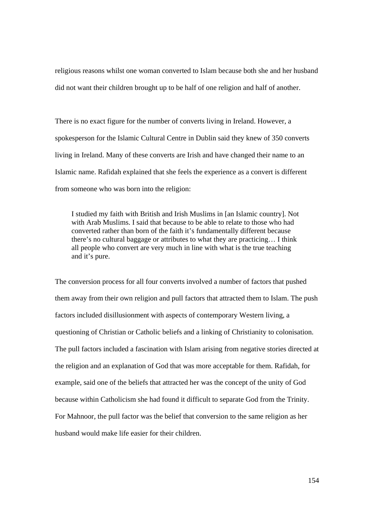religious reasons whilst one woman converted to Islam because both she and her husband did not want their children brought up to be half of one religion and half of another.

There is no exact figure for the number of converts living in Ireland. However, a spokesperson for the Islamic Cultural Centre in Dublin said they knew of 350 converts living in Ireland. Many of these converts are Irish and have changed their name to an Islamic name. Rafidah explained that she feels the experience as a convert is different from someone who was born into the religion:

I studied my faith with British and Irish Muslims in [an Islamic country]. Not with Arab Muslims. I said that because to be able to relate to those who had converted rather than born of the faith it's fundamentally different because there's no cultural baggage or attributes to what they are practicing… I think all people who convert are very much in line with what is the true teaching and it's pure.

The conversion process for all four converts involved a number of factors that pushed them away from their own religion and pull factors that attracted them to Islam. The push factors included disillusionment with aspects of contemporary Western living, a questioning of Christian or Catholic beliefs and a linking of Christianity to colonisation. The pull factors included a fascination with Islam arising from negative stories directed at the religion and an explanation of God that was more acceptable for them. Rafidah, for example, said one of the beliefs that attracted her was the concept of the unity of God because within Catholicism she had found it difficult to separate God from the Trinity. For Mahnoor, the pull factor was the belief that conversion to the same religion as her husband would make life easier for their children.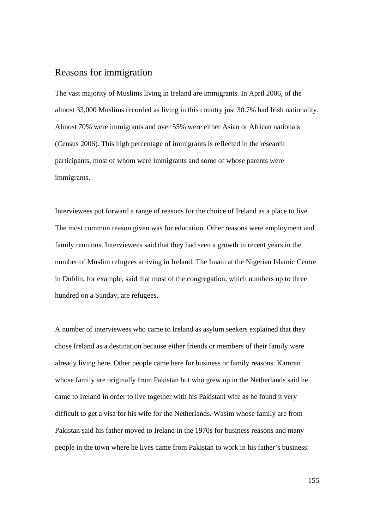### Reasons for immigration

The vast majority of Muslims living in Ireland are immigrants. In April 2006, of the almost 33,000 Muslims recorded as living in this country just 30.7% had Irish nationality. Almost 70% were immigrants and over 55% were either Asian or African nationals (Census 2006). This high percentage of immigrants is reflected in the research participants, most of whom were immigrants and some of whose parents were immigrants.

Interviewees put forward a range of reasons for the choice of Ireland as a place to live. The most common reason given was for education. Other reasons were employment and family reunions. Interviewees said that they had seen a growth in recent years in the number of Muslim refugees arriving in Ireland. The Imam at the Nigerian Islamic Centre in Dublin, for example, said that most of the congregation, which numbers up to three hundred on a Sunday, are refugees.

A number of interviewees who came to Ireland as asylum seekers explained that they chose Ireland as a destination because either friends or members of their family were already living here. Other people came here for business or family reasons. Kamran whose family are originally from Pakistan but who grew up in the Netherlands said he came to Ireland in order to live together with his Pakistani wife as he found it very difficult to get a visa for his wife for the Netherlands. Wasim whose family are from Pakistan said his father moved to Ireland in the 1970s for business reasons and many people in the town where he lives came from Pakistan to work in his father's business: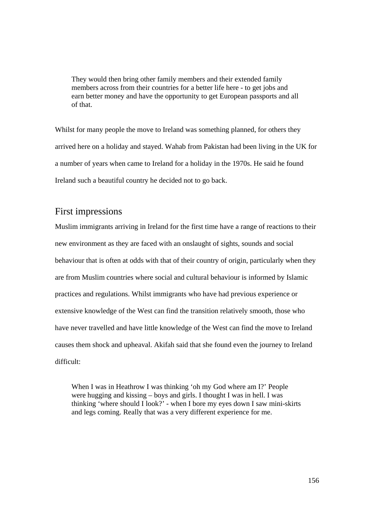They would then bring other family members and their extended family members across from their countries for a better life here - to get jobs and earn better money and have the opportunity to get European passports and all of that.

Whilst for many people the move to Ireland was something planned, for others they arrived here on a holiday and stayed. Wahab from Pakistan had been living in the UK for a number of years when came to Ireland for a holiday in the 1970s. He said he found Ireland such a beautiful country he decided not to go back.

### First impressions

Muslim immigrants arriving in Ireland for the first time have a range of reactions to their new environment as they are faced with an onslaught of sights, sounds and social behaviour that is often at odds with that of their country of origin, particularly when they are from Muslim countries where social and cultural behaviour is informed by Islamic practices and regulations. Whilst immigrants who have had previous experience or extensive knowledge of the West can find the transition relatively smooth, those who have never travelled and have little knowledge of the West can find the move to Ireland causes them shock and upheaval. Akifah said that she found even the journey to Ireland difficult:

When I was in Heathrow I was thinking 'oh my God where am I?' People were hugging and kissing – boys and girls. I thought I was in hell. I was thinking 'where should I look?' - when I bore my eyes down I saw mini-skirts and legs coming. Really that was a very different experience for me.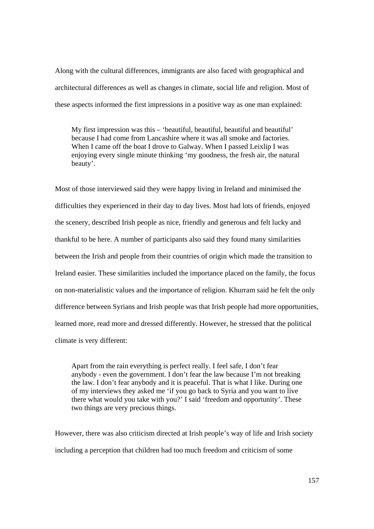Along with the cultural differences, immigrants are also faced with geographical and architectural differences as well as changes in climate, social life and religion. Most of these aspects informed the first impressions in a positive way as one man explained:

My first impression was this – 'beautiful, beautiful, beautiful and beautiful' because I had come from Lancashire where it was all smoke and factories. When I came off the boat I drove to Galway. When I passed Leixlip I was enjoying every single minute thinking 'my goodness, the fresh air, the natural beauty'.

Most of those interviewed said they were happy living in Ireland and minimised the difficulties they experienced in their day to day lives. Most had lots of friends, enjoyed the scenery, described Irish people as nice, friendly and generous and felt lucky and thankful to be here. A number of participants also said they found many similarities between the Irish and people from their countries of origin which made the transition to Ireland easier. These similarities included the importance placed on the family, the focus on non-materialistic values and the importance of religion. Khurram said he felt the only difference between Syrians and Irish people was that Irish people had more opportunities, learned more, read more and dressed differently. However, he stressed that the political climate is very different:

Apart from the rain everything is perfect really. I feel safe, I don't fear anybody - even the government. I don't fear the law because I'm not breaking the law. I don't fear anybody and it is peaceful. That is what I like. During one of my interviews they asked me 'if you go back to Syria and you want to live there what would you take with you?' I said 'freedom and opportunity'. These two things are very precious things.

However, there was also criticism directed at Irish people's way of life and Irish society including a perception that children had too much freedom and criticism of some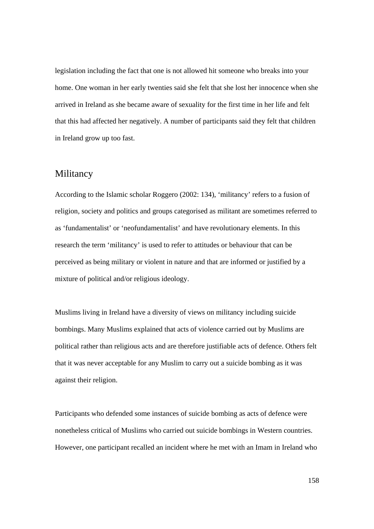legislation including the fact that one is not allowed hit someone who breaks into your home. One woman in her early twenties said she felt that she lost her innocence when she arrived in Ireland as she became aware of sexuality for the first time in her life and felt that this had affected her negatively. A number of participants said they felt that children in Ireland grow up too fast.

#### Militancy

According to the Islamic scholar Roggero (2002: 134), 'militancy' refers to a fusion of religion, society and politics and groups categorised as militant are sometimes referred to as 'fundamentalist' or 'neofundamentalist' and have revolutionary elements. In this research the term 'militancy' is used to refer to attitudes or behaviour that can be perceived as being military or violent in nature and that are informed or justified by a mixture of political and/or religious ideology.

Muslims living in Ireland have a diversity of views on militancy including suicide bombings. Many Muslims explained that acts of violence carried out by Muslims are political rather than religious acts and are therefore justifiable acts of defence. Others felt that it was never acceptable for any Muslim to carry out a suicide bombing as it was against their religion.

Participants who defended some instances of suicide bombing as acts of defence were nonetheless critical of Muslims who carried out suicide bombings in Western countries. However, one participant recalled an incident where he met with an Imam in Ireland who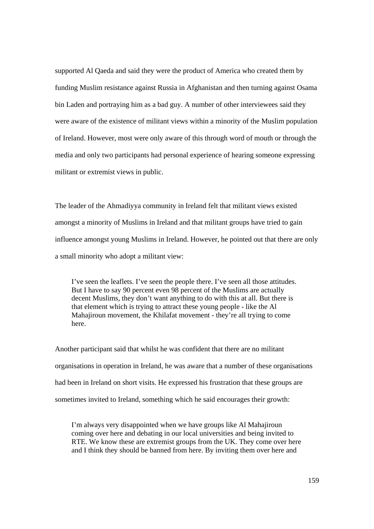supported Al Qaeda and said they were the product of America who created them by funding Muslim resistance against Russia in Afghanistan and then turning against Osama bin Laden and portraying him as a bad guy. A number of other interviewees said they were aware of the existence of militant views within a minority of the Muslim population of Ireland. However, most were only aware of this through word of mouth or through the media and only two participants had personal experience of hearing someone expressing militant or extremist views in public.

The leader of the Ahmadiyya community in Ireland felt that militant views existed amongst a minority of Muslims in Ireland and that militant groups have tried to gain influence amongst young Muslims in Ireland. However, he pointed out that there are only a small minority who adopt a militant view:

I've seen the leaflets. I've seen the people there. I've seen all those attitudes. But I have to say 90 percent even 98 percent of the Muslims are actually decent Muslims, they don't want anything to do with this at all. But there is that element which is trying to attract these young people - like the Al Mahajiroun movement, the Khilafat movement - they're all trying to come here.

Another participant said that whilst he was confident that there are no militant organisations in operation in Ireland, he was aware that a number of these organisations had been in Ireland on short visits. He expressed his frustration that these groups are sometimes invited to Ireland, something which he said encourages their growth:

I'm always very disappointed when we have groups like Al Mahajiroun coming over here and debating in our local universities and being invited to RTE. We know these are extremist groups from the UK. They come over here and I think they should be banned from here. By inviting them over here and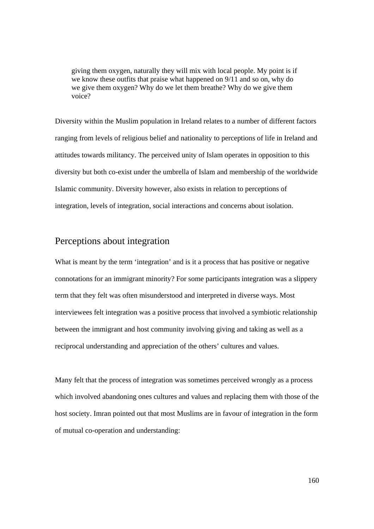giving them oxygen, naturally they will mix with local people. My point is if we know these outfits that praise what happened on 9/11 and so on, why do we give them oxygen? Why do we let them breathe? Why do we give them voice?

Diversity within the Muslim population in Ireland relates to a number of different factors ranging from levels of religious belief and nationality to perceptions of life in Ireland and attitudes towards militancy. The perceived unity of Islam operates in opposition to this diversity but both co-exist under the umbrella of Islam and membership of the worldwide Islamic community. Diversity however, also exists in relation to perceptions of integration, levels of integration, social interactions and concerns about isolation.

### Perceptions about integration

What is meant by the term 'integration' and is it a process that has positive or negative connotations for an immigrant minority? For some participants integration was a slippery term that they felt was often misunderstood and interpreted in diverse ways. Most interviewees felt integration was a positive process that involved a symbiotic relationship between the immigrant and host community involving giving and taking as well as a reciprocal understanding and appreciation of the others' cultures and values.

Many felt that the process of integration was sometimes perceived wrongly as a process which involved abandoning ones cultures and values and replacing them with those of the host society. Imran pointed out that most Muslims are in favour of integration in the form of mutual co-operation and understanding: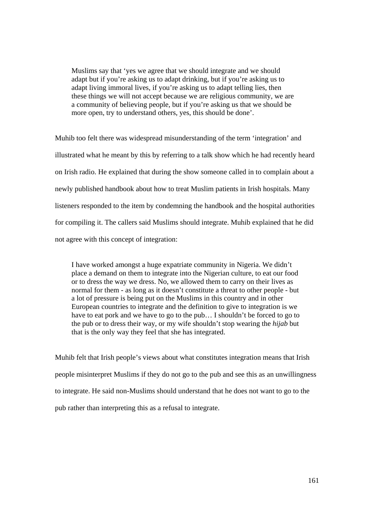Muslims say that 'yes we agree that we should integrate and we should adapt but if you're asking us to adapt drinking, but if you're asking us to adapt living immoral lives, if you're asking us to adapt telling lies, then these things we will not accept because we are religious community, we are a community of believing people, but if you're asking us that we should be more open, try to understand others, yes, this should be done'.

Muhib too felt there was widespread misunderstanding of the term 'integration' and illustrated what he meant by this by referring to a talk show which he had recently heard on Irish radio. He explained that during the show someone called in to complain about a newly published handbook about how to treat Muslim patients in Irish hospitals. Many listeners responded to the item by condemning the handbook and the hospital authorities for compiling it. The callers said Muslims should integrate. Muhib explained that he did not agree with this concept of integration:

I have worked amongst a huge expatriate community in Nigeria. We didn't place a demand on them to integrate into the Nigerian culture, to eat our food or to dress the way we dress. No, we allowed them to carry on their lives as normal for them - as long as it doesn't constitute a threat to other people - but a lot of pressure is being put on the Muslims in this country and in other European countries to integrate and the definition to give to integration is we have to eat pork and we have to go to the pub... I shouldn't be forced to go to the pub or to dress their way, or my wife shouldn't stop wearing the *hijab* but that is the only way they feel that she has integrated.

Muhib felt that Irish people's views about what constitutes integration means that Irish people misinterpret Muslims if they do not go to the pub and see this as an unwillingness to integrate. He said non-Muslims should understand that he does not want to go to the pub rather than interpreting this as a refusal to integrate.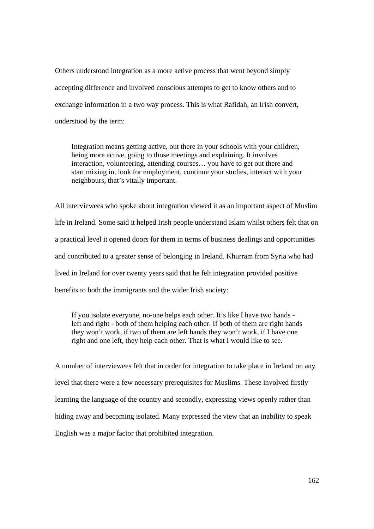Others understood integration as a more active process that went beyond simply accepting difference and involved conscious attempts to get to know others and to exchange information in a two way process. This is what Rafidah, an Irish convert, understood by the term:

Integration means getting active, out there in your schools with your children, being more active, going to those meetings and explaining. It involves interaction, volunteering, attending courses… you have to get out there and start mixing in, look for employment, continue your studies, interact with your neighbours, that's vitally important.

All interviewees who spoke about integration viewed it as an important aspect of Muslim life in Ireland. Some said it helped Irish people understand Islam whilst others felt that on a practical level it opened doors for them in terms of business dealings and opportunities and contributed to a greater sense of belonging in Ireland. Khurram from Syria who had lived in Ireland for over twenty years said that he felt integration provided positive benefits to both the immigrants and the wider Irish society:

If you isolate everyone, no-one helps each other. It's like I have two hands left and right - both of them helping each other. If both of them are right hands they won't work, if two of them are left hands they won't work, if I have one right and one left, they help each other. That is what I would like to see.

A number of interviewees felt that in order for integration to take place in Ireland on any level that there were a few necessary prerequisites for Muslims. These involved firstly learning the language of the country and secondly, expressing views openly rather than hiding away and becoming isolated. Many expressed the view that an inability to speak English was a major factor that prohibited integration.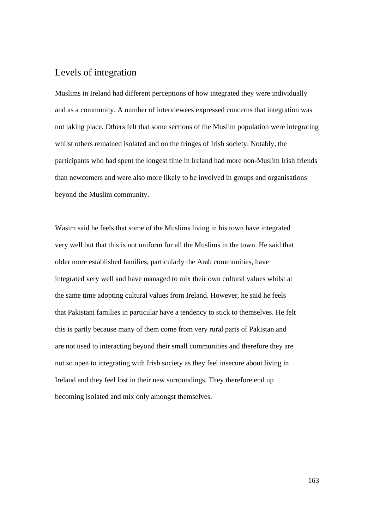## Levels of integration

Muslims in Ireland had different perceptions of how integrated they were individually and as a community. A number of interviewees expressed concerns that integration was not taking place. Others felt that some sections of the Muslim population were integrating whilst others remained isolated and on the fringes of Irish society. Notably, the participants who had spent the longest time in Ireland had more non-Muslim Irish friends than newcomers and were also more likely to be involved in groups and organisations beyond the Muslim community.

Wasim said he feels that some of the Muslims living in his town have integrated very well but that this is not uniform for all the Muslims in the town. He said that older more established families, particularly the Arab communities, have integrated very well and have managed to mix their own cultural values whilst at the same time adopting cultural values from Ireland. However, he said he feels that Pakistani families in particular have a tendency to stick to themselves. He felt this is partly because many of them come from very rural parts of Pakistan and are not used to interacting beyond their small communities and therefore they are not so open to integrating with Irish society as they feel insecure about living in Ireland and they feel lost in their new surroundings. They therefore end up becoming isolated and mix only amongst themselves.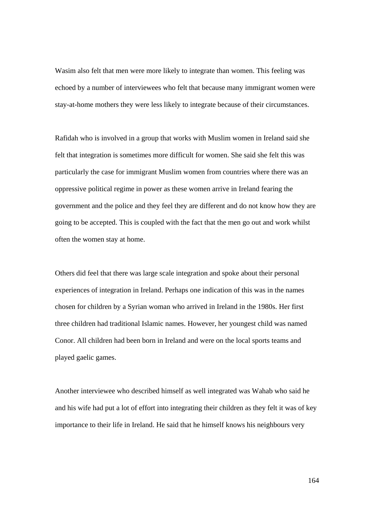Wasim also felt that men were more likely to integrate than women. This feeling was echoed by a number of interviewees who felt that because many immigrant women were stay-at-home mothers they were less likely to integrate because of their circumstances.

Rafidah who is involved in a group that works with Muslim women in Ireland said she felt that integration is sometimes more difficult for women. She said she felt this was particularly the case for immigrant Muslim women from countries where there was an oppressive political regime in power as these women arrive in Ireland fearing the government and the police and they feel they are different and do not know how they are going to be accepted. This is coupled with the fact that the men go out and work whilst often the women stay at home.

Others did feel that there was large scale integration and spoke about their personal experiences of integration in Ireland. Perhaps one indication of this was in the names chosen for children by a Syrian woman who arrived in Ireland in the 1980s. Her first three children had traditional Islamic names. However, her youngest child was named Conor. All children had been born in Ireland and were on the local sports teams and played gaelic games.

Another interviewee who described himself as well integrated was Wahab who said he and his wife had put a lot of effort into integrating their children as they felt it was of key importance to their life in Ireland. He said that he himself knows his neighbours very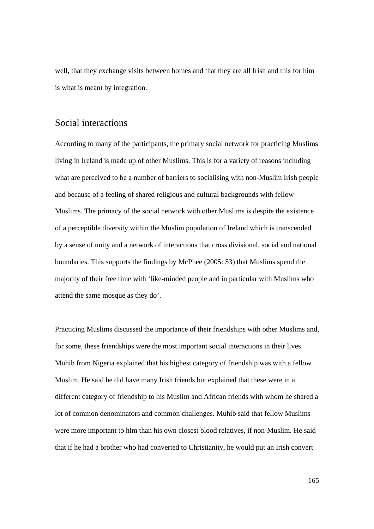well, that they exchange visits between homes and that they are all Irish and this for him is what is meant by integration.

### Social interactions

According to many of the participants, the primary social network for practicing Muslims living in Ireland is made up of other Muslims. This is for a variety of reasons including what are perceived to be a number of barriers to socialising with non-Muslim Irish people and because of a feeling of shared religious and cultural backgrounds with fellow Muslims. The primacy of the social network with other Muslims is despite the existence of a perceptible diversity within the Muslim population of Ireland which is transcended by a sense of unity and a network of interactions that cross divisional, social and national boundaries. This supports the findings by McPhee (2005: 53) that Muslims spend the majority of their free time with 'like-minded people and in particular with Muslims who attend the same mosque as they do'.

Practicing Muslims discussed the importance of their friendships with other Muslims and, for some, these friendships were the most important social interactions in their lives. Muhib from Nigeria explained that his highest category of friendship was with a fellow Muslim. He said he did have many Irish friends but explained that these were in a different category of friendship to his Muslim and African friends with whom he shared a lot of common denominators and common challenges. Muhib said that fellow Muslims were more important to him than his own closest blood relatives, if non-Muslim. He said that if he had a brother who had converted to Christianity, he would put an Irish convert

165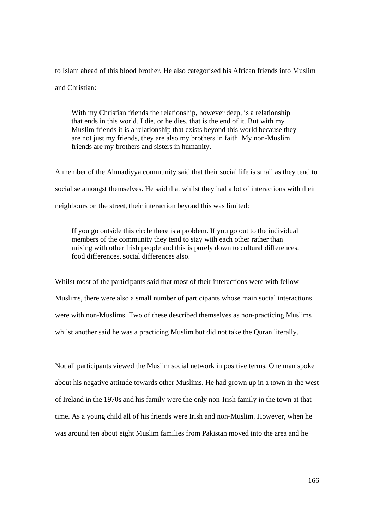to Islam ahead of this blood brother. He also categorised his African friends into Muslim and Christian:

With my Christian friends the relationship, however deep, is a relationship that ends in this world. I die, or he dies, that is the end of it. But with my Muslim friends it is a relationship that exists beyond this world because they are not just my friends, they are also my brothers in faith. My non-Muslim friends are my brothers and sisters in humanity.

A member of the Ahmadiyya community said that their social life is small as they tend to socialise amongst themselves. He said that whilst they had a lot of interactions with their neighbours on the street, their interaction beyond this was limited:

If you go outside this circle there is a problem. If you go out to the individual members of the community they tend to stay with each other rather than mixing with other Irish people and this is purely down to cultural differences, food differences, social differences also.

Whilst most of the participants said that most of their interactions were with fellow Muslims, there were also a small number of participants whose main social interactions were with non-Muslims. Two of these described themselves as non-practicing Muslims whilst another said he was a practicing Muslim but did not take the Quran literally.

Not all participants viewed the Muslim social network in positive terms. One man spoke about his negative attitude towards other Muslims. He had grown up in a town in the west of Ireland in the 1970s and his family were the only non-Irish family in the town at that time. As a young child all of his friends were Irish and non-Muslim. However, when he was around ten about eight Muslim families from Pakistan moved into the area and he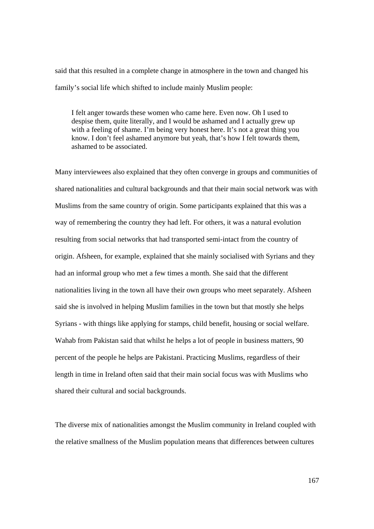said that this resulted in a complete change in atmosphere in the town and changed his family's social life which shifted to include mainly Muslim people:

I felt anger towards these women who came here. Even now. Oh I used to despise them, quite literally, and I would be ashamed and I actually grew up with a feeling of shame. I'm being very honest here. It's not a great thing you know. I don't feel ashamed anymore but yeah, that's how I felt towards them, ashamed to be associated.

Many interviewees also explained that they often converge in groups and communities of shared nationalities and cultural backgrounds and that their main social network was with Muslims from the same country of origin. Some participants explained that this was a way of remembering the country they had left. For others, it was a natural evolution resulting from social networks that had transported semi-intact from the country of origin. Afsheen, for example, explained that she mainly socialised with Syrians and they had an informal group who met a few times a month. She said that the different nationalities living in the town all have their own groups who meet separately. Afsheen said she is involved in helping Muslim families in the town but that mostly she helps Syrians - with things like applying for stamps, child benefit, housing or social welfare. Wahab from Pakistan said that whilst he helps a lot of people in business matters, 90 percent of the people he helps are Pakistani. Practicing Muslims, regardless of their length in time in Ireland often said that their main social focus was with Muslims who shared their cultural and social backgrounds.

The diverse mix of nationalities amongst the Muslim community in Ireland coupled with the relative smallness of the Muslim population means that differences between cultures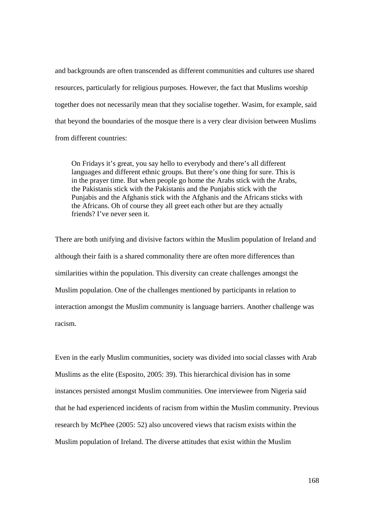and backgrounds are often transcended as different communities and cultures use shared resources, particularly for religious purposes. However, the fact that Muslims worship together does not necessarily mean that they socialise together. Wasim, for example, said that beyond the boundaries of the mosque there is a very clear division between Muslims from different countries:

On Fridays it's great, you say hello to everybody and there's all different languages and different ethnic groups. But there's one thing for sure. This is in the prayer time. But when people go home the Arabs stick with the Arabs, the Pakistanis stick with the Pakistanis and the Punjabis stick with the Punjabis and the Afghanis stick with the Afghanis and the Africans sticks with the Africans. Oh of course they all greet each other but are they actually friends? I've never seen it.

There are both unifying and divisive factors within the Muslim population of Ireland and although their faith is a shared commonality there are often more differences than similarities within the population. This diversity can create challenges amongst the Muslim population. One of the challenges mentioned by participants in relation to interaction amongst the Muslim community is language barriers. Another challenge was racism.

Even in the early Muslim communities, society was divided into social classes with Arab Muslims as the elite (Esposito, 2005: 39). This hierarchical division has in some instances persisted amongst Muslim communities. One interviewee from Nigeria said that he had experienced incidents of racism from within the Muslim community. Previous research by McPhee (2005: 52) also uncovered views that racism exists within the Muslim population of Ireland. The diverse attitudes that exist within the Muslim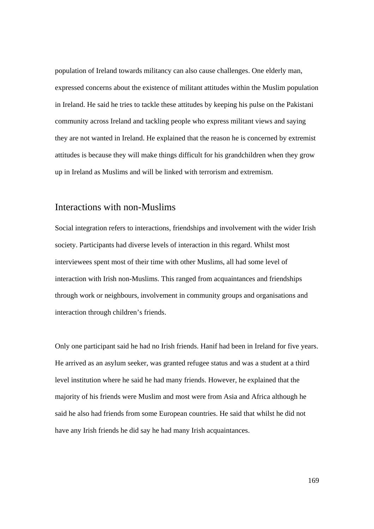population of Ireland towards militancy can also cause challenges. One elderly man, expressed concerns about the existence of militant attitudes within the Muslim population in Ireland. He said he tries to tackle these attitudes by keeping his pulse on the Pakistani community across Ireland and tackling people who express militant views and saying they are not wanted in Ireland. He explained that the reason he is concerned by extremist attitudes is because they will make things difficult for his grandchildren when they grow up in Ireland as Muslims and will be linked with terrorism and extremism.

#### Interactions with non-Muslims

Social integration refers to interactions, friendships and involvement with the wider Irish society. Participants had diverse levels of interaction in this regard. Whilst most interviewees spent most of their time with other Muslims, all had some level of interaction with Irish non-Muslims. This ranged from acquaintances and friendships through work or neighbours, involvement in community groups and organisations and interaction through children's friends.

Only one participant said he had no Irish friends. Hanif had been in Ireland for five years. He arrived as an asylum seeker, was granted refugee status and was a student at a third level institution where he said he had many friends. However, he explained that the majority of his friends were Muslim and most were from Asia and Africa although he said he also had friends from some European countries. He said that whilst he did not have any Irish friends he did say he had many Irish acquaintances.

169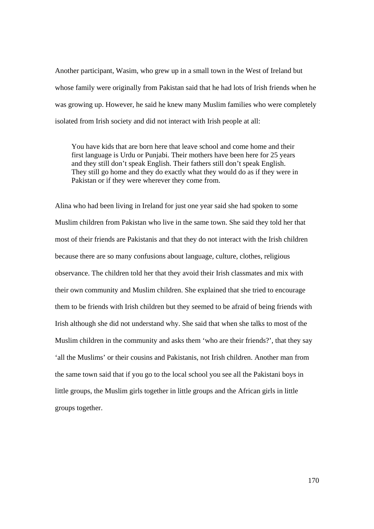Another participant, Wasim, who grew up in a small town in the West of Ireland but whose family were originally from Pakistan said that he had lots of Irish friends when he was growing up. However, he said he knew many Muslim families who were completely isolated from Irish society and did not interact with Irish people at all:

You have kids that are born here that leave school and come home and their first language is Urdu or Punjabi. Their mothers have been here for 25 years and they still don't speak English. Their fathers still don't speak English. They still go home and they do exactly what they would do as if they were in Pakistan or if they were wherever they come from.

Alina who had been living in Ireland for just one year said she had spoken to some Muslim children from Pakistan who live in the same town. She said they told her that most of their friends are Pakistanis and that they do not interact with the Irish children because there are so many confusions about language, culture, clothes, religious observance. The children told her that they avoid their Irish classmates and mix with their own community and Muslim children. She explained that she tried to encourage them to be friends with Irish children but they seemed to be afraid of being friends with Irish although she did not understand why. She said that when she talks to most of the Muslim children in the community and asks them 'who are their friends?', that they say 'all the Muslims' or their cousins and Pakistanis, not Irish children. Another man from the same town said that if you go to the local school you see all the Pakistani boys in little groups, the Muslim girls together in little groups and the African girls in little groups together.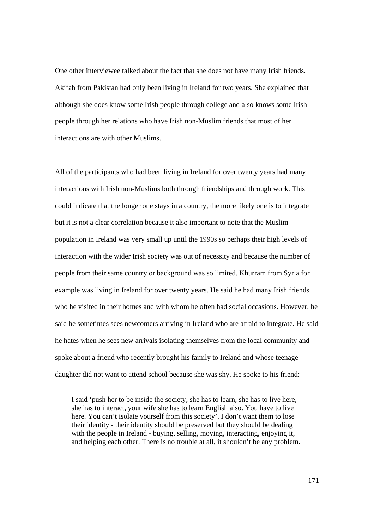One other interviewee talked about the fact that she does not have many Irish friends. Akifah from Pakistan had only been living in Ireland for two years. She explained that although she does know some Irish people through college and also knows some Irish people through her relations who have Irish non-Muslim friends that most of her interactions are with other Muslims.

All of the participants who had been living in Ireland for over twenty years had many interactions with Irish non-Muslims both through friendships and through work. This could indicate that the longer one stays in a country, the more likely one is to integrate but it is not a clear correlation because it also important to note that the Muslim population in Ireland was very small up until the 1990s so perhaps their high levels of interaction with the wider Irish society was out of necessity and because the number of people from their same country or background was so limited. Khurram from Syria for example was living in Ireland for over twenty years. He said he had many Irish friends who he visited in their homes and with whom he often had social occasions. However, he said he sometimes sees newcomers arriving in Ireland who are afraid to integrate. He said he hates when he sees new arrivals isolating themselves from the local community and spoke about a friend who recently brought his family to Ireland and whose teenage daughter did not want to attend school because she was shy. He spoke to his friend:

I said 'push her to be inside the society, she has to learn, she has to live here, she has to interact, your wife she has to learn English also. You have to live here. You can't isolate yourself from this society'. I don't want them to lose their identity - their identity should be preserved but they should be dealing with the people in Ireland - buying, selling, moving, interacting, enjoying it, and helping each other. There is no trouble at all, it shouldn't be any problem.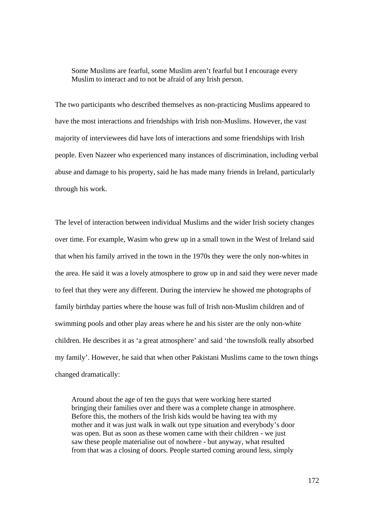Some Muslims are fearful, some Muslim aren't fearful but I encourage every Muslim to interact and to not be afraid of any Irish person.

The two participants who described themselves as non-practicing Muslims appeared to have the most interactions and friendships with Irish non-Muslims. However, the vast majority of interviewees did have lots of interactions and some friendships with Irish people. Even Nazeer who experienced many instances of discrimination, including verbal abuse and damage to his property, said he has made many friends in Ireland, particularly through his work.

The level of interaction between individual Muslims and the wider Irish society changes over time. For example, Wasim who grew up in a small town in the West of Ireland said that when his family arrived in the town in the 1970s they were the only non-whites in the area. He said it was a lovely atmosphere to grow up in and said they were never made to feel that they were any different. During the interview he showed me photographs of family birthday parties where the house was full of Irish non-Muslim children and of swimming pools and other play areas where he and his sister are the only non-white children. He describes it as 'a great atmosphere' and said 'the townsfolk really absorbed my family'. However, he said that when other Pakistani Muslims came to the town things changed dramatically:

Around about the age of ten the guys that were working here started bringing their families over and there was a complete change in atmosphere. Before this, the mothers of the Irish kids would be having tea with my mother and it was just walk in walk out type situation and everybody's door was open. But as soon as these women came with their children - we just saw these people materialise out of nowhere - but anyway, what resulted from that was a closing of doors. People started coming around less, simply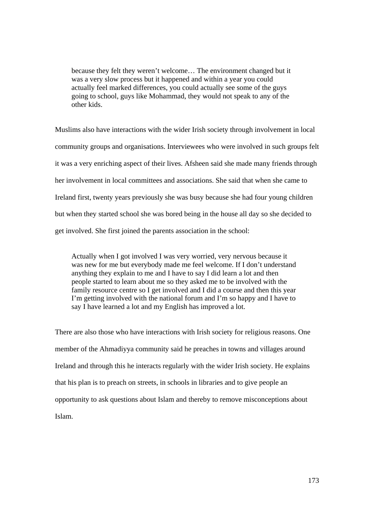because they felt they weren't welcome… The environment changed but it was a very slow process but it happened and within a year you could actually feel marked differences, you could actually see some of the guys going to school, guys like Mohammad, they would not speak to any of the other kids.

Muslims also have interactions with the wider Irish society through involvement in local community groups and organisations. Interviewees who were involved in such groups felt it was a very enriching aspect of their lives. Afsheen said she made many friends through her involvement in local committees and associations. She said that when she came to Ireland first, twenty years previously she was busy because she had four young children but when they started school she was bored being in the house all day so she decided to get involved. She first joined the parents association in the school:

Actually when I got involved I was very worried, very nervous because it was new for me but everybody made me feel welcome. If I don't understand anything they explain to me and I have to say I did learn a lot and then people started to learn about me so they asked me to be involved with the family resource centre so I get involved and I did a course and then this year I'm getting involved with the national forum and I'm so happy and I have to say I have learned a lot and my English has improved a lot.

There are also those who have interactions with Irish society for religious reasons. One member of the Ahmadiyya community said he preaches in towns and villages around Ireland and through this he interacts regularly with the wider Irish society. He explains that his plan is to preach on streets, in schools in libraries and to give people an opportunity to ask questions about Islam and thereby to remove misconceptions about Islam.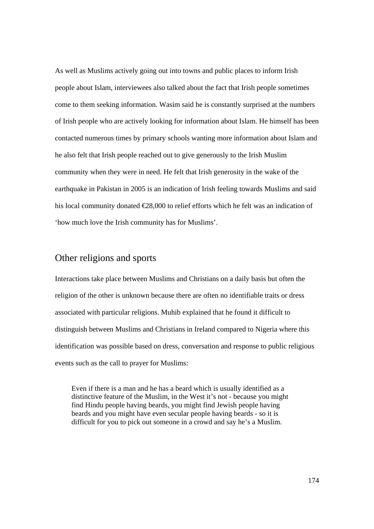As well as Muslims actively going out into towns and public places to inform Irish people about Islam, interviewees also talked about the fact that Irish people sometimes come to them seeking information. Wasim said he is constantly surprised at the numbers of Irish people who are actively looking for information about Islam. He himself has been contacted numerous times by primary schools wanting more information about Islam and he also felt that Irish people reached out to give generously to the Irish Muslim community when they were in need. He felt that Irish generosity in the wake of the earthquake in Pakistan in 2005 is an indication of Irish feeling towards Muslims and said his local community donated  $\epsilon$ 28,000 to relief efforts which he felt was an indication of 'how much love the Irish community has for Muslims'.

# Other religions and sports

Interactions take place between Muslims and Christians on a daily basis but often the religion of the other is unknown because there are often no identifiable traits or dress associated with particular religions. Muhib explained that he found it difficult to distinguish between Muslims and Christians in Ireland compared to Nigeria where this identification was possible based on dress, conversation and response to public religious events such as the call to prayer for Muslims:

Even if there is a man and he has a beard which is usually identified as a distinctive feature of the Muslim, in the West it's not - because you might find Hindu people having beards, you might find Jewish people having beards and you might have even secular people having beards - so it is difficult for you to pick out someone in a crowd and say he's a Muslim.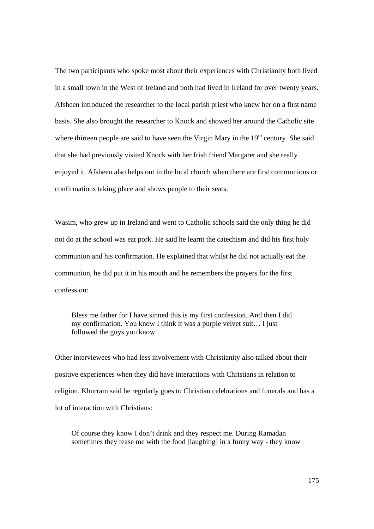The two participants who spoke most about their experiences with Christianity both lived in a small town in the West of Ireland and both had lived in Ireland for over twenty years. Afsheen introduced the researcher to the local parish priest who knew her on a first name basis. She also brought the researcher to Knock and showed her around the Catholic site where thirteen people are said to have seen the Virgin Mary in the 19<sup>th</sup> century. She said that she had previously visited Knock with her Irish friend Margaret and she really enjoyed it. Afsheen also helps out in the local church when there are first communions or confirmations taking place and shows people to their seats.

Wasim, who grew up in Ireland and went to Catholic schools said the only thing he did not do at the school was eat pork. He said he learnt the catechism and did his first holy communion and his confirmation. He explained that whilst he did not actually eat the communion, he did put it in his mouth and he remembers the prayers for the first confession:

Bless me father for I have sinned this is my first confession. And then I did my confirmation. You know I think it was a purple velvet suit… I just followed the guys you know.

Other interviewees who had less involvement with Christianity also talked about their positive experiences when they did have interactions with Christians in relation to religion. Khurram said he regularly goes to Christian celebrations and funerals and has a lot of interaction with Christians:

Of course they know I don't drink and they respect me. During Ramadan sometimes they tease me with the food [laughing] in a funny way - they know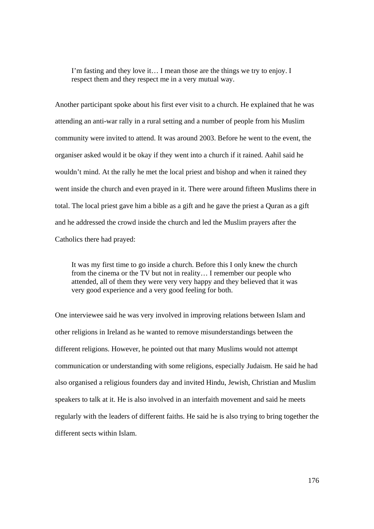I'm fasting and they love it… I mean those are the things we try to enjoy. I respect them and they respect me in a very mutual way.

Another participant spoke about his first ever visit to a church. He explained that he was attending an anti-war rally in a rural setting and a number of people from his Muslim community were invited to attend. It was around 2003. Before he went to the event, the organiser asked would it be okay if they went into a church if it rained. Aahil said he wouldn't mind. At the rally he met the local priest and bishop and when it rained they went inside the church and even prayed in it. There were around fifteen Muslims there in total. The local priest gave him a bible as a gift and he gave the priest a Quran as a gift and he addressed the crowd inside the church and led the Muslim prayers after the Catholics there had prayed:

It was my first time to go inside a church. Before this I only knew the church from the cinema or the TV but not in reality… I remember our people who attended, all of them they were very very happy and they believed that it was very good experience and a very good feeling for both.

One interviewee said he was very involved in improving relations between Islam and other religions in Ireland as he wanted to remove misunderstandings between the different religions. However, he pointed out that many Muslims would not attempt communication or understanding with some religions, especially Judaism. He said he had also organised a religious founders day and invited Hindu, Jewish, Christian and Muslim speakers to talk at it. He is also involved in an interfaith movement and said he meets regularly with the leaders of different faiths. He said he is also trying to bring together the different sects within Islam.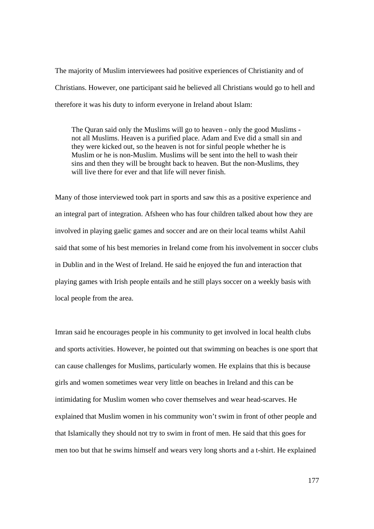The majority of Muslim interviewees had positive experiences of Christianity and of Christians. However, one participant said he believed all Christians would go to hell and therefore it was his duty to inform everyone in Ireland about Islam:

The Quran said only the Muslims will go to heaven - only the good Muslims not all Muslims. Heaven is a purified place. Adam and Eve did a small sin and they were kicked out, so the heaven is not for sinful people whether he is Muslim or he is non-Muslim. Muslims will be sent into the hell to wash their sins and then they will be brought back to heaven. But the non-Muslims, they will live there for ever and that life will never finish.

Many of those interviewed took part in sports and saw this as a positive experience and an integral part of integration. Afsheen who has four children talked about how they are involved in playing gaelic games and soccer and are on their local teams whilst Aahil said that some of his best memories in Ireland come from his involvement in soccer clubs in Dublin and in the West of Ireland. He said he enjoyed the fun and interaction that playing games with Irish people entails and he still plays soccer on a weekly basis with local people from the area.

Imran said he encourages people in his community to get involved in local health clubs and sports activities. However, he pointed out that swimming on beaches is one sport that can cause challenges for Muslims, particularly women. He explains that this is because girls and women sometimes wear very little on beaches in Ireland and this can be intimidating for Muslim women who cover themselves and wear head-scarves. He explained that Muslim women in his community won't swim in front of other people and that Islamically they should not try to swim in front of men. He said that this goes for men too but that he swims himself and wears very long shorts and a t-shirt. He explained

177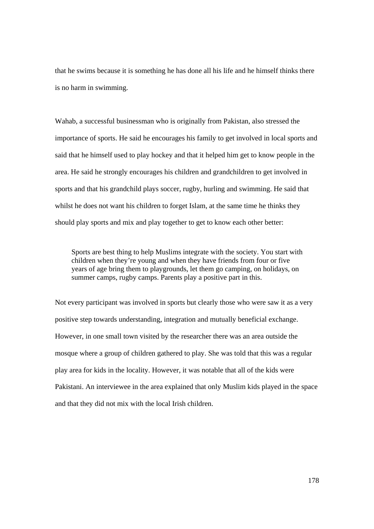that he swims because it is something he has done all his life and he himself thinks there is no harm in swimming.

Wahab, a successful businessman who is originally from Pakistan, also stressed the importance of sports. He said he encourages his family to get involved in local sports and said that he himself used to play hockey and that it helped him get to know people in the area. He said he strongly encourages his children and grandchildren to get involved in sports and that his grandchild plays soccer, rugby, hurling and swimming. He said that whilst he does not want his children to forget Islam, at the same time he thinks they should play sports and mix and play together to get to know each other better:

Sports are best thing to help Muslims integrate with the society. You start with children when they're young and when they have friends from four or five years of age bring them to playgrounds, let them go camping, on holidays, on summer camps, rugby camps. Parents play a positive part in this.

Not every participant was involved in sports but clearly those who were saw it as a very positive step towards understanding, integration and mutually beneficial exchange. However, in one small town visited by the researcher there was an area outside the mosque where a group of children gathered to play. She was told that this was a regular play area for kids in the locality. However, it was notable that all of the kids were Pakistani. An interviewee in the area explained that only Muslim kids played in the space and that they did not mix with the local Irish children.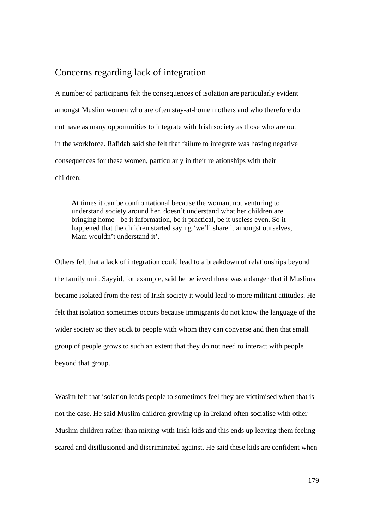## Concerns regarding lack of integration

A number of participants felt the consequences of isolation are particularly evident amongst Muslim women who are often stay-at-home mothers and who therefore do not have as many opportunities to integrate with Irish society as those who are out in the workforce. Rafidah said she felt that failure to integrate was having negative consequences for these women, particularly in their relationships with their children:

At times it can be confrontational because the woman, not venturing to understand society around her, doesn't understand what her children are bringing home - be it information, be it practical, be it useless even. So it happened that the children started saying 'we'll share it amongst ourselves, Mam wouldn't understand it'.

Others felt that a lack of integration could lead to a breakdown of relationships beyond the family unit. Sayyid, for example, said he believed there was a danger that if Muslims became isolated from the rest of Irish society it would lead to more militant attitudes. He felt that isolation sometimes occurs because immigrants do not know the language of the wider society so they stick to people with whom they can converse and then that small group of people grows to such an extent that they do not need to interact with people beyond that group.

Wasim felt that isolation leads people to sometimes feel they are victimised when that is not the case. He said Muslim children growing up in Ireland often socialise with other Muslim children rather than mixing with Irish kids and this ends up leaving them feeling scared and disillusioned and discriminated against. He said these kids are confident when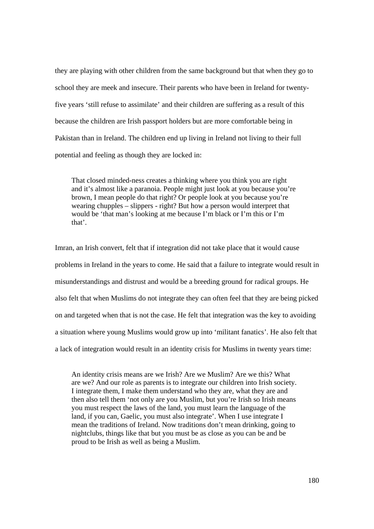they are playing with other children from the same background but that when they go to school they are meek and insecure. Their parents who have been in Ireland for twentyfive years 'still refuse to assimilate' and their children are suffering as a result of this because the children are Irish passport holders but are more comfortable being in Pakistan than in Ireland. The children end up living in Ireland not living to their full potential and feeling as though they are locked in:

That closed minded-ness creates a thinking where you think you are right and it's almost like a paranoia. People might just look at you because you're brown, I mean people do that right? Or people look at you because you're wearing chupples – slippers - right? But how a person would interpret that would be 'that man's looking at me because I'm black or I'm this or I'm that'.

Imran, an Irish convert, felt that if integration did not take place that it would cause problems in Ireland in the years to come. He said that a failure to integrate would result in misunderstandings and distrust and would be a breeding ground for radical groups. He also felt that when Muslims do not integrate they can often feel that they are being picked on and targeted when that is not the case. He felt that integration was the key to avoiding a situation where young Muslims would grow up into 'militant fanatics'. He also felt that a lack of integration would result in an identity crisis for Muslims in twenty years time:

An identity crisis means are we Irish? Are we Muslim? Are we this? What are we? And our role as parents is to integrate our children into Irish society. I integrate them, I make them understand who they are, what they are and then also tell them 'not only are you Muslim, but you're Irish so Irish means you must respect the laws of the land, you must learn the language of the land, if you can, Gaelic, you must also integrate'. When I use integrate I mean the traditions of Ireland. Now traditions don't mean drinking, going to nightclubs, things like that but you must be as close as you can be and be proud to be Irish as well as being a Muslim.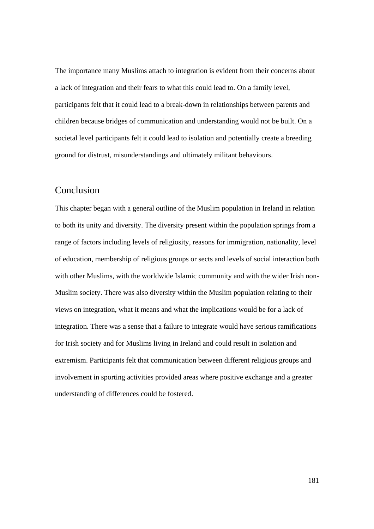The importance many Muslims attach to integration is evident from their concerns about a lack of integration and their fears to what this could lead to. On a family level, participants felt that it could lead to a break-down in relationships between parents and children because bridges of communication and understanding would not be built. On a societal level participants felt it could lead to isolation and potentially create a breeding ground for distrust, misunderstandings and ultimately militant behaviours.

#### Conclusion

This chapter began with a general outline of the Muslim population in Ireland in relation to both its unity and diversity. The diversity present within the population springs from a range of factors including levels of religiosity, reasons for immigration, nationality, level of education, membership of religious groups or sects and levels of social interaction both with other Muslims, with the worldwide Islamic community and with the wider Irish non-Muslim society. There was also diversity within the Muslim population relating to their views on integration, what it means and what the implications would be for a lack of integration. There was a sense that a failure to integrate would have serious ramifications for Irish society and for Muslims living in Ireland and could result in isolation and extremism. Participants felt that communication between different religious groups and involvement in sporting activities provided areas where positive exchange and a greater understanding of differences could be fostered.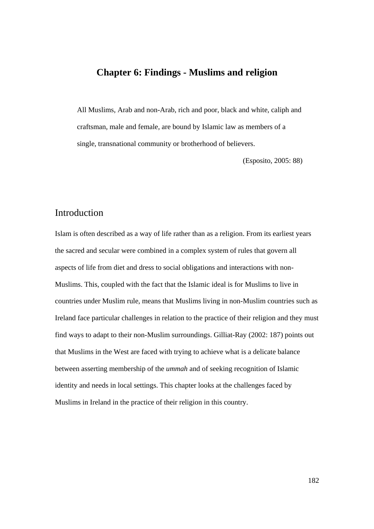## **Chapter 6: Findings - Muslims and religion**

All Muslims, Arab and non-Arab, rich and poor, black and white, caliph and craftsman, male and female, are bound by Islamic law as members of a single, transnational community or brotherhood of believers.

(Esposito, 2005: 88)

#### Introduction

Islam is often described as a way of life rather than as a religion. From its earliest years the sacred and secular were combined in a complex system of rules that govern all aspects of life from diet and dress to social obligations and interactions with non-Muslims. This, coupled with the fact that the Islamic ideal is for Muslims to live in countries under Muslim rule, means that Muslims living in non-Muslim countries such as Ireland face particular challenges in relation to the practice of their religion and they must find ways to adapt to their non-Muslim surroundings. Gilliat-Ray (2002: 187) points out that Muslims in the West are faced with trying to achieve what is a delicate balance between asserting membership of the *ummah* and of seeking recognition of Islamic identity and needs in local settings. This chapter looks at the challenges faced by Muslims in Ireland in the practice of their religion in this country.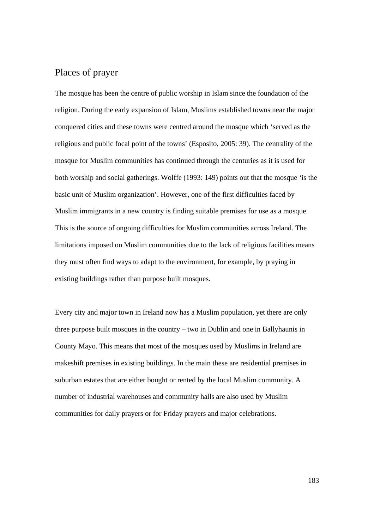### Places of prayer

The mosque has been the centre of public worship in Islam since the foundation of the religion. During the early expansion of Islam, Muslims established towns near the major conquered cities and these towns were centred around the mosque which 'served as the religious and public focal point of the towns' (Esposito, 2005: 39). The centrality of the mosque for Muslim communities has continued through the centuries as it is used for both worship and social gatherings. Wolffe (1993: 149) points out that the mosque 'is the basic unit of Muslim organization'. However, one of the first difficulties faced by Muslim immigrants in a new country is finding suitable premises for use as a mosque. This is the source of ongoing difficulties for Muslim communities across Ireland. The limitations imposed on Muslim communities due to the lack of religious facilities means they must often find ways to adapt to the environment, for example, by praying in existing buildings rather than purpose built mosques.

Every city and major town in Ireland now has a Muslim population, yet there are only three purpose built mosques in the country – two in Dublin and one in Ballyhaunis in County Mayo. This means that most of the mosques used by Muslims in Ireland are makeshift premises in existing buildings. In the main these are residential premises in suburban estates that are either bought or rented by the local Muslim community. A number of industrial warehouses and community halls are also used by Muslim communities for daily prayers or for Friday prayers and major celebrations.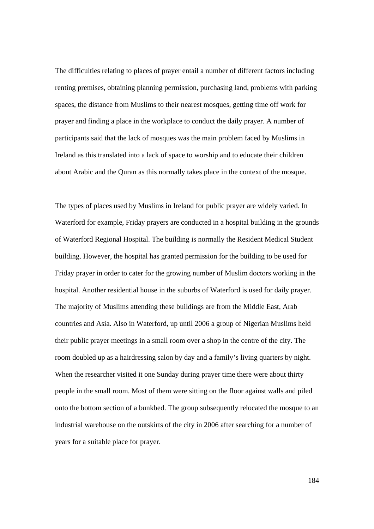The difficulties relating to places of prayer entail a number of different factors including renting premises, obtaining planning permission, purchasing land, problems with parking spaces, the distance from Muslims to their nearest mosques, getting time off work for prayer and finding a place in the workplace to conduct the daily prayer. A number of participants said that the lack of mosques was the main problem faced by Muslims in Ireland as this translated into a lack of space to worship and to educate their children about Arabic and the Quran as this normally takes place in the context of the mosque.

The types of places used by Muslims in Ireland for public prayer are widely varied. In Waterford for example, Friday prayers are conducted in a hospital building in the grounds of Waterford Regional Hospital. The building is normally the Resident Medical Student building. However, the hospital has granted permission for the building to be used for Friday prayer in order to cater for the growing number of Muslim doctors working in the hospital. Another residential house in the suburbs of Waterford is used for daily prayer. The majority of Muslims attending these buildings are from the Middle East, Arab countries and Asia. Also in Waterford, up until 2006 a group of Nigerian Muslims held their public prayer meetings in a small room over a shop in the centre of the city. The room doubled up as a hairdressing salon by day and a family's living quarters by night. When the researcher visited it one Sunday during prayer time there were about thirty people in the small room. Most of them were sitting on the floor against walls and piled onto the bottom section of a bunkbed. The group subsequently relocated the mosque to an industrial warehouse on the outskirts of the city in 2006 after searching for a number of years for a suitable place for prayer.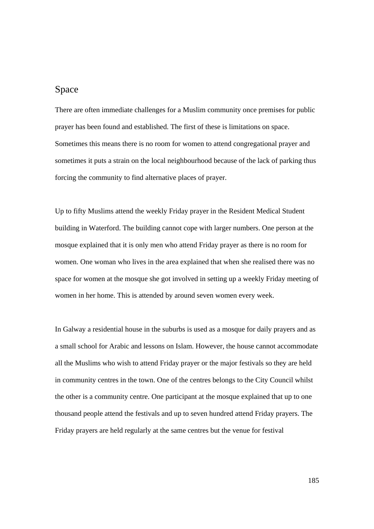### Space

There are often immediate challenges for a Muslim community once premises for public prayer has been found and established. The first of these is limitations on space. Sometimes this means there is no room for women to attend congregational prayer and sometimes it puts a strain on the local neighbourhood because of the lack of parking thus forcing the community to find alternative places of prayer.

Up to fifty Muslims attend the weekly Friday prayer in the Resident Medical Student building in Waterford. The building cannot cope with larger numbers. One person at the mosque explained that it is only men who attend Friday prayer as there is no room for women. One woman who lives in the area explained that when she realised there was no space for women at the mosque she got involved in setting up a weekly Friday meeting of women in her home. This is attended by around seven women every week.

In Galway a residential house in the suburbs is used as a mosque for daily prayers and as a small school for Arabic and lessons on Islam. However, the house cannot accommodate all the Muslims who wish to attend Friday prayer or the major festivals so they are held in community centres in the town. One of the centres belongs to the City Council whilst the other is a community centre. One participant at the mosque explained that up to one thousand people attend the festivals and up to seven hundred attend Friday prayers. The Friday prayers are held regularly at the same centres but the venue for festival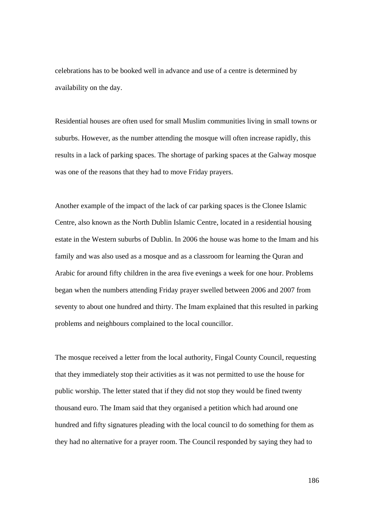celebrations has to be booked well in advance and use of a centre is determined by availability on the day.

Residential houses are often used for small Muslim communities living in small towns or suburbs. However, as the number attending the mosque will often increase rapidly, this results in a lack of parking spaces. The shortage of parking spaces at the Galway mosque was one of the reasons that they had to move Friday prayers.

Another example of the impact of the lack of car parking spaces is the Clonee Islamic Centre, also known as the North Dublin Islamic Centre, located in a residential housing estate in the Western suburbs of Dublin. In 2006 the house was home to the Imam and his family and was also used as a mosque and as a classroom for learning the Quran and Arabic for around fifty children in the area five evenings a week for one hour. Problems began when the numbers attending Friday prayer swelled between 2006 and 2007 from seventy to about one hundred and thirty. The Imam explained that this resulted in parking problems and neighbours complained to the local councillor.

The mosque received a letter from the local authority, Fingal County Council, requesting that they immediately stop their activities as it was not permitted to use the house for public worship. The letter stated that if they did not stop they would be fined twenty thousand euro. The Imam said that they organised a petition which had around one hundred and fifty signatures pleading with the local council to do something for them as they had no alternative for a prayer room. The Council responded by saying they had to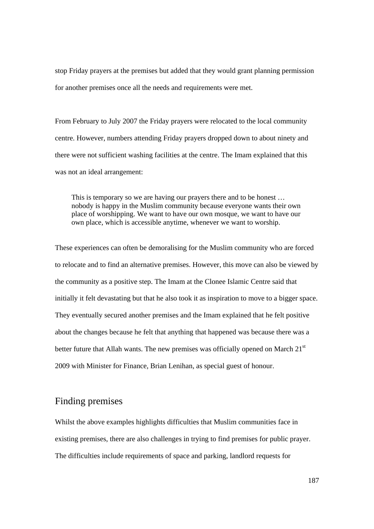stop Friday prayers at the premises but added that they would grant planning permission for another premises once all the needs and requirements were met.

From February to July 2007 the Friday prayers were relocated to the local community centre. However, numbers attending Friday prayers dropped down to about ninety and there were not sufficient washing facilities at the centre. The Imam explained that this was not an ideal arrangement:

This is temporary so we are having our prayers there and to be honest … nobody is happy in the Muslim community because everyone wants their own place of worshipping. We want to have our own mosque, we want to have our own place, which is accessible anytime, whenever we want to worship.

These experiences can often be demoralising for the Muslim community who are forced to relocate and to find an alternative premises. However, this move can also be viewed by the community as a positive step. The Imam at the Clonee Islamic Centre said that initially it felt devastating but that he also took it as inspiration to move to a bigger space. They eventually secured another premises and the Imam explained that he felt positive about the changes because he felt that anything that happened was because there was a better future that Allah wants. The new premises was officially opened on March  $21<sup>st</sup>$ 2009 with Minister for Finance, Brian Lenihan, as special guest of honour.

# Finding premises

Whilst the above examples highlights difficulties that Muslim communities face in existing premises, there are also challenges in trying to find premises for public prayer. The difficulties include requirements of space and parking, landlord requests for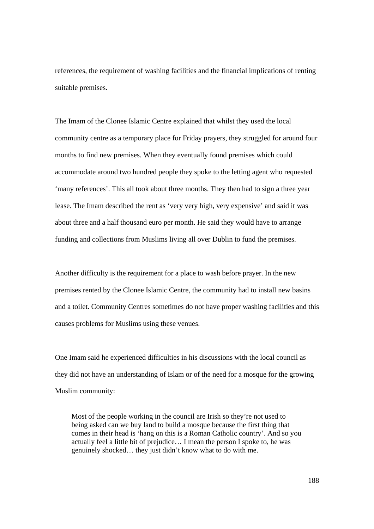references, the requirement of washing facilities and the financial implications of renting suitable premises.

The Imam of the Clonee Islamic Centre explained that whilst they used the local community centre as a temporary place for Friday prayers, they struggled for around four months to find new premises. When they eventually found premises which could accommodate around two hundred people they spoke to the letting agent who requested 'many references'. This all took about three months. They then had to sign a three year lease. The Imam described the rent as 'very very high, very expensive' and said it was about three and a half thousand euro per month. He said they would have to arrange funding and collections from Muslims living all over Dublin to fund the premises.

Another difficulty is the requirement for a place to wash before prayer. In the new premises rented by the Clonee Islamic Centre, the community had to install new basins and a toilet. Community Centres sometimes do not have proper washing facilities and this causes problems for Muslims using these venues.

One Imam said he experienced difficulties in his discussions with the local council as they did not have an understanding of Islam or of the need for a mosque for the growing Muslim community:

Most of the people working in the council are Irish so they're not used to being asked can we buy land to build a mosque because the first thing that comes in their head is 'hang on this is a Roman Catholic country'. And so you actually feel a little bit of prejudice… I mean the person I spoke to, he was genuinely shocked… they just didn't know what to do with me.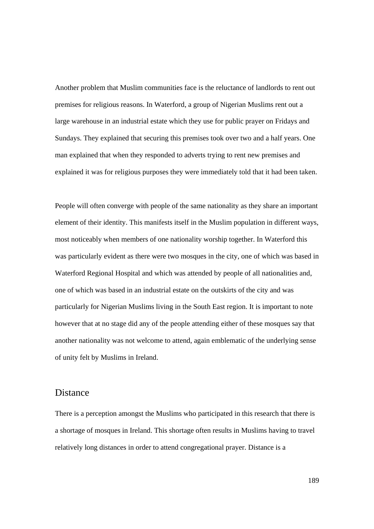Another problem that Muslim communities face is the reluctance of landlords to rent out premises for religious reasons. In Waterford, a group of Nigerian Muslims rent out a large warehouse in an industrial estate which they use for public prayer on Fridays and Sundays. They explained that securing this premises took over two and a half years. One man explained that when they responded to adverts trying to rent new premises and explained it was for religious purposes they were immediately told that it had been taken.

People will often converge with people of the same nationality as they share an important element of their identity. This manifests itself in the Muslim population in different ways, most noticeably when members of one nationality worship together. In Waterford this was particularly evident as there were two mosques in the city, one of which was based in Waterford Regional Hospital and which was attended by people of all nationalities and, one of which was based in an industrial estate on the outskirts of the city and was particularly for Nigerian Muslims living in the South East region. It is important to note however that at no stage did any of the people attending either of these mosques say that another nationality was not welcome to attend, again emblematic of the underlying sense of unity felt by Muslims in Ireland.

#### Distance

There is a perception amongst the Muslims who participated in this research that there is a shortage of mosques in Ireland. This shortage often results in Muslims having to travel relatively long distances in order to attend congregational prayer. Distance is a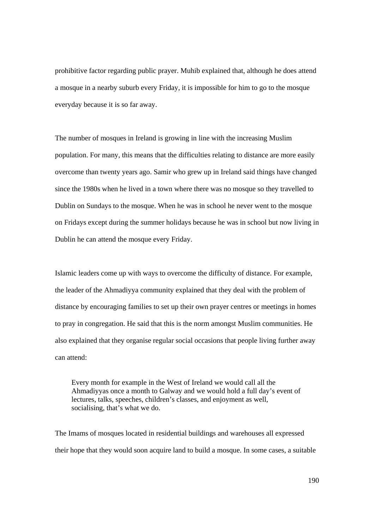prohibitive factor regarding public prayer. Muhib explained that, although he does attend a mosque in a nearby suburb every Friday, it is impossible for him to go to the mosque everyday because it is so far away.

The number of mosques in Ireland is growing in line with the increasing Muslim population. For many, this means that the difficulties relating to distance are more easily overcome than twenty years ago. Samir who grew up in Ireland said things have changed since the 1980s when he lived in a town where there was no mosque so they travelled to Dublin on Sundays to the mosque. When he was in school he never went to the mosque on Fridays except during the summer holidays because he was in school but now living in Dublin he can attend the mosque every Friday.

Islamic leaders come up with ways to overcome the difficulty of distance. For example, the leader of the Ahmadiyya community explained that they deal with the problem of distance by encouraging families to set up their own prayer centres or meetings in homes to pray in congregation. He said that this is the norm amongst Muslim communities. He also explained that they organise regular social occasions that people living further away can attend:

Every month for example in the West of Ireland we would call all the Ahmadiyyas once a month to Galway and we would hold a full day's event of lectures, talks, speeches, children's classes, and enjoyment as well, socialising, that's what we do.

The Imams of mosques located in residential buildings and warehouses all expressed their hope that they would soon acquire land to build a mosque. In some cases, a suitable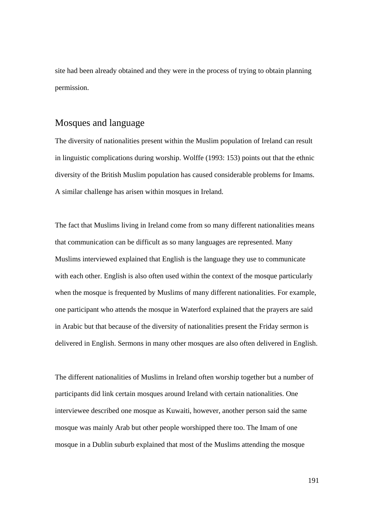site had been already obtained and they were in the process of trying to obtain planning permission.

#### Mosques and language

The diversity of nationalities present within the Muslim population of Ireland can result in linguistic complications during worship. Wolffe (1993: 153) points out that the ethnic diversity of the British Muslim population has caused considerable problems for Imams. A similar challenge has arisen within mosques in Ireland.

The fact that Muslims living in Ireland come from so many different nationalities means that communication can be difficult as so many languages are represented. Many Muslims interviewed explained that English is the language they use to communicate with each other. English is also often used within the context of the mosque particularly when the mosque is frequented by Muslims of many different nationalities. For example, one participant who attends the mosque in Waterford explained that the prayers are said in Arabic but that because of the diversity of nationalities present the Friday sermon is delivered in English. Sermons in many other mosques are also often delivered in English.

The different nationalities of Muslims in Ireland often worship together but a number of participants did link certain mosques around Ireland with certain nationalities. One interviewee described one mosque as Kuwaiti, however, another person said the same mosque was mainly Arab but other people worshipped there too. The Imam of one mosque in a Dublin suburb explained that most of the Muslims attending the mosque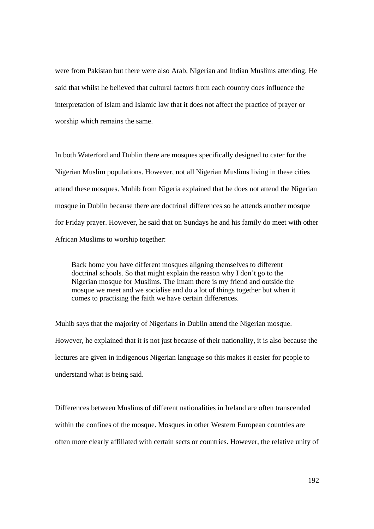were from Pakistan but there were also Arab, Nigerian and Indian Muslims attending. He said that whilst he believed that cultural factors from each country does influence the interpretation of Islam and Islamic law that it does not affect the practice of prayer or worship which remains the same.

In both Waterford and Dublin there are mosques specifically designed to cater for the Nigerian Muslim populations. However, not all Nigerian Muslims living in these cities attend these mosques. Muhib from Nigeria explained that he does not attend the Nigerian mosque in Dublin because there are doctrinal differences so he attends another mosque for Friday prayer. However, he said that on Sundays he and his family do meet with other African Muslims to worship together:

Back home you have different mosques aligning themselves to different doctrinal schools. So that might explain the reason why I don't go to the Nigerian mosque for Muslims. The Imam there is my friend and outside the mosque we meet and we socialise and do a lot of things together but when it comes to practising the faith we have certain differences.

Muhib says that the majority of Nigerians in Dublin attend the Nigerian mosque. However, he explained that it is not just because of their nationality, it is also because the lectures are given in indigenous Nigerian language so this makes it easier for people to understand what is being said.

Differences between Muslims of different nationalities in Ireland are often transcended within the confines of the mosque. Mosques in other Western European countries are often more clearly affiliated with certain sects or countries. However, the relative unity of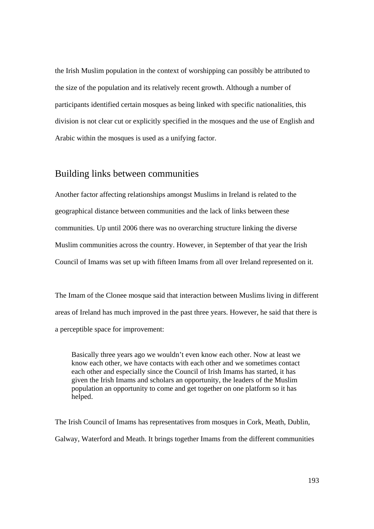the Irish Muslim population in the context of worshipping can possibly be attributed to the size of the population and its relatively recent growth. Although a number of participants identified certain mosques as being linked with specific nationalities, this division is not clear cut or explicitly specified in the mosques and the use of English and Arabic within the mosques is used as a unifying factor.

#### Building links between communities

Another factor affecting relationships amongst Muslims in Ireland is related to the geographical distance between communities and the lack of links between these communities. Up until 2006 there was no overarching structure linking the diverse Muslim communities across the country. However, in September of that year the Irish Council of Imams was set up with fifteen Imams from all over Ireland represented on it.

The Imam of the Clonee mosque said that interaction between Muslims living in different areas of Ireland has much improved in the past three years. However, he said that there is a perceptible space for improvement:

Basically three years ago we wouldn't even know each other. Now at least we know each other, we have contacts with each other and we sometimes contact each other and especially since the Council of Irish Imams has started, it has given the Irish Imams and scholars an opportunity, the leaders of the Muslim population an opportunity to come and get together on one platform so it has helped.

The Irish Council of Imams has representatives from mosques in Cork, Meath, Dublin, Galway, Waterford and Meath. It brings together Imams from the different communities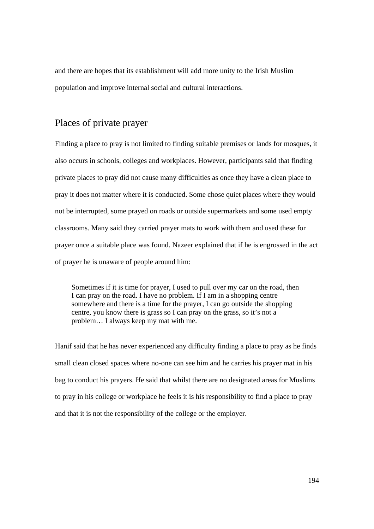and there are hopes that its establishment will add more unity to the Irish Muslim population and improve internal social and cultural interactions.

# Places of private prayer

Finding a place to pray is not limited to finding suitable premises or lands for mosques, it also occurs in schools, colleges and workplaces. However, participants said that finding private places to pray did not cause many difficulties as once they have a clean place to pray it does not matter where it is conducted. Some chose quiet places where they would not be interrupted, some prayed on roads or outside supermarkets and some used empty classrooms. Many said they carried prayer mats to work with them and used these for prayer once a suitable place was found. Nazeer explained that if he is engrossed in the act of prayer he is unaware of people around him:

Sometimes if it is time for prayer, I used to pull over my car on the road, then I can pray on the road. I have no problem. If I am in a shopping centre somewhere and there is a time for the prayer, I can go outside the shopping centre, you know there is grass so I can pray on the grass, so it's not a problem… I always keep my mat with me.

Hanif said that he has never experienced any difficulty finding a place to pray as he finds small clean closed spaces where no-one can see him and he carries his prayer mat in his bag to conduct his prayers. He said that whilst there are no designated areas for Muslims to pray in his college or workplace he feels it is his responsibility to find a place to pray and that it is not the responsibility of the college or the employer.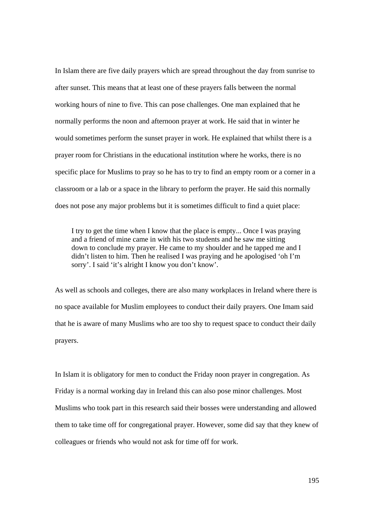In Islam there are five daily prayers which are spread throughout the day from sunrise to after sunset. This means that at least one of these prayers falls between the normal working hours of nine to five. This can pose challenges. One man explained that he normally performs the noon and afternoon prayer at work. He said that in winter he would sometimes perform the sunset prayer in work. He explained that whilst there is a prayer room for Christians in the educational institution where he works, there is no specific place for Muslims to pray so he has to try to find an empty room or a corner in a classroom or a lab or a space in the library to perform the prayer. He said this normally does not pose any major problems but it is sometimes difficult to find a quiet place:

I try to get the time when I know that the place is empty... Once I was praying and a friend of mine came in with his two students and he saw me sitting down to conclude my prayer. He came to my shoulder and he tapped me and I didn't listen to him. Then he realised I was praying and he apologised 'oh I'm sorry'. I said 'it's alright I know you don't know'.

As well as schools and colleges, there are also many workplaces in Ireland where there is no space available for Muslim employees to conduct their daily prayers. One Imam said that he is aware of many Muslims who are too shy to request space to conduct their daily prayers.

In Islam it is obligatory for men to conduct the Friday noon prayer in congregation. As Friday is a normal working day in Ireland this can also pose minor challenges. Most Muslims who took part in this research said their bosses were understanding and allowed them to take time off for congregational prayer. However, some did say that they knew of colleagues or friends who would not ask for time off for work.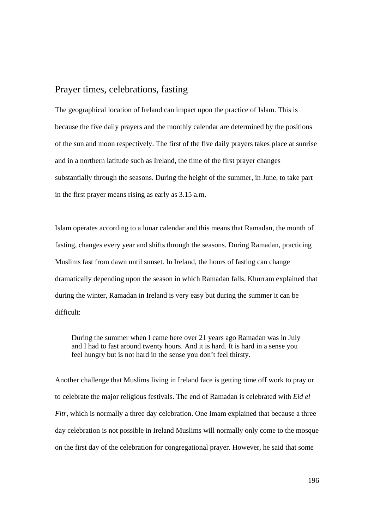#### Prayer times, celebrations, fasting

The geographical location of Ireland can impact upon the practice of Islam. This is because the five daily prayers and the monthly calendar are determined by the positions of the sun and moon respectively. The first of the five daily prayers takes place at sunrise and in a northern latitude such as Ireland, the time of the first prayer changes substantially through the seasons. During the height of the summer, in June, to take part in the first prayer means rising as early as 3.15 a.m.

Islam operates according to a lunar calendar and this means that Ramadan, the month of fasting, changes every year and shifts through the seasons. During Ramadan, practicing Muslims fast from dawn until sunset. In Ireland, the hours of fasting can change dramatically depending upon the season in which Ramadan falls. Khurram explained that during the winter, Ramadan in Ireland is very easy but during the summer it can be difficult:

During the summer when I came here over 21 years ago Ramadan was in July and I had to fast around twenty hours. And it is hard. It is hard in a sense you feel hungry but is not hard in the sense you don't feel thirsty.

Another challenge that Muslims living in Ireland face is getting time off work to pray or to celebrate the major religious festivals. The end of Ramadan is celebrated with *Eid el Fitr*, which is normally a three day celebration. One Imam explained that because a three day celebration is not possible in Ireland Muslims will normally only come to the mosque on the first day of the celebration for congregational prayer. However, he said that some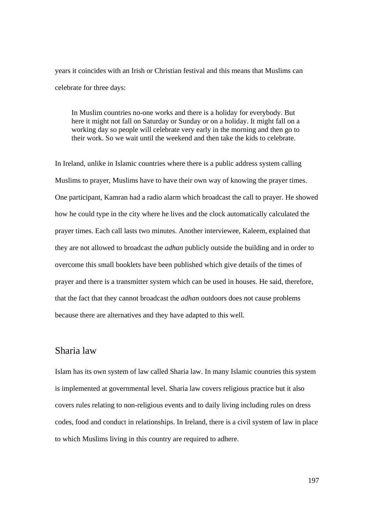years it coincides with an Irish or Christian festival and this means that Muslims can celebrate for three days:

In Muslim countries no-one works and there is a holiday for everybody. But here it might not fall on Saturday or Sunday or on a holiday. It might fall on a working day so people will celebrate very early in the morning and then go to their work. So we wait until the weekend and then take the kids to celebrate.

In Ireland, unlike in Islamic countries where there is a public address system calling Muslims to prayer, Muslims have to have their own way of knowing the prayer times. One participant, Kamran had a radio alarm which broadcast the call to prayer. He showed how he could type in the city where he lives and the clock automatically calculated the prayer times. Each call lasts two minutes. Another interviewee, Kaleem, explained that they are not allowed to broadcast the *adhan* publicly outside the building and in order to overcome this small booklets have been published which give details of the times of prayer and there is a transmitter system which can be used in houses. He said, therefore, that the fact that they cannot broadcast the *adhan* outdoors does not cause problems because there are alternatives and they have adapted to this well.

#### Sharia law

Islam has its own system of law called Sharia law. In many Islamic countries this system is implemented at governmental level. Sharia law covers religious practice but it also covers rules relating to non-religious events and to daily living including rules on dress codes, food and conduct in relationships. In Ireland, there is a civil system of law in place to which Muslims living in this country are required to adhere.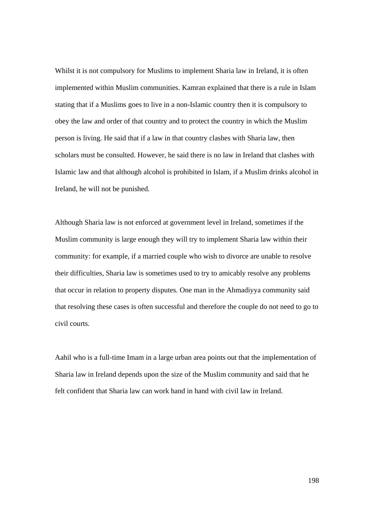Whilst it is not compulsory for Muslims to implement Sharia law in Ireland, it is often implemented within Muslim communities. Kamran explained that there is a rule in Islam stating that if a Muslims goes to live in a non-Islamic country then it is compulsory to obey the law and order of that country and to protect the country in which the Muslim person is living. He said that if a law in that country clashes with Sharia law, then scholars must be consulted. However, he said there is no law in Ireland that clashes with Islamic law and that although alcohol is prohibited in Islam, if a Muslim drinks alcohol in Ireland, he will not be punished.

Although Sharia law is not enforced at government level in Ireland, sometimes if the Muslim community is large enough they will try to implement Sharia law within their community: for example, if a married couple who wish to divorce are unable to resolve their difficulties, Sharia law is sometimes used to try to amicably resolve any problems that occur in relation to property disputes. One man in the Ahmadiyya community said that resolving these cases is often successful and therefore the couple do not need to go to civil courts.

Aahil who is a full-time Imam in a large urban area points out that the implementation of Sharia law in Ireland depends upon the size of the Muslim community and said that he felt confident that Sharia law can work hand in hand with civil law in Ireland.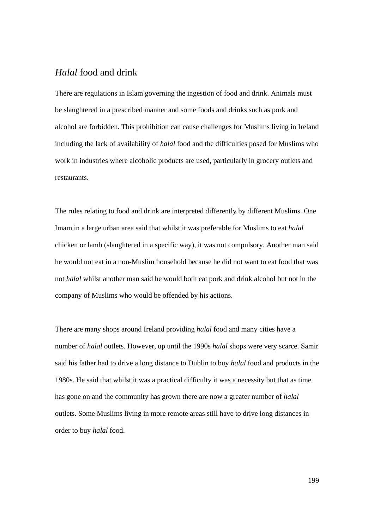### *Halal* food and drink

There are regulations in Islam governing the ingestion of food and drink. Animals must be slaughtered in a prescribed manner and some foods and drinks such as pork and alcohol are forbidden. This prohibition can cause challenges for Muslims living in Ireland including the lack of availability of *halal* food and the difficulties posed for Muslims who work in industries where alcoholic products are used, particularly in grocery outlets and restaurants.

The rules relating to food and drink are interpreted differently by different Muslims. One Imam in a large urban area said that whilst it was preferable for Muslims to eat *halal*  chicken or lamb (slaughtered in a specific way), it was not compulsory. Another man said he would not eat in a non-Muslim household because he did not want to eat food that was not *halal* whilst another man said he would both eat pork and drink alcohol but not in the company of Muslims who would be offended by his actions.

There are many shops around Ireland providing *halal* food and many cities have a number of *halal* outlets. However, up until the 1990s *halal* shops were very scarce. Samir said his father had to drive a long distance to Dublin to buy *halal* food and products in the 1980s. He said that whilst it was a practical difficulty it was a necessity but that as time has gone on and the community has grown there are now a greater number of *halal*  outlets. Some Muslims living in more remote areas still have to drive long distances in order to buy *halal* food.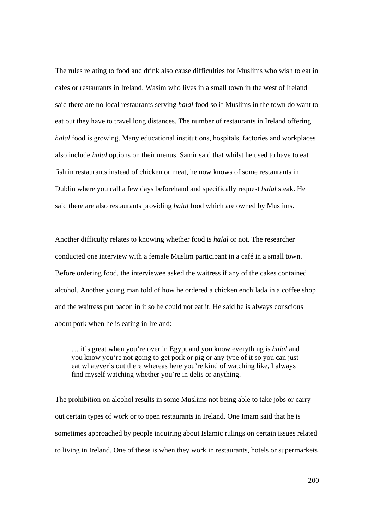The rules relating to food and drink also cause difficulties for Muslims who wish to eat in cafes or restaurants in Ireland. Wasim who lives in a small town in the west of Ireland said there are no local restaurants serving *halal* food so if Muslims in the town do want to eat out they have to travel long distances. The number of restaurants in Ireland offering *halal* food is growing. Many educational institutions, hospitals, factories and workplaces also include *halal* options on their menus. Samir said that whilst he used to have to eat fish in restaurants instead of chicken or meat, he now knows of some restaurants in Dublin where you call a few days beforehand and specifically request *halal* steak. He said there are also restaurants providing *halal* food which are owned by Muslims.

Another difficulty relates to knowing whether food is *halal* or not. The researcher conducted one interview with a female Muslim participant in a café in a small town. Before ordering food, the interviewee asked the waitress if any of the cakes contained alcohol. Another young man told of how he ordered a chicken enchilada in a coffee shop and the waitress put bacon in it so he could not eat it. He said he is always conscious about pork when he is eating in Ireland:

… it's great when you're over in Egypt and you know everything is *halal* and you know you're not going to get pork or pig or any type of it so you can just eat whatever's out there whereas here you're kind of watching like, I always find myself watching whether you're in delis or anything.

The prohibition on alcohol results in some Muslims not being able to take jobs or carry out certain types of work or to open restaurants in Ireland. One Imam said that he is sometimes approached by people inquiring about Islamic rulings on certain issues related to living in Ireland. One of these is when they work in restaurants, hotels or supermarkets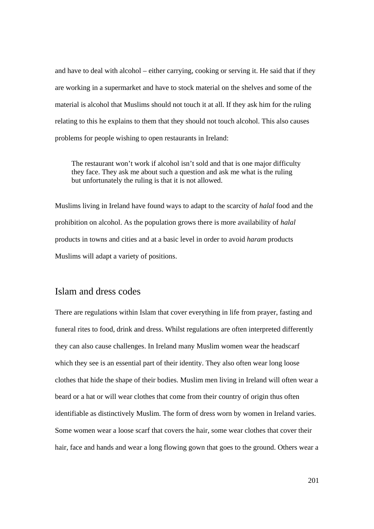and have to deal with alcohol – either carrying, cooking or serving it. He said that if they are working in a supermarket and have to stock material on the shelves and some of the material is alcohol that Muslims should not touch it at all. If they ask him for the ruling relating to this he explains to them that they should not touch alcohol. This also causes problems for people wishing to open restaurants in Ireland:

The restaurant won't work if alcohol isn't sold and that is one major difficulty they face. They ask me about such a question and ask me what is the ruling but unfortunately the ruling is that it is not allowed.

Muslims living in Ireland have found ways to adapt to the scarcity of *halal* food and the prohibition on alcohol. As the population grows there is more availability of *halal*  products in towns and cities and at a basic level in order to avoid *haram* products Muslims will adapt a variety of positions.

#### Islam and dress codes

There are regulations within Islam that cover everything in life from prayer, fasting and funeral rites to food, drink and dress. Whilst regulations are often interpreted differently they can also cause challenges. In Ireland many Muslim women wear the headscarf which they see is an essential part of their identity. They also often wear long loose clothes that hide the shape of their bodies. Muslim men living in Ireland will often wear a beard or a hat or will wear clothes that come from their country of origin thus often identifiable as distinctively Muslim. The form of dress worn by women in Ireland varies. Some women wear a loose scarf that covers the hair, some wear clothes that cover their hair, face and hands and wear a long flowing gown that goes to the ground. Others wear a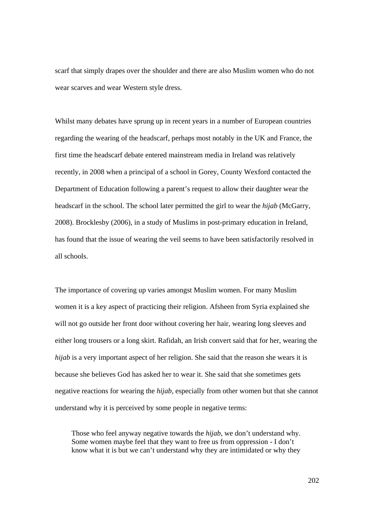scarf that simply drapes over the shoulder and there are also Muslim women who do not wear scarves and wear Western style dress.

Whilst many debates have sprung up in recent years in a number of European countries regarding the wearing of the headscarf, perhaps most notably in the UK and France, the first time the headscarf debate entered mainstream media in Ireland was relatively recently, in 2008 when a principal of a school in Gorey, County Wexford contacted the Department of Education following a parent's request to allow their daughter wear the headscarf in the school. The school later permitted the girl to wear the *hijab* (McGarry, 2008). Brocklesby (2006), in a study of Muslims in post-primary education in Ireland, has found that the issue of wearing the veil seems to have been satisfactorily resolved in all schools.

The importance of covering up varies amongst Muslim women. For many Muslim women it is a key aspect of practicing their religion. Afsheen from Syria explained she will not go outside her front door without covering her hair, wearing long sleeves and either long trousers or a long skirt. Rafidah, an Irish convert said that for her, wearing the *hijab* is a very important aspect of her religion. She said that the reason she wears it is because she believes God has asked her to wear it. She said that she sometimes gets negative reactions for wearing the *hijab*, especially from other women but that she cannot understand why it is perceived by some people in negative terms:

Those who feel anyway negative towards the *hijab*, we don't understand why. Some women maybe feel that they want to free us from oppression - I don't know what it is but we can't understand why they are intimidated or why they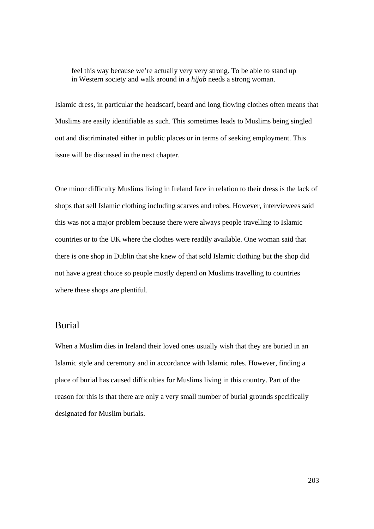feel this way because we're actually very very strong. To be able to stand up in Western society and walk around in a *hijab* needs a strong woman.

Islamic dress, in particular the headscarf, beard and long flowing clothes often means that Muslims are easily identifiable as such. This sometimes leads to Muslims being singled out and discriminated either in public places or in terms of seeking employment. This issue will be discussed in the next chapter.

One minor difficulty Muslims living in Ireland face in relation to their dress is the lack of shops that sell Islamic clothing including scarves and robes. However, interviewees said this was not a major problem because there were always people travelling to Islamic countries or to the UK where the clothes were readily available. One woman said that there is one shop in Dublin that she knew of that sold Islamic clothing but the shop did not have a great choice so people mostly depend on Muslims travelling to countries where these shops are plentiful.

#### Burial

When a Muslim dies in Ireland their loved ones usually wish that they are buried in an Islamic style and ceremony and in accordance with Islamic rules. However, finding a place of burial has caused difficulties for Muslims living in this country. Part of the reason for this is that there are only a very small number of burial grounds specifically designated for Muslim burials.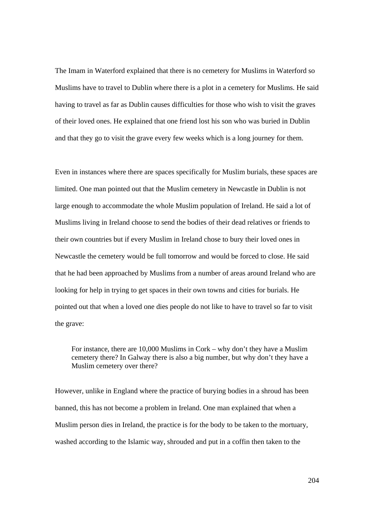The Imam in Waterford explained that there is no cemetery for Muslims in Waterford so Muslims have to travel to Dublin where there is a plot in a cemetery for Muslims. He said having to travel as far as Dublin causes difficulties for those who wish to visit the graves of their loved ones. He explained that one friend lost his son who was buried in Dublin and that they go to visit the grave every few weeks which is a long journey for them.

Even in instances where there are spaces specifically for Muslim burials, these spaces are limited. One man pointed out that the Muslim cemetery in Newcastle in Dublin is not large enough to accommodate the whole Muslim population of Ireland. He said a lot of Muslims living in Ireland choose to send the bodies of their dead relatives or friends to their own countries but if every Muslim in Ireland chose to bury their loved ones in Newcastle the cemetery would be full tomorrow and would be forced to close. He said that he had been approached by Muslims from a number of areas around Ireland who are looking for help in trying to get spaces in their own towns and cities for burials. He pointed out that when a loved one dies people do not like to have to travel so far to visit the grave:

For instance, there are 10,000 Muslims in Cork – why don't they have a Muslim cemetery there? In Galway there is also a big number, but why don't they have a Muslim cemetery over there?

However, unlike in England where the practice of burying bodies in a shroud has been banned, this has not become a problem in Ireland. One man explained that when a Muslim person dies in Ireland, the practice is for the body to be taken to the mortuary, washed according to the Islamic way, shrouded and put in a coffin then taken to the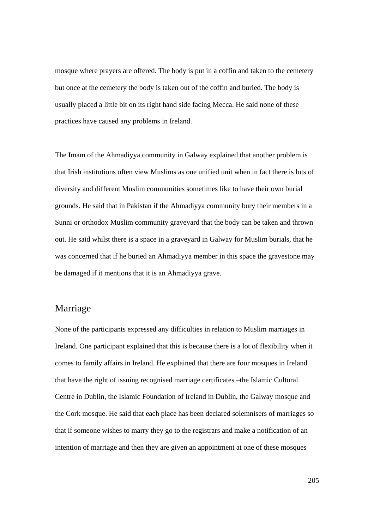mosque where prayers are offered. The body is put in a coffin and taken to the cemetery but once at the cemetery the body is taken out of the coffin and buried. The body is usually placed a little bit on its right hand side facing Mecca. He said none of these practices have caused any problems in Ireland.

The Imam of the Ahmadiyya community in Galway explained that another problem is that Irish institutions often view Muslims as one unified unit when in fact there is lots of diversity and different Muslim communities sometimes like to have their own burial grounds. He said that in Pakistan if the Ahmadiyya community bury their members in a Sunni or orthodox Muslim community graveyard that the body can be taken and thrown out. He said whilst there is a space in a graveyard in Galway for Muslim burials, that he was concerned that if he buried an Ahmadiyya member in this space the gravestone may be damaged if it mentions that it is an Ahmadiyya grave.

# Marriage

None of the participants expressed any difficulties in relation to Muslim marriages in Ireland. One participant explained that this is because there is a lot of flexibility when it comes to family affairs in Ireland. He explained that there are four mosques in Ireland that have the right of issuing recognised marriage certificates –the Islamic Cultural Centre in Dublin, the Islamic Foundation of Ireland in Dublin, the Galway mosque and the Cork mosque. He said that each place has been declared solemnisers of marriages so that if someone wishes to marry they go to the registrars and make a notification of an intention of marriage and then they are given an appointment at one of these mosques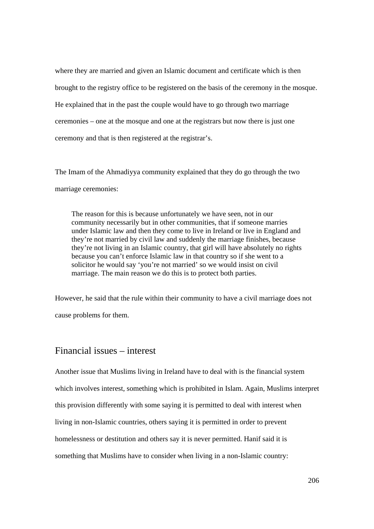where they are married and given an Islamic document and certificate which is then brought to the registry office to be registered on the basis of the ceremony in the mosque. He explained that in the past the couple would have to go through two marriage ceremonies – one at the mosque and one at the registrars but now there is just one ceremony and that is then registered at the registrar's.

The Imam of the Ahmadiyya community explained that they do go through the two marriage ceremonies:

The reason for this is because unfortunately we have seen, not in our community necessarily but in other communities, that if someone marries under Islamic law and then they come to live in Ireland or live in England and they're not married by civil law and suddenly the marriage finishes, because they're not living in an Islamic country, that girl will have absolutely no rights because you can't enforce Islamic law in that country so if she went to a solicitor he would say 'you're not married' so we would insist on civil marriage. The main reason we do this is to protect both parties.

However, he said that the rule within their community to have a civil marriage does not cause problems for them.

# Financial issues – interest

Another issue that Muslims living in Ireland have to deal with is the financial system which involves interest, something which is prohibited in Islam. Again, Muslims interpret this provision differently with some saying it is permitted to deal with interest when living in non-Islamic countries, others saying it is permitted in order to prevent homelessness or destitution and others say it is never permitted. Hanif said it is something that Muslims have to consider when living in a non-Islamic country: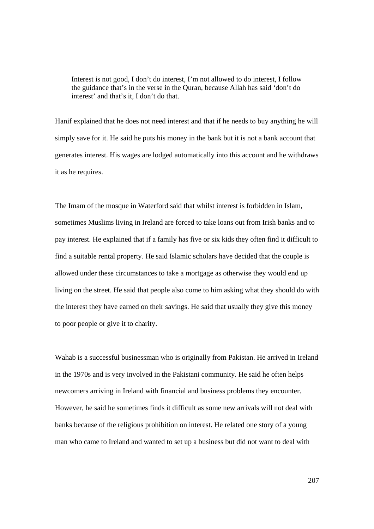Interest is not good, I don't do interest, I'm not allowed to do interest, I follow the guidance that's in the verse in the Quran, because Allah has said 'don't do interest' and that's it, I don't do that.

Hanif explained that he does not need interest and that if he needs to buy anything he will simply save for it. He said he puts his money in the bank but it is not a bank account that generates interest. His wages are lodged automatically into this account and he withdraws it as he requires.

The Imam of the mosque in Waterford said that whilst interest is forbidden in Islam, sometimes Muslims living in Ireland are forced to take loans out from Irish banks and to pay interest. He explained that if a family has five or six kids they often find it difficult to find a suitable rental property. He said Islamic scholars have decided that the couple is allowed under these circumstances to take a mortgage as otherwise they would end up living on the street. He said that people also come to him asking what they should do with the interest they have earned on their savings. He said that usually they give this money to poor people or give it to charity.

Wahab is a successful businessman who is originally from Pakistan. He arrived in Ireland in the 1970s and is very involved in the Pakistani community. He said he often helps newcomers arriving in Ireland with financial and business problems they encounter. However, he said he sometimes finds it difficult as some new arrivals will not deal with banks because of the religious prohibition on interest. He related one story of a young man who came to Ireland and wanted to set up a business but did not want to deal with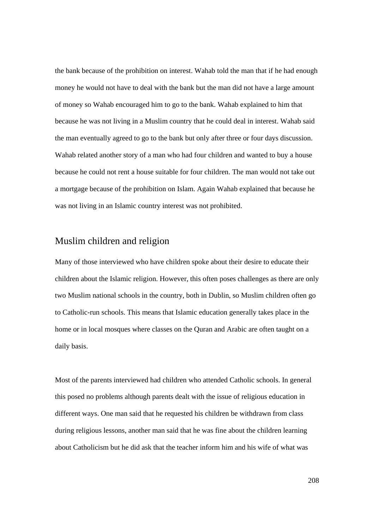the bank because of the prohibition on interest. Wahab told the man that if he had enough money he would not have to deal with the bank but the man did not have a large amount of money so Wahab encouraged him to go to the bank. Wahab explained to him that because he was not living in a Muslim country that he could deal in interest. Wahab said the man eventually agreed to go to the bank but only after three or four days discussion. Wahab related another story of a man who had four children and wanted to buy a house because he could not rent a house suitable for four children. The man would not take out a mortgage because of the prohibition on Islam. Again Wahab explained that because he was not living in an Islamic country interest was not prohibited.

# Muslim children and religion

Many of those interviewed who have children spoke about their desire to educate their children about the Islamic religion. However, this often poses challenges as there are only two Muslim national schools in the country, both in Dublin, so Muslim children often go to Catholic-run schools. This means that Islamic education generally takes place in the home or in local mosques where classes on the Quran and Arabic are often taught on a daily basis.

Most of the parents interviewed had children who attended Catholic schools. In general this posed no problems although parents dealt with the issue of religious education in different ways. One man said that he requested his children be withdrawn from class during religious lessons, another man said that he was fine about the children learning about Catholicism but he did ask that the teacher inform him and his wife of what was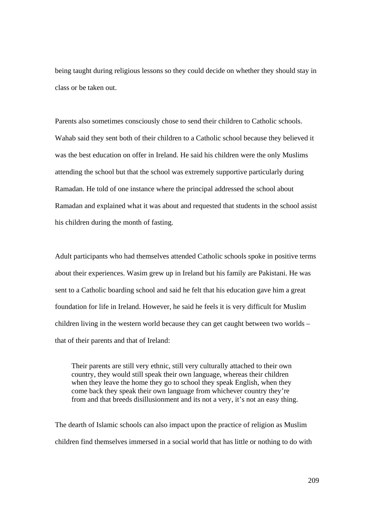being taught during religious lessons so they could decide on whether they should stay in class or be taken out.

Parents also sometimes consciously chose to send their children to Catholic schools. Wahab said they sent both of their children to a Catholic school because they believed it was the best education on offer in Ireland. He said his children were the only Muslims attending the school but that the school was extremely supportive particularly during Ramadan. He told of one instance where the principal addressed the school about Ramadan and explained what it was about and requested that students in the school assist his children during the month of fasting.

Adult participants who had themselves attended Catholic schools spoke in positive terms about their experiences. Wasim grew up in Ireland but his family are Pakistani. He was sent to a Catholic boarding school and said he felt that his education gave him a great foundation for life in Ireland. However, he said he feels it is very difficult for Muslim children living in the western world because they can get caught between two worlds – that of their parents and that of Ireland:

Their parents are still very ethnic, still very culturally attached to their own country, they would still speak their own language, whereas their children when they leave the home they go to school they speak English, when they come back they speak their own language from whichever country they're from and that breeds disillusionment and its not a very, it's not an easy thing.

The dearth of Islamic schools can also impact upon the practice of religion as Muslim children find themselves immersed in a social world that has little or nothing to do with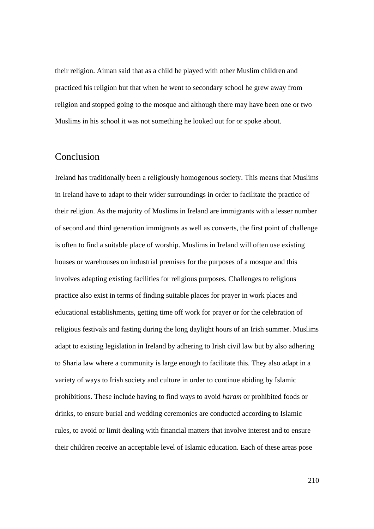their religion. Aiman said that as a child he played with other Muslim children and practiced his religion but that when he went to secondary school he grew away from religion and stopped going to the mosque and although there may have been one or two Muslims in his school it was not something he looked out for or spoke about.

### Conclusion

Ireland has traditionally been a religiously homogenous society. This means that Muslims in Ireland have to adapt to their wider surroundings in order to facilitate the practice of their religion. As the majority of Muslims in Ireland are immigrants with a lesser number of second and third generation immigrants as well as converts, the first point of challenge is often to find a suitable place of worship. Muslims in Ireland will often use existing houses or warehouses on industrial premises for the purposes of a mosque and this involves adapting existing facilities for religious purposes. Challenges to religious practice also exist in terms of finding suitable places for prayer in work places and educational establishments, getting time off work for prayer or for the celebration of religious festivals and fasting during the long daylight hours of an Irish summer. Muslims adapt to existing legislation in Ireland by adhering to Irish civil law but by also adhering to Sharia law where a community is large enough to facilitate this. They also adapt in a variety of ways to Irish society and culture in order to continue abiding by Islamic prohibitions. These include having to find ways to avoid *haram* or prohibited foods or drinks, to ensure burial and wedding ceremonies are conducted according to Islamic rules, to avoid or limit dealing with financial matters that involve interest and to ensure their children receive an acceptable level of Islamic education. Each of these areas pose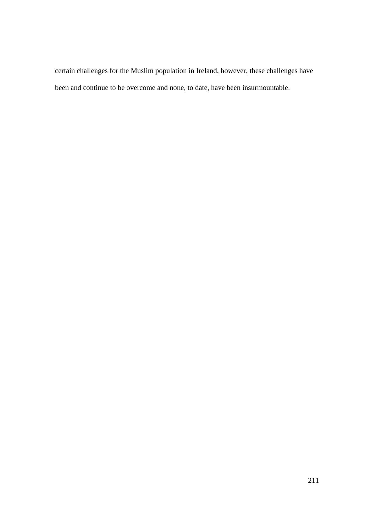certain challenges for the Muslim population in Ireland, however, these challenges have been and continue to be overcome and none, to date, have been insurmountable.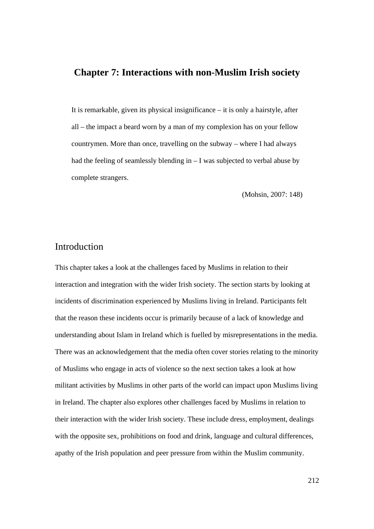### **Chapter 7: Interactions with non-Muslim Irish society**

It is remarkable, given its physical insignificance – it is only a hairstyle, after all – the impact a beard worn by a man of my complexion has on your fellow countrymen. More than once, travelling on the subway – where I had always had the feeling of seamlessly blending in  $-1$  was subjected to verbal abuse by complete strangers.

(Mohsin, 2007: 148)

### Introduction

This chapter takes a look at the challenges faced by Muslims in relation to their interaction and integration with the wider Irish society. The section starts by looking at incidents of discrimination experienced by Muslims living in Ireland. Participants felt that the reason these incidents occur is primarily because of a lack of knowledge and understanding about Islam in Ireland which is fuelled by misrepresentations in the media. There was an acknowledgement that the media often cover stories relating to the minority of Muslims who engage in acts of violence so the next section takes a look at how militant activities by Muslims in other parts of the world can impact upon Muslims living in Ireland. The chapter also explores other challenges faced by Muslims in relation to their interaction with the wider Irish society. These include dress, employment, dealings with the opposite sex, prohibitions on food and drink, language and cultural differences, apathy of the Irish population and peer pressure from within the Muslim community.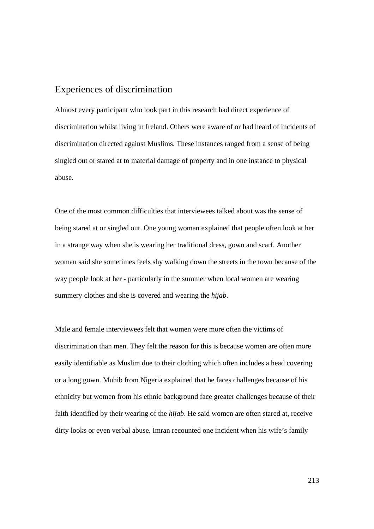# Experiences of discrimination

Almost every participant who took part in this research had direct experience of discrimination whilst living in Ireland. Others were aware of or had heard of incidents of discrimination directed against Muslims. These instances ranged from a sense of being singled out or stared at to material damage of property and in one instance to physical abuse.

One of the most common difficulties that interviewees talked about was the sense of being stared at or singled out. One young woman explained that people often look at her in a strange way when she is wearing her traditional dress, gown and scarf. Another woman said she sometimes feels shy walking down the streets in the town because of the way people look at her - particularly in the summer when local women are wearing summery clothes and she is covered and wearing the *hijab*.

Male and female interviewees felt that women were more often the victims of discrimination than men. They felt the reason for this is because women are often more easily identifiable as Muslim due to their clothing which often includes a head covering or a long gown. Muhib from Nigeria explained that he faces challenges because of his ethnicity but women from his ethnic background face greater challenges because of their faith identified by their wearing of the *hijab*. He said women are often stared at, receive dirty looks or even verbal abuse. Imran recounted one incident when his wife's family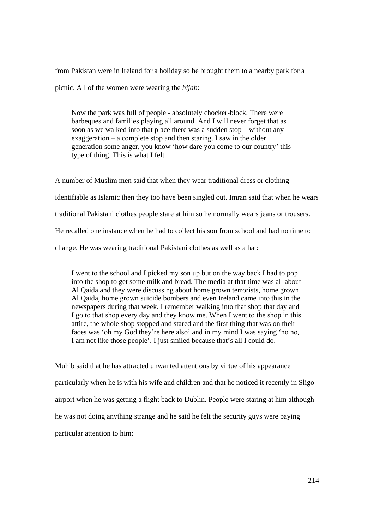from Pakistan were in Ireland for a holiday so he brought them to a nearby park for a picnic. All of the women were wearing the *hijab*:

Now the park was full of people - absolutely chocker-block. There were barbeques and families playing all around. And I will never forget that as soon as we walked into that place there was a sudden stop – without any exaggeration – a complete stop and then staring. I saw in the older generation some anger, you know 'how dare you come to our country' this type of thing. This is what I felt.

A number of Muslim men said that when they wear traditional dress or clothing identifiable as Islamic then they too have been singled out. Imran said that when he wears traditional Pakistani clothes people stare at him so he normally wears jeans or trousers. He recalled one instance when he had to collect his son from school and had no time to change. He was wearing traditional Pakistani clothes as well as a hat:

I went to the school and I picked my son up but on the way back I had to pop into the shop to get some milk and bread. The media at that time was all about Al Qaida and they were discussing about home grown terrorists, home grown Al Qaida, home grown suicide bombers and even Ireland came into this in the newspapers during that week. I remember walking into that shop that day and I go to that shop every day and they know me. When I went to the shop in this attire, the whole shop stopped and stared and the first thing that was on their faces was 'oh my God they're here also' and in my mind I was saying 'no no, I am not like those people'. I just smiled because that's all I could do.

Muhib said that he has attracted unwanted attentions by virtue of his appearance particularly when he is with his wife and children and that he noticed it recently in Sligo airport when he was getting a flight back to Dublin. People were staring at him although he was not doing anything strange and he said he felt the security guys were paying particular attention to him: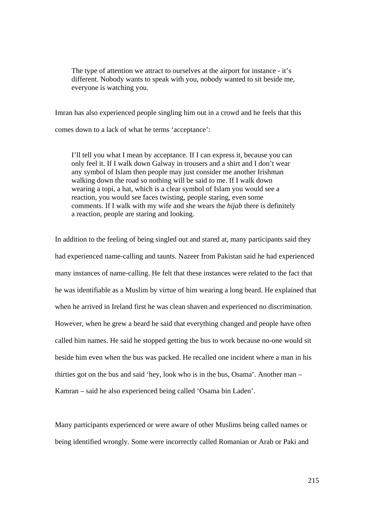The type of attention we attract to ourselves at the airport for instance - it's different. Nobody wants to speak with you, nobody wanted to sit beside me, everyone is watching you.

Imran has also experienced people singling him out in a crowd and he feels that this comes down to a lack of what he terms 'acceptance':

I'll tell you what I mean by acceptance. If I can express it, because you can only feel it. If I walk down Galway in trousers and a shirt and I don't wear any symbol of Islam then people may just consider me another Irishman walking down the road so nothing will be said to me. If I walk down wearing a topi, a hat, which is a clear symbol of Islam you would see a reaction, you would see faces twisting, people staring, even some comments. If I walk with my wife and she wears the *hijab* there is definitely a reaction, people are staring and looking.

In addition to the feeling of being singled out and stared at, many participants said they had experienced name-calling and taunts. Nazeer from Pakistan said he had experienced many instances of name-calling. He felt that these instances were related to the fact that he was identifiable as a Muslim by virtue of him wearing a long beard. He explained that when he arrived in Ireland first he was clean shaven and experienced no discrimination. However, when he grew a beard he said that everything changed and people have often called him names. He said he stopped getting the bus to work because no-one would sit beside him even when the bus was packed. He recalled one incident where a man in his thirties got on the bus and said 'hey, look who is in the bus, Osama'. Another man – Kamran – said he also experienced being called 'Osama bin Laden'.

Many participants experienced or were aware of other Muslims being called names or being identified wrongly. Some were incorrectly called Romanian or Arab or Paki and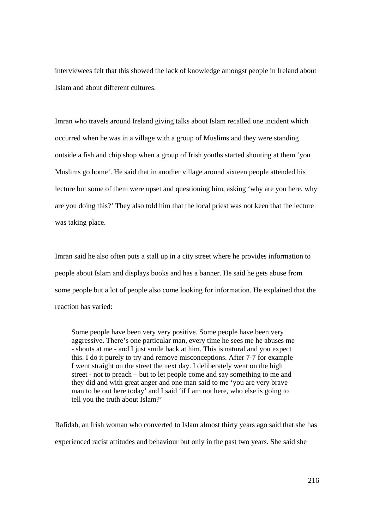interviewees felt that this showed the lack of knowledge amongst people in Ireland about Islam and about different cultures.

Imran who travels around Ireland giving talks about Islam recalled one incident which occurred when he was in a village with a group of Muslims and they were standing outside a fish and chip shop when a group of Irish youths started shouting at them 'you Muslims go home'. He said that in another village around sixteen people attended his lecture but some of them were upset and questioning him, asking 'why are you here, why are you doing this?' They also told him that the local priest was not keen that the lecture was taking place.

Imran said he also often puts a stall up in a city street where he provides information to people about Islam and displays books and has a banner. He said he gets abuse from some people but a lot of people also come looking for information. He explained that the reaction has varied:

Some people have been very very positive. Some people have been very aggressive. There's one particular man, every time he sees me he abuses me - shouts at me - and I just smile back at him. This is natural and you expect this. I do it purely to try and remove misconceptions. After 7-7 for example I went straight on the street the next day. I deliberately went on the high street - not to preach – but to let people come and say something to me and they did and with great anger and one man said to me 'you are very brave man to be out here today' and I said 'if I am not here, who else is going to tell you the truth about Islam?'

Rafidah, an Irish woman who converted to Islam almost thirty years ago said that she has experienced racist attitudes and behaviour but only in the past two years. She said she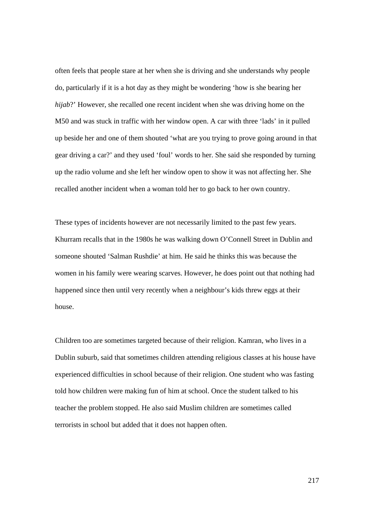often feels that people stare at her when she is driving and she understands why people do, particularly if it is a hot day as they might be wondering 'how is she bearing her *hijab*?' However, she recalled one recent incident when she was driving home on the M50 and was stuck in traffic with her window open. A car with three 'lads' in it pulled up beside her and one of them shouted 'what are you trying to prove going around in that gear driving a car?' and they used 'foul' words to her. She said she responded by turning up the radio volume and she left her window open to show it was not affecting her. She recalled another incident when a woman told her to go back to her own country.

These types of incidents however are not necessarily limited to the past few years. Khurram recalls that in the 1980s he was walking down O'Connell Street in Dublin and someone shouted 'Salman Rushdie' at him. He said he thinks this was because the women in his family were wearing scarves. However, he does point out that nothing had happened since then until very recently when a neighbour's kids threw eggs at their house.

Children too are sometimes targeted because of their religion. Kamran, who lives in a Dublin suburb, said that sometimes children attending religious classes at his house have experienced difficulties in school because of their religion. One student who was fasting told how children were making fun of him at school. Once the student talked to his teacher the problem stopped. He also said Muslim children are sometimes called terrorists in school but added that it does not happen often.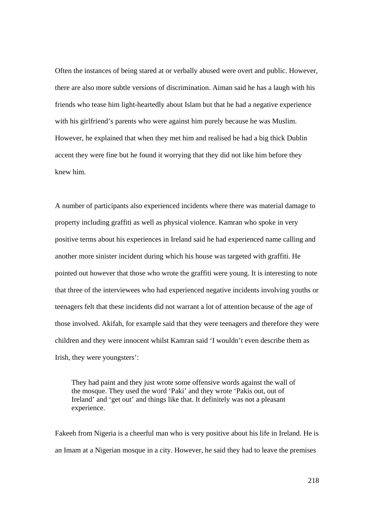Often the instances of being stared at or verbally abused were overt and public. However, there are also more subtle versions of discrimination. Aiman said he has a laugh with his friends who tease him light-heartedly about Islam but that he had a negative experience with his girlfriend's parents who were against him purely because he was Muslim. However, he explained that when they met him and realised he had a big thick Dublin accent they were fine but he found it worrying that they did not like him before they knew him.

A number of participants also experienced incidents where there was material damage to property including graffiti as well as physical violence. Kamran who spoke in very positive terms about his experiences in Ireland said he had experienced name calling and another more sinister incident during which his house was targeted with graffiti. He pointed out however that those who wrote the graffiti were young. It is interesting to note that three of the interviewees who had experienced negative incidents involving youths or teenagers felt that these incidents did not warrant a lot of attention because of the age of those involved. Akifah, for example said that they were teenagers and therefore they were children and they were innocent whilst Kamran said 'I wouldn't even describe them as Irish, they were youngsters':

They had paint and they just wrote some offensive words against the wall of the mosque. They used the word 'Paki' and they wrote 'Pakis out, out of Ireland' and 'get out' and things like that. It definitely was not a pleasant experience.

Fakeeh from Nigeria is a cheerful man who is very positive about his life in Ireland. He is an Imam at a Nigerian mosque in a city. However, he said they had to leave the premises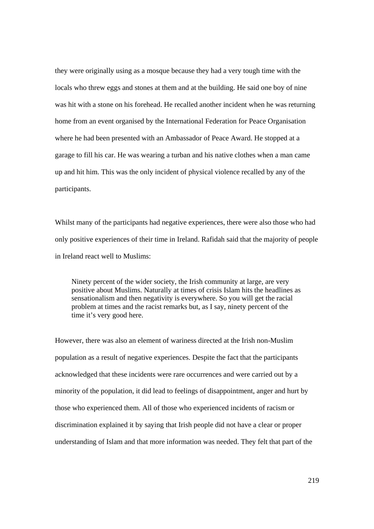they were originally using as a mosque because they had a very tough time with the locals who threw eggs and stones at them and at the building. He said one boy of nine was hit with a stone on his forehead. He recalled another incident when he was returning home from an event organised by the International Federation for Peace Organisation where he had been presented with an Ambassador of Peace Award. He stopped at a garage to fill his car. He was wearing a turban and his native clothes when a man came up and hit him. This was the only incident of physical violence recalled by any of the participants.

Whilst many of the participants had negative experiences, there were also those who had only positive experiences of their time in Ireland. Rafidah said that the majority of people in Ireland react well to Muslims:

Ninety percent of the wider society, the Irish community at large, are very positive about Muslims. Naturally at times of crisis Islam hits the headlines as sensationalism and then negativity is everywhere. So you will get the racial problem at times and the racist remarks but, as I say, ninety percent of the time it's very good here.

However, there was also an element of wariness directed at the Irish non-Muslim population as a result of negative experiences. Despite the fact that the participants acknowledged that these incidents were rare occurrences and were carried out by a minority of the population, it did lead to feelings of disappointment, anger and hurt by those who experienced them. All of those who experienced incidents of racism or discrimination explained it by saying that Irish people did not have a clear or proper understanding of Islam and that more information was needed. They felt that part of the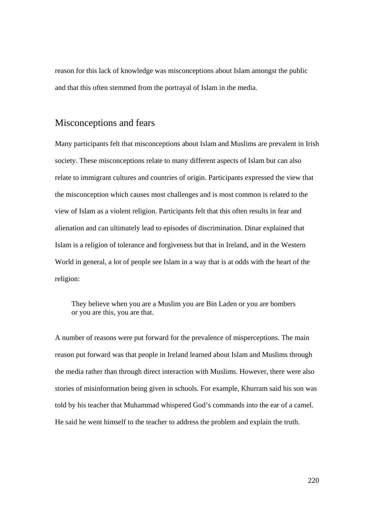reason for this lack of knowledge was misconceptions about Islam amongst the public and that this often stemmed from the portrayal of Islam in the media.

### Misconceptions and fears

Many participants felt that misconceptions about Islam and Muslims are prevalent in Irish society. These misconceptions relate to many different aspects of Islam but can also relate to immigrant cultures and countries of origin. Participants expressed the view that the misconception which causes most challenges and is most common is related to the view of Islam as a violent religion. Participants felt that this often results in fear and alienation and can ultimately lead to episodes of discrimination. Dinar explained that Islam is a religion of tolerance and forgiveness but that in Ireland, and in the Western World in general, a lot of people see Islam in a way that is at odds with the heart of the religion:

They believe when you are a Muslim you are Bin Laden or you are bombers or you are this, you are that.

A number of reasons were put forward for the prevalence of misperceptions. The main reason put forward was that people in Ireland learned about Islam and Muslims through the media rather than through direct interaction with Muslims. However, there were also stories of misinformation being given in schools. For example, Khurram said his son was told by his teacher that Muhammad whispered God's commands into the ear of a camel. He said he went himself to the teacher to address the problem and explain the truth.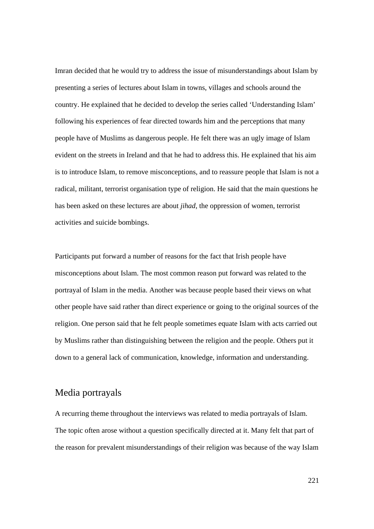Imran decided that he would try to address the issue of misunderstandings about Islam by presenting a series of lectures about Islam in towns, villages and schools around the country. He explained that he decided to develop the series called 'Understanding Islam' following his experiences of fear directed towards him and the perceptions that many people have of Muslims as dangerous people. He felt there was an ugly image of Islam evident on the streets in Ireland and that he had to address this. He explained that his aim is to introduce Islam, to remove misconceptions, and to reassure people that Islam is not a radical, militant, terrorist organisation type of religion. He said that the main questions he has been asked on these lectures are about *jihad*, the oppression of women, terrorist activities and suicide bombings.

Participants put forward a number of reasons for the fact that Irish people have misconceptions about Islam. The most common reason put forward was related to the portrayal of Islam in the media. Another was because people based their views on what other people have said rather than direct experience or going to the original sources of the religion. One person said that he felt people sometimes equate Islam with acts carried out by Muslims rather than distinguishing between the religion and the people. Others put it down to a general lack of communication, knowledge, information and understanding.

#### Media portrayals

A recurring theme throughout the interviews was related to media portrayals of Islam. The topic often arose without a question specifically directed at it. Many felt that part of the reason for prevalent misunderstandings of their religion was because of the way Islam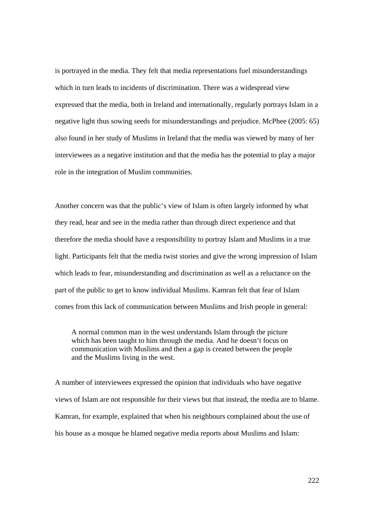is portrayed in the media. They felt that media representations fuel misunderstandings which in turn leads to incidents of discrimination. There was a widespread view expressed that the media, both in Ireland and internationally, regularly portrays Islam in a negative light thus sowing seeds for misunderstandings and prejudice. McPhee (2005: 65) also found in her study of Muslims in Ireland that the media was viewed by many of her interviewees as a negative institution and that the media has the potential to play a major role in the integration of Muslim communities.

Another concern was that the public's view of Islam is often largely informed by what they read, hear and see in the media rather than through direct experience and that therefore the media should have a responsibility to portray Islam and Muslims in a true light. Participants felt that the media twist stories and give the wrong impression of Islam which leads to fear, misunderstanding and discrimination as well as a reluctance on the part of the public to get to know individual Muslims. Kamran felt that fear of Islam comes from this lack of communication between Muslims and Irish people in general:

A normal common man in the west understands Islam through the picture which has been taught to him through the media. And he doesn't focus on communication with Muslims and then a gap is created between the people and the Muslims living in the west.

A number of interviewees expressed the opinion that individuals who have negative views of Islam are not responsible for their views but that instead, the media are to blame. Kamran, for example, explained that when his neighbours complained about the use of his house as a mosque he blamed negative media reports about Muslims and Islam: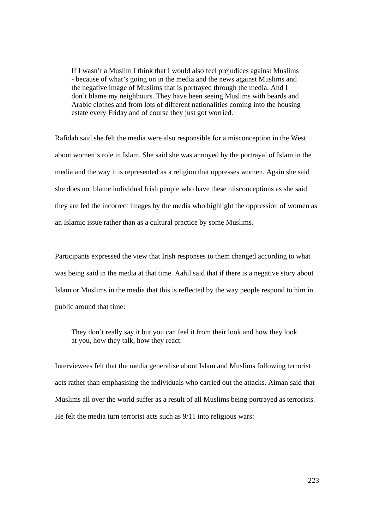If I wasn't a Muslim I think that I would also feel prejudices against Muslims - because of what's going on in the media and the news against Muslims and the negative image of Muslims that is portrayed through the media. And I don't blame my neighbours. They have been seeing Muslims with beards and Arabic clothes and from lots of different nationalities coming into the housing estate every Friday and of course they just got worried.

Rafidah said she felt the media were also responsible for a misconception in the West about women's role in Islam. She said she was annoyed by the portrayal of Islam in the media and the way it is represented as a religion that oppresses women. Again she said she does not blame individual Irish people who have these misconceptions as she said they are fed the incorrect images by the media who highlight the oppression of women as an Islamic issue rather than as a cultural practice by some Muslims.

Participants expressed the view that Irish responses to them changed according to what was being said in the media at that time. Aahil said that if there is a negative story about Islam or Muslims in the media that this is reflected by the way people respond to him in public around that time:

They don't really say it but you can feel it from their look and how they look at you, how they talk, how they react.

Interviewees felt that the media generalise about Islam and Muslims following terrorist acts rather than emphasising the individuals who carried out the attacks. Aiman said that Muslims all over the world suffer as a result of all Muslims being portrayed as terrorists. He felt the media turn terrorist acts such as 9/11 into religious wars: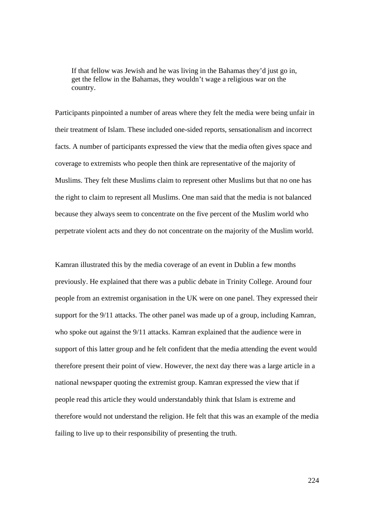If that fellow was Jewish and he was living in the Bahamas they'd just go in, get the fellow in the Bahamas, they wouldn't wage a religious war on the country.

Participants pinpointed a number of areas where they felt the media were being unfair in their treatment of Islam. These included one-sided reports, sensationalism and incorrect facts. A number of participants expressed the view that the media often gives space and coverage to extremists who people then think are representative of the majority of Muslims. They felt these Muslims claim to represent other Muslims but that no one has the right to claim to represent all Muslims. One man said that the media is not balanced because they always seem to concentrate on the five percent of the Muslim world who perpetrate violent acts and they do not concentrate on the majority of the Muslim world.

Kamran illustrated this by the media coverage of an event in Dublin a few months previously. He explained that there was a public debate in Trinity College. Around four people from an extremist organisation in the UK were on one panel. They expressed their support for the 9/11 attacks. The other panel was made up of a group, including Kamran, who spoke out against the 9/11 attacks. Kamran explained that the audience were in support of this latter group and he felt confident that the media attending the event would therefore present their point of view. However, the next day there was a large article in a national newspaper quoting the extremist group. Kamran expressed the view that if people read this article they would understandably think that Islam is extreme and therefore would not understand the religion. He felt that this was an example of the media failing to live up to their responsibility of presenting the truth.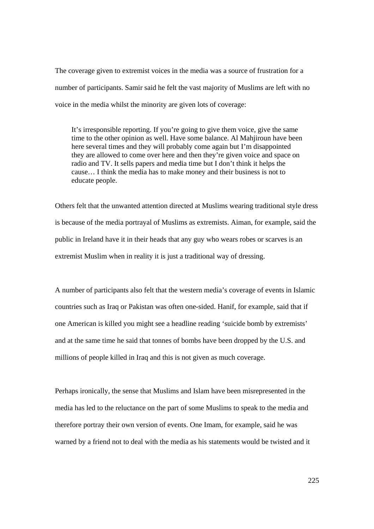The coverage given to extremist voices in the media was a source of frustration for a number of participants. Samir said he felt the vast majority of Muslims are left with no voice in the media whilst the minority are given lots of coverage:

It's irresponsible reporting. If you're going to give them voice, give the same time to the other opinion as well. Have some balance. Al Mahjiroun have been here several times and they will probably come again but I'm disappointed they are allowed to come over here and then they're given voice and space on radio and TV. It sells papers and media time but I don't think it helps the cause… I think the media has to make money and their business is not to educate people.

Others felt that the unwanted attention directed at Muslims wearing traditional style dress is because of the media portrayal of Muslims as extremists. Aiman, for example, said the public in Ireland have it in their heads that any guy who wears robes or scarves is an extremist Muslim when in reality it is just a traditional way of dressing.

A number of participants also felt that the western media's coverage of events in Islamic countries such as Iraq or Pakistan was often one-sided. Hanif, for example, said that if one American is killed you might see a headline reading 'suicide bomb by extremists' and at the same time he said that tonnes of bombs have been dropped by the U.S. and millions of people killed in Iraq and this is not given as much coverage.

Perhaps ironically, the sense that Muslims and Islam have been misrepresented in the media has led to the reluctance on the part of some Muslims to speak to the media and therefore portray their own version of events. One Imam, for example, said he was warned by a friend not to deal with the media as his statements would be twisted and it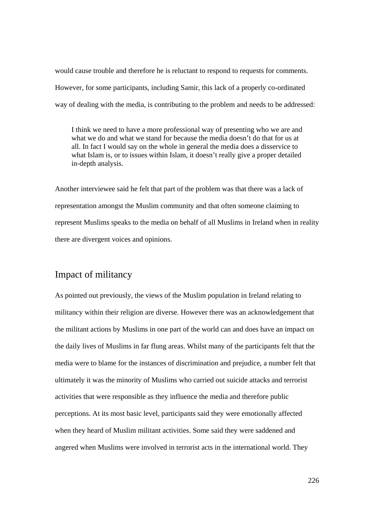would cause trouble and therefore he is reluctant to respond to requests for comments. However, for some participants, including Samir, this lack of a properly co-ordinated way of dealing with the media, is contributing to the problem and needs to be addressed:

I think we need to have a more professional way of presenting who we are and what we do and what we stand for because the media doesn't do that for us at all. In fact I would say on the whole in general the media does a disservice to what Islam is, or to issues within Islam, it doesn't really give a proper detailed in-depth analysis.

Another interviewee said he felt that part of the problem was that there was a lack of representation amongst the Muslim community and that often someone claiming to represent Muslims speaks to the media on behalf of all Muslims in Ireland when in reality there are divergent voices and opinions.

### Impact of militancy

As pointed out previously, the views of the Muslim population in Ireland relating to militancy within their religion are diverse. However there was an acknowledgement that the militant actions by Muslims in one part of the world can and does have an impact on the daily lives of Muslims in far flung areas. Whilst many of the participants felt that the media were to blame for the instances of discrimination and prejudice, a number felt that ultimately it was the minority of Muslims who carried out suicide attacks and terrorist activities that were responsible as they influence the media and therefore public perceptions. At its most basic level, participants said they were emotionally affected when they heard of Muslim militant activities. Some said they were saddened and angered when Muslims were involved in terrorist acts in the international world. They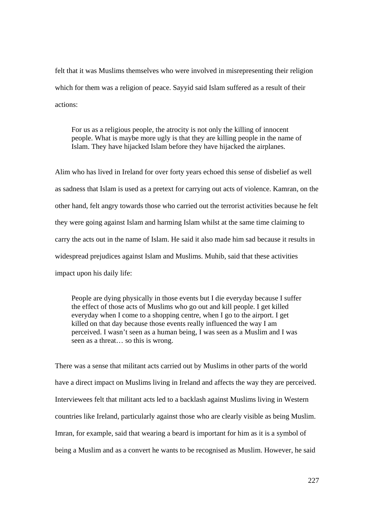felt that it was Muslims themselves who were involved in misrepresenting their religion which for them was a religion of peace. Sayyid said Islam suffered as a result of their actions:

For us as a religious people, the atrocity is not only the killing of innocent people. What is maybe more ugly is that they are killing people in the name of Islam. They have hijacked Islam before they have hijacked the airplanes.

Alim who has lived in Ireland for over forty years echoed this sense of disbelief as well as sadness that Islam is used as a pretext for carrying out acts of violence. Kamran, on the other hand, felt angry towards those who carried out the terrorist activities because he felt they were going against Islam and harming Islam whilst at the same time claiming to carry the acts out in the name of Islam. He said it also made him sad because it results in widespread prejudices against Islam and Muslims. Muhib, said that these activities impact upon his daily life:

People are dying physically in those events but I die everyday because I suffer the effect of those acts of Muslims who go out and kill people. I get killed everyday when I come to a shopping centre, when I go to the airport. I get killed on that day because those events really influenced the way I am perceived. I wasn't seen as a human being, I was seen as a Muslim and I was seen as a threat… so this is wrong.

There was a sense that militant acts carried out by Muslims in other parts of the world have a direct impact on Muslims living in Ireland and affects the way they are perceived. Interviewees felt that militant acts led to a backlash against Muslims living in Western countries like Ireland, particularly against those who are clearly visible as being Muslim. Imran, for example, said that wearing a beard is important for him as it is a symbol of being a Muslim and as a convert he wants to be recognised as Muslim. However, he said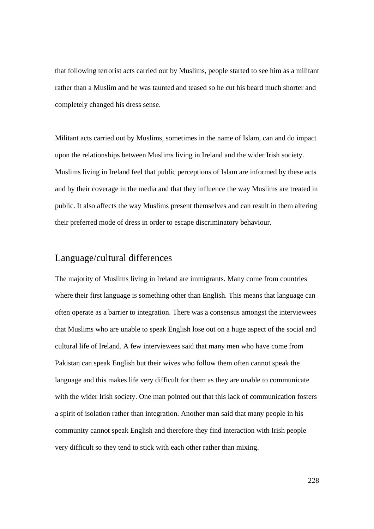that following terrorist acts carried out by Muslims, people started to see him as a militant rather than a Muslim and he was taunted and teased so he cut his beard much shorter and completely changed his dress sense.

Militant acts carried out by Muslims, sometimes in the name of Islam, can and do impact upon the relationships between Muslims living in Ireland and the wider Irish society. Muslims living in Ireland feel that public perceptions of Islam are informed by these acts and by their coverage in the media and that they influence the way Muslims are treated in public. It also affects the way Muslims present themselves and can result in them altering their preferred mode of dress in order to escape discriminatory behaviour.

### Language/cultural differences

The majority of Muslims living in Ireland are immigrants. Many come from countries where their first language is something other than English. This means that language can often operate as a barrier to integration. There was a consensus amongst the interviewees that Muslims who are unable to speak English lose out on a huge aspect of the social and cultural life of Ireland. A few interviewees said that many men who have come from Pakistan can speak English but their wives who follow them often cannot speak the language and this makes life very difficult for them as they are unable to communicate with the wider Irish society. One man pointed out that this lack of communication fosters a spirit of isolation rather than integration. Another man said that many people in his community cannot speak English and therefore they find interaction with Irish people very difficult so they tend to stick with each other rather than mixing.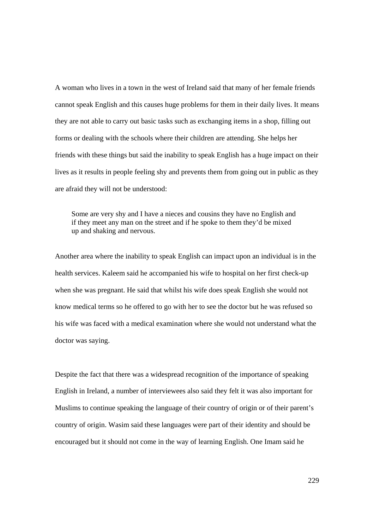A woman who lives in a town in the west of Ireland said that many of her female friends cannot speak English and this causes huge problems for them in their daily lives. It means they are not able to carry out basic tasks such as exchanging items in a shop, filling out forms or dealing with the schools where their children are attending. She helps her friends with these things but said the inability to speak English has a huge impact on their lives as it results in people feeling shy and prevents them from going out in public as they are afraid they will not be understood:

Some are very shy and I have a nieces and cousins they have no English and if they meet any man on the street and if he spoke to them they'd be mixed up and shaking and nervous.

Another area where the inability to speak English can impact upon an individual is in the health services. Kaleem said he accompanied his wife to hospital on her first check-up when she was pregnant. He said that whilst his wife does speak English she would not know medical terms so he offered to go with her to see the doctor but he was refused so his wife was faced with a medical examination where she would not understand what the doctor was saying.

Despite the fact that there was a widespread recognition of the importance of speaking English in Ireland, a number of interviewees also said they felt it was also important for Muslims to continue speaking the language of their country of origin or of their parent's country of origin. Wasim said these languages were part of their identity and should be encouraged but it should not come in the way of learning English. One Imam said he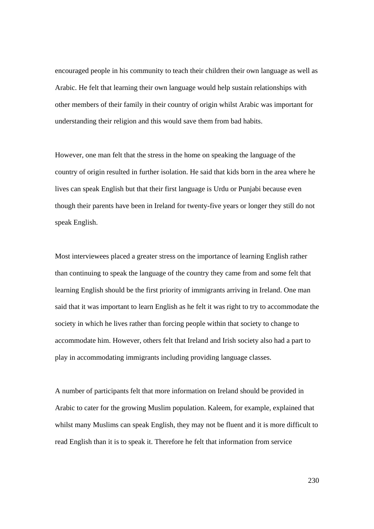encouraged people in his community to teach their children their own language as well as Arabic. He felt that learning their own language would help sustain relationships with other members of their family in their country of origin whilst Arabic was important for understanding their religion and this would save them from bad habits.

However, one man felt that the stress in the home on speaking the language of the country of origin resulted in further isolation. He said that kids born in the area where he lives can speak English but that their first language is Urdu or Punjabi because even though their parents have been in Ireland for twenty-five years or longer they still do not speak English.

Most interviewees placed a greater stress on the importance of learning English rather than continuing to speak the language of the country they came from and some felt that learning English should be the first priority of immigrants arriving in Ireland. One man said that it was important to learn English as he felt it was right to try to accommodate the society in which he lives rather than forcing people within that society to change to accommodate him. However, others felt that Ireland and Irish society also had a part to play in accommodating immigrants including providing language classes.

A number of participants felt that more information on Ireland should be provided in Arabic to cater for the growing Muslim population. Kaleem, for example, explained that whilst many Muslims can speak English, they may not be fluent and it is more difficult to read English than it is to speak it. Therefore he felt that information from service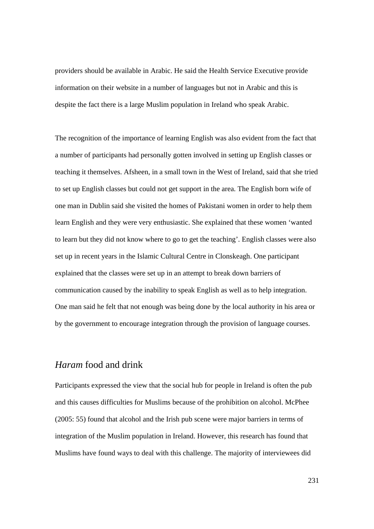providers should be available in Arabic. He said the Health Service Executive provide information on their website in a number of languages but not in Arabic and this is despite the fact there is a large Muslim population in Ireland who speak Arabic.

The recognition of the importance of learning English was also evident from the fact that a number of participants had personally gotten involved in setting up English classes or teaching it themselves. Afsheen, in a small town in the West of Ireland, said that she tried to set up English classes but could not get support in the area. The English born wife of one man in Dublin said she visited the homes of Pakistani women in order to help them learn English and they were very enthusiastic. She explained that these women 'wanted to learn but they did not know where to go to get the teaching'. English classes were also set up in recent years in the Islamic Cultural Centre in Clonskeagh. One participant explained that the classes were set up in an attempt to break down barriers of communication caused by the inability to speak English as well as to help integration. One man said he felt that not enough was being done by the local authority in his area or by the government to encourage integration through the provision of language courses.

### *Haram* food and drink

Participants expressed the view that the social hub for people in Ireland is often the pub and this causes difficulties for Muslims because of the prohibition on alcohol. McPhee (2005: 55) found that alcohol and the Irish pub scene were major barriers in terms of integration of the Muslim population in Ireland. However, this research has found that Muslims have found ways to deal with this challenge. The majority of interviewees did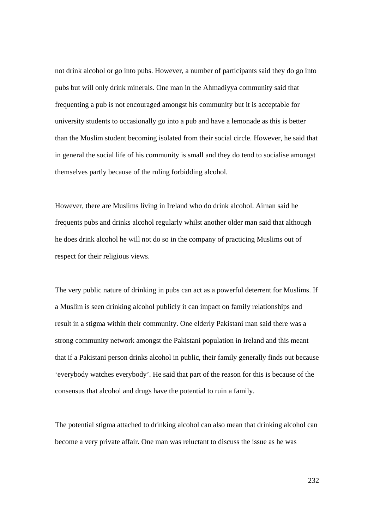not drink alcohol or go into pubs. However, a number of participants said they do go into pubs but will only drink minerals. One man in the Ahmadiyya community said that frequenting a pub is not encouraged amongst his community but it is acceptable for university students to occasionally go into a pub and have a lemonade as this is better than the Muslim student becoming isolated from their social circle. However, he said that in general the social life of his community is small and they do tend to socialise amongst themselves partly because of the ruling forbidding alcohol.

However, there are Muslims living in Ireland who do drink alcohol. Aiman said he frequents pubs and drinks alcohol regularly whilst another older man said that although he does drink alcohol he will not do so in the company of practicing Muslims out of respect for their religious views.

The very public nature of drinking in pubs can act as a powerful deterrent for Muslims. If a Muslim is seen drinking alcohol publicly it can impact on family relationships and result in a stigma within their community. One elderly Pakistani man said there was a strong community network amongst the Pakistani population in Ireland and this meant that if a Pakistani person drinks alcohol in public, their family generally finds out because 'everybody watches everybody'. He said that part of the reason for this is because of the consensus that alcohol and drugs have the potential to ruin a family.

The potential stigma attached to drinking alcohol can also mean that drinking alcohol can become a very private affair. One man was reluctant to discuss the issue as he was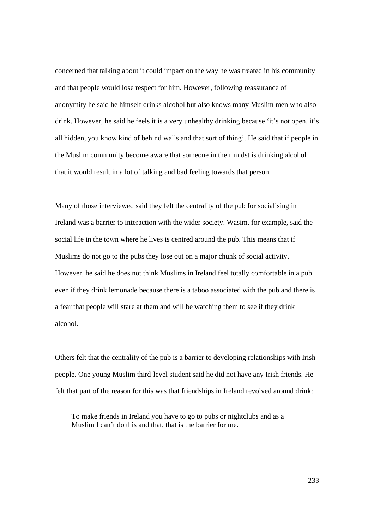concerned that talking about it could impact on the way he was treated in his community and that people would lose respect for him. However, following reassurance of anonymity he said he himself drinks alcohol but also knows many Muslim men who also drink. However, he said he feels it is a very unhealthy drinking because 'it's not open, it's all hidden, you know kind of behind walls and that sort of thing'. He said that if people in the Muslim community become aware that someone in their midst is drinking alcohol that it would result in a lot of talking and bad feeling towards that person.

Many of those interviewed said they felt the centrality of the pub for socialising in Ireland was a barrier to interaction with the wider society. Wasim, for example, said the social life in the town where he lives is centred around the pub. This means that if Muslims do not go to the pubs they lose out on a major chunk of social activity. However, he said he does not think Muslims in Ireland feel totally comfortable in a pub even if they drink lemonade because there is a taboo associated with the pub and there is a fear that people will stare at them and will be watching them to see if they drink alcohol.

Others felt that the centrality of the pub is a barrier to developing relationships with Irish people. One young Muslim third-level student said he did not have any Irish friends. He felt that part of the reason for this was that friendships in Ireland revolved around drink:

To make friends in Ireland you have to go to pubs or nightclubs and as a Muslim I can't do this and that, that is the barrier for me.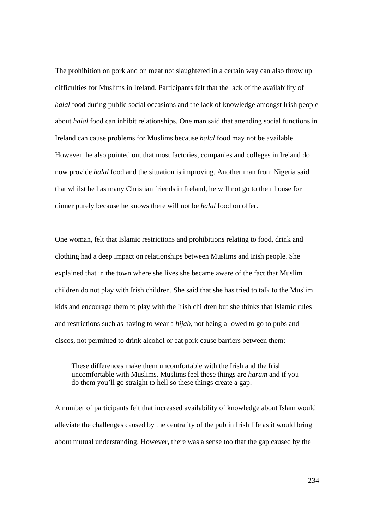The prohibition on pork and on meat not slaughtered in a certain way can also throw up difficulties for Muslims in Ireland. Participants felt that the lack of the availability of *halal* food during public social occasions and the lack of knowledge amongst Irish people about *halal* food can inhibit relationships. One man said that attending social functions in Ireland can cause problems for Muslims because *halal* food may not be available. However, he also pointed out that most factories, companies and colleges in Ireland do now provide *halal* food and the situation is improving. Another man from Nigeria said that whilst he has many Christian friends in Ireland, he will not go to their house for dinner purely because he knows there will not be *halal* food on offer.

One woman, felt that Islamic restrictions and prohibitions relating to food, drink and clothing had a deep impact on relationships between Muslims and Irish people. She explained that in the town where she lives she became aware of the fact that Muslim children do not play with Irish children. She said that she has tried to talk to the Muslim kids and encourage them to play with the Irish children but she thinks that Islamic rules and restrictions such as having to wear a *hijab*, not being allowed to go to pubs and discos, not permitted to drink alcohol or eat pork cause barriers between them:

These differences make them uncomfortable with the Irish and the Irish uncomfortable with Muslims. Muslims feel these things are *haram* and if you do them you'll go straight to hell so these things create a gap.

A number of participants felt that increased availability of knowledge about Islam would alleviate the challenges caused by the centrality of the pub in Irish life as it would bring about mutual understanding. However, there was a sense too that the gap caused by the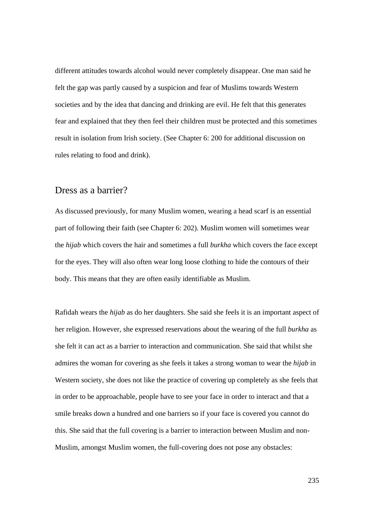different attitudes towards alcohol would never completely disappear. One man said he felt the gap was partly caused by a suspicion and fear of Muslims towards Western societies and by the idea that dancing and drinking are evil. He felt that this generates fear and explained that they then feel their children must be protected and this sometimes result in isolation from Irish society. (See Chapter 6: 200 for additional discussion on rules relating to food and drink).

#### Dress as a barrier?

As discussed previously, for many Muslim women, wearing a head scarf is an essential part of following their faith (see Chapter 6: 202). Muslim women will sometimes wear the *hijab* which covers the hair and sometimes a full *burkha* which covers the face except for the eyes. They will also often wear long loose clothing to hide the contours of their body. This means that they are often easily identifiable as Muslim.

Rafidah wears the *hijab* as do her daughters. She said she feels it is an important aspect of her religion. However, she expressed reservations about the wearing of the full *burkha* as she felt it can act as a barrier to interaction and communication. She said that whilst she admires the woman for covering as she feels it takes a strong woman to wear the *hijab* in Western society, she does not like the practice of covering up completely as she feels that in order to be approachable, people have to see your face in order to interact and that a smile breaks down a hundred and one barriers so if your face is covered you cannot do this. She said that the full covering is a barrier to interaction between Muslim and non-Muslim, amongst Muslim women, the full-covering does not pose any obstacles: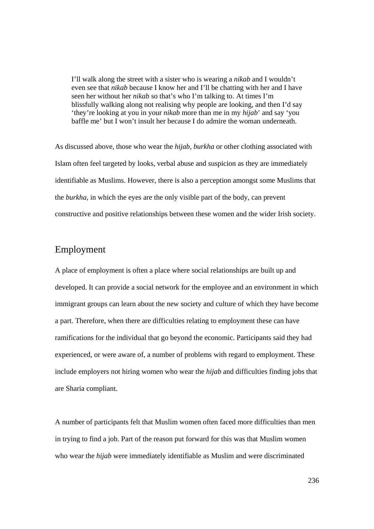I'll walk along the street with a sister who is wearing a *nikab* and I wouldn't even see that *nikab* because I know her and I'll be chatting with her and I have seen her without her *nikab* so that's who I'm talking to. At times I'm blissfully walking along not realising why people are looking, and then I'd say 'they're looking at you in your *nikab* more than me in my *hijab*' and say 'you baffle me' but I won't insult her because I do admire the woman underneath.

As discussed above, those who wear the *hijab*, *burkha* or other clothing associated with Islam often feel targeted by looks, verbal abuse and suspicion as they are immediately identifiable as Muslims. However, there is also a perception amongst some Muslims that the *burkha*, in which the eyes are the only visible part of the body, can prevent constructive and positive relationships between these women and the wider Irish society.

#### Employment

A place of employment is often a place where social relationships are built up and developed. It can provide a social network for the employee and an environment in which immigrant groups can learn about the new society and culture of which they have become a part. Therefore, when there are difficulties relating to employment these can have ramifications for the individual that go beyond the economic. Participants said they had experienced, or were aware of, a number of problems with regard to employment. These include employers not hiring women who wear the *hijab* and difficulties finding jobs that are Sharia compliant.

A number of participants felt that Muslim women often faced more difficulties than men in trying to find a job. Part of the reason put forward for this was that Muslim women who wear the *hijab* were immediately identifiable as Muslim and were discriminated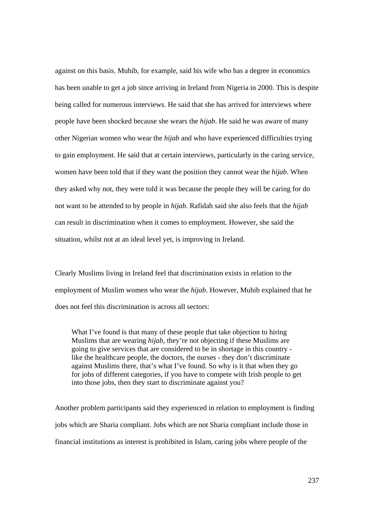against on this basis. Muhib, for example, said his wife who has a degree in economics has been unable to get a job since arriving in Ireland from Nigeria in 2000. This is despite being called for numerous interviews. He said that she has arrived for interviews where people have been shocked because she wears the *hijab*. He said he was aware of many other Nigerian women who wear the *hijab* and who have experienced difficulties trying to gain employment. He said that at certain interviews, particularly in the caring service, women have been told that if they want the position they cannot wear the *hijab*. When they asked why not, they were told it was because the people they will be caring for do not want to be attended to by people in *hijab*. Rafidah said she also feels that the *hijab*  can result in discrimination when it comes to employment. However, she said the situation, whilst not at an ideal level yet, is improving in Ireland.

Clearly Muslims living in Ireland feel that discrimination exists in relation to the employment of Muslim women who wear the *hijab*. However, Muhib explained that he does not feel this discrimination is across all sectors:

What I've found is that many of these people that take objection to hiring Muslims that are wearing *hijab*, they're not objecting if these Muslims are going to give services that are considered to be in shortage in this country like the healthcare people, the doctors, the nurses - they don't discriminate against Muslims there, that's what I've found. So why is it that when they go for jobs of different categories, if you have to compete with Irish people to get into those jobs, then they start to discriminate against you?

Another problem participants said they experienced in relation to employment is finding jobs which are Sharia compliant. Jobs which are not Sharia compliant include those in financial institutions as interest is prohibited in Islam, caring jobs where people of the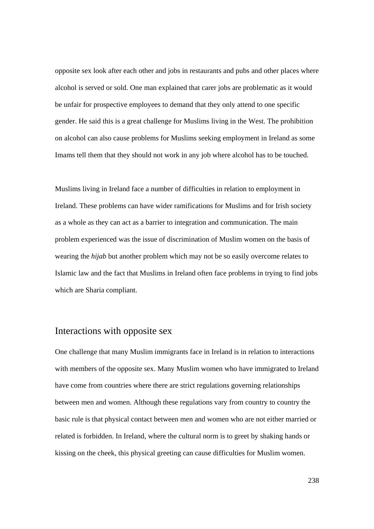opposite sex look after each other and jobs in restaurants and pubs and other places where alcohol is served or sold. One man explained that carer jobs are problematic as it would be unfair for prospective employees to demand that they only attend to one specific gender. He said this is a great challenge for Muslims living in the West. The prohibition on alcohol can also cause problems for Muslims seeking employment in Ireland as some Imams tell them that they should not work in any job where alcohol has to be touched.

Muslims living in Ireland face a number of difficulties in relation to employment in Ireland. These problems can have wider ramifications for Muslims and for Irish society as a whole as they can act as a barrier to integration and communication. The main problem experienced was the issue of discrimination of Muslim women on the basis of wearing the *hijab* but another problem which may not be so easily overcome relates to Islamic law and the fact that Muslims in Ireland often face problems in trying to find jobs which are Sharia compliant.

## Interactions with opposite sex

One challenge that many Muslim immigrants face in Ireland is in relation to interactions with members of the opposite sex. Many Muslim women who have immigrated to Ireland have come from countries where there are strict regulations governing relationships between men and women. Although these regulations vary from country to country the basic rule is that physical contact between men and women who are not either married or related is forbidden. In Ireland, where the cultural norm is to greet by shaking hands or kissing on the cheek, this physical greeting can cause difficulties for Muslim women.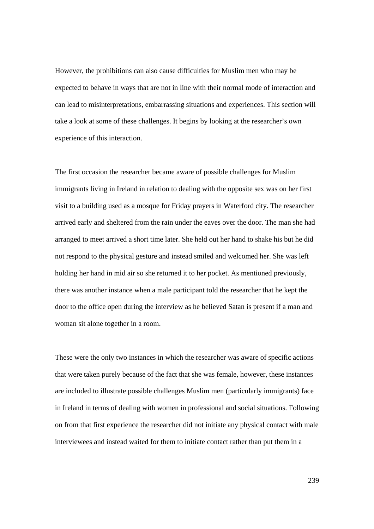However, the prohibitions can also cause difficulties for Muslim men who may be expected to behave in ways that are not in line with their normal mode of interaction and can lead to misinterpretations, embarrassing situations and experiences. This section will take a look at some of these challenges. It begins by looking at the researcher's own experience of this interaction.

The first occasion the researcher became aware of possible challenges for Muslim immigrants living in Ireland in relation to dealing with the opposite sex was on her first visit to a building used as a mosque for Friday prayers in Waterford city. The researcher arrived early and sheltered from the rain under the eaves over the door. The man she had arranged to meet arrived a short time later. She held out her hand to shake his but he did not respond to the physical gesture and instead smiled and welcomed her. She was left holding her hand in mid air so she returned it to her pocket. As mentioned previously, there was another instance when a male participant told the researcher that he kept the door to the office open during the interview as he believed Satan is present if a man and woman sit alone together in a room.

These were the only two instances in which the researcher was aware of specific actions that were taken purely because of the fact that she was female, however, these instances are included to illustrate possible challenges Muslim men (particularly immigrants) face in Ireland in terms of dealing with women in professional and social situations. Following on from that first experience the researcher did not initiate any physical contact with male interviewees and instead waited for them to initiate contact rather than put them in a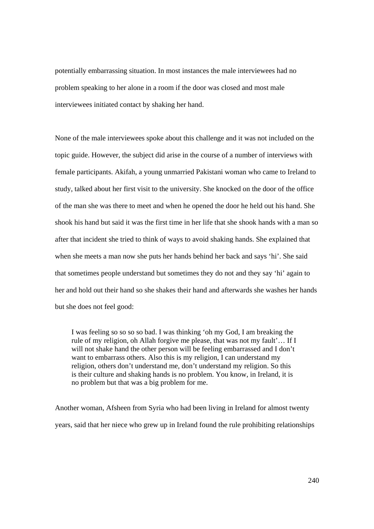potentially embarrassing situation. In most instances the male interviewees had no problem speaking to her alone in a room if the door was closed and most male interviewees initiated contact by shaking her hand.

None of the male interviewees spoke about this challenge and it was not included on the topic guide. However, the subject did arise in the course of a number of interviews with female participants. Akifah, a young unmarried Pakistani woman who came to Ireland to study, talked about her first visit to the university. She knocked on the door of the office of the man she was there to meet and when he opened the door he held out his hand. She shook his hand but said it was the first time in her life that she shook hands with a man so after that incident she tried to think of ways to avoid shaking hands. She explained that when she meets a man now she puts her hands behind her back and says 'hi'. She said that sometimes people understand but sometimes they do not and they say 'hi' again to her and hold out their hand so she shakes their hand and afterwards she washes her hands but she does not feel good:

I was feeling so so so so bad. I was thinking 'oh my God, I am breaking the rule of my religion, oh Allah forgive me please, that was not my fault'… If I will not shake hand the other person will be feeling embarrassed and I don't want to embarrass others. Also this is my religion, I can understand my religion, others don't understand me, don't understand my religion. So this is their culture and shaking hands is no problem. You know, in Ireland, it is no problem but that was a big problem for me.

Another woman, Afsheen from Syria who had been living in Ireland for almost twenty years, said that her niece who grew up in Ireland found the rule prohibiting relationships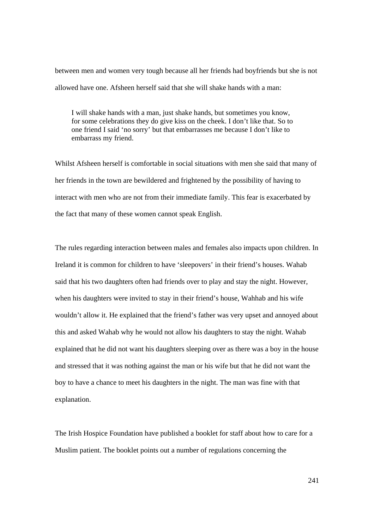between men and women very tough because all her friends had boyfriends but she is not allowed have one. Afsheen herself said that she will shake hands with a man:

I will shake hands with a man, just shake hands, but sometimes you know, for some celebrations they do give kiss on the cheek. I don't like that. So to one friend I said 'no sorry' but that embarrasses me because I don't like to embarrass my friend.

Whilst Afsheen herself is comfortable in social situations with men she said that many of her friends in the town are bewildered and frightened by the possibility of having to interact with men who are not from their immediate family. This fear is exacerbated by the fact that many of these women cannot speak English.

The rules regarding interaction between males and females also impacts upon children. In Ireland it is common for children to have 'sleepovers' in their friend's houses. Wahab said that his two daughters often had friends over to play and stay the night. However, when his daughters were invited to stay in their friend's house, Wahhab and his wife wouldn't allow it. He explained that the friend's father was very upset and annoyed about this and asked Wahab why he would not allow his daughters to stay the night. Wahab explained that he did not want his daughters sleeping over as there was a boy in the house and stressed that it was nothing against the man or his wife but that he did not want the boy to have a chance to meet his daughters in the night. The man was fine with that explanation.

The Irish Hospice Foundation have published a booklet for staff about how to care for a Muslim patient. The booklet points out a number of regulations concerning the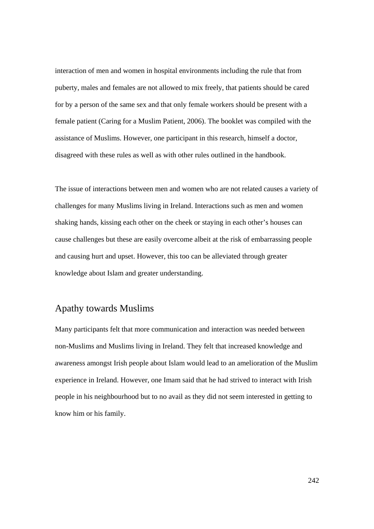interaction of men and women in hospital environments including the rule that from puberty, males and females are not allowed to mix freely, that patients should be cared for by a person of the same sex and that only female workers should be present with a female patient (Caring for a Muslim Patient, 2006). The booklet was compiled with the assistance of Muslims. However, one participant in this research, himself a doctor, disagreed with these rules as well as with other rules outlined in the handbook.

The issue of interactions between men and women who are not related causes a variety of challenges for many Muslims living in Ireland. Interactions such as men and women shaking hands, kissing each other on the cheek or staying in each other's houses can cause challenges but these are easily overcome albeit at the risk of embarrassing people and causing hurt and upset. However, this too can be alleviated through greater knowledge about Islam and greater understanding.

# Apathy towards Muslims

Many participants felt that more communication and interaction was needed between non-Muslims and Muslims living in Ireland. They felt that increased knowledge and awareness amongst Irish people about Islam would lead to an amelioration of the Muslim experience in Ireland. However, one Imam said that he had strived to interact with Irish people in his neighbourhood but to no avail as they did not seem interested in getting to know him or his family.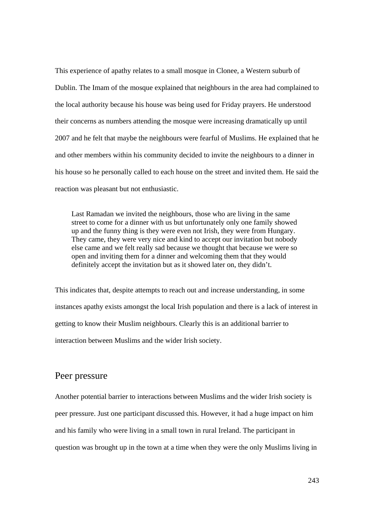This experience of apathy relates to a small mosque in Clonee, a Western suburb of Dublin. The Imam of the mosque explained that neighbours in the area had complained to the local authority because his house was being used for Friday prayers. He understood their concerns as numbers attending the mosque were increasing dramatically up until 2007 and he felt that maybe the neighbours were fearful of Muslims. He explained that he and other members within his community decided to invite the neighbours to a dinner in his house so he personally called to each house on the street and invited them. He said the reaction was pleasant but not enthusiastic.

Last Ramadan we invited the neighbours, those who are living in the same street to come for a dinner with us but unfortunately only one family showed up and the funny thing is they were even not Irish, they were from Hungary. They came, they were very nice and kind to accept our invitation but nobody else came and we felt really sad because we thought that because we were so open and inviting them for a dinner and welcoming them that they would definitely accept the invitation but as it showed later on, they didn't.

This indicates that, despite attempts to reach out and increase understanding, in some instances apathy exists amongst the local Irish population and there is a lack of interest in getting to know their Muslim neighbours. Clearly this is an additional barrier to interaction between Muslims and the wider Irish society.

#### Peer pressure

Another potential barrier to interactions between Muslims and the wider Irish society is peer pressure. Just one participant discussed this. However, it had a huge impact on him and his family who were living in a small town in rural Ireland. The participant in question was brought up in the town at a time when they were the only Muslims living in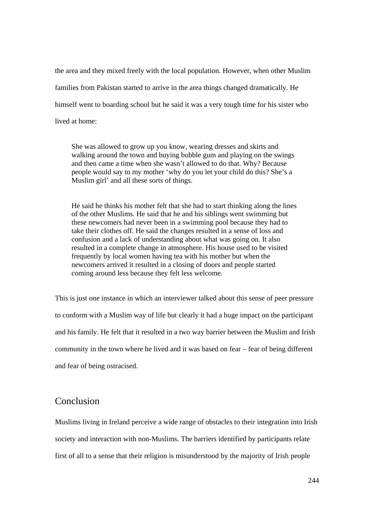the area and they mixed freely with the local population. However, when other Muslim families from Pakistan started to arrive in the area things changed dramatically. He himself went to boarding school but he said it was a very tough time for his sister who lived at home:

She was allowed to grow up you know, wearing dresses and skirts and walking around the town and buying bubble gum and playing on the swings and then came a time when she wasn't allowed to do that. Why? Because people would say to my mother 'why do you let your child do this? She's a Muslim girl' and all these sorts of things.

He said he thinks his mother felt that she had to start thinking along the lines of the other Muslims. He said that he and his siblings went swimming but these newcomers had never been in a swimming pool because they had to take their clothes off. He said the changes resulted in a sense of loss and confusion and a lack of understanding about what was going on. It also resulted in a complete change in atmosphere. His house used to be visited frequently by local women having tea with his mother but when the newcomers arrived it resulted in a closing of doors and people started coming around less because they felt less welcome.

This is just one instance in which an interviewer talked about this sense of peer pressure to conform with a Muslim way of life but clearly it had a huge impact on the participant and his family. He felt that it resulted in a two way barrier between the Muslim and Irish community in the town where he lived and it was based on fear – fear of being different and fear of being ostracised.

### Conclusion

Muslims living in Ireland perceive a wide range of obstacles to their integration into Irish society and interaction with non-Muslims. The barriers identified by participants relate first of all to a sense that their religion is misunderstood by the majority of Irish people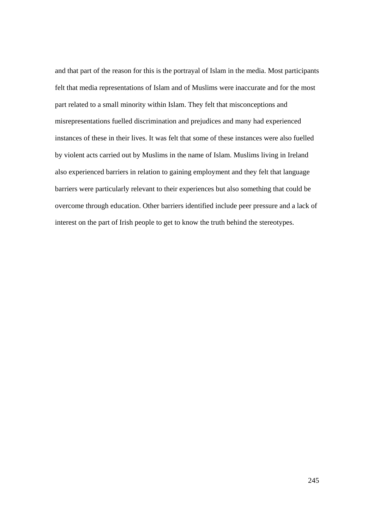and that part of the reason for this is the portrayal of Islam in the media. Most participants felt that media representations of Islam and of Muslims were inaccurate and for the most part related to a small minority within Islam. They felt that misconceptions and misrepresentations fuelled discrimination and prejudices and many had experienced instances of these in their lives. It was felt that some of these instances were also fuelled by violent acts carried out by Muslims in the name of Islam. Muslims living in Ireland also experienced barriers in relation to gaining employment and they felt that language barriers were particularly relevant to their experiences but also something that could be overcome through education. Other barriers identified include peer pressure and a lack of interest on the part of Irish people to get to know the truth behind the stereotypes.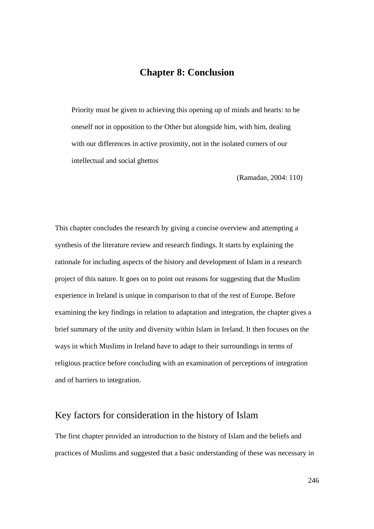### **Chapter 8: Conclusion**

Priority must be given to achieving this opening up of minds and hearts: to be oneself not in opposition to the Other but alongside him, with him, dealing with our differences in active proximity, not in the isolated corners of our intellectual and social ghettos

(Ramadan, 2004: 110)

This chapter concludes the research by giving a concise overview and attempting a synthesis of the literature review and research findings. It starts by explaining the rationale for including aspects of the history and development of Islam in a research project of this nature. It goes on to point out reasons for suggesting that the Muslim experience in Ireland is unique in comparison to that of the rest of Europe. Before examining the key findings in relation to adaptation and integration, the chapter gives a brief summary of the unity and diversity within Islam in Ireland. It then focuses on the ways in which Muslims in Ireland have to adapt to their surroundings in terms of religious practice before concluding with an examination of perceptions of integration and of barriers to integration.

### Key factors for consideration in the history of Islam

The first chapter provided an introduction to the history of Islam and the beliefs and practices of Muslims and suggested that a basic understanding of these was necessary in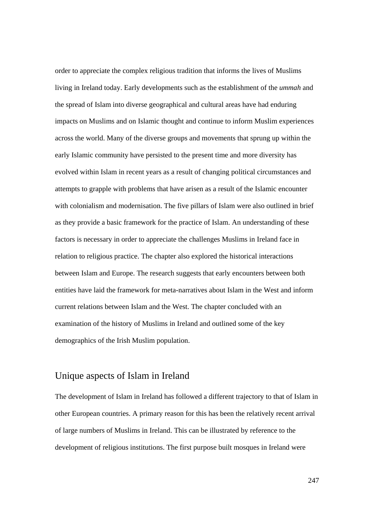order to appreciate the complex religious tradition that informs the lives of Muslims living in Ireland today. Early developments such as the establishment of the *ummah* and the spread of Islam into diverse geographical and cultural areas have had enduring impacts on Muslims and on Islamic thought and continue to inform Muslim experiences across the world. Many of the diverse groups and movements that sprung up within the early Islamic community have persisted to the present time and more diversity has evolved within Islam in recent years as a result of changing political circumstances and attempts to grapple with problems that have arisen as a result of the Islamic encounter with colonialism and modernisation. The five pillars of Islam were also outlined in brief as they provide a basic framework for the practice of Islam. An understanding of these factors is necessary in order to appreciate the challenges Muslims in Ireland face in relation to religious practice. The chapter also explored the historical interactions between Islam and Europe. The research suggests that early encounters between both entities have laid the framework for meta-narratives about Islam in the West and inform current relations between Islam and the West. The chapter concluded with an examination of the history of Muslims in Ireland and outlined some of the key demographics of the Irish Muslim population.

## Unique aspects of Islam in Ireland

The development of Islam in Ireland has followed a different trajectory to that of Islam in other European countries. A primary reason for this has been the relatively recent arrival of large numbers of Muslims in Ireland. This can be illustrated by reference to the development of religious institutions. The first purpose built mosques in Ireland were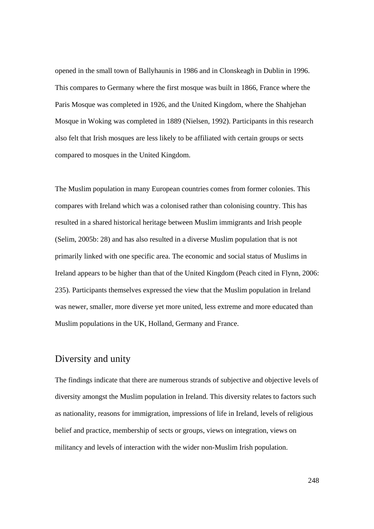opened in the small town of Ballyhaunis in 1986 and in Clonskeagh in Dublin in 1996. This compares to Germany where the first mosque was built in 1866, France where the Paris Mosque was completed in 1926, and the United Kingdom, where the Shahjehan Mosque in Woking was completed in 1889 (Nielsen, 1992). Participants in this research also felt that Irish mosques are less likely to be affiliated with certain groups or sects compared to mosques in the United Kingdom.

The Muslim population in many European countries comes from former colonies. This compares with Ireland which was a colonised rather than colonising country. This has resulted in a shared historical heritage between Muslim immigrants and Irish people (Selim, 2005b: 28) and has also resulted in a diverse Muslim population that is not primarily linked with one specific area. The economic and social status of Muslims in Ireland appears to be higher than that of the United Kingdom (Peach cited in Flynn, 2006: 235). Participants themselves expressed the view that the Muslim population in Ireland was newer, smaller, more diverse yet more united, less extreme and more educated than Muslim populations in the UK, Holland, Germany and France.

## Diversity and unity

The findings indicate that there are numerous strands of subjective and objective levels of diversity amongst the Muslim population in Ireland. This diversity relates to factors such as nationality, reasons for immigration, impressions of life in Ireland, levels of religious belief and practice, membership of sects or groups, views on integration, views on militancy and levels of interaction with the wider non-Muslim Irish population.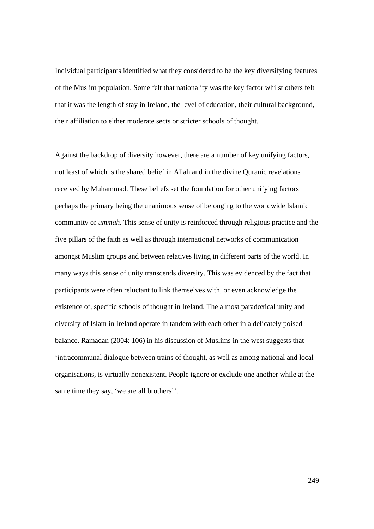Individual participants identified what they considered to be the key diversifying features of the Muslim population. Some felt that nationality was the key factor whilst others felt that it was the length of stay in Ireland, the level of education, their cultural background, their affiliation to either moderate sects or stricter schools of thought.

Against the backdrop of diversity however, there are a number of key unifying factors, not least of which is the shared belief in Allah and in the divine Quranic revelations received by Muhammad. These beliefs set the foundation for other unifying factors perhaps the primary being the unanimous sense of belonging to the worldwide Islamic community or *ummah.* This sense of unity is reinforced through religious practice and the five pillars of the faith as well as through international networks of communication amongst Muslim groups and between relatives living in different parts of the world. In many ways this sense of unity transcends diversity. This was evidenced by the fact that participants were often reluctant to link themselves with, or even acknowledge the existence of, specific schools of thought in Ireland. The almost paradoxical unity and diversity of Islam in Ireland operate in tandem with each other in a delicately poised balance. Ramadan (2004: 106) in his discussion of Muslims in the west suggests that 'intracommunal dialogue between trains of thought, as well as among national and local organisations, is virtually nonexistent. People ignore or exclude one another while at the same time they say, 'we are all brothers''.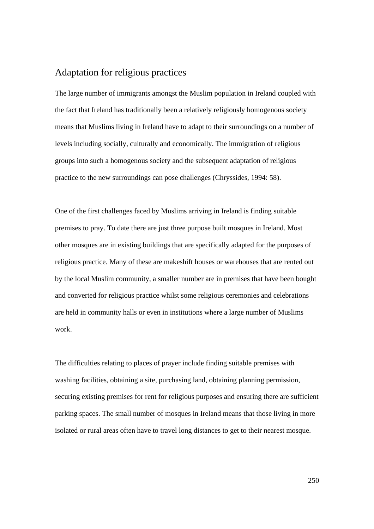## Adaptation for religious practices

The large number of immigrants amongst the Muslim population in Ireland coupled with the fact that Ireland has traditionally been a relatively religiously homogenous society means that Muslims living in Ireland have to adapt to their surroundings on a number of levels including socially, culturally and economically. The immigration of religious groups into such a homogenous society and the subsequent adaptation of religious practice to the new surroundings can pose challenges (Chryssides, 1994: 58).

One of the first challenges faced by Muslims arriving in Ireland is finding suitable premises to pray. To date there are just three purpose built mosques in Ireland. Most other mosques are in existing buildings that are specifically adapted for the purposes of religious practice. Many of these are makeshift houses or warehouses that are rented out by the local Muslim community, a smaller number are in premises that have been bought and converted for religious practice whilst some religious ceremonies and celebrations are held in community halls or even in institutions where a large number of Muslims work.

The difficulties relating to places of prayer include finding suitable premises with washing facilities, obtaining a site, purchasing land, obtaining planning permission, securing existing premises for rent for religious purposes and ensuring there are sufficient parking spaces. The small number of mosques in Ireland means that those living in more isolated or rural areas often have to travel long distances to get to their nearest mosque.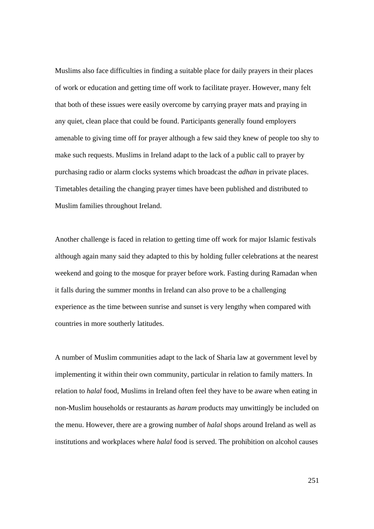Muslims also face difficulties in finding a suitable place for daily prayers in their places of work or education and getting time off work to facilitate prayer. However, many felt that both of these issues were easily overcome by carrying prayer mats and praying in any quiet, clean place that could be found. Participants generally found employers amenable to giving time off for prayer although a few said they knew of people too shy to make such requests. Muslims in Ireland adapt to the lack of a public call to prayer by purchasing radio or alarm clocks systems which broadcast the *adhan* in private places. Timetables detailing the changing prayer times have been published and distributed to Muslim families throughout Ireland.

Another challenge is faced in relation to getting time off work for major Islamic festivals although again many said they adapted to this by holding fuller celebrations at the nearest weekend and going to the mosque for prayer before work. Fasting during Ramadan when it falls during the summer months in Ireland can also prove to be a challenging experience as the time between sunrise and sunset is very lengthy when compared with countries in more southerly latitudes.

A number of Muslim communities adapt to the lack of Sharia law at government level by implementing it within their own community, particular in relation to family matters. In relation to *halal* food, Muslims in Ireland often feel they have to be aware when eating in non-Muslim households or restaurants as *haram* products may unwittingly be included on the menu. However, there are a growing number of *halal* shops around Ireland as well as institutions and workplaces where *halal* food is served. The prohibition on alcohol causes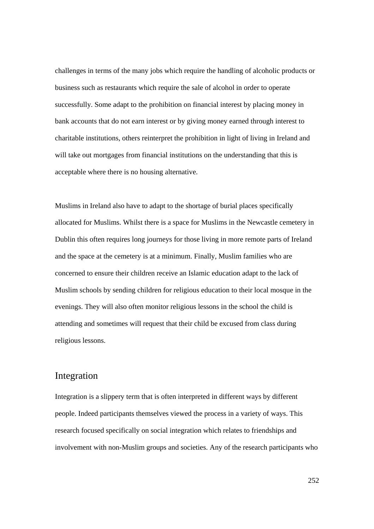challenges in terms of the many jobs which require the handling of alcoholic products or business such as restaurants which require the sale of alcohol in order to operate successfully. Some adapt to the prohibition on financial interest by placing money in bank accounts that do not earn interest or by giving money earned through interest to charitable institutions, others reinterpret the prohibition in light of living in Ireland and will take out mortgages from financial institutions on the understanding that this is acceptable where there is no housing alternative.

Muslims in Ireland also have to adapt to the shortage of burial places specifically allocated for Muslims. Whilst there is a space for Muslims in the Newcastle cemetery in Dublin this often requires long journeys for those living in more remote parts of Ireland and the space at the cemetery is at a minimum. Finally, Muslim families who are concerned to ensure their children receive an Islamic education adapt to the lack of Muslim schools by sending children for religious education to their local mosque in the evenings. They will also often monitor religious lessons in the school the child is attending and sometimes will request that their child be excused from class during religious lessons.

#### Integration

Integration is a slippery term that is often interpreted in different ways by different people. Indeed participants themselves viewed the process in a variety of ways. This research focused specifically on social integration which relates to friendships and involvement with non-Muslim groups and societies. Any of the research participants who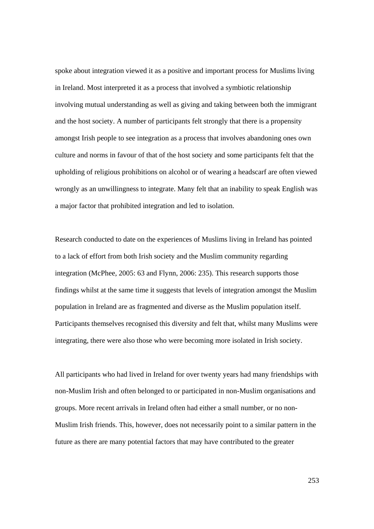spoke about integration viewed it as a positive and important process for Muslims living in Ireland. Most interpreted it as a process that involved a symbiotic relationship involving mutual understanding as well as giving and taking between both the immigrant and the host society. A number of participants felt strongly that there is a propensity amongst Irish people to see integration as a process that involves abandoning ones own culture and norms in favour of that of the host society and some participants felt that the upholding of religious prohibitions on alcohol or of wearing a headscarf are often viewed wrongly as an unwillingness to integrate. Many felt that an inability to speak English was a major factor that prohibited integration and led to isolation.

Research conducted to date on the experiences of Muslims living in Ireland has pointed to a lack of effort from both Irish society and the Muslim community regarding integration (McPhee, 2005: 63 and Flynn, 2006: 235). This research supports those findings whilst at the same time it suggests that levels of integration amongst the Muslim population in Ireland are as fragmented and diverse as the Muslim population itself. Participants themselves recognised this diversity and felt that, whilst many Muslims were integrating, there were also those who were becoming more isolated in Irish society.

All participants who had lived in Ireland for over twenty years had many friendships with non-Muslim Irish and often belonged to or participated in non-Muslim organisations and groups. More recent arrivals in Ireland often had either a small number, or no non-Muslim Irish friends. This, however, does not necessarily point to a similar pattern in the future as there are many potential factors that may have contributed to the greater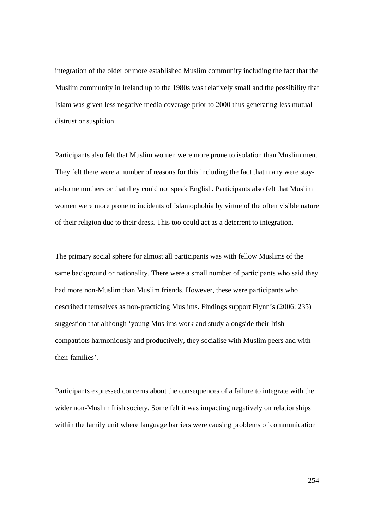integration of the older or more established Muslim community including the fact that the Muslim community in Ireland up to the 1980s was relatively small and the possibility that Islam was given less negative media coverage prior to 2000 thus generating less mutual distrust or suspicion.

Participants also felt that Muslim women were more prone to isolation than Muslim men. They felt there were a number of reasons for this including the fact that many were stayat-home mothers or that they could not speak English. Participants also felt that Muslim women were more prone to incidents of Islamophobia by virtue of the often visible nature of their religion due to their dress. This too could act as a deterrent to integration.

The primary social sphere for almost all participants was with fellow Muslims of the same background or nationality. There were a small number of participants who said they had more non-Muslim than Muslim friends. However, these were participants who described themselves as non-practicing Muslims. Findings support Flynn's (2006: 235) suggestion that although 'young Muslims work and study alongside their Irish compatriots harmoniously and productively, they socialise with Muslim peers and with their families'.

Participants expressed concerns about the consequences of a failure to integrate with the wider non-Muslim Irish society. Some felt it was impacting negatively on relationships within the family unit where language barriers were causing problems of communication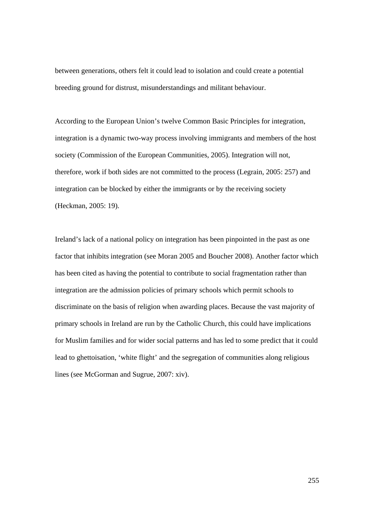between generations, others felt it could lead to isolation and could create a potential breeding ground for distrust, misunderstandings and militant behaviour.

According to the European Union's twelve Common Basic Principles for integration, integration is a dynamic two-way process involving immigrants and members of the host society (Commission of the European Communities, 2005). Integration will not, therefore, work if both sides are not committed to the process (Legrain, 2005: 257) and integration can be blocked by either the immigrants or by the receiving society (Heckman, 2005: 19).

Ireland's lack of a national policy on integration has been pinpointed in the past as one factor that inhibits integration (see Moran 2005 and Boucher 2008). Another factor which has been cited as having the potential to contribute to social fragmentation rather than integration are the admission policies of primary schools which permit schools to discriminate on the basis of religion when awarding places. Because the vast majority of primary schools in Ireland are run by the Catholic Church, this could have implications for Muslim families and for wider social patterns and has led to some predict that it could lead to ghettoisation, 'white flight' and the segregation of communities along religious lines (see McGorman and Sugrue, 2007: xiv).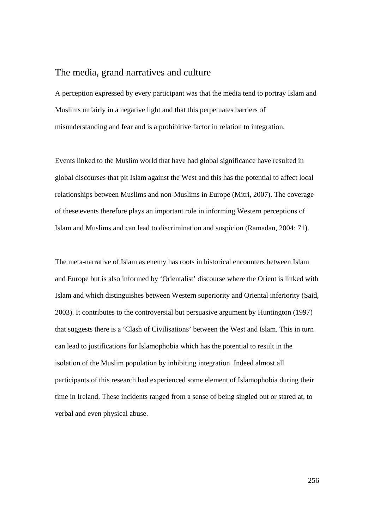## The media, grand narratives and culture

A perception expressed by every participant was that the media tend to portray Islam and Muslims unfairly in a negative light and that this perpetuates barriers of misunderstanding and fear and is a prohibitive factor in relation to integration.

Events linked to the Muslim world that have had global significance have resulted in global discourses that pit Islam against the West and this has the potential to affect local relationships between Muslims and non-Muslims in Europe (Mitri, 2007). The coverage of these events therefore plays an important role in informing Western perceptions of Islam and Muslims and can lead to discrimination and suspicion (Ramadan, 2004: 71).

The meta-narrative of Islam as enemy has roots in historical encounters between Islam and Europe but is also informed by 'Orientalist' discourse where the Orient is linked with Islam and which distinguishes between Western superiority and Oriental inferiority (Said, 2003). It contributes to the controversial but persuasive argument by Huntington (1997) that suggests there is a 'Clash of Civilisations' between the West and Islam. This in turn can lead to justifications for Islamophobia which has the potential to result in the isolation of the Muslim population by inhibiting integration. Indeed almost all participants of this research had experienced some element of Islamophobia during their time in Ireland. These incidents ranged from a sense of being singled out or stared at, to verbal and even physical abuse.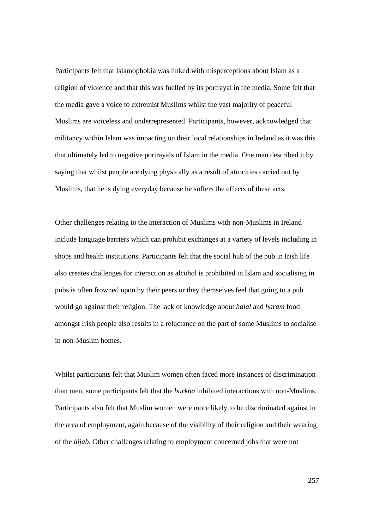Participants felt that Islamophobia was linked with misperceptions about Islam as a religion of violence and that this was fuelled by its portrayal in the media. Some felt that the media gave a voice to extremist Muslims whilst the vast majority of peaceful Muslims are voiceless and underrepresented. Participants, however, acknowledged that militancy within Islam was impacting on their local relationships in Ireland as it was this that ultimately led to negative portrayals of Islam in the media. One man described it by saying that whilst people are dying physically as a result of atrocities carried out by Muslims, that he is dying everyday because he suffers the effects of these acts.

Other challenges relating to the interaction of Muslims with non-Muslims in Ireland include language barriers which can prohibit exchanges at a variety of levels including in shops and health institutions. Participants felt that the social hub of the pub in Irish life also creates challenges for interaction as alcohol is prohibited in Islam and socialising in pubs is often frowned upon by their peers or they themselves feel that going to a pub would go against their religion. The lack of knowledge about *halal* and *haram* food amongst Irish people also results in a reluctance on the part of some Muslims to socialise in non-Muslim homes.

Whilst participants felt that Muslim women often faced more instances of discrimination than men, some participants felt that the *burkha* inhibited interactions with non-Muslims. Participants also felt that Muslim women were more likely to be discriminated against in the area of employment, again because of the visibility of their religion and their wearing of the *hijab*. Other challenges relating to employment concerned jobs that were not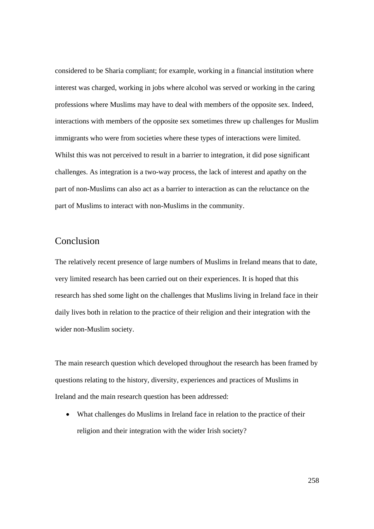considered to be Sharia compliant; for example, working in a financial institution where interest was charged, working in jobs where alcohol was served or working in the caring professions where Muslims may have to deal with members of the opposite sex. Indeed, interactions with members of the opposite sex sometimes threw up challenges for Muslim immigrants who were from societies where these types of interactions were limited. Whilst this was not perceived to result in a barrier to integration, it did pose significant challenges. As integration is a two-way process, the lack of interest and apathy on the part of non-Muslims can also act as a barrier to interaction as can the reluctance on the part of Muslims to interact with non-Muslims in the community.

## Conclusion

The relatively recent presence of large numbers of Muslims in Ireland means that to date, very limited research has been carried out on their experiences. It is hoped that this research has shed some light on the challenges that Muslims living in Ireland face in their daily lives both in relation to the practice of their religion and their integration with the wider non-Muslim society.

The main research question which developed throughout the research has been framed by questions relating to the history, diversity, experiences and practices of Muslims in Ireland and the main research question has been addressed:

• What challenges do Muslims in Ireland face in relation to the practice of their religion and their integration with the wider Irish society?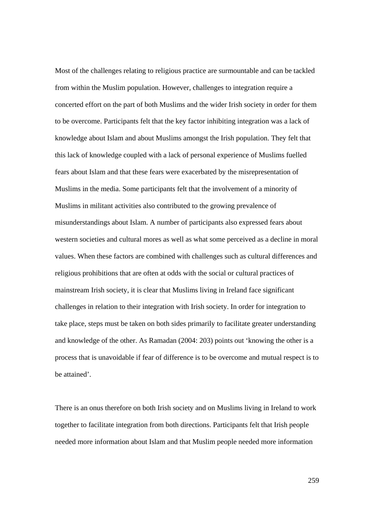Most of the challenges relating to religious practice are surmountable and can be tackled from within the Muslim population. However, challenges to integration require a concerted effort on the part of both Muslims and the wider Irish society in order for them to be overcome. Participants felt that the key factor inhibiting integration was a lack of knowledge about Islam and about Muslims amongst the Irish population. They felt that this lack of knowledge coupled with a lack of personal experience of Muslims fuelled fears about Islam and that these fears were exacerbated by the misrepresentation of Muslims in the media. Some participants felt that the involvement of a minority of Muslims in militant activities also contributed to the growing prevalence of misunderstandings about Islam. A number of participants also expressed fears about western societies and cultural mores as well as what some perceived as a decline in moral values. When these factors are combined with challenges such as cultural differences and religious prohibitions that are often at odds with the social or cultural practices of mainstream Irish society, it is clear that Muslims living in Ireland face significant challenges in relation to their integration with Irish society. In order for integration to take place, steps must be taken on both sides primarily to facilitate greater understanding and knowledge of the other. As Ramadan (2004: 203) points out 'knowing the other is a process that is unavoidable if fear of difference is to be overcome and mutual respect is to be attained'.

There is an onus therefore on both Irish society and on Muslims living in Ireland to work together to facilitate integration from both directions. Participants felt that Irish people needed more information about Islam and that Muslim people needed more information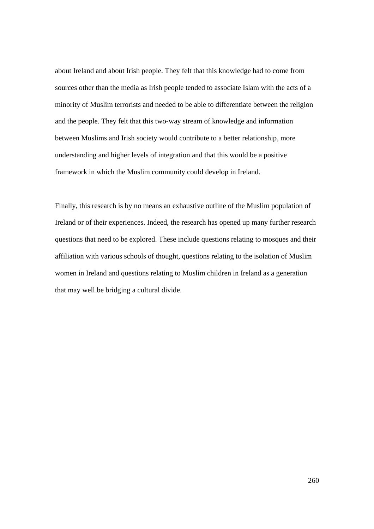about Ireland and about Irish people. They felt that this knowledge had to come from sources other than the media as Irish people tended to associate Islam with the acts of a minority of Muslim terrorists and needed to be able to differentiate between the religion and the people. They felt that this two-way stream of knowledge and information between Muslims and Irish society would contribute to a better relationship, more understanding and higher levels of integration and that this would be a positive framework in which the Muslim community could develop in Ireland.

Finally, this research is by no means an exhaustive outline of the Muslim population of Ireland or of their experiences. Indeed, the research has opened up many further research questions that need to be explored. These include questions relating to mosques and their affiliation with various schools of thought, questions relating to the isolation of Muslim women in Ireland and questions relating to Muslim children in Ireland as a generation that may well be bridging a cultural divide.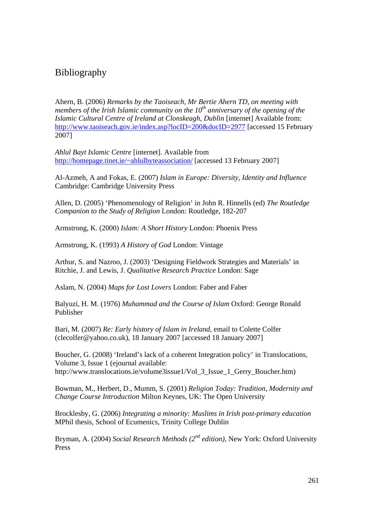# Bibliography

Ahern, B. (2006) *Remarks by the Taoiseach, Mr Bertie Ahern TD, on meeting with members of the Irish Islamic community on the 10th anniversary of the opening of the Islamic Cultural Centre of Ireland at Clonskeagh, Dublin* [internet] Available from: http://www.taoiseach.gov.ie/index.asp?locID=200&docID=2977 [accessed 15 February 2007]

*Ahlul Bayt Islamic Centre* [internet]. Available from http://homepage.tinet.ie/~ahlulbyteassociation/ [accessed 13 February 2007]

Al-Azmeh, A and Fokas, E. (2007) *Islam in Europe: Diversity, Identity and Influence*  Cambridge: Cambridge University Press

Allen, D. (2005) 'Phenomenology of Religion' in John R. Hinnells (ed) *The Routledge Companion to the Study of Religion* London: Routledge, 182-207

Armstrong, K. (2000) *Islam: A Short History* London: Phoenix Press

Armstrong, K. (1993) *A History of God* London: Vintage

Arthur, S. and Nazroo, J. (2003) 'Designing Fieldwork Strategies and Materials' in Ritchie, J. and Lewis, J. *Qualitative Research Practice* London: Sage

Aslam, N. (2004) *Maps for Lost Lovers* London: Faber and Faber

Balyuzi, H. M. (1976) *Muhammad and the Course of Islam* Oxford: George Ronald Publisher

Bari, M. (2007) *Re: Early history of Islam in Ireland,* email to Colette Colfer (clecolfer@yahoo.co.uk), 18 January 2007 [accessed 18 January 2007]

Boucher, G. (2008) 'Ireland's lack of a coherent Integration policy' in Translocations, Volume 3, Issue 1 (ejournal available: http://www.translocations.ie/volume3issue1/Vol 3 Issue 1 Gerry Boucher.htm)

Bowman, M., Herbert, D., Mumm, S. (2001) *Religion Today: Tradition, Modernity and Change Course Introduction* Milton Keynes, UK: The Open University

Brocklesby, G. (2006) *Integrating a minority: Muslims in Irish post-primary education*  MPhil thesis, School of Ecumenics, Trinity College Dublin

Bryman, A. (2004) *Social Research Methods (2nd edition),* New York: Oxford University Press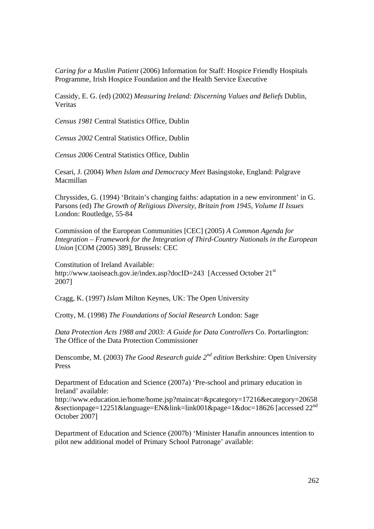*Caring for a Muslim Patient* (2006) Information for Staff: Hospice Friendly Hospitals Programme, Irish Hospice Foundation and the Health Service Executive

Cassidy, E. G. (ed) (2002) *Measuring Ireland: Discerning Values and Beliefs* Dublin, Veritas

*Census 1981* Central Statistics Office, Dublin

*Census 2002* Central Statistics Office, Dublin

*Census 2006* Central Statistics Office, Dublin

Cesari, J. (2004) *When Islam and Democracy Meet* Basingstoke, England: Palgrave Macmillan

Chryssides, G. (1994) 'Britain's changing faiths: adaptation in a new environment' in G. Parsons (ed) *The Growth of Religious Diversity, Britain from 1945, Volume II Issues*  London: Routledge, 55-84

Commission of the European Communities [CEC] (2005) *A Common Agenda for Integration – Framework for the Integration of Third-Country Nationals in the European Union* [COM (2005) 389], Brussels: CEC

Constitution of Ireland Available: http://www.taoiseach.gov.ie/index.asp?docID=243 [Accessed October 21<sup>st</sup>] 2007]

Cragg, K. (1997) *Islam* Milton Keynes, UK: The Open University

Crotty, M. (1998) *The Foundations of Social Research* London: Sage

*Data Protection Acts 1988 and 2003: A Guide for Data Controllers* Co. Portarlington: The Office of the Data Protection Commissioner

Denscombe, M. (2003) *The Good Research guide 2nd edition* Berkshire: Open University Press

Department of Education and Science (2007a) 'Pre-school and primary education in Ireland' available:

http://www.education.ie/home/home.jsp?maincat=&pcategory=17216&ecategory=20658 &sectionpage=12251&language=EN&link=link001&page=1&doc=18626 [accessed 22<sup>nd</sup>] October 2007]

Department of Education and Science (2007b) 'Minister Hanafin announces intention to pilot new additional model of Primary School Patronage' available: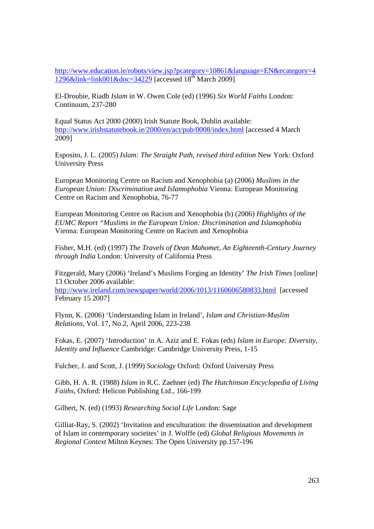http://www.education.ie/robots/view.jsp?pcategory=10861&language=EN&ecategory=4  $1296\&$ link=link001&doc=34229 [accessed  $18^{th}$  March 2009]

El-Droubie, Riadh *Islam* in W. Owen Cole (ed) (1996) *Six World Faiths* London: Continuum, 237-280

Equal Status Act 2000 (2000) Irish Statute Book, Dublin available: http://www.irishstatutebook.ie/2000/en/act/pub/0008/index.html [accessed 4 March 2009]

Esposito, J. L. (2005) *Islam: The Straight Path, revised third edition* New York: Oxford University Press

European Monitoring Centre on Racism and Xenophobia (a) (2006) *Muslims in the European Union: Discrimination and Islamophobia* Vienna: European Monitoring Centre on Racism and Xenophobia, 76-77

European Monitoring Centre on Racism and Xenophobia (b) (2006) *Highlights of the EUMC Report "Muslims in the European Union: Discrimination and Islamophobia*  Vienna: European Monitoring Centre on Racism and Xenophobia

Fisher, M.H. (ed) (1997) *The Travels of Dean Mahomet, An Eighteenth-Century Journey through India* London: University of California Press

Fitzgerald, Mary (2006) 'Ireland's Muslims Forging an Identity' *The Irish Times* [online] 13 October 2006 available:

http://www.ireland.com/newspaper/world/2006/1013/1160606580833.html [accessed February 15 2007]

Flynn, K. (2006) 'Understanding Islam in Ireland', *Islam and Christian-Muslim Relations,* Vol. 17, No.2, April 2006, 223-238

Fokas, E. (2007) 'Introduction' in A. Aziz and E. Fokas (eds) *Islam in Europe: Diversity, Identity and Influence* Cambridge: Cambridge University Press, 1-15

Fulcher, J. and Scott, J. (1999) *Sociology* Oxford: Oxford University Press

Gibb, H. A. R. (1988) *Islam* in R.C. Zaehner (ed) *The Hutchinson Encyclopedia of Living Faiths,* Oxford: Helicon Publishing Ltd., 166-199

Gilbert, N. (ed) (1993) *Researching Social Life* London: Sage

Gilliat-Ray, S. (2002) 'Invitation and enculturation: the dissemination and development of Islam in contemporary socieites' in J. Wolffe (ed) *Global Religious Movements in Regional Context* Milton Keynes: The Open University pp.157-196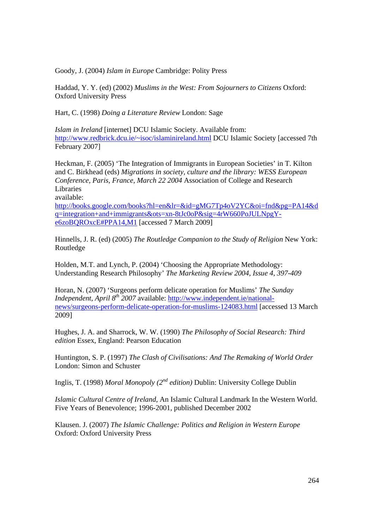Goody, J. (2004) *Islam in Europe* Cambridge: Polity Press

Haddad, Y. Y. (ed) (2002) *Muslims in the West: From Sojourners to Citizens* Oxford: Oxford University Press

Hart, C. (1998) *Doing a Literature Review* London: Sage

*Islam in Ireland* [internet] DCU Islamic Society. Available from: http://www.redbrick.dcu.ie/~isoc/islaminireland.html DCU Islamic Society [accessed 7th February 2007]

Heckman, F. (2005) 'The Integration of Immigrants in European Societies' in T. Kilton and C. Birkhead (eds) *Migrations in society, culture and the library: WESS European Conference, Paris, France, March 22 2004* Association of College and Research Libraries

available:

http://books.google.com/books?hl=en&lr=&id=gMG7Tp4oV2YC&oi=fnd&pg=PA14&d q=integration+and+immigrants&ots=xn-8tJc0oP&sig=4rW660PoJULNpgYe6zoBQROxcE#PPA14,M1 [accessed 7 March 2009]

Hinnells, J. R. (ed) (2005) *The Routledge Companion to the Study of Religion* New York: Routledge

Holden, M.T. and Lynch, P. (2004) 'Choosing the Appropriate Methodology: Understanding Research Philosophy' *The Marketing Review 2004, Issue 4, 397-409* 

Horan, N. (2007) 'Surgeons perform delicate operation for Muslims' *The Sunday Independent, April 8<sup>th</sup> 2007* available: http://www.independent.ie/nationalnews/surgeons-perform-delicate-operation-for-muslims-124083.html [accessed 13 March 2009]

Hughes, J. A. and Sharrock, W. W. (1990) *The Philosophy of Social Research: Third edition* Essex, England: Pearson Education

Huntington, S. P. (1997) *The Clash of Civilisations: And The Remaking of World Order*  London: Simon and Schuster

Inglis, T. (1998) *Moral Monopoly (2nd edition)* Dublin: University College Dublin

*Islamic Cultural Centre of Ireland*, An Islamic Cultural Landmark In the Western World. Five Years of Benevolence; 1996-2001, published December 2002

Klausen. J. (2007) *The Islamic Challenge: Politics and Religion in Western Europe*  Oxford: Oxford University Press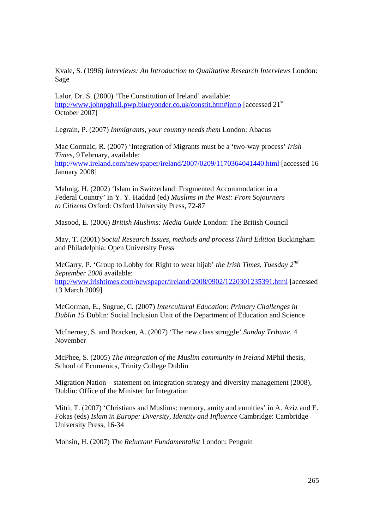Kvale, S. (1996) *Interviews: An Introduction to Qualitative Research Interviews* London: Sage

Lalor, Dr. S. (2000) 'The Constitution of Ireland' available: http://www.johnpghall.pwp.blueyonder.co.uk/constit.htm#intro [accessed 21<sup>st</sup>] October 2007]

Legrain, P. (2007) *Immigrants, your country needs them* London: Abacus

Mac Cormaic, R. (2007) 'Integration of Migrants must be a 'two-way process' *Irish Times,* 9 February, available: http://www.ireland.com/newspaper/ireland/2007/0209/1170364041440.html [accessed 16 January 2008]

Mahnig, H. (2002) 'Islam in Switzerland: Fragmented Accommodation in a Federal Country' in Y. Y. Haddad (ed) *Muslims in the West: From Sojourners to Citizens* Oxford: Oxford University Press, 72-87

Masood, E. (2006) *British Muslims: Media Guide* London: The British Council

May, T. (2001) *Social Research Issues, methods and process Third Edition* Buckingham and Philadelphia: Open University Press

McGarry, P. 'Group to Lobby for Right to wear hijab' *the Irish Times, Tuesday 2nd September 2008* available:

http://www.irishtimes.com/newspaper/ireland/2008/0902/1220301235391.html [accessed 13 March 2009]

McGorman, E., Sugrue, C. (2007) *Intercultural Education: Primary Challenges in Dublin 15* Dublin: Social Inclusion Unit of the Department of Education and Science

McInerney, S. and Bracken, A. (2007) 'The new class struggle' *Sunday Tribune,* 4 November

McPhee, S. (2005) *The integration of the Muslim community in Ireland* MPhil thesis, School of Ecumenics, Trinity College Dublin

Migration Nation – statement on integration strategy and diversity management (2008), Dublin: Office of the Minister for Integration

Mitri, T. (2007) 'Christians and Muslims: memory, amity and enmities' in A. Aziz and E. Fokas (eds) *Islam in Europe: Diversity, Identity and Influence* Cambridge: Cambridge University Press, 16-34

Mohsin, H. (2007) *The Reluctant Fundamentalist* London: Penguin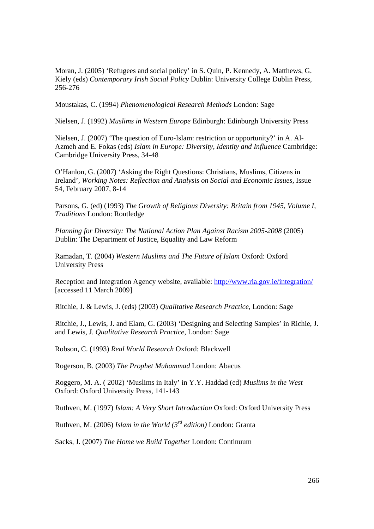Moran, J. (2005) 'Refugees and social policy' in S. Quin, P. Kennedy, A. Matthews, G. Kiely (eds) *Contemporary Irish Social Policy* Dublin: University College Dublin Press, 256-276

Moustakas, C. (1994) *Phenomenological Research Methods* London: Sage

Nielsen, J. (1992) *Muslims in Western Europe* Edinburgh: Edinburgh University Press

Nielsen, J. (2007) 'The question of Euro-Islam: restriction or opportunity?' in A. Al-Azmeh and E. Fokas (eds) *Islam in Europe: Diversity, Identity and Influence* Cambridge: Cambridge University Press, 34-48

O'Hanlon, G. (2007) 'Asking the Right Questions: Christians, Muslims, Citizens in Ireland', *Working Notes: Reflection and Analysis on Social and Economic Issues,* Issue 54, February 2007, 8-14

Parsons, G. (ed) (1993) *The Growth of Religious Diversity: Britain from 1945, Volume I, Traditions* London: Routledge

*Planning for Diversity: The National Action Plan Against Racism 2005-2008* (2005) Dublin: The Department of Justice, Equality and Law Reform

Ramadan, T. (2004) *Western Muslims and The Future of Islam* Oxford: Oxford University Press

Reception and Integration Agency website, available: http://www.ria.gov.ie/integration/ [accessed 11 March 2009]

Ritchie, J. & Lewis, J. (eds) (2003) *Qualitative Research Practice,* London: Sage

Ritchie, J., Lewis, J. and Elam, G. (2003) 'Designing and Selecting Samples' in Richie, J. and Lewis, J. *Qualitative Research Practice,* London: Sage

Robson, C. (1993) *Real World Research* Oxford: Blackwell

Rogerson, B. (2003) *The Prophet Muhammad* London: Abacus

Roggero, M. A. ( 2002) 'Muslims in Italy' in Y.Y. Haddad (ed) *Muslims in the West* Oxford: Oxford University Press, 141-143

Ruthven, M. (1997) *Islam: A Very Short Introduction* Oxford: Oxford University Press

Ruthven, M. (2006) *Islam in the World (3rd edition)* London: Granta

Sacks, J. (2007) *The Home we Build Together* London: Continuum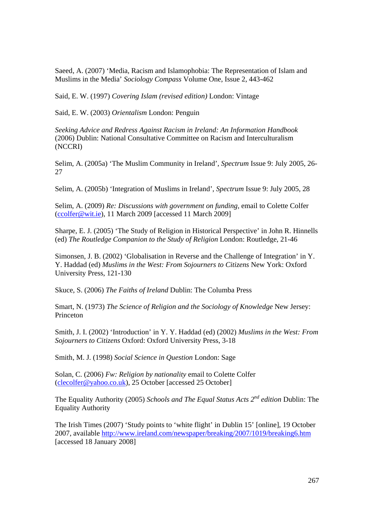Saeed, A. (2007) 'Media, Racism and Islamophobia: The Representation of Islam and Muslims in the Media' *Sociology Compass* Volume One, Issue 2, 443-462

Said, E. W. (1997) *Covering Islam (revised edition)* London: Vintage

Said, E. W. (2003) *Orientalism* London: Penguin

*Seeking Advice and Redress Against Racism in Ireland: An Information Handbook*  (2006) Dublin: National Consultative Committee on Racism and Interculturalism (NCCRI)

Selim, A. (2005a) 'The Muslim Community in Ireland', *Spectrum* Issue 9: July 2005, 26- 27

Selim, A. (2005b) 'Integration of Muslims in Ireland', *Spectrum* Issue 9: July 2005, 28

Selim, A. (2009) *Re: Discussions with government on funding,* email to Colette Colfer (ccolfer@wit.ie), 11 March 2009 [accessed 11 March 2009]

Sharpe, E. J. (2005) 'The Study of Religion in Historical Perspective' in John R. Hinnells (ed) *The Routledge Companion to the Study of Religion* London: Routledge, 21-46

Simonsen, J. B. (2002) 'Globalisation in Reverse and the Challenge of Integration' in Y. Y. Haddad (ed) *Muslims in the West: From Sojourners to Citizens* New York: Oxford University Press, 121-130

Skuce, S. (2006) *The Faiths of Ireland* Dublin: The Columba Press

Smart, N. (1973) *The Science of Religion and the Sociology of Knowledge* New Jersey: Princeton

Smith, J. I. (2002) 'Introduction' in Y. Y. Haddad (ed) (2002) *Muslims in the West: From Sojourners to Citizens* Oxford: Oxford University Press, 3-18

Smith, M. J. (1998) *Social Science in Question* London: Sage

Solan, C. (2006) *Fw: Religion by nationality* email to Colette Colfer (clecolfer@yahoo.co.uk), 25 October [accessed 25 October]

The Equality Authority (2005) *Schools and The Equal Status Acts 2nd edition* Dublin: The Equality Authority

The Irish Times (2007) 'Study points to 'white flight' in Dublin 15' [online], 19 October 2007, available http://www.ireland.com/newspaper/breaking/2007/1019/breaking6.htm [accessed 18 January 2008]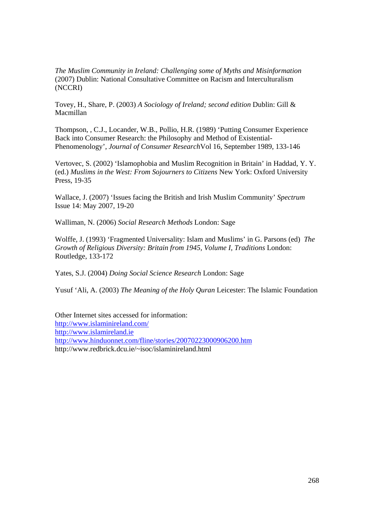*The Muslim Community in Ireland: Challenging some of Myths and Misinformation*  (2007) Dublin: National Consultative Committee on Racism and Interculturalism (NCCRI)

Tovey, H., Share, P. (2003) *A Sociology of Ireland; second edition* Dublin: Gill & Macmillan

Thompson, , C.J., Locander, W.B., Pollio, H.R. (1989) 'Putting Consumer Experience Back into Consumer Research: the Philosophy and Method of Existential-Phenomenology', *Journal of Consumer Research*Vol 16, September 1989, 133-146

Vertovec, S. (2002) 'Islamophobia and Muslim Recognition in Britain' in Haddad, Y. Y. (ed.) *Muslims in the West: From Sojourners to Citizens* New York: Oxford University Press, 19-35

Wallace, J. (2007) 'Issues facing the British and Irish Muslim Community' *Spectrum*  Issue 14: May 2007, 19-20

Walliman, N. (2006) *Social Research Methods* London: Sage

Wolffe, J. (1993) 'Fragmented Universality: Islam and Muslims' in G. Parsons (ed) *The Growth of Religious Diversity: Britain from 1945, Volume I, Traditions* London: Routledge, 133-172

Yates, S.J. (2004) *Doing Social Science Research* London: Sage

Yusuf 'Ali, A. (2003) *The Meaning of the Holy Quran* Leicester: The Islamic Foundation

Other Internet sites accessed for information: http://www.islaminireland.com/ http://www.islamireland.ie http://www.hinduonnet.com/fline/stories/20070223000906200.htm http://www.redbrick.dcu.ie/~isoc/islaminireland.html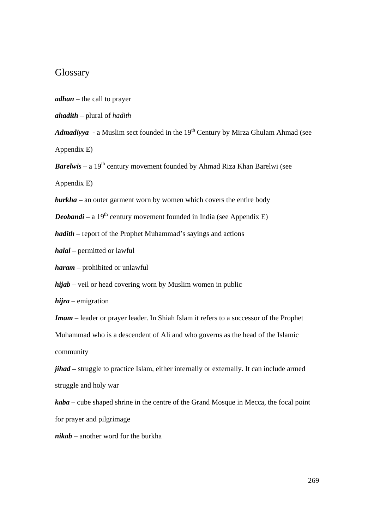## **Glossary**

*adhan –* the call to prayer

*ahadith* – plural of *hadith*

Admadiyya **-** a Muslim sect founded in the 19<sup>th</sup> Century by Mirza Ghulam Ahmad (see Appendix E)

*Barelwis* – a 19<sup>th</sup> century movement founded by Ahmad Riza Khan Barelwi (see Appendix E)

*burkha* – an outer garment worn by women which covers the entire body

*Deobandi* – a 19<sup>th</sup> century movement founded in India (see Appendix E)

*hadith –* report of the Prophet Muhammad's sayings and actions

*halal* – permitted or lawful

*haram* – prohibited or unlawful

*hijab* – veil or head covering worn by Muslim women in public

*hijra –* emigration

*Imam –* leader or prayer leader. In Shiah Islam it refers to a successor of the Prophet Muhammad who is a descendent of Ali and who governs as the head of the Islamic community

*jihad* **–** struggle to practice Islam, either internally or externally. It can include armed struggle and holy war

*kaba –* cube shaped shrine in the centre of the Grand Mosque in Mecca, the focal point for prayer and pilgrimage

*nikab* – another word for the burkha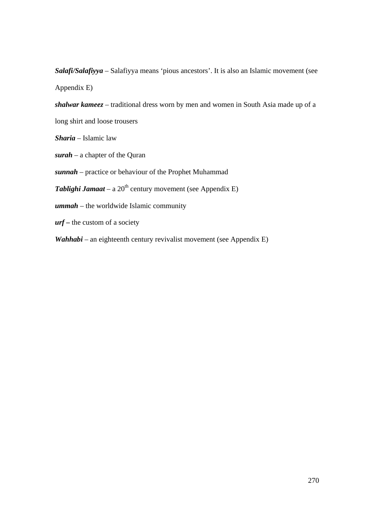*Salafi/Salafiyya* – Salafiyya means 'pious ancestors'. It is also an Islamic movement (see Appendix E)

*shalwar kameez –* traditional dress worn by men and women in South Asia made up of a long shirt and loose trousers

*Sharia* – Islamic law

*surah* – a chapter of the Quran

*sunnah –* practice or behaviour of the Prophet Muhammad

**Tablighi Jamaat** – a 20<sup>th</sup> century movement (see Appendix E)

*ummah* – the worldwide Islamic community

*urf* **–** the custom of a society

*Wahhabi* – an eighteenth century revivalist movement (see Appendix E)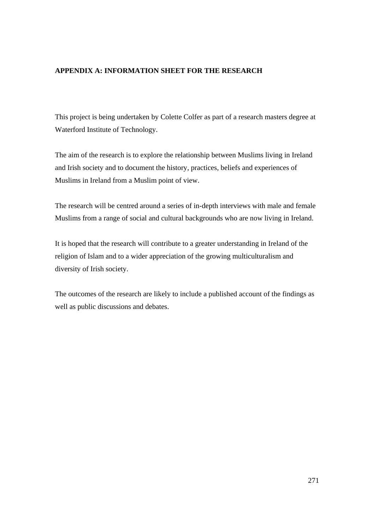#### **APPENDIX A: INFORMATION SHEET FOR THE RESEARCH**

This project is being undertaken by Colette Colfer as part of a research masters degree at Waterford Institute of Technology.

The aim of the research is to explore the relationship between Muslims living in Ireland and Irish society and to document the history, practices, beliefs and experiences of Muslims in Ireland from a Muslim point of view.

The research will be centred around a series of in-depth interviews with male and female Muslims from a range of social and cultural backgrounds who are now living in Ireland.

It is hoped that the research will contribute to a greater understanding in Ireland of the religion of Islam and to a wider appreciation of the growing multiculturalism and diversity of Irish society.

The outcomes of the research are likely to include a published account of the findings as well as public discussions and debates.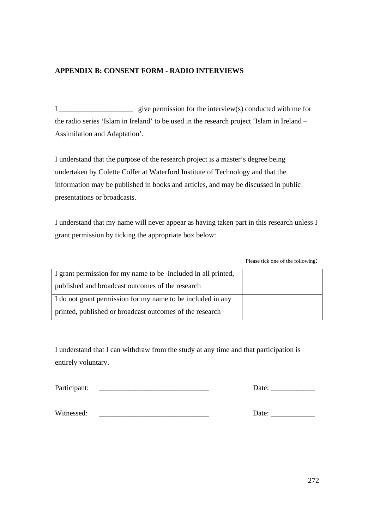### **APPENDIX B: CONSENT FORM - RADIO INTERVIEWS**

I \_\_\_\_\_\_\_\_\_\_\_\_\_\_\_\_\_\_\_\_ give permission for the interview(s) conducted with me for the radio series 'Islam in Ireland' to be used in the research project 'Islam in Ireland – Assimilation and Adaptation'.

I understand that the purpose of the research project is a master's degree being undertaken by Colette Colfer at Waterford Institute of Technology and that the information may be published in books and articles, and may be discussed in public presentations or broadcasts.

I understand that my name will never appear as having taken part in this research unless I grant permission by ticking the appropriate box below:

Please tick one of the following:

| I grant permission for my name to be included in all printed, |  |
|---------------------------------------------------------------|--|
| published and broadcast outcomes of the research              |  |
| I do not grant permission for my name to be included in any   |  |
| printed, published or broadcast outcomes of the research      |  |

I understand that I can withdraw from the study at any time and that participation is entirely voluntary.

Participant: \_\_\_\_\_\_\_\_\_\_\_\_\_\_\_\_\_\_\_\_\_\_\_\_\_\_\_\_\_\_ Date: \_\_\_\_\_\_\_\_\_\_\_\_

Witnessed: \_\_\_\_\_\_\_\_\_\_\_\_\_\_\_\_\_\_\_\_\_\_\_\_\_\_\_\_\_\_ Date: \_\_\_\_\_\_\_\_\_\_\_\_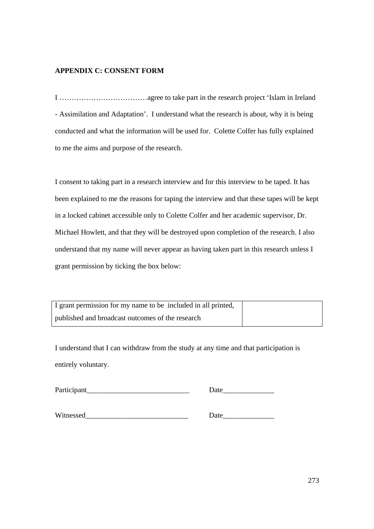### **APPENDIX C: CONSENT FORM**

I ………………………………agree to take part in the research project 'Islam in Ireland - Assimilation and Adaptation'. I understand what the research is about, why it is being conducted and what the information will be used for. Colette Colfer has fully explained to me the aims and purpose of the research.

I consent to taking part in a research interview and for this interview to be taped. It has been explained to me the reasons for taping the interview and that these tapes will be kept in a locked cabinet accessible only to Colette Colfer and her academic supervisor, Dr. Michael Howlett, and that they will be destroyed upon completion of the research. I also understand that my name will never appear as having taken part in this research unless I grant permission by ticking the box below:

| I grant permission for my name to be included in all printed, |  |
|---------------------------------------------------------------|--|
| published and broadcast outcomes of the research              |  |

I understand that I can withdraw from the study at any time and that participation is entirely voluntary.

Participant Date

Witnessed\_\_\_\_\_\_\_\_\_\_\_\_\_\_\_\_\_\_\_\_\_\_\_\_\_\_\_\_ Date\_\_\_\_\_\_\_\_\_\_\_\_\_\_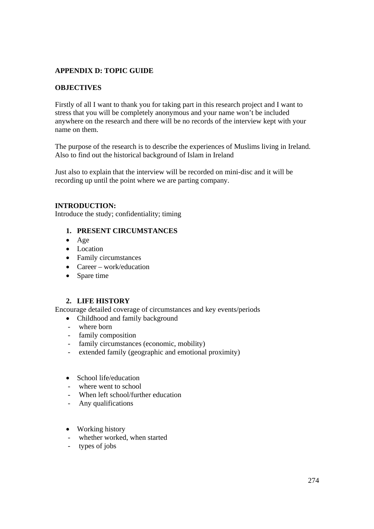### **APPENDIX D: TOPIC GUIDE**

### **OBJECTIVES**

Firstly of all I want to thank you for taking part in this research project and I want to stress that you will be completely anonymous and your name won't be included anywhere on the research and there will be no records of the interview kept with your name on them.

The purpose of the research is to describe the experiences of Muslims living in Ireland. Also to find out the historical background of Islam in Ireland

Just also to explain that the interview will be recorded on mini-disc and it will be recording up until the point where we are parting company.

#### **INTRODUCTION:**

Introduce the study; confidentiality; timing

- **1. PRESENT CIRCUMSTANCES**
- Age
- Location
- Family circumstances
- Career work/education
- Spare time

#### **2. LIFE HISTORY**

Encourage detailed coverage of circumstances and key events/periods

- Childhood and family background
- where born
- family composition
- family circumstances (economic, mobility)
- extended family (geographic and emotional proximity)
- School life/education
- where went to school
- When left school/further education
- Any qualifications
- Working history
- whether worked, when started
- types of jobs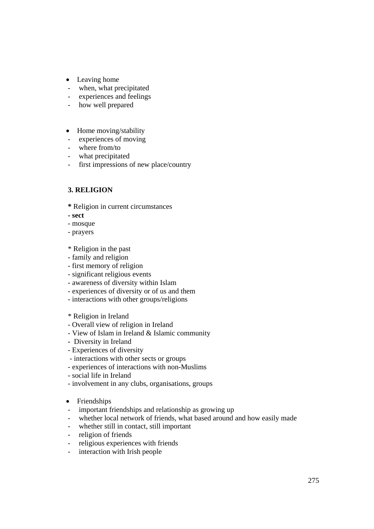- Leaving home
- when, what precipitated
- experiences and feelings
- how well prepared
- Home moving/stability
- experiences of moving
- where from/to
- what precipitated
- first impressions of new place/country

### **3. RELIGION**

- **\*** Religion in current circumstances
- **sect**
- mosque
- prayers
- \* Religion in the past
- family and religion
- first memory of religion
- significant religious events
- awareness of diversity within Islam
- experiences of diversity or of us and them
- interactions with other groups/religions
- \* Religion in Ireland
- Overall view of religion in Ireland
- View of Islam in Ireland & Islamic community
- Diversity in Ireland
- Experiences of diversity
- interactions with other sects or groups
- experiences of interactions with non-Muslims
- social life in Ireland
- involvement in any clubs, organisations, groups
- Friendships
- important friendships and relationship as growing up
- whether local network of friends, what based around and how easily made
- whether still in contact, still important
- religion of friends
- religious experiences with friends
- interaction with Irish people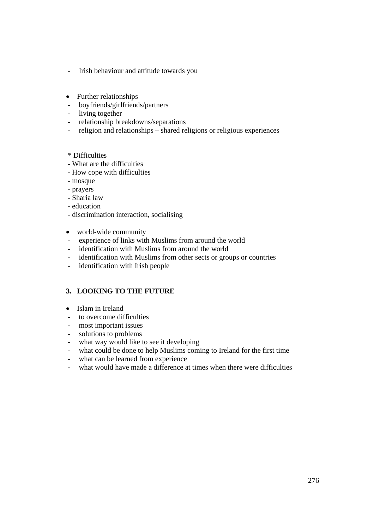- Irish behaviour and attitude towards you
- Further relationships
- boyfriends/girlfriends/partners
- living together
- relationship breakdowns/separations
- religion and relationships shared religions or religious experiences
- \* Difficulties
- What are the difficulties
- How cope with difficulties
- mosque
- prayers
- Sharia law
- education
- discrimination interaction, socialising
- world-wide community
- experience of links with Muslims from around the world
- identification with Muslims from around the world
- identification with Muslims from other sects or groups or countries
- identification with Irish people

#### **3. LOOKING TO THE FUTURE**

- Islam in Ireland
- to overcome difficulties
- most important issues
- solutions to problems
- what way would like to see it developing
- what could be done to help Muslims coming to Ireland for the first time
- what can be learned from experience
- what would have made a difference at times when there were difficulties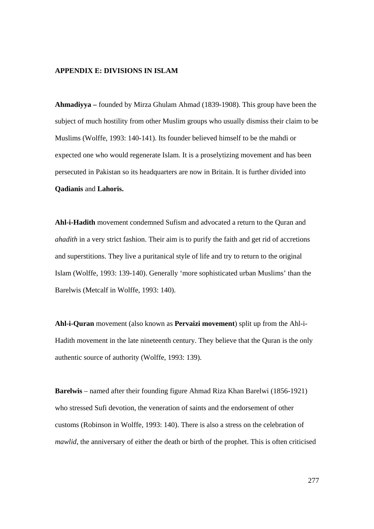#### **APPENDIX E: DIVISIONS IN ISLAM**

**Ahmadiyya –** founded by Mirza Ghulam Ahmad (1839-1908). This group have been the subject of much hostility from other Muslim groups who usually dismiss their claim to be Muslims (Wolffe, 1993: 140-141). Its founder believed himself to be the mahdi or expected one who would regenerate Islam. It is a proselytizing movement and has been persecuted in Pakistan so its headquarters are now in Britain. It is further divided into **Qadianis** and **Lahoris.** 

**Ahl-i-Hadith** movement condemned Sufism and advocated a return to the Quran and *ahadith* in a very strict fashion. Their aim is to purify the faith and get rid of accretions and superstitions. They live a puritanical style of life and try to return to the original Islam (Wolffe, 1993: 139-140). Generally 'more sophisticated urban Muslims' than the Barelwis (Metcalf in Wolffe, 1993: 140).

**Ahl-i-Quran** movement (also known as **Pervaizi movement**) split up from the Ahl-i-Hadith movement in the late nineteenth century. They believe that the Quran is the only authentic source of authority (Wolffe, 1993: 139).

**Barelwis** – named after their founding figure Ahmad Riza Khan Barelwi (1856-1921) who stressed Sufi devotion, the veneration of saints and the endorsement of other customs (Robinson in Wolffe, 1993: 140). There is also a stress on the celebration of *mawlid*, the anniversary of either the death or birth of the prophet. This is often criticised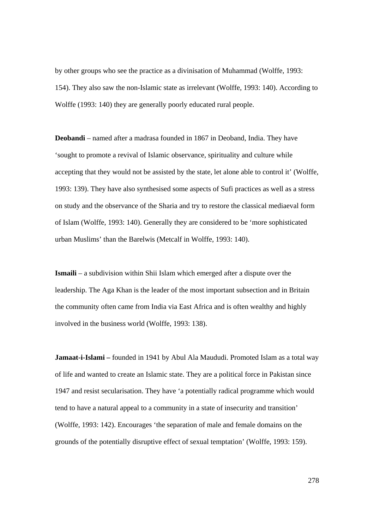by other groups who see the practice as a divinisation of Muhammad (Wolffe, 1993: 154). They also saw the non-Islamic state as irrelevant (Wolffe, 1993: 140). According to Wolffe (1993: 140) they are generally poorly educated rural people.

**Deobandi** – named after a madrasa founded in 1867 in Deoband, India. They have 'sought to promote a revival of Islamic observance, spirituality and culture while accepting that they would not be assisted by the state, let alone able to control it' (Wolffe, 1993: 139). They have also synthesised some aspects of Sufi practices as well as a stress on study and the observance of the Sharia and try to restore the classical mediaeval form of Islam (Wolffe, 1993: 140). Generally they are considered to be 'more sophisticated urban Muslims' than the Barelwis (Metcalf in Wolffe, 1993: 140).

**Ismaili** – a subdivision within Shii Islam which emerged after a dispute over the leadership. The Aga Khan is the leader of the most important subsection and in Britain the community often came from India via East Africa and is often wealthy and highly involved in the business world (Wolffe, 1993: 138).

**Jamaat-i-Islami** – founded in 1941 by Abul Ala Maududi. Promoted Islam as a total way of life and wanted to create an Islamic state. They are a political force in Pakistan since 1947 and resist secularisation. They have 'a potentially radical programme which would tend to have a natural appeal to a community in a state of insecurity and transition' (Wolffe, 1993: 142). Encourages 'the separation of male and female domains on the grounds of the potentially disruptive effect of sexual temptation' (Wolffe, 1993: 159).